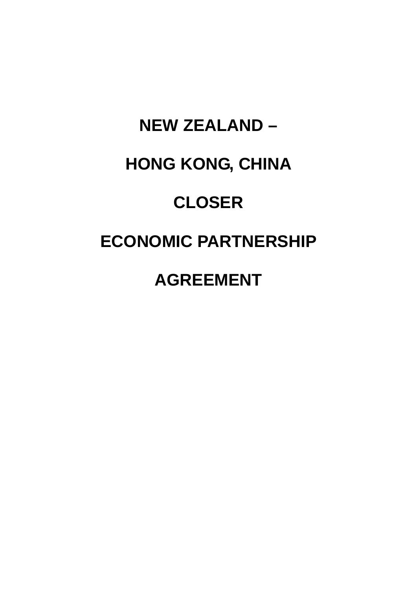# **NEW ZEALAND – HONG KONG, CHINA CLOSER ECONOMIC PARTNERSHIP AGREEMENT**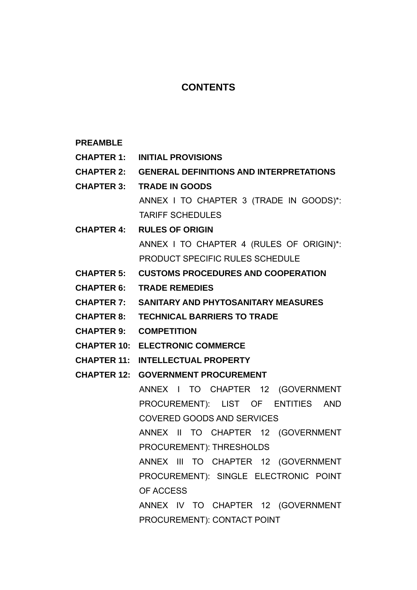#### **CONTENTS**

#### **PREAMBLE**

- **CHAPTER 1: INITIAL PROVISIONS**
- **CHAPTER 2: GENERAL DEFINITIONS AND INTERPRETATIONS**
- **CHAPTER 3: TRADE IN GOODS**

ANNEX I TO CHAPTER 3 (TRADE IN GOODS)\*: TARIFF SCHEDULES

- **CHAPTER 4: RULES OF ORIGIN**  ANNEX I TO CHAPTER 4 (RULES OF ORIGIN)\*: PRODUCT SPECIFIC RULES SCHEDULE
- **CHAPTER 5: CUSTOMS PROCEDURES AND COOPERATION**
- **CHAPTER 6: TRADE REMEDIES**
- **CHAPTER 7: SANITARY AND PHYTOSANITARY MEASURES**
- **CHAPTER 8: TECHNICAL BARRIERS TO TRADE**
- **CHAPTER 9: COMPETITION**
- **CHAPTER 10: ELECTRONIC COMMERCE**
- **CHAPTER 11: INTELLECTUAL PROPERTY**
- **CHAPTER 12: GOVERNMENT PROCUREMENT**

ANNEX I TO CHAPTER 12 (GOVERNMENT PROCUREMENT): LIST OF ENTITIES AND COVERED GOODS AND SERVICES

ANNEX II TO CHAPTER 12 (GOVERNMENT PROCUREMENT): THRESHOLDS

ANNEX III TO CHAPTER 12 (GOVERNMENT PROCUREMENT): SINGLE ELECTRONIC POINT OF ACCESS

ANNEX IV TO CHAPTER 12 (GOVERNMENT PROCUREMENT): CONTACT POINT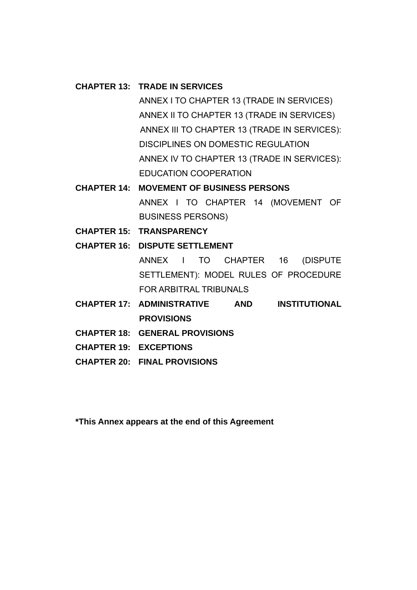#### **CHAPTER 13: TRADE IN SERVICES**

ANNEX I TO CHAPTER 13 (TRADE IN SERVICES) ANNEX II TO CHAPTER 13 (TRADE IN SERVICES) ANNEX III TO CHAPTER 13 (TRADE IN SERVICES): DISCIPLINES ON DOMESTIC REGULATION ANNEX IV TO CHAPTER 13 (TRADE IN SERVICES): EDUCATION COOPERATION

- **CHAPTER 14: MOVEMENT OF BUSINESS PERSONS**  ANNEX I TO CHAPTER 14 (MOVEMENT OF BUSINESS PERSONS)
- **CHAPTER 15: TRANSPARENCY**
- **CHAPTER 16: DISPUTE SETTLEMENT**  ANNEX I TO CHAPTER 16 (DISPUTE SETTLEMENT): MODEL RULES OF PROCEDURE FOR ARBITRAL TRIBUNALS
- **CHAPTER 17: ADMINISTRATIVE AND INSTITUTIONAL PROVISIONS**
- **CHAPTER 18: GENERAL PROVISIONS**
- **CHAPTER 19: EXCEPTIONS**
- **CHAPTER 20: FINAL PROVISIONS**

**\*This Annex appears at the end of this Agreement**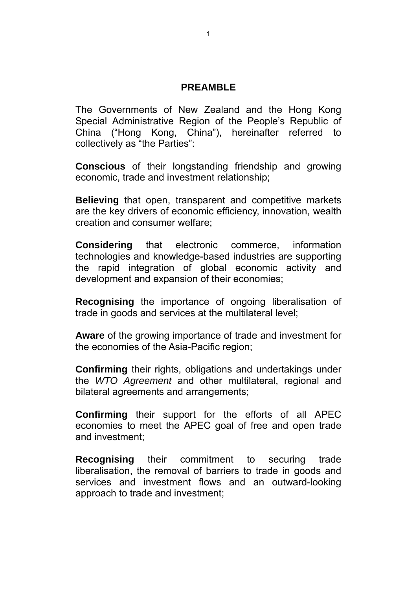#### **PREAMBLE**

The Governments of New Zealand and the Hong Kong Special Administrative Region of the People's Republic of China ("Hong Kong, China"), hereinafter referred to collectively as "the Parties":

**Conscious** of their longstanding friendship and growing economic, trade and investment relationship;

**Believing** that open, transparent and competitive markets are the key drivers of economic efficiency, innovation, wealth creation and consumer welfare;

**Considering** that electronic commerce, information technologies and knowledge-based industries are supporting the rapid integration of global economic activity and development and expansion of their economies;

**Recognising** the importance of ongoing liberalisation of trade in goods and services at the multilateral level;

**Aware** of the growing importance of trade and investment for the economies of the Asia-Pacific region;

**Confirming** their rights, obligations and undertakings under the *WTO Agreement* and other multilateral, regional and bilateral agreements and arrangements;

**Confirming** their support for the efforts of all APEC economies to meet the APEC goal of free and open trade and investment;

**Recognising** their commitment to securing trade liberalisation, the removal of barriers to trade in goods and services and investment flows and an outward-looking approach to trade and investment;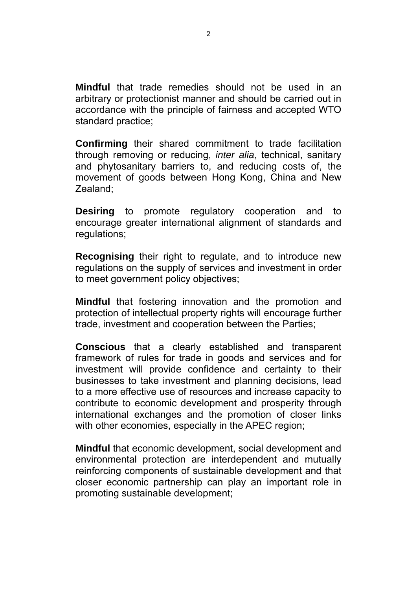**Mindful** that trade remedies should not be used in an arbitrary or protectionist manner and should be carried out in accordance with the principle of fairness and accepted WTO standard practice;

**Confirming** their shared commitment to trade facilitation through removing or reducing, *inter alia*, technical, sanitary and phytosanitary barriers to, and reducing costs of, the movement of goods between Hong Kong, China and New Zealand;

**Desiring** to promote regulatory cooperation and to encourage greater international alignment of standards and regulations;

**Recognising** their right to regulate, and to introduce new regulations on the supply of services and investment in order to meet government policy objectives;

**Mindful** that fostering innovation and the promotion and protection of intellectual property rights will encourage further trade, investment and cooperation between the Parties;

**Conscious** that a clearly established and transparent framework of rules for trade in goods and services and for investment will provide confidence and certainty to their businesses to take investment and planning decisions, lead to a more effective use of resources and increase capacity to contribute to economic development and prosperity through international exchanges and the promotion of closer links with other economies, especially in the APEC region;

**Mindful** that economic development, social development and environmental protection are interdependent and mutually reinforcing components of sustainable development and that closer economic partnership can play an important role in promoting sustainable development;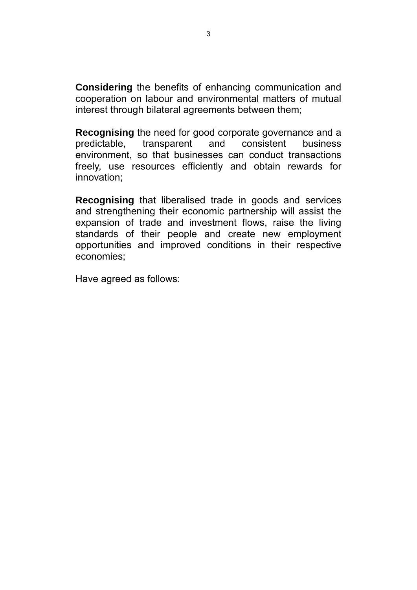**Considering** the benefits of enhancing communication and cooperation on labour and environmental matters of mutual interest through bilateral agreements between them;

**Recognising** the need for good corporate governance and a predictable, transparent and consistent business environment, so that businesses can conduct transactions freely, use resources efficiently and obtain rewards for innovation;

**Recognising** that liberalised trade in goods and services and strengthening their economic partnership will assist the expansion of trade and investment flows, raise the living standards of their people and create new employment opportunities and improved conditions in their respective economies;

Have agreed as follows: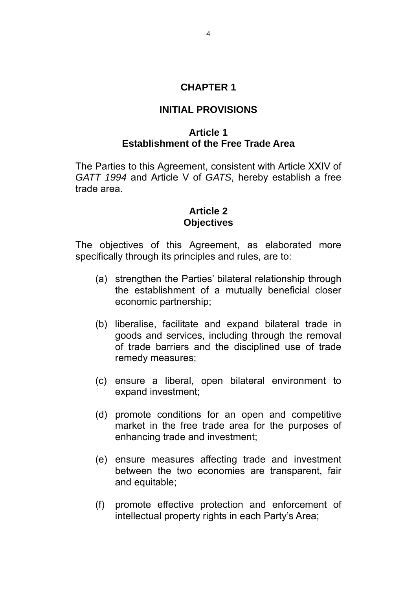## **CHAPTER 1**

#### **INITIAL PROVISIONS**

#### **Article 1 Establishment of the Free Trade Area**

The Parties to this Agreement, consistent with Article XXIV of *GATT 1994* and Article V of *GATS*, hereby establish a free trade area.

#### **Article 2 Objectives**

The objectives of this Agreement, as elaborated more specifically through its principles and rules, are to:

- (a) strengthen the Parties' bilateral relationship through the establishment of a mutually beneficial closer economic partnership;
- (b) liberalise, facilitate and expand bilateral trade in goods and services, including through the removal of trade barriers and the disciplined use of trade remedy measures;
- (c) ensure a liberal, open bilateral environment to expand investment;
- (d) promote conditions for an open and competitive market in the free trade area for the purposes of enhancing trade and investment;
- (e) ensure measures affecting trade and investment between the two economies are transparent, fair and equitable;
- (f) promote effective protection and enforcement of intellectual property rights in each Party's Area;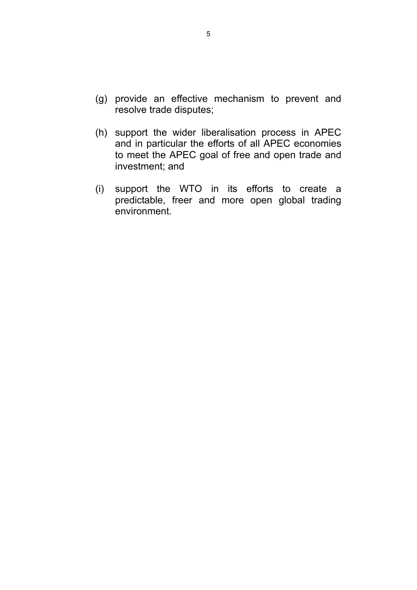- (g) provide an effective mechanism to prevent and resolve trade disputes;
- (h) support the wider liberalisation process in APEC and in particular the efforts of all APEC economies to meet the APEC goal of free and open trade and investment; and
- (i) support the WTO in its efforts to create a predictable, freer and more open global trading environment.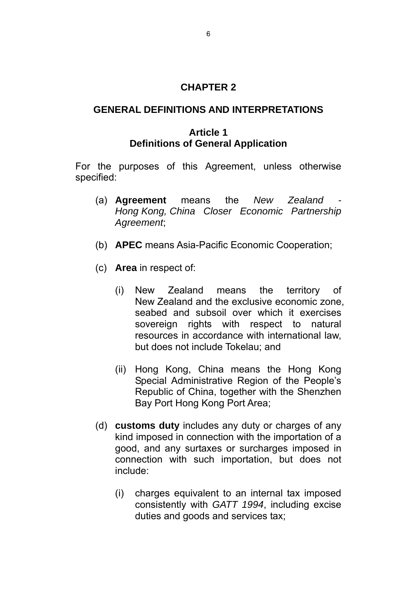## **CHAPTER 2**

#### **GENERAL DEFINITIONS AND INTERPRETATIONS**

## **Article 1 Definitions of General Application**

For the purposes of this Agreement, unless otherwise specified:

- (a) **Agreement** means the *New Zealand Hong Kong, China Closer Economic Partnership Agreement*;
- (b) **APEC** means Asia-Pacific Economic Cooperation;
- (c) **Area** in respect of:
	- (i) New Zealand means the territory of New Zealand and the exclusive economic zone, seabed and subsoil over which it exercises sovereign rights with respect to natural resources in accordance with international law, but does not include Tokelau; and
	- (ii) Hong Kong, China means the Hong Kong Special Administrative Region of the People's Republic of China, together with the Shenzhen Bay Port Hong Kong Port Area;
- (d) **customs duty** includes any duty or charges of any kind imposed in connection with the importation of a good, and any surtaxes or surcharges imposed in connection with such importation, but does not include:
	- (i) charges equivalent to an internal tax imposed consistently with *GATT 1994*, including excise duties and goods and services tax;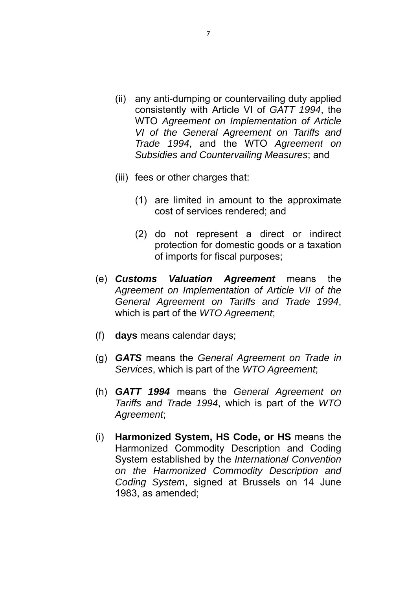- (ii) any anti-dumping or countervailing duty applied consistently with Article VI of *GATT 1994*, the WTO *Agreement on Implementation of Article VI of the General Agreement on Tariffs and Trade 1994*, and the WTO *Agreement on Subsidies and Countervailing Measures*; and
- (iii) fees or other charges that:
	- (1) are limited in amount to the approximate cost of services rendered; and
	- (2) do not represent a direct or indirect protection for domestic goods or a taxation of imports for fiscal purposes;
- (e) *Customs Valuation Agreement* means the *Agreement on Implementation of Article VII of the General Agreement on Tariffs and Trade 1994*, which is part of the *WTO Agreement*;
- (f) **days** means calendar days;
- (g) *GATS* means the *General Agreement on Trade in Services*, which is part of the *WTO Agreement*;
- (h) *GATT 1994* means the *General Agreement on Tariffs and Trade 1994*, which is part of the *WTO Agreement*;
- (i) **Harmonized System, HS Code, or HS** means the Harmonized Commodity Description and Coding System established by the *International Convention on the Harmonized Commodity Description and Coding System*, signed at Brussels on 14 June 1983, as amended;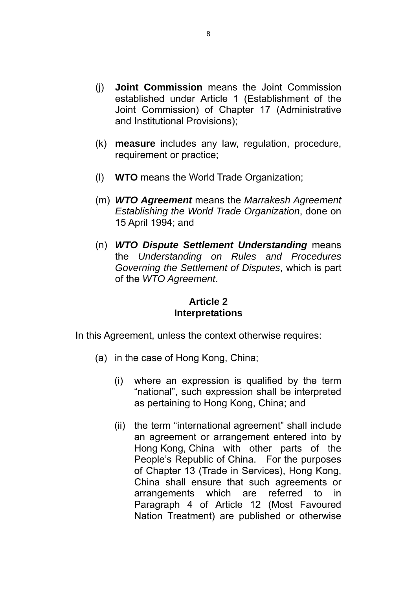- (j) **Joint Commission** means the Joint Commission established under Article 1 (Establishment of the Joint Commission) of Chapter 17 (Administrative and Institutional Provisions);
- (k) **measure** includes any law, regulation, procedure, requirement or practice;
- (l) **WTO** means the World Trade Organization;
- (m) *WTO Agreement* means the *Marrakesh Agreement Establishing the World Trade Organization*, done on 15 April 1994; and
- (n) *WTO Dispute Settlement Understanding* means the *Understanding on Rules and Procedures Governing the Settlement of Disputes*, which is part of the *WTO Agreement*.

## **Article 2 Interpretations**

In this Agreement, unless the context otherwise requires:

- (a) in the case of Hong Kong, China;
	- (i) where an expression is qualified by the term "national", such expression shall be interpreted as pertaining to Hong Kong, China; and
	- (ii) the term "international agreement" shall include an agreement or arrangement entered into by Hong Kong, China with other parts of the People's Republic of China. For the purposes of Chapter 13 (Trade in Services), Hong Kong, China shall ensure that such agreements or arrangements which are referred to in Paragraph 4 of Article 12 (Most Favoured Nation Treatment) are published or otherwise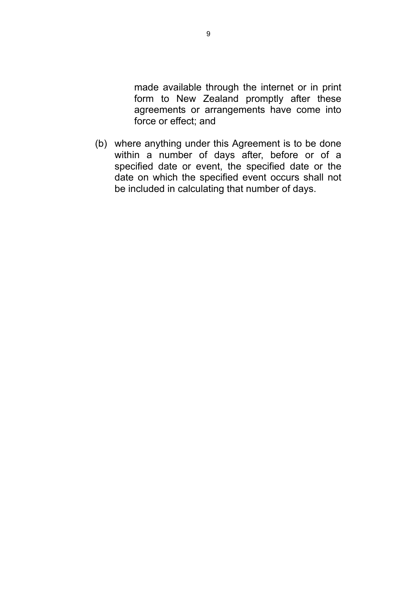made available through the internet or in print form to New Zealand promptly after these agreements or arrangements have come into force or effect; and

(b) where anything under this Agreement is to be done within a number of days after, before or of a specified date or event, the specified date or the date on which the specified event occurs shall not be included in calculating that number of days.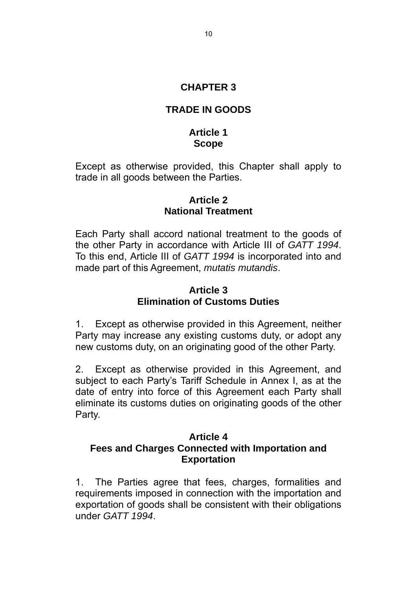## **CHAPTER 3**

## **TRADE IN GOODS**

## **Article 1 Scope**

Except as otherwise provided, this Chapter shall apply to trade in all goods between the Parties.

## **Article 2 National Treatment**

Each Party shall accord national treatment to the goods of the other Party in accordance with Article III of *GATT 1994*. To this end, Article III of *GATT 1994* is incorporated into and made part of this Agreement, *mutatis mutandis*.

## **Article 3 Elimination of Customs Duties**

1. Except as otherwise provided in this Agreement, neither Party may increase any existing customs duty, or adopt any new customs duty, on an originating good of the other Party.

2. Except as otherwise provided in this Agreement, and subject to each Party's Tariff Schedule in Annex I, as at the date of entry into force of this Agreement each Party shall eliminate its customs duties on originating goods of the other Party.

#### **Article 4**

## **Fees and Charges Connected with Importation and Exportation**

1. The Parties agree that fees, charges, formalities and requirements imposed in connection with the importation and exportation of goods shall be consistent with their obligations under *GATT 1994*.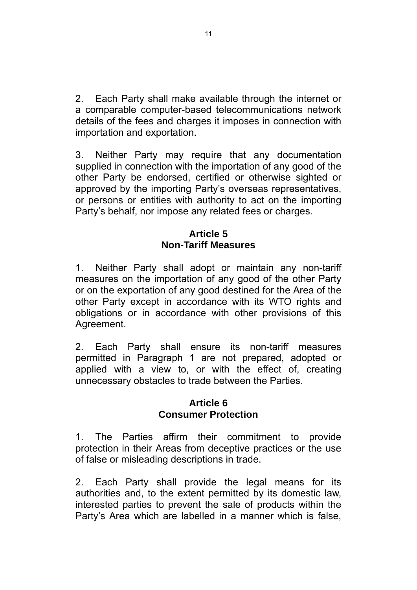2. Each Party shall make available through the internet or a comparable computer-based telecommunications network details of the fees and charges it imposes in connection with importation and exportation.

3. Neither Party may require that any documentation supplied in connection with the importation of any good of the other Party be endorsed, certified or otherwise sighted or approved by the importing Party's overseas representatives, or persons or entities with authority to act on the importing Party's behalf, nor impose any related fees or charges.

## **Article 5 Non-Tariff Measures**

1. Neither Party shall adopt or maintain any non-tariff measures on the importation of any good of the other Party or on the exportation of any good destined for the Area of the other Party except in accordance with its WTO rights and obligations or in accordance with other provisions of this Agreement.

2. Each Party shall ensure its non-tariff measures permitted in Paragraph 1 are not prepared, adopted or applied with a view to, or with the effect of, creating unnecessary obstacles to trade between the Parties.

## **Article 6 Consumer Protection**

1. The Parties affirm their commitment to provide protection in their Areas from deceptive practices or the use of false or misleading descriptions in trade.

2. Each Party shall provide the legal means for its authorities and, to the extent permitted by its domestic law, interested parties to prevent the sale of products within the Party's Area which are labelled in a manner which is false,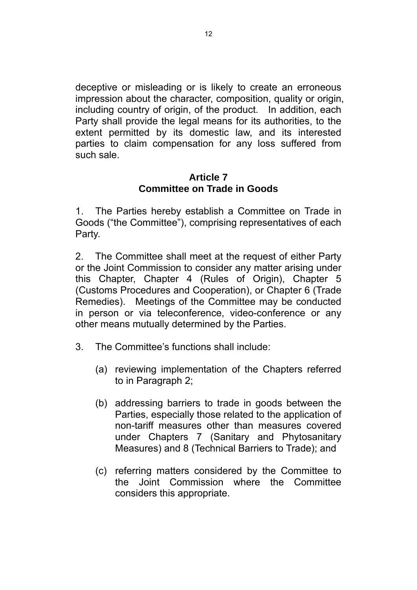deceptive or misleading or is likely to create an erroneous impression about the character, composition, quality or origin, including country of origin, of the product. In addition, each Party shall provide the legal means for its authorities, to the extent permitted by its domestic law, and its interested parties to claim compensation for any loss suffered from such sale.

#### **Article 7 Committee on Trade in Goods**

1. The Parties hereby establish a Committee on Trade in Goods ("the Committee"), comprising representatives of each Party.

2. The Committee shall meet at the request of either Party or the Joint Commission to consider any matter arising under this Chapter, Chapter 4 (Rules of Origin), Chapter 5 (Customs Procedures and Cooperation), or Chapter 6 (Trade Remedies). Meetings of the Committee may be conducted in person or via teleconference, video-conference or any other means mutually determined by the Parties.

- 3. The Committee's functions shall include:
	- (a) reviewing implementation of the Chapters referred to in Paragraph 2;
	- (b) addressing barriers to trade in goods between the Parties, especially those related to the application of non-tariff measures other than measures covered under Chapters 7 (Sanitary and Phytosanitary Measures) and 8 (Technical Barriers to Trade); and
	- (c) referring matters considered by the Committee to the Joint Commission where the Committee considers this appropriate.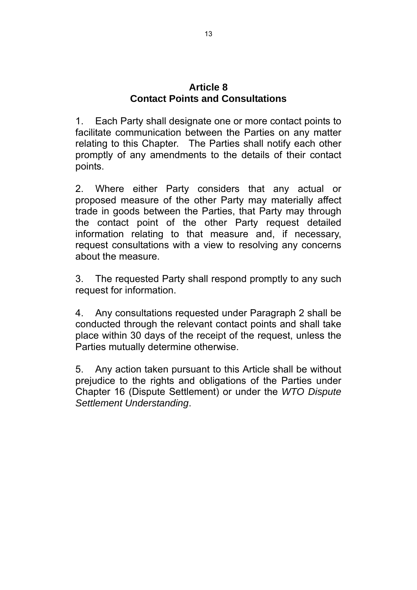#### **Article 8 Contact Points and Consultations**

1. Each Party shall designate one or more contact points to facilitate communication between the Parties on any matter relating to this Chapter. The Parties shall notify each other promptly of any amendments to the details of their contact points.

2. Where either Party considers that any actual or proposed measure of the other Party may materially affect trade in goods between the Parties, that Party may through the contact point of the other Party request detailed information relating to that measure and, if necessary, request consultations with a view to resolving any concerns about the measure.

3. The requested Party shall respond promptly to any such request for information.

4. Any consultations requested under Paragraph 2 shall be conducted through the relevant contact points and shall take place within 30 days of the receipt of the request, unless the Parties mutually determine otherwise.

5. Any action taken pursuant to this Article shall be without prejudice to the rights and obligations of the Parties under Chapter 16 (Dispute Settlement) or under the *WTO Dispute Settlement Understanding*.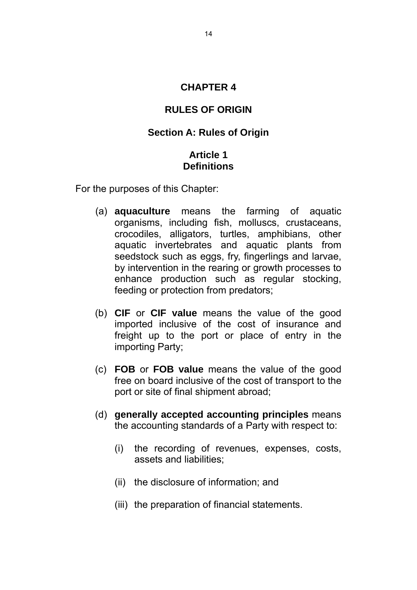## **CHAPTER 4**

## **RULES OF ORIGIN**

#### **Section A: Rules of Origin**

## **Article 1 Definitions**

For the purposes of this Chapter:

- (a) **aquaculture** means the farming of aquatic organisms, including fish, molluscs, crustaceans, crocodiles, alligators, turtles, amphibians, other aquatic invertebrates and aquatic plants from seedstock such as eggs, fry, fingerlings and larvae, by intervention in the rearing or growth processes to enhance production such as regular stocking, feeding or protection from predators;
- (b) **CIF** or **CIF value** means the value of the good imported inclusive of the cost of insurance and freight up to the port or place of entry in the importing Party;
- (c) **FOB** or **FOB value** means the value of the good free on board inclusive of the cost of transport to the port or site of final shipment abroad;
- (d) **generally accepted accounting principles** means the accounting standards of a Party with respect to:
	- (i) the recording of revenues, expenses, costs, assets and liabilities;
	- (ii) the disclosure of information; and
	- (iii) the preparation of financial statements.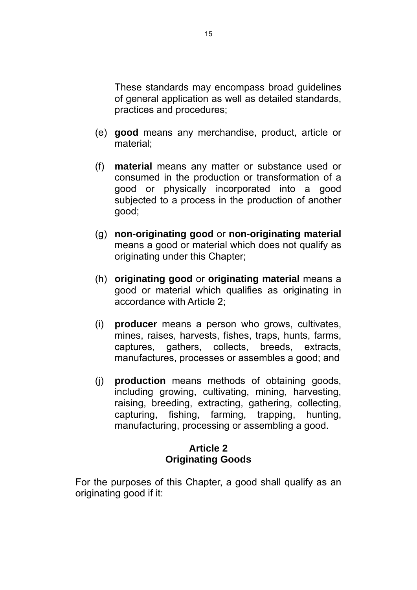These standards may encompass broad guidelines of general application as well as detailed standards, practices and procedures;

- (e) **good** means any merchandise, product, article or material;
- (f) **material** means any matter or substance used or consumed in the production or transformation of a good or physically incorporated into a good subjected to a process in the production of another good;
- (g) **non-originating good** or **non-originating material** means a good or material which does not qualify as originating under this Chapter;
- (h) **originating good** or **originating material** means a good or material which qualifies as originating in accordance with Article 2;
- (i) **producer** means a person who grows, cultivates, mines, raises, harvests, fishes, traps, hunts, farms, captures, gathers, collects, breeds, extracts, manufactures, processes or assembles a good; and
- (j) **production** means methods of obtaining goods, including growing, cultivating, mining, harvesting, raising, breeding, extracting, gathering, collecting, capturing, fishing, farming, trapping, hunting, manufacturing, processing or assembling a good.

## **Article 2 Originating Goods**

For the purposes of this Chapter, a good shall qualify as an originating good if it: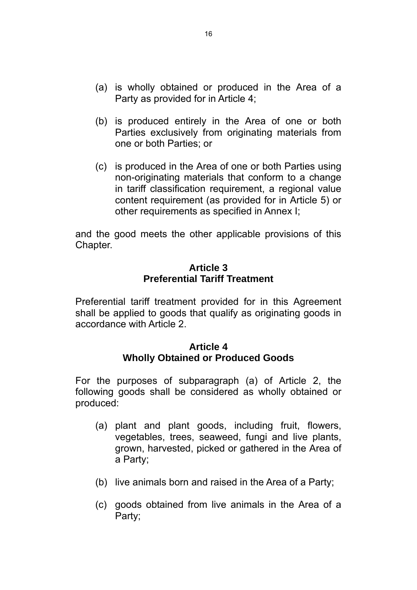- (a) is wholly obtained or produced in the Area of a Party as provided for in Article 4;
- (b) is produced entirely in the Area of one or both Parties exclusively from originating materials from one or both Parties; or
- (c) is produced in the Area of one or both Parties using non-originating materials that conform to a change in tariff classification requirement, a regional value content requirement (as provided for in Article 5) or other requirements as specified in Annex I;

and the good meets the other applicable provisions of this Chapter.

## **Article 3 Preferential Tariff Treatment**

Preferential tariff treatment provided for in this Agreement shall be applied to goods that qualify as originating goods in accordance with Article 2.

#### **Article 4 Wholly Obtained or Produced Goods**

For the purposes of subparagraph (a) of Article 2, the following goods shall be considered as wholly obtained or produced:

- (a) plant and plant goods, including fruit, flowers, vegetables, trees, seaweed, fungi and live plants, grown, harvested, picked or gathered in the Area of a Party;
- (b) live animals born and raised in the Area of a Party;
- (c) goods obtained from live animals in the Area of a Party;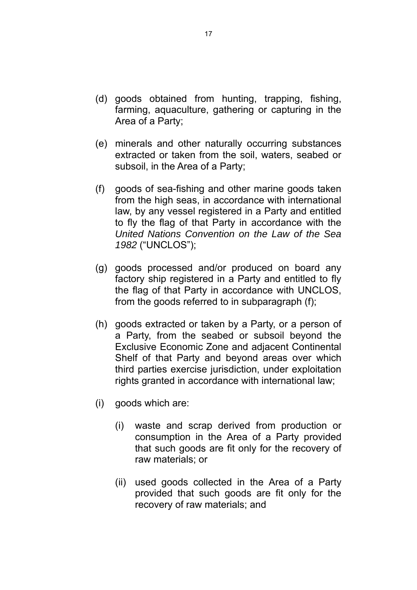- (d) goods obtained from hunting, trapping, fishing, farming, aquaculture, gathering or capturing in the Area of a Party;
- (e) minerals and other naturally occurring substances extracted or taken from the soil, waters, seabed or subsoil, in the Area of a Party;
- (f) goods of sea-fishing and other marine goods taken from the high seas, in accordance with international law, by any vessel registered in a Party and entitled to fly the flag of that Party in accordance with the *United Nations Convention on the Law of the Sea 1982* ("UNCLOS");
- (g) goods processed and/or produced on board any factory ship registered in a Party and entitled to fly the flag of that Party in accordance with UNCLOS, from the goods referred to in subparagraph (f);
- (h) goods extracted or taken by a Party, or a person of a Party, from the seabed or subsoil beyond the Exclusive Economic Zone and adjacent Continental Shelf of that Party and beyond areas over which third parties exercise jurisdiction, under exploitation rights granted in accordance with international law;
- (i) goods which are:
	- (i) waste and scrap derived from production or consumption in the Area of a Party provided that such goods are fit only for the recovery of raw materials; or
	- (ii) used goods collected in the Area of a Party provided that such goods are fit only for the recovery of raw materials; and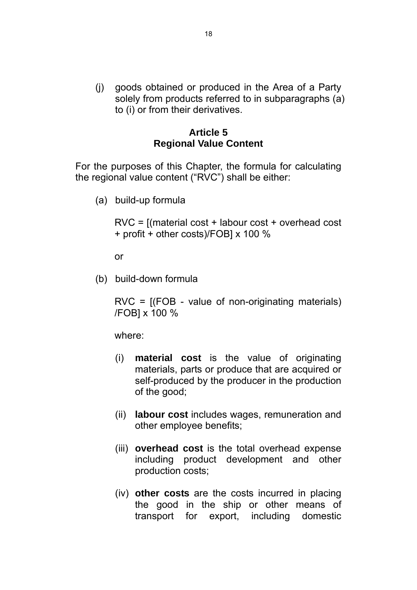(j) goods obtained or produced in the Area of a Party solely from products referred to in subparagraphs (a) to (i) or from their derivatives.

#### **Article 5 Regional Value Content**

For the purposes of this Chapter, the formula for calculating the regional value content ("RVC") shall be either:

(a) build-up formula

RVC = [(material cost + labour cost + overhead cost + profit + other costs)/FOB] x 100 %

or

(b) build-down formula

RVC = [(FOB - value of non-originating materials) /FOB] x 100 %

where:

- (i) **material cost** is the value of originating materials, parts or produce that are acquired or self-produced by the producer in the production of the good;
- (ii) **labour cost** includes wages, remuneration and other employee benefits;
- (iii) **overhead cost** is the total overhead expense including product development and other production costs;
- (iv) **other costs** are the costs incurred in placing the good in the ship or other means of transport for export, including domestic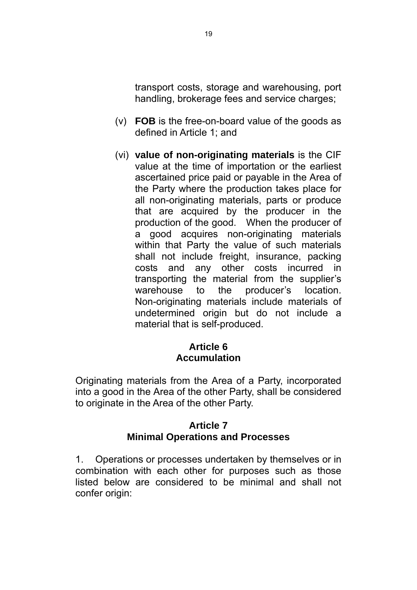transport costs, storage and warehousing, port handling, brokerage fees and service charges;

- (v) **FOB** is the free-on-board value of the goods as defined in Article 1; and
- (vi) **value of non-originating materials** is the CIF value at the time of importation or the earliest ascertained price paid or payable in the Area of the Party where the production takes place for all non-originating materials, parts or produce that are acquired by the producer in the production of the good. When the producer of a good acquires non-originating materials within that Party the value of such materials shall not include freight, insurance, packing costs and any other costs incurred in transporting the material from the supplier's warehouse to the producer's location. Non-originating materials include materials of undetermined origin but do not include a material that is self-produced.

## **Article 6 Accumulation**

Originating materials from the Area of a Party, incorporated into a good in the Area of the other Party, shall be considered to originate in the Area of the other Party.

## **Article 7 Minimal Operations and Processes**

1. Operations or processes undertaken by themselves or in combination with each other for purposes such as those listed below are considered to be minimal and shall not confer origin: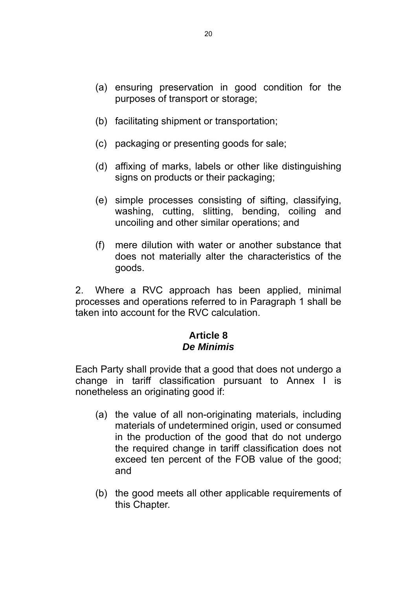- (a) ensuring preservation in good condition for the purposes of transport or storage;
- (b) facilitating shipment or transportation;
- (c) packaging or presenting goods for sale;
- (d) affixing of marks, labels or other like distinguishing signs on products or their packaging;
- (e) simple processes consisting of sifting, classifying, washing, cutting, slitting, bending, coiling and uncoiling and other similar operations; and
- (f) mere dilution with water or another substance that does not materially alter the characteristics of the goods.

2. Where a RVC approach has been applied, minimal processes and operations referred to in Paragraph 1 shall be taken into account for the RVC calculation.

#### **Article 8**  *De Minimis*

Each Party shall provide that a good that does not undergo a change in tariff classification pursuant to Annex I is nonetheless an originating good if:

- (a) the value of all non-originating materials, including materials of undetermined origin, used or consumed in the production of the good that do not undergo the required change in tariff classification does not exceed ten percent of the FOB value of the good; and
- (b) the good meets all other applicable requirements of this Chapter.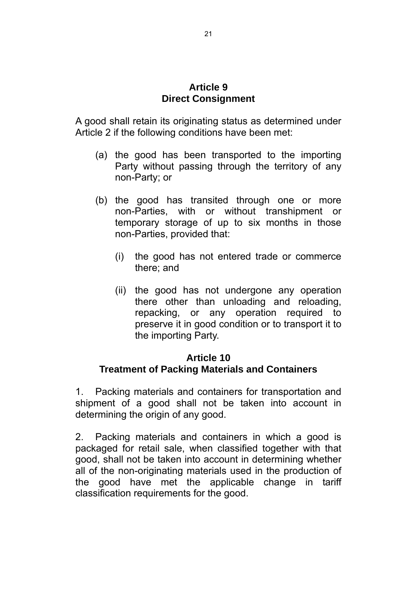#### **Article 9 Direct Consignment**

A good shall retain its originating status as determined under Article 2 if the following conditions have been met:

- (a) the good has been transported to the importing Party without passing through the territory of any non-Party; or
- (b) the good has transited through one or more non-Parties, with or without transhipment or temporary storage of up to six months in those non-Parties, provided that:
	- (i) the good has not entered trade or commerce there; and
	- (ii) the good has not undergone any operation there other than unloading and reloading, repacking, or any operation required to preserve it in good condition or to transport it to the importing Party.

## **Article 10 Treatment of Packing Materials and Containers**

1. Packing materials and containers for transportation and shipment of a good shall not be taken into account in determining the origin of any good.

2. Packing materials and containers in which a good is packaged for retail sale, when classified together with that good, shall not be taken into account in determining whether all of the non-originating materials used in the production of the good have met the applicable change in tariff classification requirements for the good.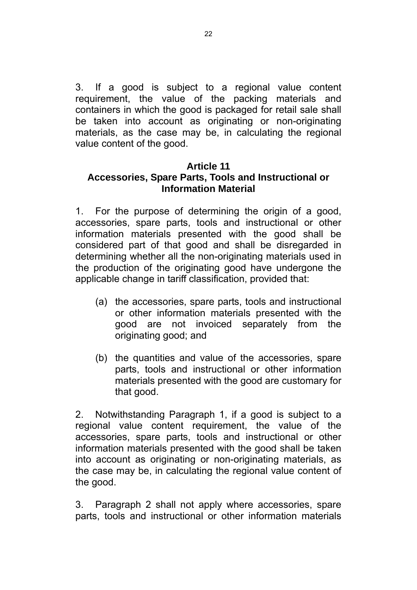3. If a good is subject to a regional value content requirement, the value of the packing materials and containers in which the good is packaged for retail sale shall be taken into account as originating or non-originating materials, as the case may be, in calculating the regional value content of the good.

## **Article 11 Accessories, Spare Parts, Tools and Instructional or Information Material**

1. For the purpose of determining the origin of a good, accessories, spare parts, tools and instructional or other information materials presented with the good shall be considered part of that good and shall be disregarded in determining whether all the non-originating materials used in the production of the originating good have undergone the applicable change in tariff classification, provided that:

- (a) the accessories, spare parts, tools and instructional or other information materials presented with the good are not invoiced separately from the originating good; and
- (b) the quantities and value of the accessories, spare parts, tools and instructional or other information materials presented with the good are customary for that good.

2. Notwithstanding Paragraph 1, if a good is subject to a regional value content requirement, the value of the accessories, spare parts, tools and instructional or other information materials presented with the good shall be taken into account as originating or non-originating materials, as the case may be, in calculating the regional value content of the good.

3. Paragraph 2 shall not apply where accessories, spare parts, tools and instructional or other information materials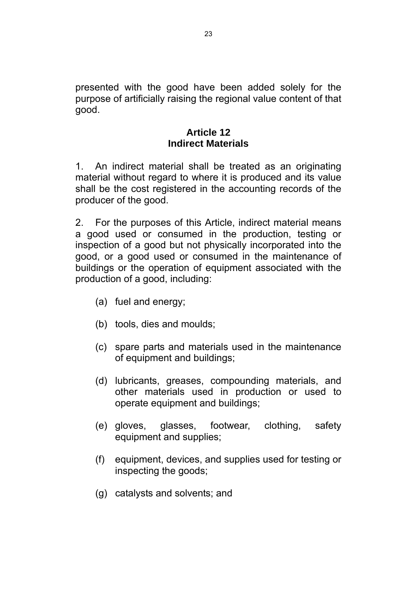presented with the good have been added solely for the purpose of artificially raising the regional value content of that good.

## **Article 12 Indirect Materials**

1. An indirect material shall be treated as an originating material without regard to where it is produced and its value shall be the cost registered in the accounting records of the producer of the good.

2. For the purposes of this Article, indirect material means a good used or consumed in the production, testing or inspection of a good but not physically incorporated into the good, or a good used or consumed in the maintenance of buildings or the operation of equipment associated with the production of a good, including:

- (a) fuel and energy;
- (b) tools, dies and moulds;
- (c) spare parts and materials used in the maintenance of equipment and buildings;
- (d) lubricants, greases, compounding materials, and other materials used in production or used to operate equipment and buildings;
- (e) gloves, glasses, footwear, clothing, safety equipment and supplies;
- (f) equipment, devices, and supplies used for testing or inspecting the goods;
- (g) catalysts and solvents; and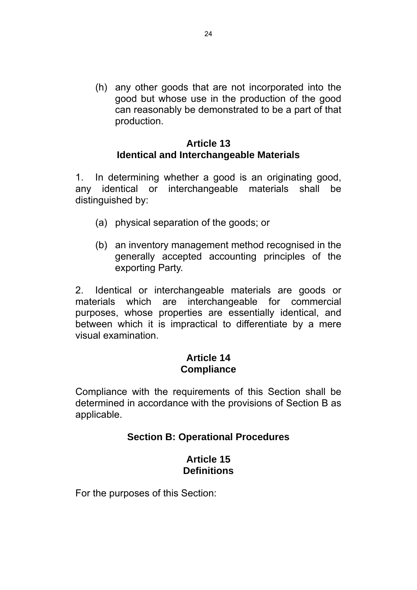(h) any other goods that are not incorporated into the good but whose use in the production of the good can reasonably be demonstrated to be a part of that production.

#### **Article 13 Identical and Interchangeable Materials**

1. In determining whether a good is an originating good, any identical or interchangeable materials shall be distinguished by:

- (a) physical separation of the goods; or
- (b) an inventory management method recognised in the generally accepted accounting principles of the exporting Party.

2. Identical or interchangeable materials are goods or materials which are interchangeable for commercial purposes, whose properties are essentially identical, and between which it is impractical to differentiate by a mere visual examination.

## **Article 14 Compliance**

Compliance with the requirements of this Section shall be determined in accordance with the provisions of Section B as applicable.

## **Section B: Operational Procedures**

## **Article 15 Definitions**

For the purposes of this Section: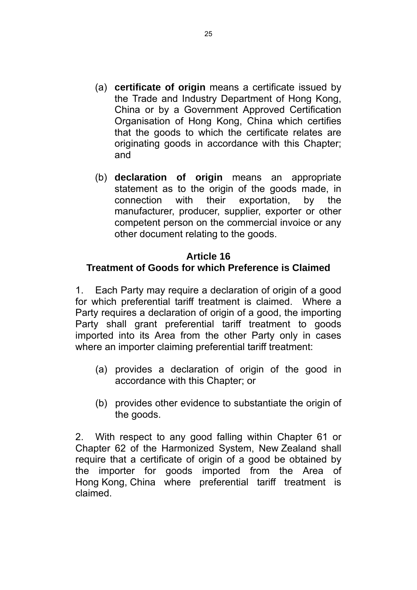- (a) **certificate of origin** means a certificate issued by the Trade and Industry Department of Hong Kong, China or by a Government Approved Certification Organisation of Hong Kong, China which certifies that the goods to which the certificate relates are originating goods in accordance with this Chapter; and
- (b) **declaration of origin** means an appropriate statement as to the origin of the goods made, in connection with their exportation, by the manufacturer, producer, supplier, exporter or other competent person on the commercial invoice or any other document relating to the goods.

## **Article 16 Treatment of Goods for which Preference is Claimed**

1. Each Party may require a declaration of origin of a good for which preferential tariff treatment is claimed. Where a Party requires a declaration of origin of a good, the importing Party shall grant preferential tariff treatment to goods imported into its Area from the other Party only in cases where an importer claiming preferential tariff treatment:

- (a) provides a declaration of origin of the good in accordance with this Chapter; or
- (b) provides other evidence to substantiate the origin of the goods.

2. With respect to any good falling within Chapter 61 or Chapter 62 of the Harmonized System, New Zealand shall require that a certificate of origin of a good be obtained by the importer for goods imported from the Area of Hong Kong, China where preferential tariff treatment is claimed.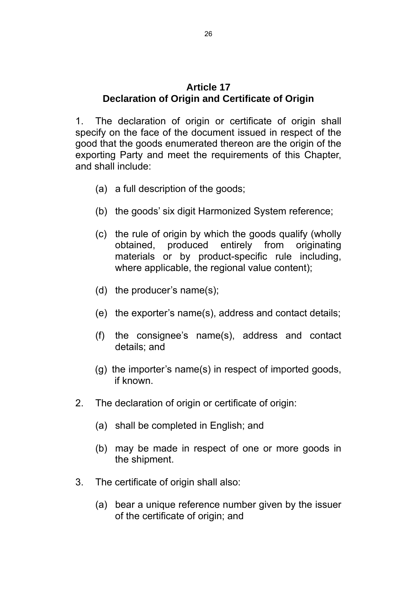#### **Article 17 Declaration of Origin and Certificate of Origin**

1. The declaration of origin or certificate of origin shall specify on the face of the document issued in respect of the good that the goods enumerated thereon are the origin of the exporting Party and meet the requirements of this Chapter, and shall include:

- (a) a full description of the goods;
- (b) the goods' six digit Harmonized System reference;
- (c) the rule of origin by which the goods qualify (wholly obtained, produced entirely from originating materials or by product-specific rule including, where applicable, the regional value content);
- (d) the producer's name(s);
- (e) the exporter's name(s), address and contact details;
- (f) the consignee's name(s), address and contact details; and
- (g) the importer's name(s) in respect of imported goods, if known.
- 2. The declaration of origin or certificate of origin:
	- (a) shall be completed in English; and
	- (b) may be made in respect of one or more goods in the shipment.
- 3. The certificate of origin shall also:
	- (a) bear a unique reference number given by the issuer of the certificate of origin; and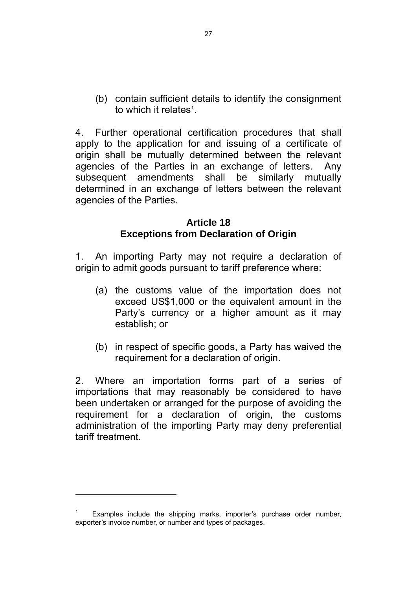(b) contain sufficient details to identify the consignment to which it relates<sup>[1](#page-29-0)</sup>.

4. Further operational certification procedures that shall apply to the application for and issuing of a certificate of origin shall be mutually determined between the relevant agencies of the Parties in an exchange of letters. Any subsequent amendments shall be similarly mutually determined in an exchange of letters between the relevant agencies of the Parties.

## **Article 18 Exceptions from Declaration of Origin**

1. An importing Party may not require a declaration of origin to admit goods pursuant to tariff preference where:

- (a) the customs value of the importation does not exceed US\$1,000 or the equivalent amount in the Party's currency or a higher amount as it may establish; or
- (b) in respect of specific goods, a Party has waived the requirement for a declaration of origin.

2. Where an importation forms part of a series of importations that may reasonably be considered to have been undertaken or arranged for the purpose of avoiding the requirement for a declaration of origin, the customs administration of the importing Party may deny preferential tariff treatment.

l

<span id="page-29-0"></span>Examples include the shipping marks, importer's purchase order number, exporter's invoice number, or number and types of packages.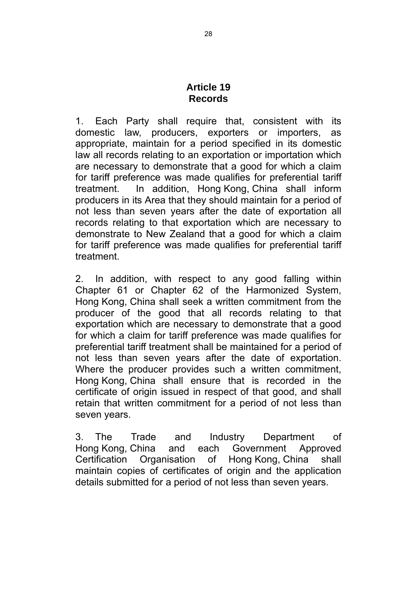#### **Article 19 Records**

1. Each Party shall require that, consistent with its domestic law, producers, exporters or importers, as appropriate, maintain for a period specified in its domestic law all records relating to an exportation or importation which are necessary to demonstrate that a good for which a claim for tariff preference was made qualifies for preferential tariff treatment. In addition, Hong Kong, China shall inform producers in its Area that they should maintain for a period of not less than seven years after the date of exportation all records relating to that exportation which are necessary to demonstrate to New Zealand that a good for which a claim for tariff preference was made qualifies for preferential tariff treatment.

2. In addition, with respect to any good falling within Chapter 61 or Chapter 62 of the Harmonized System, Hong Kong, China shall seek a written commitment from the producer of the good that all records relating to that exportation which are necessary to demonstrate that a good for which a claim for tariff preference was made qualifies for preferential tariff treatment shall be maintained for a period of not less than seven years after the date of exportation. Where the producer provides such a written commitment, Hong Kong, China shall ensure that is recorded in the certificate of origin issued in respect of that good, and shall retain that written commitment for a period of not less than seven years.

3. The Trade and Industry Department of Hong Kong, China and each Government Approved Certification Organisation of Hong Kong, China shall maintain copies of certificates of origin and the application details submitted for a period of not less than seven years.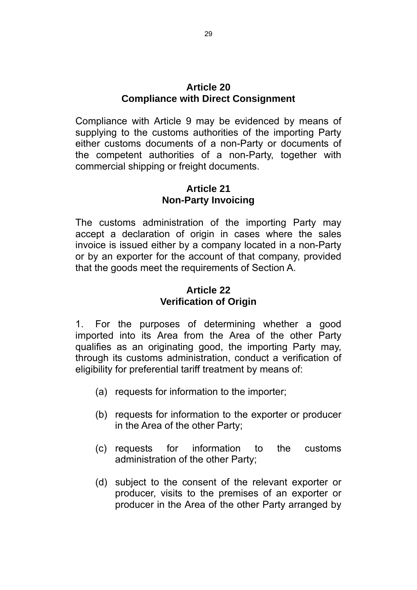#### **Article 20 Compliance with Direct Consignment**

Compliance with Article 9 may be evidenced by means of supplying to the customs authorities of the importing Party either customs documents of a non-Party or documents of the competent authorities of a non-Party, together with commercial shipping or freight documents.

## **Article 21 Non-Party Invoicing**

The customs administration of the importing Party may accept a declaration of origin in cases where the sales invoice is issued either by a company located in a non-Party or by an exporter for the account of that company, provided that the goods meet the requirements of Section A.

## **Article 22 Verification of Origin**

1. For the purposes of determining whether a good imported into its Area from the Area of the other Party qualifies as an originating good, the importing Party may, through its customs administration, conduct a verification of eligibility for preferential tariff treatment by means of:

- (a) requests for information to the importer;
- (b) requests for information to the exporter or producer in the Area of the other Party;
- (c) requests for information to the customs administration of the other Party;
- (d) subject to the consent of the relevant exporter or producer, visits to the premises of an exporter or producer in the Area of the other Party arranged by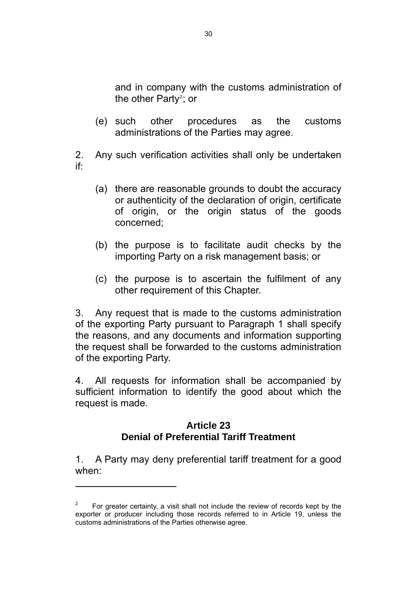and in company with the customs administration of the other Party<sup>[2](#page-32-0)</sup>; or

- (e) such other procedures as the customs administrations of the Parties may agree.
- 2. Any such verification activities shall only be undertaken if:
	- (a) there are reasonable grounds to doubt the accuracy or authenticity of the declaration of origin, certificate of origin, or the origin status of the goods concerned;
	- (b) the purpose is to facilitate audit checks by the importing Party on a risk management basis; or
	- (c) the purpose is to ascertain the fulfilment of any other requirement of this Chapter.

3. Any request that is made to the customs administration of the exporting Party pursuant to Paragraph 1 shall specify the reasons, and any documents and information supporting the request shall be forwarded to the customs administration of the exporting Party.

4. All requests for information shall be accompanied by sufficient information to identify the good about which the request is made.

## **Article 23 Denial of Preferential Tariff Treatment**

1. A Party may deny preferential tariff treatment for a good when:

l

<span id="page-32-0"></span><sup>2</sup> For greater certainty, a visit shall not include the review of records kept by the exporter or producer including those records referred to in Article 19, unless the customs administrations of the Parties otherwise agree.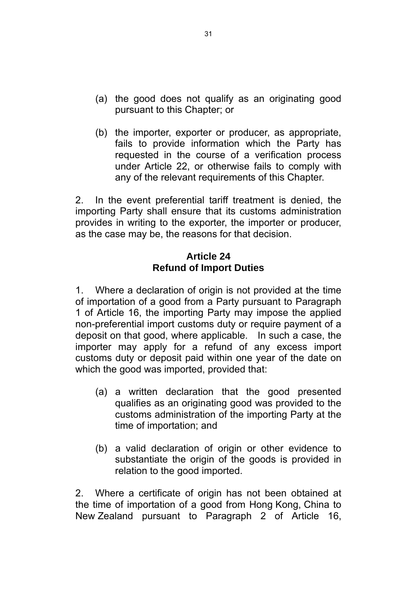- (a) the good does not qualify as an originating good pursuant to this Chapter; or
- (b) the importer, exporter or producer, as appropriate, fails to provide information which the Party has requested in the course of a verification process under Article 22, or otherwise fails to comply with any of the relevant requirements of this Chapter.

2. In the event preferential tariff treatment is denied, the importing Party shall ensure that its customs administration provides in writing to the exporter, the importer or producer, as the case may be, the reasons for that decision.

## **Article 24 Refund of Import Duties**

1. Where a declaration of origin is not provided at the time of importation of a good from a Party pursuant to Paragraph 1 of Article 16, the importing Party may impose the applied non-preferential import customs duty or require payment of a deposit on that good, where applicable. In such a case, the importer may apply for a refund of any excess import customs duty or deposit paid within one year of the date on which the good was imported, provided that:

- (a) a written declaration that the good presented qualifies as an originating good was provided to the customs administration of the importing Party at the time of importation; and
- (b) a valid declaration of origin or other evidence to substantiate the origin of the goods is provided in relation to the good imported.

2. Where a certificate of origin has not been obtained at the time of importation of a good from Hong Kong, China to New Zealand pursuant to Paragraph 2 of Article 16,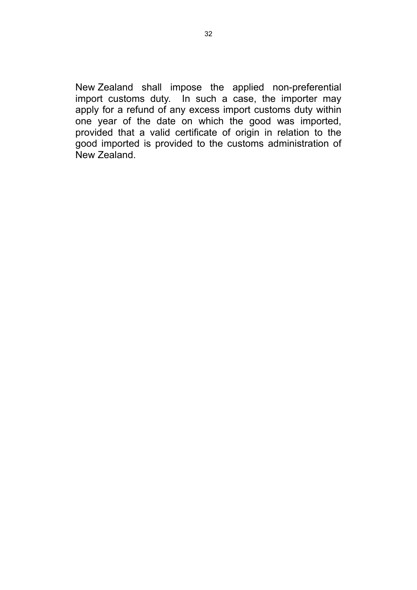New Zealand shall impose the applied non-preferential import customs duty. In such a case, the importer may apply for a refund of any excess import customs duty within one year of the date on which the good was imported, provided that a valid certificate of origin in relation to the good imported is provided to the customs administration of New Zealand.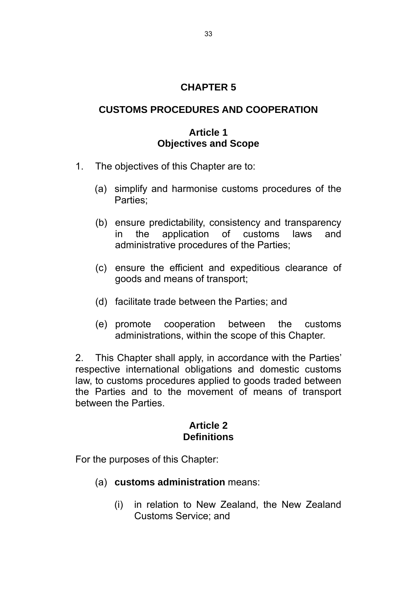# **CHAPTER 5**

## **CUSTOMS PROCEDURES AND COOPERATION**

## **Article 1 Objectives and Scope**

- 1. The objectives of this Chapter are to:
	- (a) simplify and harmonise customs procedures of the Parties;
	- (b) ensure predictability, consistency and transparency in the application of customs laws and administrative procedures of the Parties;
	- (c) ensure the efficient and expeditious clearance of goods and means of transport;
	- (d) facilitate trade between the Parties; and
	- (e) promote cooperation between the customs administrations, within the scope of this Chapter.

2. This Chapter shall apply, in accordance with the Parties' respective international obligations and domestic customs law, to customs procedures applied to goods traded between the Parties and to the movement of means of transport between the Parties.

## **Article 2 Definitions**

For the purposes of this Chapter:

- (a) **customs administration** means:
	- (i) in relation to New Zealand, the New Zealand Customs Service; and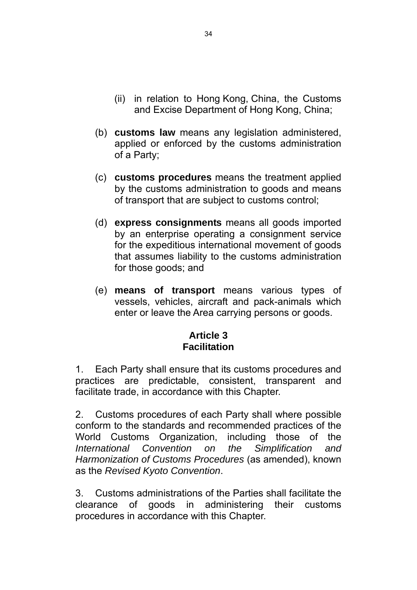- (ii) in relation to Hong Kong, China, the Customs and Excise Department of Hong Kong, China;
- (b) **customs law** means any legislation administered, applied or enforced by the customs administration of a Party;
- (c) **customs procedures** means the treatment applied by the customs administration to goods and means of transport that are subject to customs control;
- (d) **express consignments** means all goods imported by an enterprise operating a consignment service for the expeditious international movement of goods that assumes liability to the customs administration for those goods; and
- (e) **means of transport** means various types of vessels, vehicles, aircraft and pack-animals which enter or leave the Area carrying persons or goods.

## **Article 3 Facilitation**

1. Each Party shall ensure that its customs procedures and practices are predictable, consistent, transparent and facilitate trade, in accordance with this Chapter.

2. Customs procedures of each Party shall where possible conform to the standards and recommended practices of the World Customs Organization, including those of the *International Convention on the Simplification and Harmonization of Customs Procedures* (as amended), known as the *Revised Kyoto Convention*.

3. Customs administrations of the Parties shall facilitate the clearance of goods in administering their customs procedures in accordance with this Chapter.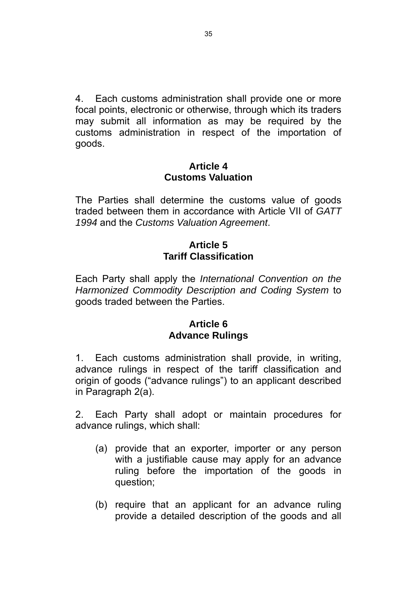4. Each customs administration shall provide one or more focal points, electronic or otherwise, through which its traders may submit all information as may be required by the customs administration in respect of the importation of goods.

### **Article 4 Customs Valuation**

The Parties shall determine the customs value of goods traded between them in accordance with Article VII of *GATT 1994* and the *Customs Valuation Agreement*.

# **Article 5 Tariff Classification**

Each Party shall apply the *International Convention on the Harmonized Commodity Description and Coding System* to goods traded between the Parties.

# **Article 6 Advance Rulings**

1. Each customs administration shall provide, in writing, advance rulings in respect of the tariff classification and origin of goods ("advance rulings") to an applicant described in Paragraph 2(a).

2. Each Party shall adopt or maintain procedures for advance rulings, which shall:

- (a) provide that an exporter, importer or any person with a justifiable cause may apply for an advance ruling before the importation of the goods in question;
- (b) require that an applicant for an advance ruling provide a detailed description of the goods and all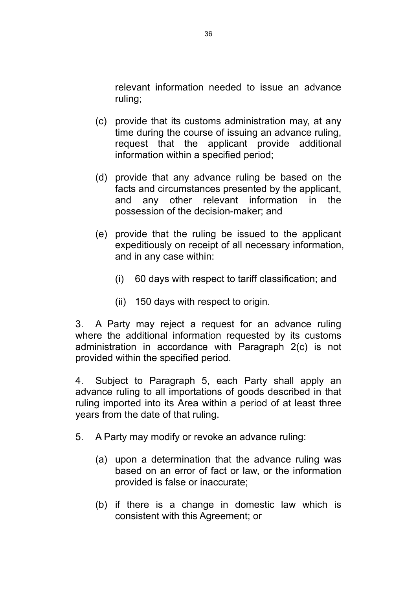relevant information needed to issue an advance ruling;

- (c) provide that its customs administration may, at any time during the course of issuing an advance ruling, request that the applicant provide additional information within a specified period;
- (d) provide that any advance ruling be based on the facts and circumstances presented by the applicant, and any other relevant information in the possession of the decision-maker; and
- (e) provide that the ruling be issued to the applicant expeditiously on receipt of all necessary information, and in any case within:
	- (i) 60 days with respect to tariff classification; and
	- (ii) 150 days with respect to origin.

3. A Party may reject a request for an advance ruling where the additional information requested by its customs administration in accordance with Paragraph 2(c) is not provided within the specified period.

4. Subject to Paragraph 5, each Party shall apply an advance ruling to all importations of goods described in that ruling imported into its Area within a period of at least three years from the date of that ruling.

- 5. A Party may modify or revoke an advance ruling:
	- (a) upon a determination that the advance ruling was based on an error of fact or law, or the information provided is false or inaccurate;
	- (b) if there is a change in domestic law which is consistent with this Agreement; or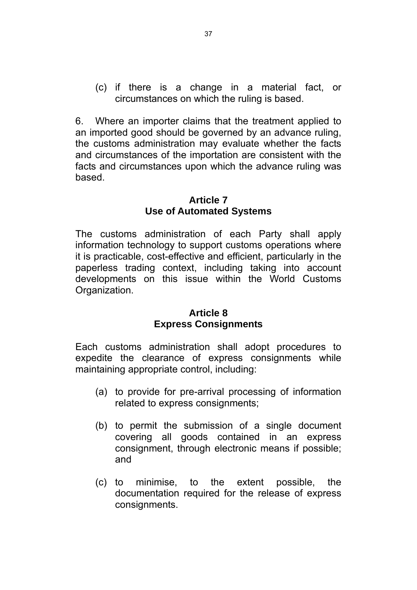(c) if there is a change in a material fact, or circumstances on which the ruling is based.

6. Where an importer claims that the treatment applied to an imported good should be governed by an advance ruling, the customs administration may evaluate whether the facts and circumstances of the importation are consistent with the facts and circumstances upon which the advance ruling was based.

#### **Article 7 Use of Automated Systems**

The customs administration of each Party shall apply information technology to support customs operations where it is practicable, cost-effective and efficient, particularly in the paperless trading context, including taking into account developments on this issue within the World Customs Organization.

#### **Article 8 Express Consignments**

Each customs administration shall adopt procedures to expedite the clearance of express consignments while maintaining appropriate control, including:

- (a) to provide for pre-arrival processing of information related to express consignments;
- (b) to permit the submission of a single document covering all goods contained in an express consignment, through electronic means if possible; and
- (c) to minimise, to the extent possible, the documentation required for the release of express consignments.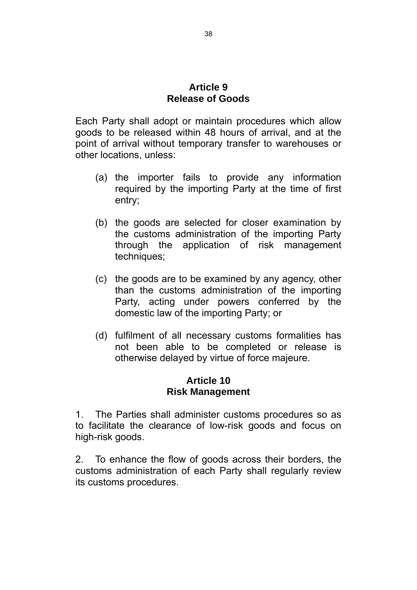#### **Article 9 Release of Goods**

Each Party shall adopt or maintain procedures which allow goods to be released within 48 hours of arrival, and at the point of arrival without temporary transfer to warehouses or other locations, unless:

- (a) the importer fails to provide any information required by the importing Party at the time of first entry;
- (b) the goods are selected for closer examination by the customs administration of the importing Party through the application of risk management techniques:
- (c) the goods are to be examined by any agency, other than the customs administration of the importing Party, acting under powers conferred by the domestic law of the importing Party; or
- (d) fulfilment of all necessary customs formalities has not been able to be completed or release is otherwise delayed by virtue of force majeure.

### **Article 10 Risk Management**

1. The Parties shall administer customs procedures so as to facilitate the clearance of low-risk goods and focus on high-risk goods.

2. To enhance the flow of goods across their borders, the customs administration of each Party shall regularly review its customs procedures.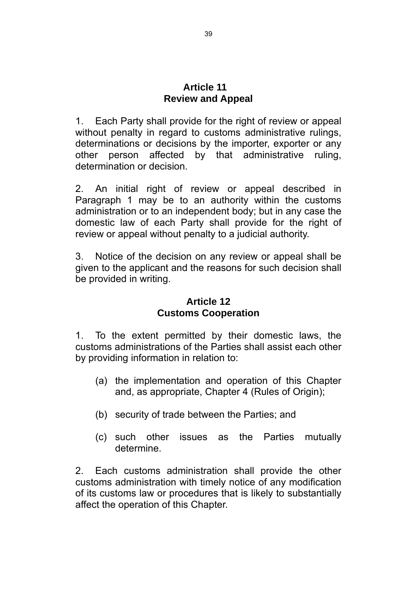#### **Article 11 Review and Appeal**

1. Each Party shall provide for the right of review or appeal without penalty in regard to customs administrative rulings, determinations or decisions by the importer, exporter or any other person affected by that administrative ruling, determination or decision.

2. An initial right of review or appeal described in Paragraph 1 may be to an authority within the customs administration or to an independent body; but in any case the domestic law of each Party shall provide for the right of review or appeal without penalty to a judicial authority.

3. Notice of the decision on any review or appeal shall be given to the applicant and the reasons for such decision shall be provided in writing.

## **Article 12 Customs Cooperation**

1. To the extent permitted by their domestic laws, the customs administrations of the Parties shall assist each other by providing information in relation to:

- (a) the implementation and operation of this Chapter and, as appropriate, Chapter 4 (Rules of Origin);
- (b) security of trade between the Parties; and
- (c) such other issues as the Parties mutually determine.

2. Each customs administration shall provide the other customs administration with timely notice of any modification of its customs law or procedures that is likely to substantially affect the operation of this Chapter.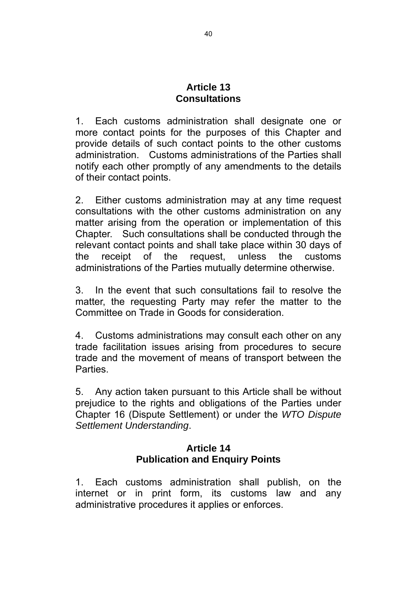### **Article 13 Consultations**

1. Each customs administration shall designate one or more contact points for the purposes of this Chapter and provide details of such contact points to the other customs administration. Customs administrations of the Parties shall notify each other promptly of any amendments to the details of their contact points.

2. Either customs administration may at any time request consultations with the other customs administration on any matter arising from the operation or implementation of this Chapter. Such consultations shall be conducted through the relevant contact points and shall take place within 30 days of the receipt of the request, unless the customs administrations of the Parties mutually determine otherwise.

3. In the event that such consultations fail to resolve the matter, the requesting Party may refer the matter to the Committee on Trade in Goods for consideration.

4. Customs administrations may consult each other on any trade facilitation issues arising from procedures to secure trade and the movement of means of transport between the **Parties** 

5. Any action taken pursuant to this Article shall be without prejudice to the rights and obligations of the Parties under Chapter 16 (Dispute Settlement) or under the *WTO Dispute Settlement Understanding*.

## **Article 14 Publication and Enquiry Points**

1. Each customs administration shall publish, on the internet or in print form, its customs law and any administrative procedures it applies or enforces.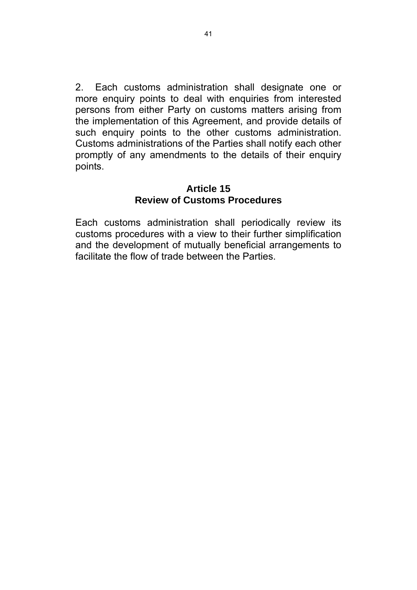2. Each customs administration shall designate one or more enquiry points to deal with enquiries from interested persons from either Party on customs matters arising from the implementation of this Agreement, and provide details of such enquiry points to the other customs administration. Customs administrations of the Parties shall notify each other promptly of any amendments to the details of their enquiry points.

### **Article 15 Review of Customs Procedures**

Each customs administration shall periodically review its customs procedures with a view to their further simplification and the development of mutually beneficial arrangements to facilitate the flow of trade between the Parties.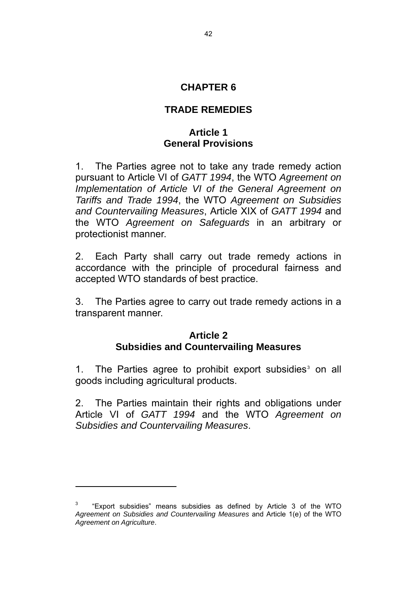# **CHAPTER 6**

## **TRADE REMEDIES**

## **Article 1 General Provisions**

1. The Parties agree not to take any trade remedy action pursuant to Article VI of *GATT 1994*, the WTO *Agreement on Implementation of Article VI of the General Agreement on Tariffs and Trade 1994*, the WTO *Agreement on Subsidies and Countervailing Measures*, Article XIX of *GATT 1994* and the WTO *Agreement on Safeguards* in an arbitrary or protectionist manner.

2. Each Party shall carry out trade remedy actions in accordance with the principle of procedural fairness and accepted WTO standards of best practice.

3. The Parties agree to carry out trade remedy actions in a transparent manner.

#### **Article 2 Subsidies and Countervailing Measures**

1. The Parties agree to prohibit export subsidies<sup>[3](#page-44-0)</sup> on all goods including agricultural products.

2. The Parties maintain their rights and obligations under Article VI of *GATT 1994* and the WTO *Agreement on Subsidies and Countervailing Measures*.

l

<span id="page-44-0"></span><sup>3</sup> "Export subsidies" means subsidies as defined by Article 3 of the WTO *Agreement on Subsidies and Countervailing Measures* and Article 1(e) of the WTO *Agreement on Agriculture*.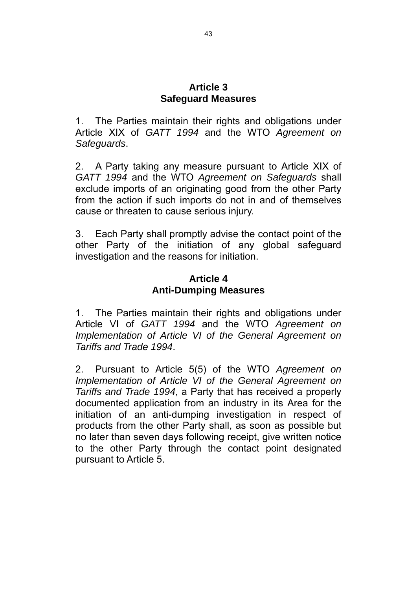#### **Article 3 Safeguard Measures**

1. The Parties maintain their rights and obligations under Article XIX of *GATT 1994* and the WTO *Agreement on Safeguards*.

2. A Party taking any measure pursuant to Article XIX of *GATT 1994* and the WTO *Agreement on Safeguards* shall exclude imports of an originating good from the other Party from the action if such imports do not in and of themselves cause or threaten to cause serious injury.

3. Each Party shall promptly advise the contact point of the other Party of the initiation of any global safeguard investigation and the reasons for initiation.

## **Article 4 Anti-Dumping Measures**

1. The Parties maintain their rights and obligations under Article VI of *GATT 1994* and the WTO *Agreement on Implementation of Article VI of the General Agreement on Tariffs and Trade 1994*.

2. Pursuant to Article 5(5) of the WTO *Agreement on Implementation of Article VI of the General Agreement on Tariffs and Trade 1994*, a Party that has received a properly documented application from an industry in its Area for the initiation of an anti-dumping investigation in respect of products from the other Party shall, as soon as possible but no later than seven days following receipt, give written notice to the other Party through the contact point designated pursuant to Article 5.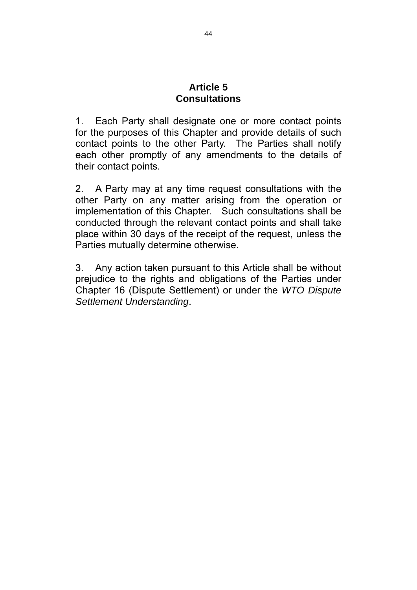#### **Article 5 Consultations**

1. Each Party shall designate one or more contact points for the purposes of this Chapter and provide details of such contact points to the other Party. The Parties shall notify each other promptly of any amendments to the details of their contact points.

2. A Party may at any time request consultations with the other Party on any matter arising from the operation or implementation of this Chapter. Such consultations shall be conducted through the relevant contact points and shall take place within 30 days of the receipt of the request, unless the Parties mutually determine otherwise.

3. Any action taken pursuant to this Article shall be without prejudice to the rights and obligations of the Parties under Chapter 16 (Dispute Settlement) or under the *WTO Dispute Settlement Understanding*.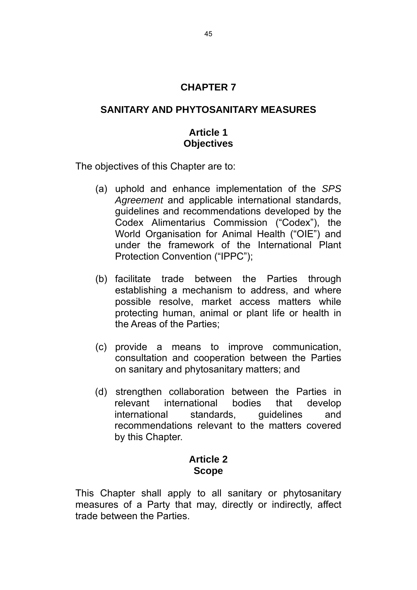# **CHAPTER 7**

### **SANITARY AND PHYTOSANITARY MEASURES**

### **Article 1 Objectives**

The objectives of this Chapter are to:

- (a) uphold and enhance implementation of the *SPS Agreement* and applicable international standards, guidelines and recommendations developed by the Codex Alimentarius Commission ("Codex"), the World Organisation for Animal Health ("OIE") and under the framework of the International Plant Protection Convention ("IPPC");
- (b) facilitate trade between the Parties through establishing a mechanism to address, and where possible resolve, market access matters while protecting human, animal or plant life or health in the Areas of the Parties;
- (c) provide a means to improve communication, consultation and cooperation between the Parties on sanitary and phytosanitary matters; and
- (d) strengthen collaboration between the Parties in relevant international bodies that develop international standards, quidelines and recommendations relevant to the matters covered by this Chapter.

## **Article 2 Scope**

This Chapter shall apply to all sanitary or phytosanitary measures of a Party that may, directly or indirectly, affect trade between the Parties.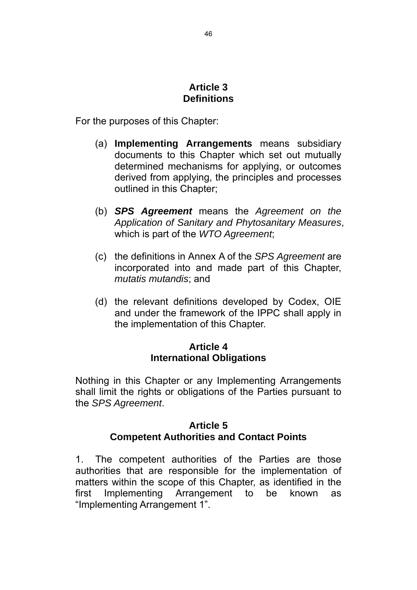### **Article 3 Definitions**

For the purposes of this Chapter:

- (a) **Implementing Arrangements** means subsidiary documents to this Chapter which set out mutually determined mechanisms for applying, or outcomes derived from applying, the principles and processes outlined in this Chapter;
- (b) *SPS Agreement* means the *Agreement on the Application of Sanitary and Phytosanitary Measures*, which is part of the *WTO Agreement*;
- (c) the definitions in Annex A of the *SPS Agreement* are incorporated into and made part of this Chapter, *mutatis mutandis*; and
- (d) the relevant definitions developed by Codex, OIE and under the framework of the IPPC shall apply in the implementation of this Chapter.

## **Article 4 International Obligations**

Nothing in this Chapter or any Implementing Arrangements shall limit the rights or obligations of the Parties pursuant to the *SPS Agreement*.

# **Article 5 Competent Authorities and Contact Points**

1. The competent authorities of the Parties are those authorities that are responsible for the implementation of matters within the scope of this Chapter, as identified in the first Implementing Arrangement to be known as "Implementing Arrangement 1".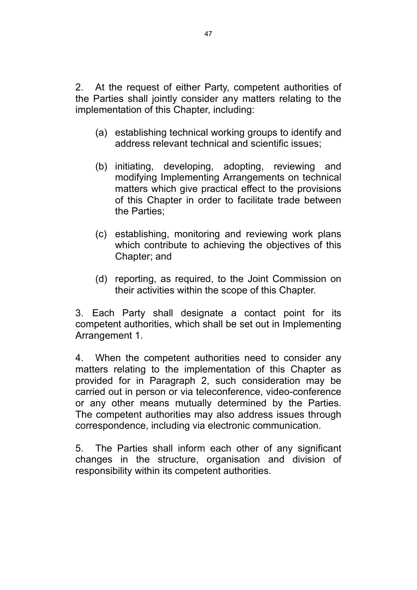2. At the request of either Party, competent authorities of the Parties shall jointly consider any matters relating to the implementation of this Chapter, including:

- (a) establishing technical working groups to identify and address relevant technical and scientific issues;
- (b) initiating, developing, adopting, reviewing and modifying Implementing Arrangements on technical matters which give practical effect to the provisions of this Chapter in order to facilitate trade between the Parties;
- (c) establishing, monitoring and reviewing work plans which contribute to achieving the objectives of this Chapter; and
- (d) reporting, as required, to the Joint Commission on their activities within the scope of this Chapter.

3. Each Party shall designate a contact point for its competent authorities, which shall be set out in Implementing Arrangement 1.

4. When the competent authorities need to consider any matters relating to the implementation of this Chapter as provided for in Paragraph 2, such consideration may be carried out in person or via teleconference, video-conference or any other means mutually determined by the Parties. The competent authorities may also address issues through correspondence, including via electronic communication.

5. The Parties shall inform each other of any significant changes in the structure, organisation and division of responsibility within its competent authorities.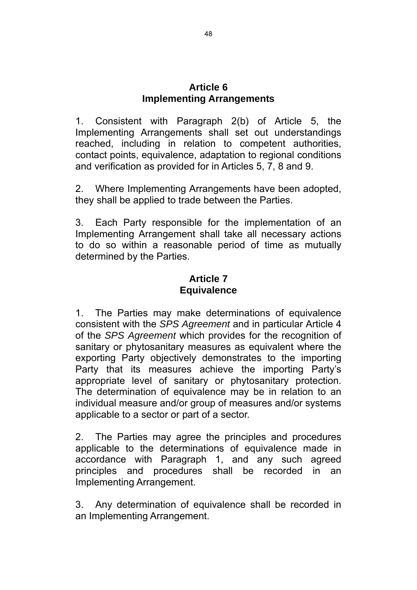### **Article 6 Implementing Arrangements**

1. Consistent with Paragraph 2(b) of Article 5, the Implementing Arrangements shall set out understandings reached, including in relation to competent authorities, contact points, equivalence, adaptation to regional conditions and verification as provided for in Articles 5, 7, 8 and 9.

2. Where Implementing Arrangements have been adopted, they shall be applied to trade between the Parties.

3. Each Party responsible for the implementation of an Implementing Arrangement shall take all necessary actions to do so within a reasonable period of time as mutually determined by the Parties.

### **Article 7 Equivalence**

1. The Parties may make determinations of equivalence consistent with the *SPS Agreement* and in particular Article 4 of the *SPS Agreement* which provides for the recognition of sanitary or phytosanitary measures as equivalent where the exporting Party objectively demonstrates to the importing Party that its measures achieve the importing Party's appropriate level of sanitary or phytosanitary protection. The determination of equivalence may be in relation to an individual measure and/or group of measures and/or systems applicable to a sector or part of a sector.

2. The Parties may agree the principles and procedures applicable to the determinations of equivalence made in accordance with Paragraph 1, and any such agreed principles and procedures shall be recorded in an Implementing Arrangement.

3. Any determination of equivalence shall be recorded in an Implementing Arrangement.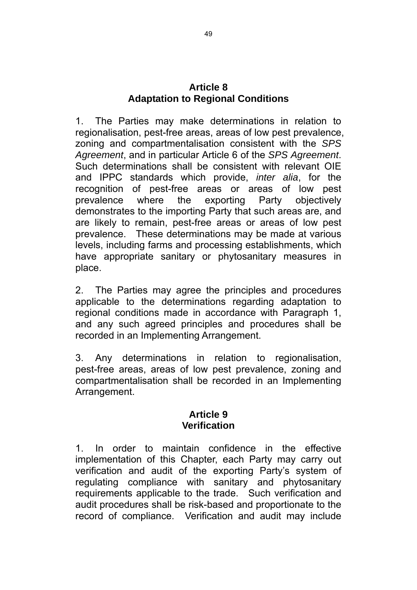### **Article 8 Adaptation to Regional Conditions**

1. The Parties may make determinations in relation to regionalisation, pest-free areas, areas of low pest prevalence, zoning and compartmentalisation consistent with the *SPS Agreement*, and in particular Article 6 of the *SPS Agreement*. Such determinations shall be consistent with relevant OIE and IPPC standards which provide, *inter alia*, for the recognition of pest-free areas or areas of low pest prevalence where the exporting Party objectively demonstrates to the importing Party that such areas are, and are likely to remain, pest-free areas or areas of low pest prevalence. These determinations may be made at various levels, including farms and processing establishments, which have appropriate sanitary or phytosanitary measures in place.

2. The Parties may agree the principles and procedures applicable to the determinations regarding adaptation to regional conditions made in accordance with Paragraph 1, and any such agreed principles and procedures shall be recorded in an Implementing Arrangement.

3. Any determinations in relation to regionalisation, pest-free areas, areas of low pest prevalence, zoning and compartmentalisation shall be recorded in an Implementing Arrangement.

### **Article 9 Verification**

1. In order to maintain confidence in the effective implementation of this Chapter, each Party may carry out verification and audit of the exporting Party's system of regulating compliance with sanitary and phytosanitary requirements applicable to the trade. Such verification and audit procedures shall be risk-based and proportionate to the record of compliance. Verification and audit may include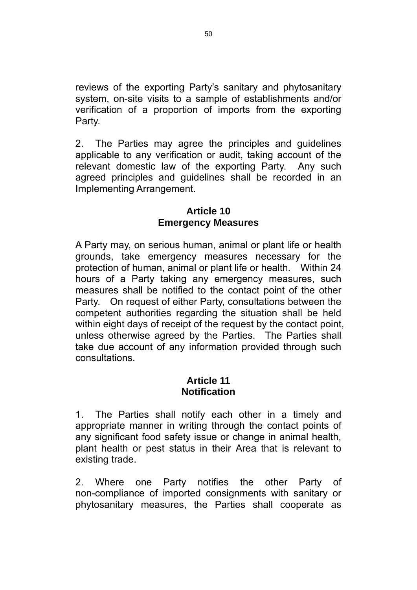reviews of the exporting Party's sanitary and phytosanitary system, on-site visits to a sample of establishments and/or verification of a proportion of imports from the exporting Party.

2. The Parties may agree the principles and guidelines applicable to any verification or audit, taking account of the relevant domestic law of the exporting Party. Any such agreed principles and guidelines shall be recorded in an Implementing Arrangement.

### **Article 10 Emergency Measures**

A Party may, on serious human, animal or plant life or health grounds, take emergency measures necessary for the protection of human, animal or plant life or health. Within 24 hours of a Party taking any emergency measures, such measures shall be notified to the contact point of the other Party. On request of either Party, consultations between the competent authorities regarding the situation shall be held within eight days of receipt of the request by the contact point, unless otherwise agreed by the Parties. The Parties shall take due account of any information provided through such consultations.

### **Article 11 Notification**

1. The Parties shall notify each other in a timely and appropriate manner in writing through the contact points of any significant food safety issue or change in animal health, plant health or pest status in their Area that is relevant to existing trade.

2. Where one Party notifies the other Party of non-compliance of imported consignments with sanitary or phytosanitary measures, the Parties shall cooperate as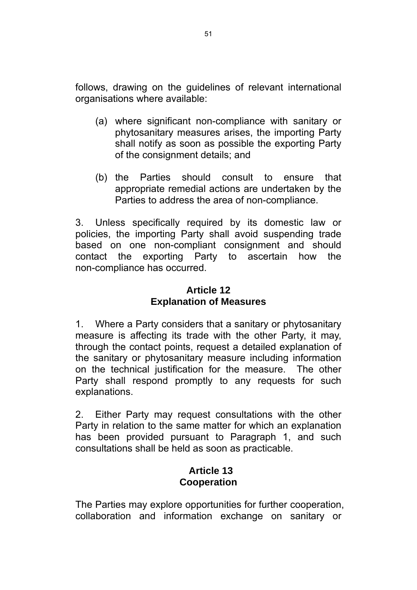follows, drawing on the guidelines of relevant international organisations where available:

- (a) where significant non-compliance with sanitary or phytosanitary measures arises, the importing Party shall notify as soon as possible the exporting Party of the consignment details; and
- (b) the Parties should consult to ensure that appropriate remedial actions are undertaken by the Parties to address the area of non-compliance.

3. Unless specifically required by its domestic law or policies, the importing Party shall avoid suspending trade based on one non-compliant consignment and should contact the exporting Party to ascertain how the non-compliance has occurred.

# **Article 12 Explanation of Measures**

1. Where a Party considers that a sanitary or phytosanitary measure is affecting its trade with the other Party, it may, through the contact points, request a detailed explanation of the sanitary or phytosanitary measure including information on the technical justification for the measure. The other Party shall respond promptly to any requests for such explanations.

2. Either Party may request consultations with the other Party in relation to the same matter for which an explanation has been provided pursuant to Paragraph 1, and such consultations shall be held as soon as practicable.

## **Article 13 Cooperation**

The Parties may explore opportunities for further cooperation, collaboration and information exchange on sanitary or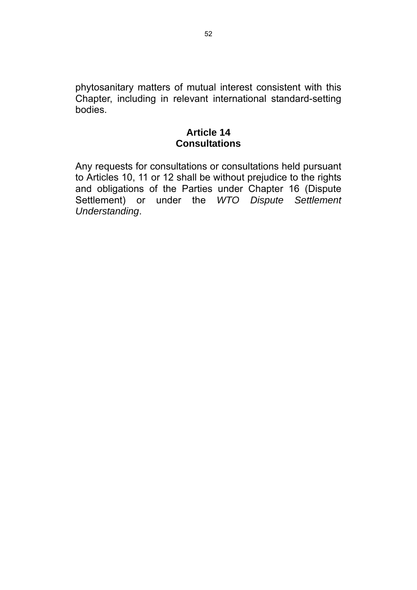phytosanitary matters of mutual interest consistent with this Chapter, including in relevant international standard-setting bodies.

### **Article 14 Consultations**

Any requests for consultations or consultations held pursuant to Articles 10, 11 or 12 shall be without prejudice to the rights and obligations of the Parties under Chapter 16 (Dispute Settlement) or under the *WTO Dispute Settlement Understanding*.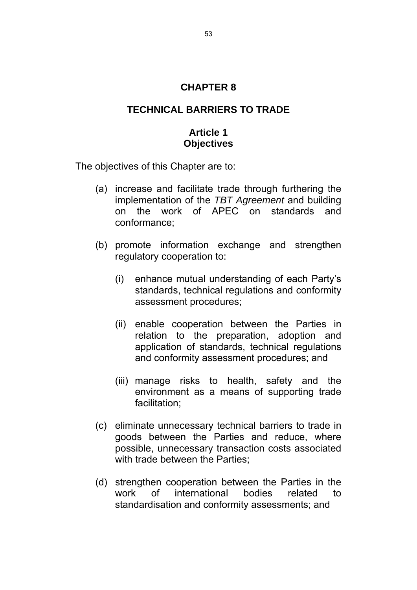## **CHAPTER 8**

### **TECHNICAL BARRIERS TO TRADE**

### **Article 1 Objectives**

The objectives of this Chapter are to:

- (a) increase and facilitate trade through furthering the implementation of the *TBT Agreement* and building on the work of APEC on standards and conformance;
- (b) promote information exchange and strengthen regulatory cooperation to:
	- (i) enhance mutual understanding of each Party's standards, technical regulations and conformity assessment procedures;
	- (ii) enable cooperation between the Parties in relation to the preparation, adoption and application of standards, technical regulations and conformity assessment procedures; and
	- (iii) manage risks to health, safety and the environment as a means of supporting trade facilitation;
- (c) eliminate unnecessary technical barriers to trade in goods between the Parties and reduce, where possible, unnecessary transaction costs associated with trade between the Parties:
- (d) strengthen cooperation between the Parties in the work of international bodies related to standardisation and conformity assessments; and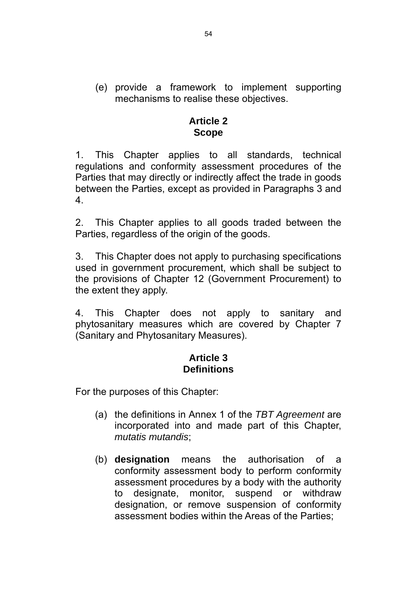(e) provide a framework to implement supporting mechanisms to realise these objectives.

### **Article 2 Scope**

1. This Chapter applies to all standards, technical regulations and conformity assessment procedures of the Parties that may directly or indirectly affect the trade in goods between the Parties, except as provided in Paragraphs 3 and 4.

2. This Chapter applies to all goods traded between the Parties, regardless of the origin of the goods.

3. This Chapter does not apply to purchasing specifications used in government procurement, which shall be subject to the provisions of Chapter 12 (Government Procurement) to the extent they apply.

4. This Chapter does not apply to sanitary and phytosanitary measures which are covered by Chapter 7 (Sanitary and Phytosanitary Measures).

# **Article 3 Definitions**

For the purposes of this Chapter:

- (a) the definitions in Annex 1 of the *TBT Agreement* are incorporated into and made part of this Chapter, *mutatis mutandis*;
- (b) **designation** means the authorisation of a conformity assessment body to perform conformity assessment procedures by a body with the authority to designate, monitor, suspend or withdraw designation, or remove suspension of conformity assessment bodies within the Areas of the Parties;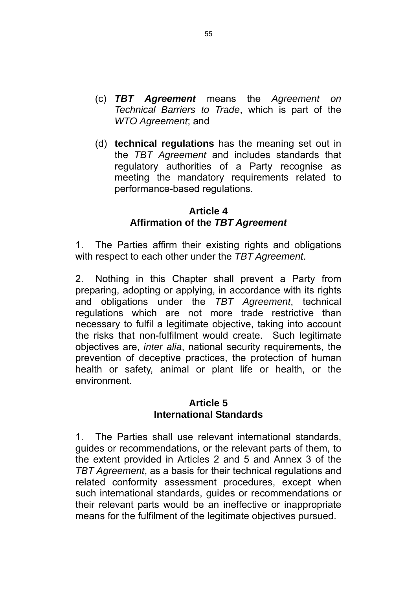- (c) *TBT Agreement* means the *Agreement on Technical Barriers to Trade*, which is part of the *WTO Agreement*; and
- (d) **technical regulations** has the meaning set out in the *TBT Agreement* and includes standards that regulatory authorities of a Party recognise as meeting the mandatory requirements related to performance-based regulations.

### **Article 4 Affirmation of the** *TBT Agreement*

1. The Parties affirm their existing rights and obligations with respect to each other under the *TBT Agreement*.

2. Nothing in this Chapter shall prevent a Party from preparing, adopting or applying, in accordance with its rights and obligations under the *TBT Agreement*, technical regulations which are not more trade restrictive than necessary to fulfil a legitimate objective, taking into account the risks that non-fulfilment would create. Such legitimate objectives are, *inter alia*, national security requirements, the prevention of deceptive practices, the protection of human health or safety, animal or plant life or health, or the environment.

### **Article 5 International Standards**

1. The Parties shall use relevant international standards, guides or recommendations, or the relevant parts of them, to the extent provided in Articles 2 and 5 and Annex 3 of the *TBT Agreement*, as a basis for their technical regulations and related conformity assessment procedures, except when such international standards, guides or recommendations or their relevant parts would be an ineffective or inappropriate means for the fulfilment of the legitimate objectives pursued.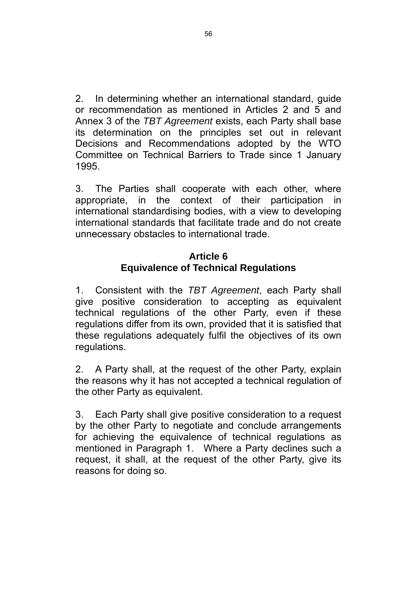2. In determining whether an international standard, guide or recommendation as mentioned in Articles 2 and 5 and Annex 3 of the *TBT Agreement* exists, each Party shall base its determination on the principles set out in relevant Decisions and Recommendations adopted by the WTO Committee on Technical Barriers to Trade since 1 January 1995.

3. The Parties shall cooperate with each other, where appropriate, in the context of their participation international standardising bodies, with a view to developing international standards that facilitate trade and do not create unnecessary obstacles to international trade.

## **Article 6 Equivalence of Technical Regulations**

1. Consistent with the *TBT Agreement*, each Party shall give positive consideration to accepting as equivalent technical regulations of the other Party, even if these regulations differ from its own, provided that it is satisfied that these regulations adequately fulfil the objectives of its own regulations.

2. A Party shall, at the request of the other Party, explain the reasons why it has not accepted a technical regulation of the other Party as equivalent.

3. Each Party shall give positive consideration to a request by the other Party to negotiate and conclude arrangements for achieving the equivalence of technical regulations as mentioned in Paragraph 1. Where a Party declines such a request, it shall, at the request of the other Party, give its reasons for doing so.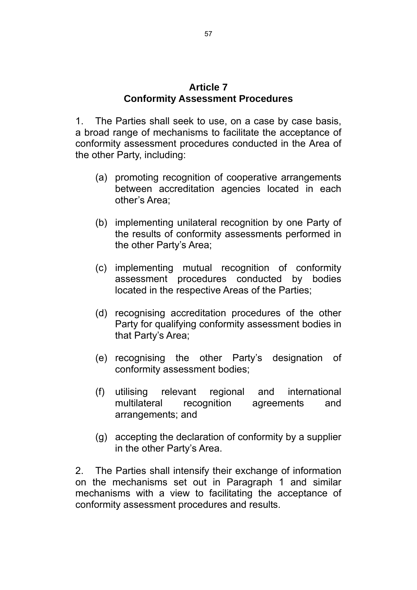#### **Article 7 Conformity Assessment Procedures**

1. The Parties shall seek to use, on a case by case basis, a broad range of mechanisms to facilitate the acceptance of conformity assessment procedures conducted in the Area of the other Party, including:

- (a) promoting recognition of cooperative arrangements between accreditation agencies located in each other's Area;
- (b) implementing unilateral recognition by one Party of the results of conformity assessments performed in the other Party's Area;
- (c) implementing mutual recognition of conformity assessment procedures conducted by bodies located in the respective Areas of the Parties;
- (d) recognising accreditation procedures of the other Party for qualifying conformity assessment bodies in that Party's Area;
- (e) recognising the other Party's designation of conformity assessment bodies;
- (f) utilising relevant regional and international multilateral recognition agreements and arrangements; and
- (g) accepting the declaration of conformity by a supplier in the other Party's Area.

2. The Parties shall intensify their exchange of information on the mechanisms set out in Paragraph 1 and similar mechanisms with a view to facilitating the acceptance of conformity assessment procedures and results.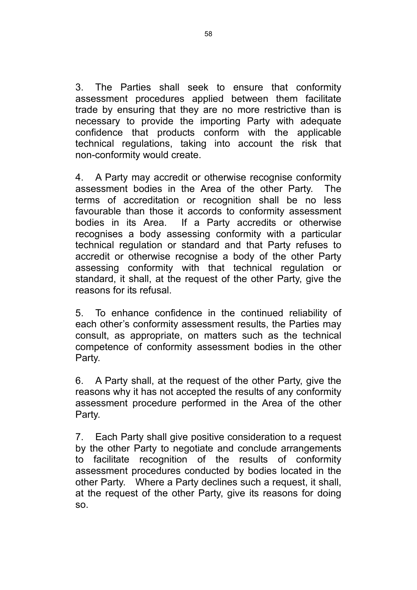3. The Parties shall seek to ensure that conformity assessment procedures applied between them facilitate trade by ensuring that they are no more restrictive than is necessary to provide the importing Party with adequate confidence that products conform with the applicable technical regulations, taking into account the risk that non-conformity would create.

4. A Party may accredit or otherwise recognise conformity assessment bodies in the Area of the other Party. The terms of accreditation or recognition shall be no less favourable than those it accords to conformity assessment bodies in its Area. If a Party accredits or otherwise recognises a body assessing conformity with a particular technical regulation or standard and that Party refuses to accredit or otherwise recognise a body of the other Party assessing conformity with that technical regulation or standard, it shall, at the request of the other Party, give the reasons for its refusal.

5. To enhance confidence in the continued reliability of each other's conformity assessment results, the Parties may consult, as appropriate, on matters such as the technical competence of conformity assessment bodies in the other Party.

6. A Party shall, at the request of the other Party, give the reasons why it has not accepted the results of any conformity assessment procedure performed in the Area of the other Party.

7. Each Party shall give positive consideration to a request by the other Party to negotiate and conclude arrangements to facilitate recognition of the results of conformity assessment procedures conducted by bodies located in the other Party. Where a Party declines such a request, it shall, at the request of the other Party, give its reasons for doing so.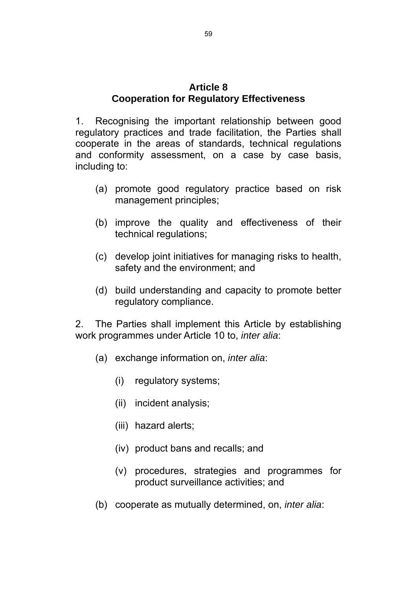#### **Article 8 Cooperation for Regulatory Effectiveness**

1. Recognising the important relationship between good regulatory practices and trade facilitation, the Parties shall cooperate in the areas of standards, technical regulations and conformity assessment, on a case by case basis, including to:

- (a) promote good regulatory practice based on risk management principles;
- (b) improve the quality and effectiveness of their technical regulations;
- (c) develop joint initiatives for managing risks to health, safety and the environment; and
- (d) build understanding and capacity to promote better regulatory compliance.

2. The Parties shall implement this Article by establishing work programmes under Article 10 to, *inter alia*:

- (a) exchange information on, *inter alia*:
	- (i) regulatory systems;
	- (ii) incident analysis;
	- (iii) hazard alerts;
	- (iv) product bans and recalls; and
	- (v) procedures, strategies and programmes for product surveillance activities; and
- (b) cooperate as mutually determined, on, *inter alia*: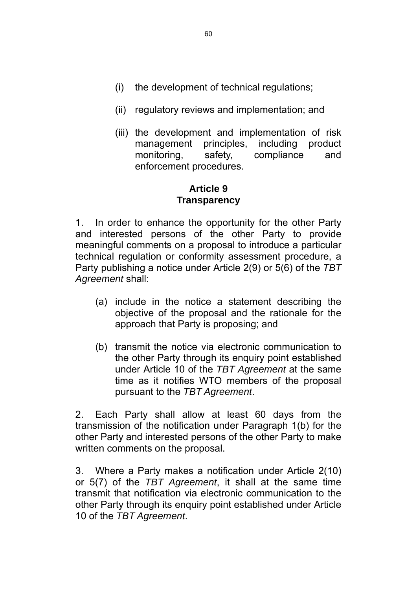- (i) the development of technical regulations;
- (ii) regulatory reviews and implementation; and
- (iii) the development and implementation of risk management principles, including product monitoring, safety, compliance and enforcement procedures.

# **Article 9 Transparency**

1. In order to enhance the opportunity for the other Party and interested persons of the other Party to provide meaningful comments on a proposal to introduce a particular technical regulation or conformity assessment procedure, a Party publishing a notice under Article 2(9) or 5(6) of the *TBT Agreement* shall:

- (a) include in the notice a statement describing the objective of the proposal and the rationale for the approach that Party is proposing; and
- (b) transmit the notice via electronic communication to the other Party through its enquiry point established under Article 10 of the *TBT Agreement* at the same time as it notifies WTO members of the proposal pursuant to the *TBT Agreement*.

2. Each Party shall allow at least 60 days from the transmission of the notification under Paragraph 1(b) for the other Party and interested persons of the other Party to make written comments on the proposal.

3. Where a Party makes a notification under Article 2(10) or 5(7) of the *TBT Agreement*, it shall at the same time transmit that notification via electronic communication to the other Party through its enquiry point established under Article 10 of the *TBT Agreement*.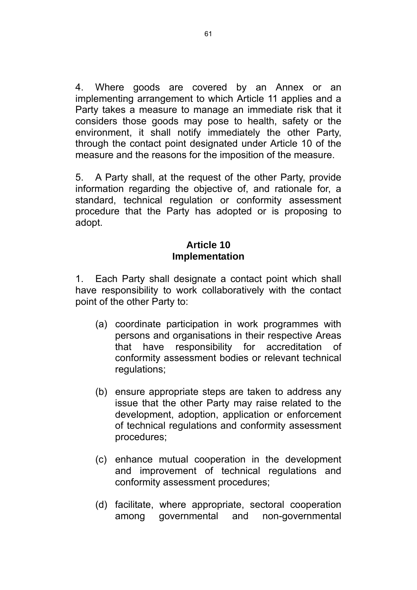4. Where goods are covered by an Annex or an implementing arrangement to which Article 11 applies and a Party takes a measure to manage an immediate risk that it considers those goods may pose to health, safety or the environment, it shall notify immediately the other Party, through the contact point designated under Article 10 of the measure and the reasons for the imposition of the measure.

5. A Party shall, at the request of the other Party, provide information regarding the objective of, and rationale for, a standard, technical regulation or conformity assessment procedure that the Party has adopted or is proposing to adopt.

# **Article 10 Implementation**

1. Each Party shall designate a contact point which shall have responsibility to work collaboratively with the contact point of the other Party to:

- (a) coordinate participation in work programmes with persons and organisations in their respective Areas that have responsibility for accreditation of conformity assessment bodies or relevant technical regulations;
- (b) ensure appropriate steps are taken to address any issue that the other Party may raise related to the development, adoption, application or enforcement of technical regulations and conformity assessment procedures;
- (c) enhance mutual cooperation in the development and improvement of technical regulations and conformity assessment procedures;
- (d) facilitate, where appropriate, sectoral cooperation among governmental and non-governmental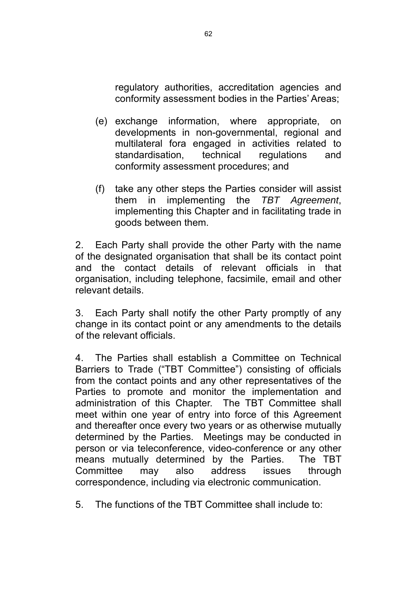regulatory authorities, accreditation agencies and conformity assessment bodies in the Parties' Areas;

- (e) exchange information, where appropriate, on developments in non-governmental, regional and multilateral fora engaged in activities related to standardisation, technical regulations and conformity assessment procedures; and
- (f) take any other steps the Parties consider will assist them in implementing the *TBT Agreement*, implementing this Chapter and in facilitating trade in goods between them.

2. Each Party shall provide the other Party with the name of the designated organisation that shall be its contact point and the contact details of relevant officials in that organisation, including telephone, facsimile, email and other relevant details.

3. Each Party shall notify the other Party promptly of any change in its contact point or any amendments to the details of the relevant officials.

4. The Parties shall establish a Committee on Technical Barriers to Trade ("TBT Committee") consisting of officials from the contact points and any other representatives of the Parties to promote and monitor the implementation and administration of this Chapter. The TBT Committee shall meet within one year of entry into force of this Agreement and thereafter once every two years or as otherwise mutually determined by the Parties. Meetings may be conducted in person or via teleconference, video-conference or any other means mutually determined by the Parties. The TBT Committee may also address issues through correspondence, including via electronic communication.

5. The functions of the TBT Committee shall include to: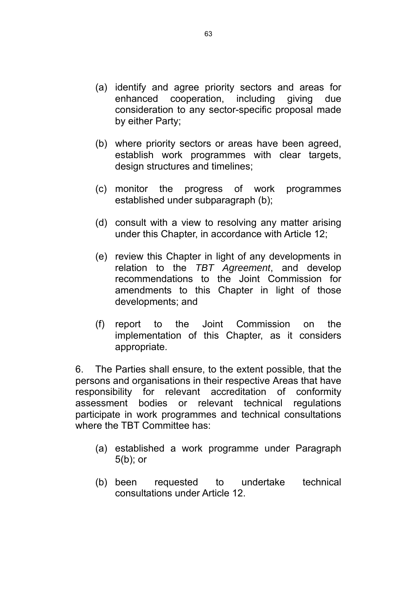- (a) identify and agree priority sectors and areas for enhanced cooperation, including giving due consideration to any sector-specific proposal made by either Party;
- (b) where priority sectors or areas have been agreed, establish work programmes with clear targets, design structures and timelines;
- (c) monitor the progress of work programmes established under subparagraph (b);
- (d) consult with a view to resolving any matter arising under this Chapter, in accordance with Article 12;
- (e) review this Chapter in light of any developments in relation to the *TBT Agreement*, and develop recommendations to the Joint Commission for amendments to this Chapter in light of those developments; and
- (f) report to the Joint Commission on the implementation of this Chapter, as it considers appropriate.

6. The Parties shall ensure, to the extent possible, that the persons and organisations in their respective Areas that have responsibility for relevant accreditation of conformity assessment bodies or relevant technical regulations participate in work programmes and technical consultations where the TBT Committee has:

- (a) established a work programme under Paragraph 5(b); or
- (b) been requested to undertake technical consultations under Article 12.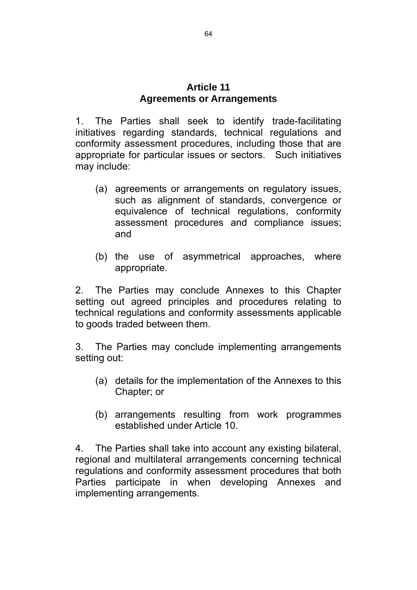#### **Article 11 Agreements or Arrangements**

1. The Parties shall seek to identify trade-facilitating initiatives regarding standards, technical regulations and conformity assessment procedures, including those that are appropriate for particular issues or sectors. Such initiatives may include:

- (a) agreements or arrangements on regulatory issues, such as alignment of standards, convergence or equivalence of technical regulations, conformity assessment procedures and compliance issues; and
- (b) the use of asymmetrical approaches, where appropriate.

2. The Parties may conclude Annexes to this Chapter setting out agreed principles and procedures relating to technical regulations and conformity assessments applicable to goods traded between them.

3. The Parties may conclude implementing arrangements setting out:

- (a) details for the implementation of the Annexes to this Chapter; or
- (b) arrangements resulting from work programmes established under Article 10.

4. The Parties shall take into account any existing bilateral, regional and multilateral arrangements concerning technical regulations and conformity assessment procedures that both Parties participate in when developing Annexes and implementing arrangements.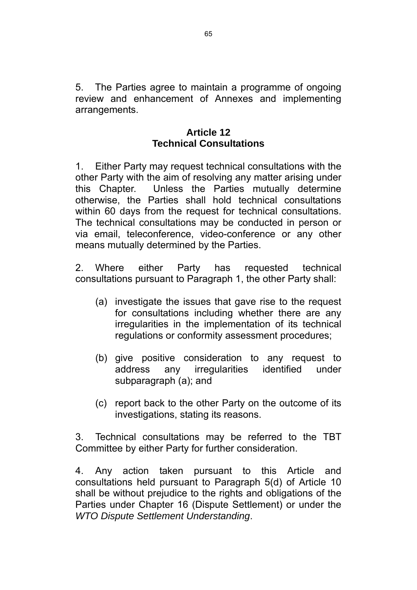5. The Parties agree to maintain a programme of ongoing review and enhancement of Annexes and implementing arrangements.

### **Article 12 Technical Consultations**

1. Either Party may request technical consultations with the other Party with the aim of resolving any matter arising under this Chapter. Unless the Parties mutually determine otherwise, the Parties shall hold technical consultations within 60 days from the request for technical consultations. The technical consultations may be conducted in person or via email, teleconference, video-conference or any other means mutually determined by the Parties.

2. Where either Party has requested technical consultations pursuant to Paragraph 1, the other Party shall:

- (a) investigate the issues that gave rise to the request for consultations including whether there are any irregularities in the implementation of its technical regulations or conformity assessment procedures;
- (b) give positive consideration to any request to address any irregularities identified under subparagraph (a); and
- (c) report back to the other Party on the outcome of its investigations, stating its reasons.

3. Technical consultations may be referred to the TBT Committee by either Party for further consideration.

4. Any action taken pursuant to this Article and consultations held pursuant to Paragraph 5(d) of Article 10 shall be without prejudice to the rights and obligations of the Parties under Chapter 16 (Dispute Settlement) or under the *WTO Dispute Settlement Understanding*.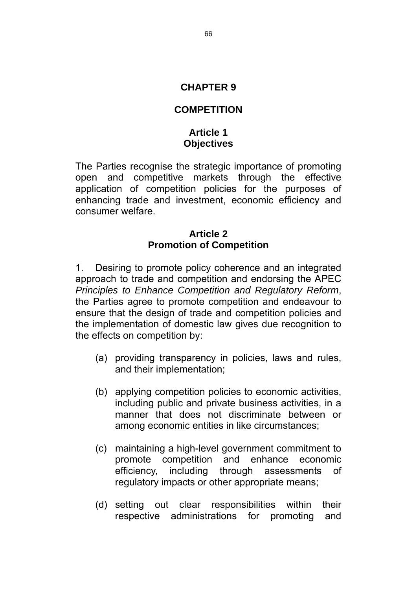## **CHAPTER 9**

### **COMPETITION**

## **Article 1 Objectives**

The Parties recognise the strategic importance of promoting open and competitive markets through the effective application of competition policies for the purposes of enhancing trade and investment, economic efficiency and consumer welfare.

### **Article 2 Promotion of Competition**

1. Desiring to promote policy coherence and an integrated approach to trade and competition and endorsing the APEC *Principles to Enhance Competition and Regulatory Reform*, the Parties agree to promote competition and endeavour to ensure that the design of trade and competition policies and the implementation of domestic law gives due recognition to the effects on competition by:

- (a) providing transparency in policies, laws and rules, and their implementation;
- (b) applying competition policies to economic activities, including public and private business activities, in a manner that does not discriminate between or among economic entities in like circumstances;
- (c) maintaining a high-level government commitment to promote competition and enhance economic efficiency, including through assessments of regulatory impacts or other appropriate means;
- (d) setting out clear responsibilities within their respective administrations for promoting and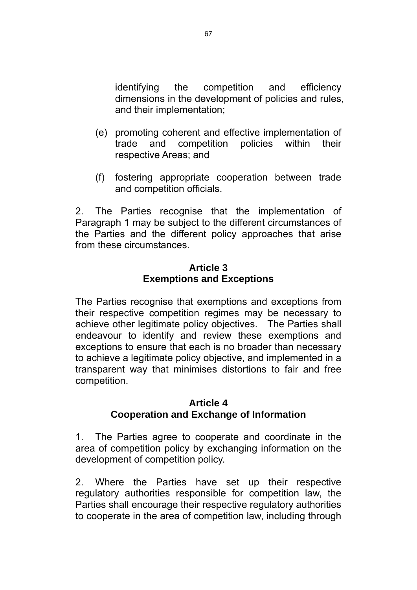identifying the competition and efficiency dimensions in the development of policies and rules, and their implementation;

- (e) promoting coherent and effective implementation of trade and competition policies within their respective Areas; and
- (f) fostering appropriate cooperation between trade and competition officials.

2. The Parties recognise that the implementation of Paragraph 1 may be subject to the different circumstances of the Parties and the different policy approaches that arise from these circumstances.

## **Article 3 Exemptions and Exceptions**

The Parties recognise that exemptions and exceptions from their respective competition regimes may be necessary to achieve other legitimate policy objectives. The Parties shall endeavour to identify and review these exemptions and exceptions to ensure that each is no broader than necessary to achieve a legitimate policy objective, and implemented in a transparent way that minimises distortions to fair and free competition.

## **Article 4 Cooperation and Exchange of Information**

1. The Parties agree to cooperate and coordinate in the area of competition policy by exchanging information on the development of competition policy.

2. Where the Parties have set up their respective regulatory authorities responsible for competition law, the Parties shall encourage their respective regulatory authorities to cooperate in the area of competition law, including through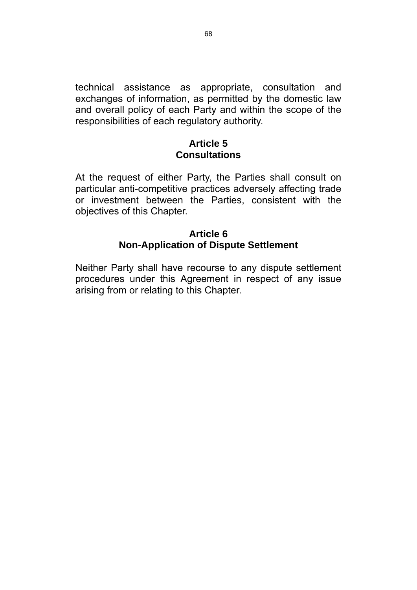technical assistance as appropriate, consultation and exchanges of information, as permitted by the domestic law and overall policy of each Party and within the scope of the responsibilities of each regulatory authority.

#### **Article 5 Consultations**

At the request of either Party, the Parties shall consult on particular anti-competitive practices adversely affecting trade or investment between the Parties, consistent with the objectives of this Chapter.

## **Article 6 Non-Application of Dispute Settlement**

Neither Party shall have recourse to any dispute settlement procedures under this Agreement in respect of any issue arising from or relating to this Chapter.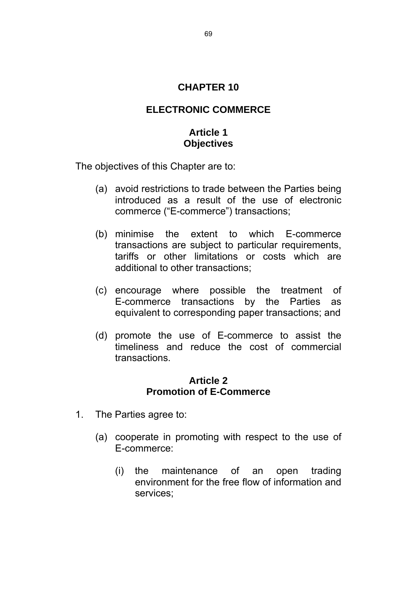# **CHAPTER 10**

## **ELECTRONIC COMMERCE**

### **Article 1 Objectives**

The objectives of this Chapter are to:

- (a) avoid restrictions to trade between the Parties being introduced as a result of the use of electronic commerce ("E-commerce") transactions;
- (b) minimise the extent to which E-commerce transactions are subject to particular requirements, tariffs or other limitations or costs which are additional to other transactions;
- (c) encourage where possible the treatment of E-commerce transactions by the Parties as equivalent to corresponding paper transactions; and
- (d) promote the use of E-commerce to assist the timeliness and reduce the cost of commercial transactions.

### **Article 2 Promotion of E-Commerce**

- 1. The Parties agree to:
	- (a) cooperate in promoting with respect to the use of E-commerce:
		- (i) the maintenance of an open trading environment for the free flow of information and services;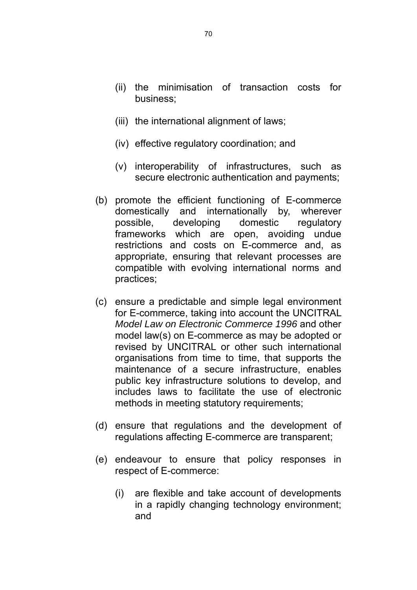- (ii) the minimisation of transaction costs for business;
- (iii) the international alignment of laws;
- (iv) effective regulatory coordination; and
- (v) interoperability of infrastructures, such as secure electronic authentication and payments;
- (b) promote the efficient functioning of E-commerce domestically and internationally by, wherever possible, developing domestic regulatory frameworks which are open, avoiding undue restrictions and costs on E-commerce and, as appropriate, ensuring that relevant processes are compatible with evolving international norms and practices;
- (c) ensure a predictable and simple legal environment for E-commerce, taking into account the UNCITRAL *Model Law on Electronic Commerce 1996* and other model law(s) on E-commerce as may be adopted or revised by UNCITRAL or other such international organisations from time to time, that supports the maintenance of a secure infrastructure, enables public key infrastructure solutions to develop, and includes laws to facilitate the use of electronic methods in meeting statutory requirements;
- (d) ensure that regulations and the development of regulations affecting E-commerce are transparent;
- (e) endeavour to ensure that policy responses in respect of E-commerce:
	- (i) are flexible and take account of developments in a rapidly changing technology environment; and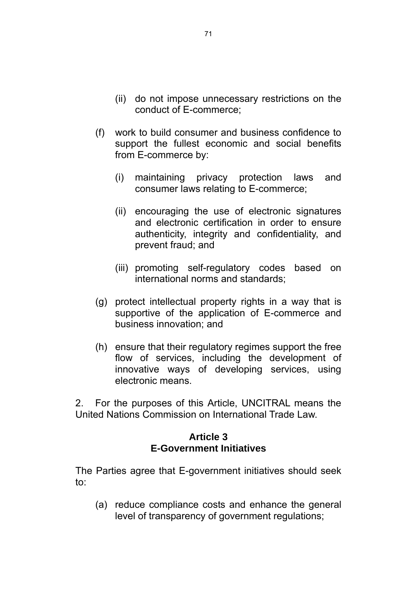- (ii) do not impose unnecessary restrictions on the conduct of E-commerce;
- (f) work to build consumer and business confidence to support the fullest economic and social benefits from E-commerce by:
	- (i) maintaining privacy protection laws and consumer laws relating to E-commerce;
	- (ii) encouraging the use of electronic signatures and electronic certification in order to ensure authenticity, integrity and confidentiality, and prevent fraud; and
	- (iii) promoting self-regulatory codes based on international norms and standards;
- (g) protect intellectual property rights in a way that is supportive of the application of E-commerce and business innovation; and
- (h) ensure that their regulatory regimes support the free flow of services, including the development of innovative ways of developing services, using electronic means.

2. For the purposes of this Article, UNCITRAL means the United Nations Commission on International Trade Law.

## **Article 3 E-Government Initiatives**

The Parties agree that E-government initiatives should seek to:

(a) reduce compliance costs and enhance the general level of transparency of government regulations;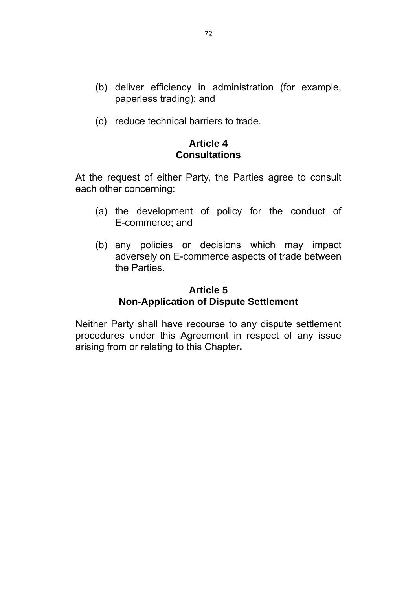- (b) deliver efficiency in administration (for example, paperless trading); and
- (c) reduce technical barriers to trade.

#### **Article 4 Consultations**

At the request of either Party, the Parties agree to consult each other concerning:

- (a) the development of policy for the conduct of E-commerce; and
- (b) any policies or decisions which may impact adversely on E-commerce aspects of trade between the Parties.

## **Article 5 Non-Application of Dispute Settlement**

Neither Party shall have recourse to any dispute settlement procedures under this Agreement in respect of any issue arising from or relating to this Chapter**.**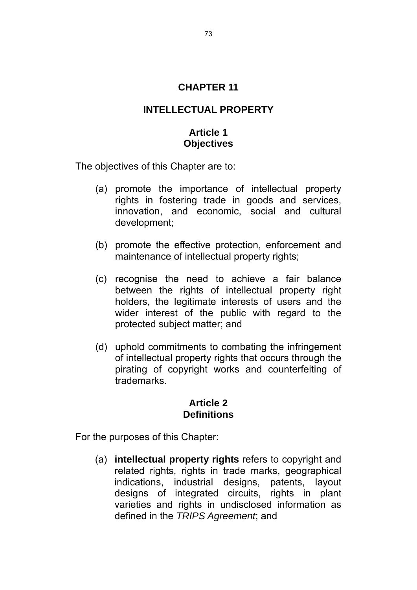## **CHAPTER 11**

## **INTELLECTUAL PROPERTY**

#### **Article 1 Objectives**

The objectives of this Chapter are to:

- (a) promote the importance of intellectual property rights in fostering trade in goods and services, innovation, and economic, social and cultural development;
- (b) promote the effective protection, enforcement and maintenance of intellectual property rights;
- (c) recognise the need to achieve a fair balance between the rights of intellectual property right holders, the legitimate interests of users and the wider interest of the public with regard to the protected subject matter; and
- (d) uphold commitments to combating the infringement of intellectual property rights that occurs through the pirating of copyright works and counterfeiting of trademarks.

#### **Article 2 Definitions**

For the purposes of this Chapter:

(a) **intellectual property rights** refers to copyright and related rights, rights in trade marks, geographical indications, industrial designs, patents, layout designs of integrated circuits, rights in plant varieties and rights in undisclosed information as defined in the *TRIPS Agreement*; and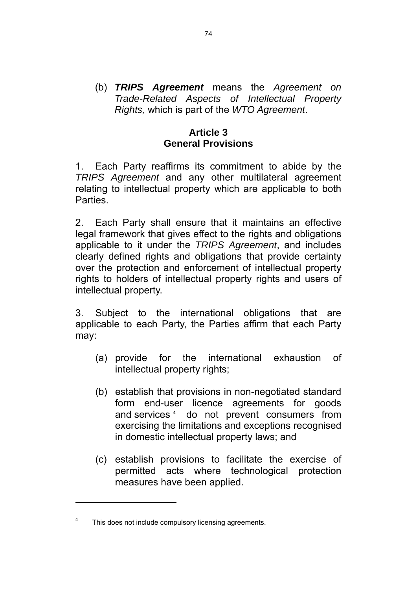<span id="page-76-0"></span>(b) *TRIPS Agreement* means the *Agreement on Trade-Related Aspects of Intellectual Property Rights,* which is part of the *WTO Agreement*.

#### **Article 3 General Provisions**

1. Each Party reaffirms its commitment to abide by the *TRIPS Agreement* and any other multilateral agreement relating to intellectual property which are applicable to both Parties.

2. Each Party shall ensure that it maintains an effective legal framework that gives effect to the rights and obligations applicable to it under the *TRIPS Agreement*, and includes clearly defined rights and obligations that provide certainty over the protection and enforcement of intellectual property rights to holders of intellectual property rights and users of intellectual property.

3. Subject to the international obligations that are applicable to each Party, the Parties affirm that each Party may:

- (a) provide for the international exhaustion of intellectual property rights;
- (b) establish that provisions in non-negotiated standard form end-user licence agreements for goods and services <sup>[4](#page-76-0)</sup> do not prevent consumers from exercising the limitations and exceptions recognised in domestic intellectual property laws; and
- (c) establish provisions to facilitate the exercise of permitted acts where technological protection measures have been applied.

<sup>4</sup> This does not include compulsory licensing agreements.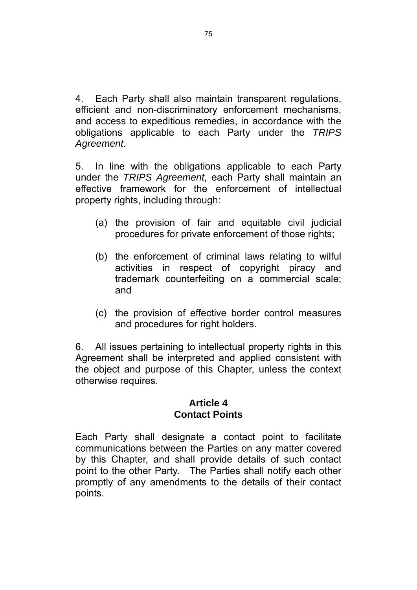4. Each Party shall also maintain transparent regulations, efficient and non-discriminatory enforcement mechanisms, and access to expeditious remedies, in accordance with the obligations applicable to each Party under the *TRIPS Agreement*.

5. In line with the obligations applicable to each Party under the *TRIPS Agreement*, each Party shall maintain an effective framework for the enforcement of intellectual property rights, including through:

- (a) the provision of fair and equitable civil judicial procedures for private enforcement of those rights;
- (b) the enforcement of criminal laws relating to wilful activities in respect of copyright piracy and trademark counterfeiting on a commercial scale; and
- (c) the provision of effective border control measures and procedures for right holders.

6. All issues pertaining to intellectual property rights in this Agreement shall be interpreted and applied consistent with the object and purpose of this Chapter, unless the context otherwise requires.

#### **Article 4 Contact Points**

Each Party shall designate a contact point to facilitate communications between the Parties on any matter covered by this Chapter, and shall provide details of such contact point to the other Party. The Parties shall notify each other promptly of any amendments to the details of their contact points.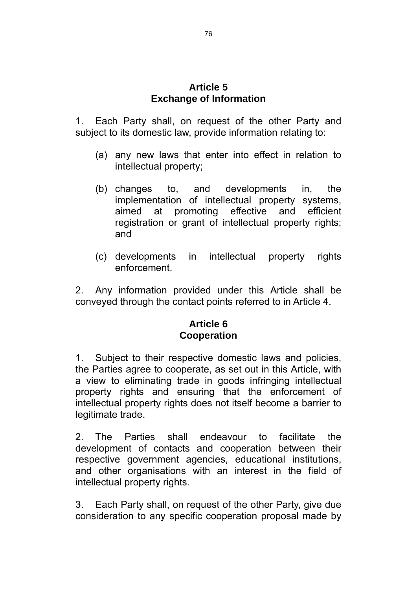#### **Article 5 Exchange of Information**

1. Each Party shall, on request of the other Party and subject to its domestic law, provide information relating to:

- (a) any new laws that enter into effect in relation to intellectual property;
- (b) changes to, and developments in, the implementation of intellectual property systems, aimed at promoting effective and efficient registration or grant of intellectual property rights; and
- (c) developments in intellectual property rights enforcement.

2. Any information provided under this Article shall be conveyed through the contact points referred to in Article 4.

## **Article 6 Cooperation**

1. Subject to their respective domestic laws and policies, the Parties agree to cooperate, as set out in this Article, with a view to eliminating trade in goods infringing intellectual property rights and ensuring that the enforcement of intellectual property rights does not itself become a barrier to legitimate trade.

2. The Parties shall endeavour to facilitate the development of contacts and cooperation between their respective government agencies, educational institutions, and other organisations with an interest in the field of intellectual property rights.

3. Each Party shall, on request of the other Party, give due consideration to any specific cooperation proposal made by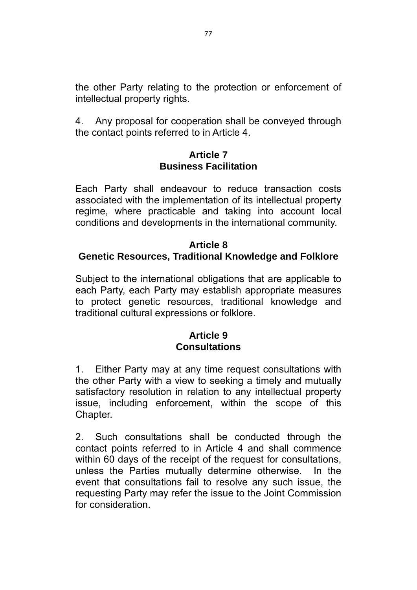the other Party relating to the protection or enforcement of intellectual property rights.

4. Any proposal for cooperation shall be conveyed through the contact points referred to in Article 4.

#### **Article 7 Business Facilitation**

Each Party shall endeavour to reduce transaction costs associated with the implementation of its intellectual property regime, where practicable and taking into account local conditions and developments in the international community.

#### **Article 8 Genetic Resources, Traditional Knowledge and Folklore**

Subject to the international obligations that are applicable to each Party, each Party may establish appropriate measures to protect genetic resources, traditional knowledge and traditional cultural expressions or folklore.

## **Article 9 Consultations**

1. Either Party may at any time request consultations with the other Party with a view to seeking a timely and mutually satisfactory resolution in relation to any intellectual property issue, including enforcement, within the scope of this Chapter.

2. Such consultations shall be conducted through the contact points referred to in Article 4 and shall commence within 60 days of the receipt of the request for consultations, unless the Parties mutually determine otherwise. In the event that consultations fail to resolve any such issue, the requesting Party may refer the issue to the Joint Commission for consideration.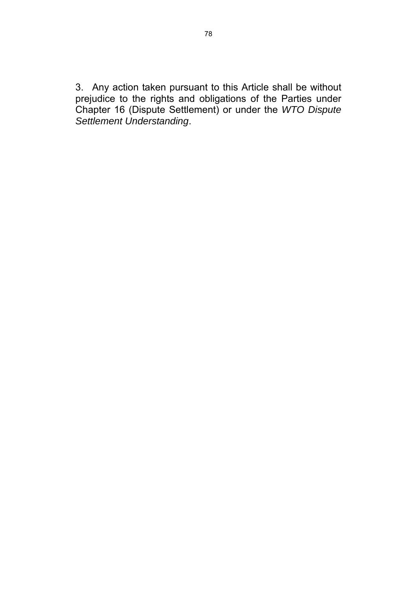3. Any action taken pursuant to this Article shall be without prejudice to the rights and obligations of the Parties under Chapter 16 (Dispute Settlement) or under the *WTO Dispute Settlement Understanding*.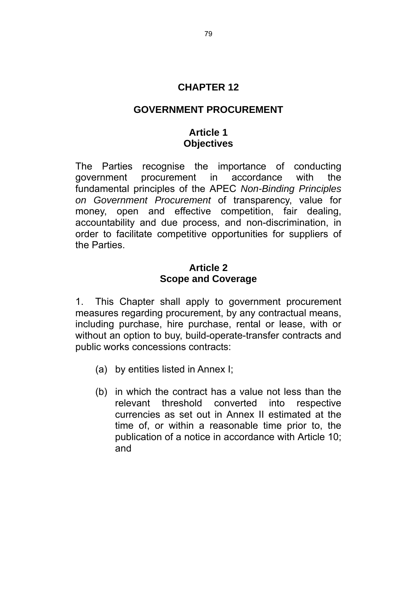## **CHAPTER 12**

#### **GOVERNMENT PROCUREMENT**

#### **Article 1 Objectives**

The Parties recognise the importance of conducting government procurement in accordance with the fundamental principles of the APEC *Non-Binding Principles on Government Procurement* of transparency, value for money, open and effective competition, fair dealing, accountability and due process, and non-discrimination, in order to facilitate competitive opportunities for suppliers of the Parties.

#### **Article 2 Scope and Coverage**

1. This Chapter shall apply to government procurement measures regarding procurement, by any contractual means, including purchase, hire purchase, rental or lease, with or without an option to buy, build-operate-transfer contracts and public works concessions contracts:

- (a) by entities listed in Annex I;
- (b) in which the contract has a value not less than the relevant threshold converted into respective currencies as set out in Annex II estimated at the time of, or within a reasonable time prior to, the publication of a notice in accordance with Article 10; and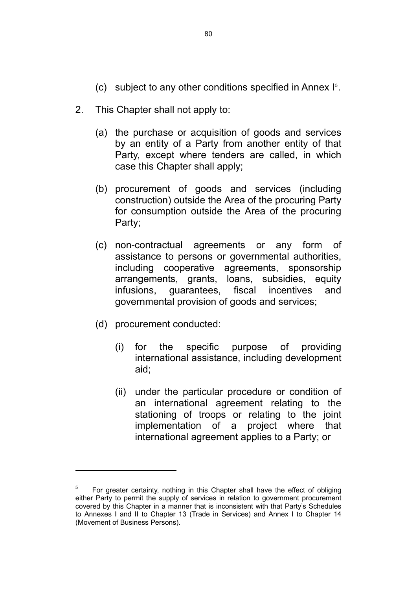- <span id="page-82-0"></span>(c) subject to any other conditions specified in Annex I[5](#page-82-0) .
- 2. This Chapter shall not apply to:
	- (a) the purchase or acquisition of goods and services by an entity of a Party from another entity of that Party, except where tenders are called, in which case this Chapter shall apply;
	- (b) procurement of goods and services (including construction) outside the Area of the procuring Party for consumption outside the Area of the procuring Party;
	- (c) non-contractual agreements or any form of assistance to persons or governmental authorities, including cooperative agreements, sponsorship arrangements, grants, loans, subsidies, equity infusions, guarantees, fiscal incentives and governmental provision of goods and services;
	- (d) procurement conducted:

l

- (i) for the specific purpose of providing international assistance, including development aid;
- (ii) under the particular procedure or condition of an international agreement relating to the stationing of troops or relating to the joint implementation of a project where that international agreement applies to a Party; or

<sup>5</sup> For greater certainty, nothing in this Chapter shall have the effect of obliging either Party to permit the supply of services in relation to government procurement covered by this Chapter in a manner that is inconsistent with that Party's Schedules to Annexes I and II to Chapter 13 (Trade in Services) and Annex I to Chapter 14 (Movement of Business Persons).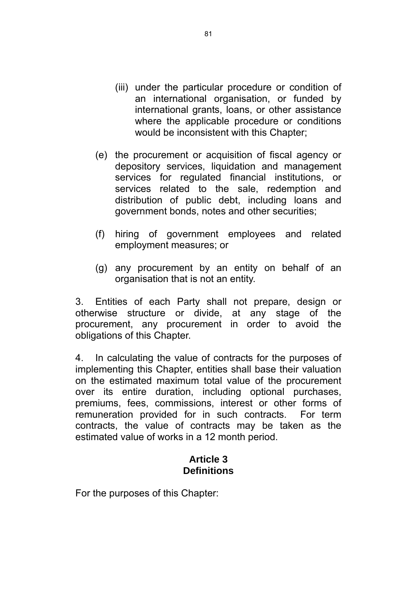- (iii) under the particular procedure or condition of an international organisation, or funded by international grants, loans, or other assistance where the applicable procedure or conditions would be inconsistent with this Chapter;
- (e) the procurement or acquisition of fiscal agency or depository services, liquidation and management services for regulated financial institutions, or services related to the sale, redemption and distribution of public debt, including loans and government bonds, notes and other securities;
- (f) hiring of government employees and related employment measures; or
- (g) any procurement by an entity on behalf of an organisation that is not an entity.

3. Entities of each Party shall not prepare, design or otherwise structure or divide, at any stage of the procurement, any procurement in order to avoid the obligations of this Chapter.

4. In calculating the value of contracts for the purposes of implementing this Chapter, entities shall base their valuation on the estimated maximum total value of the procurement over its entire duration, including optional purchases, premiums, fees, commissions, interest or other forms of remuneration provided for in such contracts. For term contracts, the value of contracts may be taken as the estimated value of works in a 12 month period.

## **Article 3 Definitions**

For the purposes of this Chapter: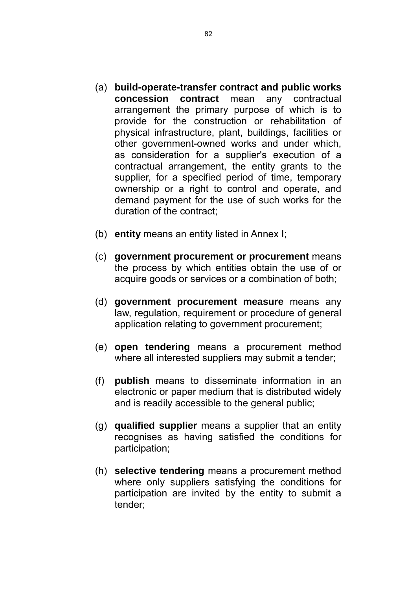- (a) **build-operate-transfer contract and public works concession contract** mean any contractual arrangement the primary purpose of which is to provide for the construction or rehabilitation of physical infrastructure, plant, buildings, facilities or other government-owned works and under which, as consideration for a supplier's execution of a contractual arrangement, the entity grants to the supplier, for a specified period of time, temporary ownership or a right to control and operate, and demand payment for the use of such works for the duration of the contract;
- (b) **entity** means an entity listed in Annex I;
- (c) **government procurement or procurement** means the process by which entities obtain the use of or acquire goods or services or a combination of both;
- (d) **government procurement measure** means any law, regulation, requirement or procedure of general application relating to government procurement;
- (e) **open tendering** means a procurement method where all interested suppliers may submit a tender;
- (f) **publish** means to disseminate information in an electronic or paper medium that is distributed widely and is readily accessible to the general public;
- (g) **qualified supplier** means a supplier that an entity recognises as having satisfied the conditions for participation;
- (h) **selective tendering** means a procurement method where only suppliers satisfying the conditions for participation are invited by the entity to submit a tender;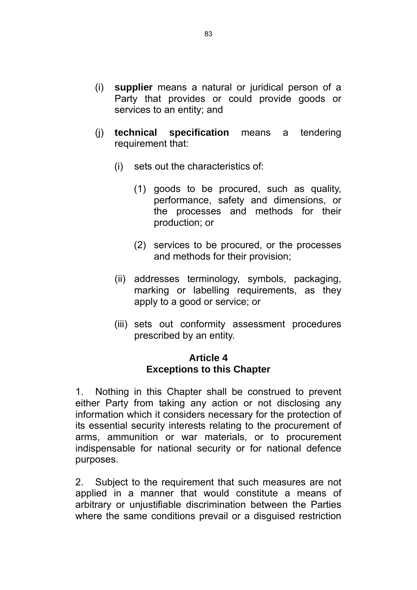- (i) **supplier** means a natural or juridical person of a Party that provides or could provide goods or services to an entity; and
- (j) **technical specification** means a tendering requirement that:
	- (i) sets out the characteristics of:
		- (1) goods to be procured, such as quality, performance, safety and dimensions, or the processes and methods for their production; or
		- (2) services to be procured, or the processes and methods for their provision;
	- (ii) addresses terminology, symbols, packaging, marking or labelling requirements, as they apply to a good or service; or
	- (iii) sets out conformity assessment procedures prescribed by an entity.

#### **Article 4 Exceptions to this Chapter**

1. Nothing in this Chapter shall be construed to prevent either Party from taking any action or not disclosing any information which it considers necessary for the protection of its essential security interests relating to the procurement of arms, ammunition or war materials, or to procurement indispensable for national security or for national defence purposes.

2. Subject to the requirement that such measures are not applied in a manner that would constitute a means of arbitrary or unjustifiable discrimination between the Parties where the same conditions prevail or a disguised restriction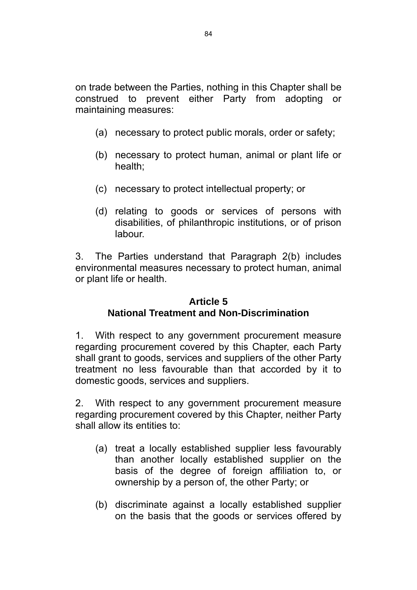on trade between the Parties, nothing in this Chapter shall be construed to prevent either Party from adopting or maintaining measures:

- (a) necessary to protect public morals, order or safety;
- (b) necessary to protect human, animal or plant life or health;
- (c) necessary to protect intellectual property; or
- (d) relating to goods or services of persons with disabilities, of philanthropic institutions, or of prison labour.

3. The Parties understand that Paragraph 2(b) includes environmental measures necessary to protect human, animal or plant life or health.

#### **Article 5 National Treatment and Non-Discrimination**

1. With respect to any government procurement measure regarding procurement covered by this Chapter, each Party shall grant to goods, services and suppliers of the other Party treatment no less favourable than that accorded by it to domestic goods, services and suppliers.

2. With respect to any government procurement measure regarding procurement covered by this Chapter, neither Party shall allow its entities to:

- (a) treat a locally established supplier less favourably than another locally established supplier on the basis of the degree of foreign affiliation to, or ownership by a person of, the other Party; or
- (b) discriminate against a locally established supplier on the basis that the goods or services offered by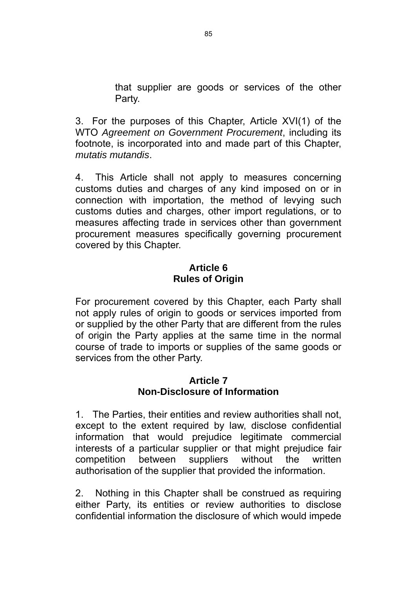that supplier are goods or services of the other Party.

3. For the purposes of this Chapter, Article XVI(1) of the WTO *Agreement on Government Procurement*, including its footnote, is incorporated into and made part of this Chapter, *mutatis mutandis*.

4. This Article shall not apply to measures concerning customs duties and charges of any kind imposed on or in connection with importation, the method of levying such customs duties and charges, other import regulations, or to measures affecting trade in services other than government procurement measures specifically governing procurement covered by this Chapter.

## **Article 6 Rules of Origin**

For procurement covered by this Chapter, each Party shall not apply rules of origin to goods or services imported from or supplied by the other Party that are different from the rules of origin the Party applies at the same time in the normal course of trade to imports or supplies of the same goods or services from the other Party.

#### **Article 7 Non-Disclosure of Information**

1. The Parties, their entities and review authorities shall not, except to the extent required by law, disclose confidential information that would prejudice legitimate commercial interests of a particular supplier or that might prejudice fair competition between suppliers without the written authorisation of the supplier that provided the information.

2. Nothing in this Chapter shall be construed as requiring either Party, its entities or review authorities to disclose confidential information the disclosure of which would impede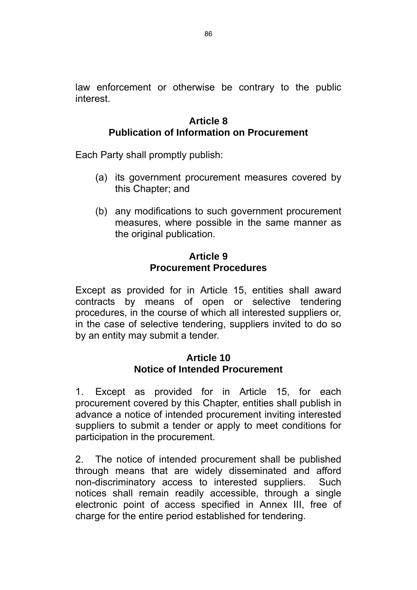law enforcement or otherwise be contrary to the public interest.

#### **Article 8 Publication of Information on Procurement**

Each Party shall promptly publish:

- (a) its government procurement measures covered by this Chapter; and
- (b) any modifications to such government procurement measures, where possible in the same manner as the original publication.

#### **Article 9 Procurement Procedures**

Except as provided for in Article 15, entities shall award contracts by means of open or selective tendering procedures, in the course of which all interested suppliers or, in the case of selective tendering, suppliers invited to do so by an entity may submit a tender.

## **Article 10 Notice of Intended Procurement**

1. Except as provided for in Article 15, for each procurement covered by this Chapter, entities shall publish in advance a notice of intended procurement inviting interested suppliers to submit a tender or apply to meet conditions for participation in the procurement.

2. The notice of intended procurement shall be published through means that are widely disseminated and afford non-discriminatory access to interested suppliers. Such notices shall remain readily accessible, through a single electronic point of access specified in Annex III, free of charge for the entire period established for tendering.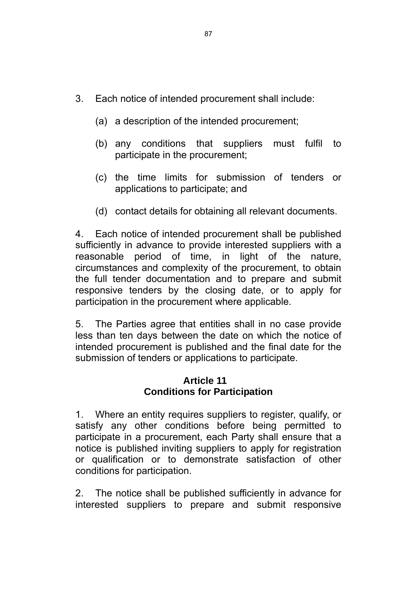- 3. Each notice of intended procurement shall include:
	- (a) a description of the intended procurement;
	- (b) any conditions that suppliers must fulfil to participate in the procurement;
	- (c) the time limits for submission of tenders or applications to participate; and
	- (d) contact details for obtaining all relevant documents.

4. Each notice of intended procurement shall be published sufficiently in advance to provide interested suppliers with a reasonable period of time, in light of the nature, circumstances and complexity of the procurement, to obtain the full tender documentation and to prepare and submit responsive tenders by the closing date, or to apply for participation in the procurement where applicable.

5. The Parties agree that entities shall in no case provide less than ten days between the date on which the notice of intended procurement is published and the final date for the submission of tenders or applications to participate.

#### **Article 11 Conditions for Participation**

1. Where an entity requires suppliers to register, qualify, or satisfy any other conditions before being permitted to participate in a procurement, each Party shall ensure that a notice is published inviting suppliers to apply for registration or qualification or to demonstrate satisfaction of other conditions for participation.

2. The notice shall be published sufficiently in advance for interested suppliers to prepare and submit responsive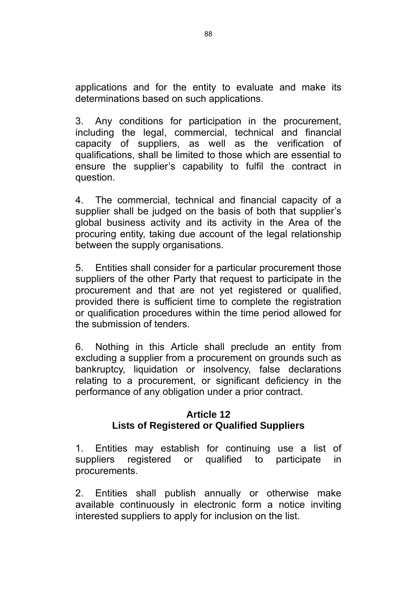applications and for the entity to evaluate and make its determinations based on such applications.

3. Any conditions for participation in the procurement, including the legal, commercial, technical and financial capacity of suppliers, as well as the verification of qualifications, shall be limited to those which are essential to ensure the supplier's capability to fulfil the contract in question.

4. The commercial, technical and financial capacity of a supplier shall be judged on the basis of both that supplier's global business activity and its activity in the Area of the procuring entity, taking due account of the legal relationship between the supply organisations.

5. Entities shall consider for a particular procurement those suppliers of the other Party that request to participate in the procurement and that are not yet registered or qualified, provided there is sufficient time to complete the registration or qualification procedures within the time period allowed for the submission of tenders.

6. Nothing in this Article shall preclude an entity from excluding a supplier from a procurement on grounds such as bankruptcy, liquidation or insolvency, false declarations relating to a procurement, or significant deficiency in the performance of any obligation under a prior contract.

## **Article 12**

## **Lists of Registered or Qualified Suppliers**

1. Entities may establish for continuing use a list of suppliers registered or qualified to participate in procurements.

2. Entities shall publish annually or otherwise make available continuously in electronic form a notice inviting interested suppliers to apply for inclusion on the list.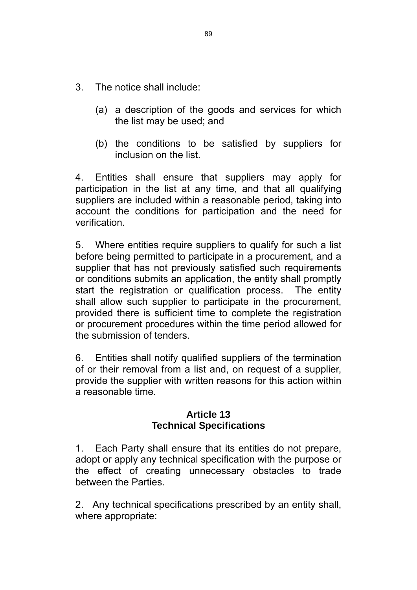- 3. The notice shall include:
	- (a) a description of the goods and services for which the list may be used; and
	- (b) the conditions to be satisfied by suppliers for inclusion on the list.

4. Entities shall ensure that suppliers may apply for participation in the list at any time, and that all qualifying suppliers are included within a reasonable period, taking into account the conditions for participation and the need for verification.

5. Where entities require suppliers to qualify for such a list before being permitted to participate in a procurement, and a supplier that has not previously satisfied such requirements or conditions submits an application, the entity shall promptly start the registration or qualification process. The entity shall allow such supplier to participate in the procurement, provided there is sufficient time to complete the registration or procurement procedures within the time period allowed for the submission of tenders.

6. Entities shall notify qualified suppliers of the termination of or their removal from a list and, on request of a supplier, provide the supplier with written reasons for this action within a reasonable time.

#### **Article 13 Technical Specifications**

1. Each Party shall ensure that its entities do not prepare, adopt or apply any technical specification with the purpose or the effect of creating unnecessary obstacles to trade between the Parties.

2. Any technical specifications prescribed by an entity shall, where appropriate: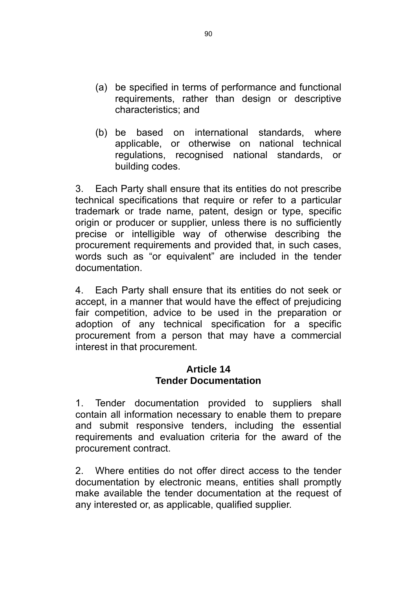- (a) be specified in terms of performance and functional requirements, rather than design or descriptive characteristics; and
- (b) be based on international standards, where applicable, or otherwise on national technical regulations, recognised national standards, or building codes.

3. Each Party shall ensure that its entities do not prescribe technical specifications that require or refer to a particular trademark or trade name, patent, design or type, specific origin or producer or supplier, unless there is no sufficiently precise or intelligible way of otherwise describing the procurement requirements and provided that, in such cases, words such as "or equivalent" are included in the tender documentation.

4. Each Party shall ensure that its entities do not seek or accept, in a manner that would have the effect of prejudicing fair competition, advice to be used in the preparation or adoption of any technical specification for a specific procurement from a person that may have a commercial interest in that procurement.

#### **Article 14 Tender Documentation**

1. Tender documentation provided to suppliers shall contain all information necessary to enable them to prepare and submit responsive tenders, including the essential requirements and evaluation criteria for the award of the procurement contract.

2. Where entities do not offer direct access to the tender documentation by electronic means, entities shall promptly make available the tender documentation at the request of any interested or, as applicable, qualified supplier.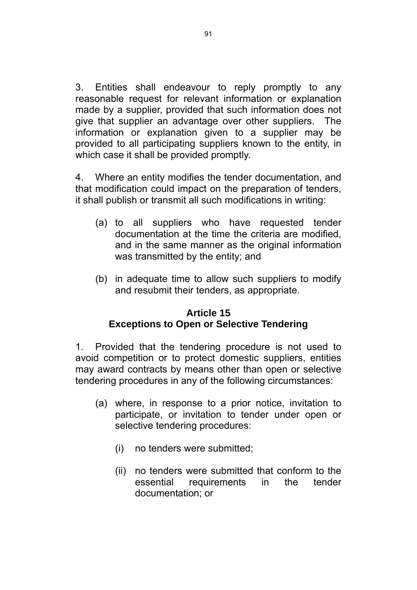3. Entities shall endeavour to reply promptly to any reasonable request for relevant information or explanation made by a supplier, provided that such information does not give that supplier an advantage over other suppliers. The information or explanation given to a supplier may be provided to all participating suppliers known to the entity, in which case it shall be provided promptly.

4. Where an entity modifies the tender documentation, and that modification could impact on the preparation of tenders, it shall publish or transmit all such modifications in writing:

- (a) to all suppliers who have requested tender documentation at the time the criteria are modified, and in the same manner as the original information was transmitted by the entity; and
- (b) in adequate time to allow such suppliers to modify and resubmit their tenders, as appropriate.

#### **Article 15 Exceptions to Open or Selective Tendering**

1. Provided that the tendering procedure is not used to avoid competition or to protect domestic suppliers, entities may award contracts by means other than open or selective tendering procedures in any of the following circumstances:

- (a) where, in response to a prior notice, invitation to participate, or invitation to tender under open or selective tendering procedures:
	- (i) no tenders were submitted;
	- (ii) no tenders were submitted that conform to the essential requirements in the tender documentation; or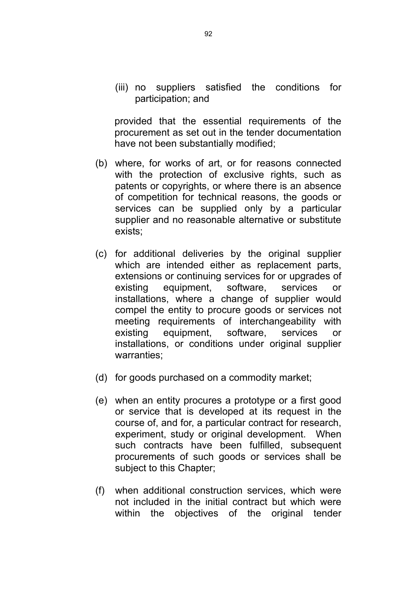(iii) no suppliers satisfied the conditions for participation; and

provided that the essential requirements of the procurement as set out in the tender documentation have not been substantially modified;

- (b) where, for works of art, or for reasons connected with the protection of exclusive rights, such as patents or copyrights, or where there is an absence of competition for technical reasons, the goods or services can be supplied only by a particular supplier and no reasonable alternative or substitute exists;
- (c) for additional deliveries by the original supplier which are intended either as replacement parts, extensions or continuing services for or upgrades of existing equipment, software, services or installations, where a change of supplier would compel the entity to procure goods or services not meeting requirements of interchangeability with existing equipment, software, services or installations, or conditions under original supplier warranties;
- (d) for goods purchased on a commodity market;
- (e) when an entity procures a prototype or a first good or service that is developed at its request in the course of, and for, a particular contract for research, experiment, study or original development. When such contracts have been fulfilled, subsequent procurements of such goods or services shall be subject to this Chapter;
- (f) when additional construction services, which were not included in the initial contract but which were within the objectives of the original tender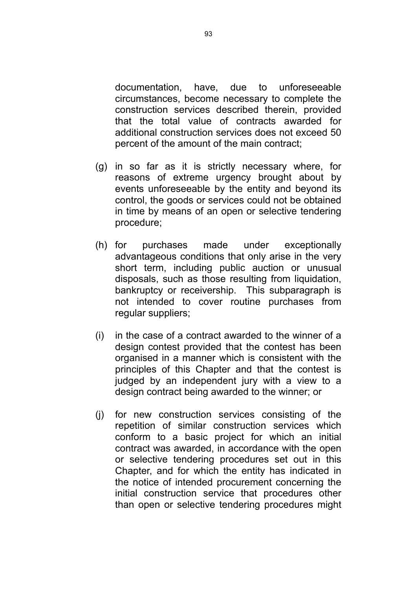documentation, have, due to unforeseeable circumstances, become necessary to complete the construction services described therein, provided that the total value of contracts awarded for additional construction services does not exceed 50 percent of the amount of the main contract;

- (g) in so far as it is strictly necessary where, for reasons of extreme urgency brought about by events unforeseeable by the entity and beyond its control, the goods or services could not be obtained in time by means of an open or selective tendering procedure;
- (h) for purchases made under exceptionally advantageous conditions that only arise in the very short term, including public auction or unusual disposals, such as those resulting from liquidation, bankruptcy or receivership. This subparagraph is not intended to cover routine purchases from regular suppliers;
- (i) in the case of a contract awarded to the winner of a design contest provided that the contest has been organised in a manner which is consistent with the principles of this Chapter and that the contest is judged by an independent jury with a view to a design contract being awarded to the winner; or
- (j) for new construction services consisting of the repetition of similar construction services which conform to a basic project for which an initial contract was awarded, in accordance with the open or selective tendering procedures set out in this Chapter, and for which the entity has indicated in the notice of intended procurement concerning the initial construction service that procedures other than open or selective tendering procedures might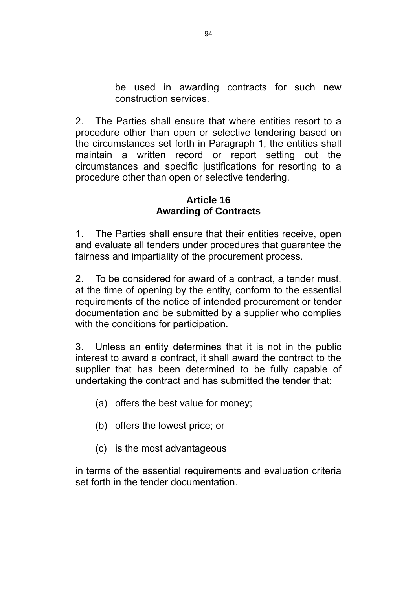be used in awarding contracts for such new construction services.

2. The Parties shall ensure that where entities resort to a procedure other than open or selective tendering based on the circumstances set forth in Paragraph 1, the entities shall maintain a written record or report setting out the circumstances and specific justifications for resorting to a procedure other than open or selective tendering.

#### **Article 16 Awarding of Contracts**

1. The Parties shall ensure that their entities receive, open and evaluate all tenders under procedures that guarantee the fairness and impartiality of the procurement process.

2. To be considered for award of a contract, a tender must, at the time of opening by the entity, conform to the essential requirements of the notice of intended procurement or tender documentation and be submitted by a supplier who complies with the conditions for participation.

3. Unless an entity determines that it is not in the public interest to award a contract, it shall award the contract to the supplier that has been determined to be fully capable of undertaking the contract and has submitted the tender that:

- (a) offers the best value for money;
- (b) offers the lowest price; or
- (c) is the most advantageous

in terms of the essential requirements and evaluation criteria set forth in the tender documentation.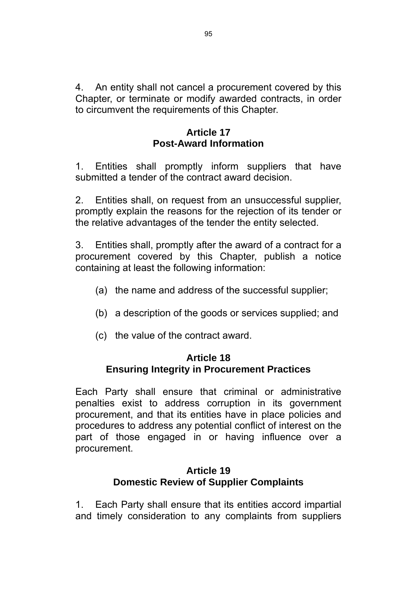4. An entity shall not cancel a procurement covered by this Chapter, or terminate or modify awarded contracts, in order to circumvent the requirements of this Chapter.

## **Article 17 Post-Award Information**

1. Entities shall promptly inform suppliers that have submitted a tender of the contract award decision.

2. Entities shall, on request from an unsuccessful supplier, promptly explain the reasons for the rejection of its tender or the relative advantages of the tender the entity selected.

3. Entities shall, promptly after the award of a contract for a procurement covered by this Chapter, publish a notice containing at least the following information:

- (a) the name and address of the successful supplier;
- (b) a description of the goods or services supplied; and
- (c) the value of the contract award.

## **Article 18 Ensuring Integrity in Procurement Practices**

Each Party shall ensure that criminal or administrative penalties exist to address corruption in its government procurement, and that its entities have in place policies and procedures to address any potential conflict of interest on the part of those engaged in or having influence over a procurement.

## **Article 19 Domestic Review of Supplier Complaints**

1. Each Party shall ensure that its entities accord impartial and timely consideration to any complaints from suppliers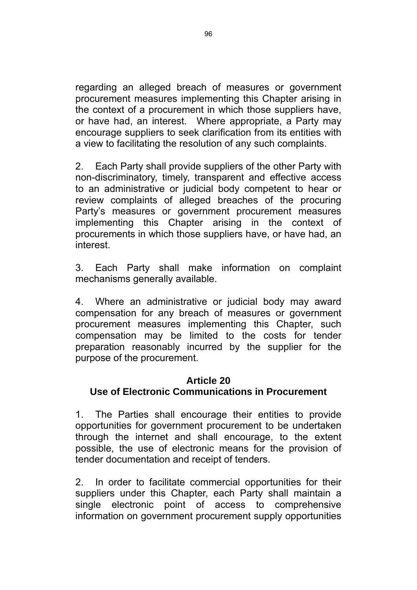regarding an alleged breach of measures or government procurement measures implementing this Chapter arising in the context of a procurement in which those suppliers have, or have had, an interest. Where appropriate, a Party may encourage suppliers to seek clarification from its entities with a view to facilitating the resolution of any such complaints.

2. Each Party shall provide suppliers of the other Party with non-discriminatory, timely, transparent and effective access to an administrative or judicial body competent to hear or review complaints of alleged breaches of the procuring Party's measures or government procurement measures implementing this Chapter arising in the context of procurements in which those suppliers have, or have had, an interest.

3. Each Party shall make information on complaint mechanisms generally available.

4. Where an administrative or judicial body may award compensation for any breach of measures or government procurement measures implementing this Chapter, such compensation may be limited to the costs for tender preparation reasonably incurred by the supplier for the purpose of the procurement.

## **Article 20 Use of Electronic Communications in Procurement**

1. The Parties shall encourage their entities to provide opportunities for government procurement to be undertaken through the internet and shall encourage, to the extent possible, the use of electronic means for the provision of tender documentation and receipt of tenders.

2. In order to facilitate commercial opportunities for their suppliers under this Chapter, each Party shall maintain a single electronic point of access to comprehensive information on government procurement supply opportunities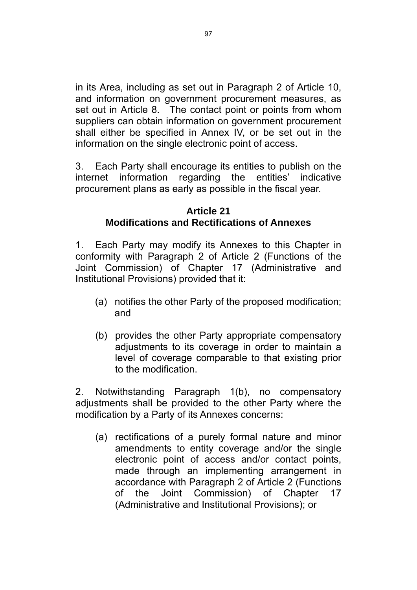in its Area, including as set out in Paragraph 2 of Article 10, and information on government procurement measures, as set out in Article 8. The contact point or points from whom suppliers can obtain information on government procurement shall either be specified in Annex IV, or be set out in the information on the single electronic point of access.

3. Each Party shall encourage its entities to publish on the internet information regarding the entities' indicative procurement plans as early as possible in the fiscal year.

#### **Article 21 Modifications and Rectifications of Annexes**

1. Each Party may modify its Annexes to this Chapter in conformity with Paragraph 2 of Article 2 (Functions of the Joint Commission) of Chapter 17 (Administrative and Institutional Provisions) provided that it:

- (a) notifies the other Party of the proposed modification; and
- (b) provides the other Party appropriate compensatory adjustments to its coverage in order to maintain a level of coverage comparable to that existing prior to the modification.

2. Notwithstanding Paragraph 1(b), no compensatory adjustments shall be provided to the other Party where the modification by a Party of its Annexes concerns:

(a) rectifications of a purely formal nature and minor amendments to entity coverage and/or the single electronic point of access and/or contact points, made through an implementing arrangement in accordance with Paragraph 2 of Article 2 (Functions of the Joint Commission) of Chapter 17 (Administrative and Institutional Provisions); or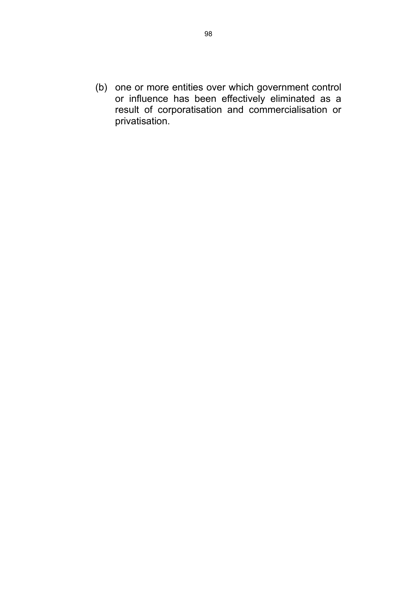(b) one or more entities over which government control or influence has been effectively eliminated as a result of corporatisation and commercialisation or privatisation.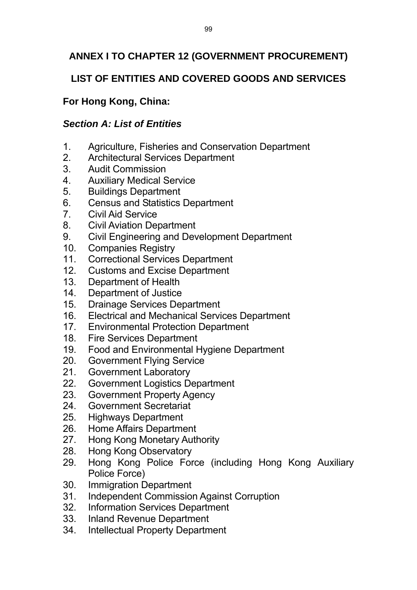# **ANNEX I TO CHAPTER 12 (GOVERNMENT PROCUREMENT)**

# **LIST OF ENTITIES AND COVERED GOODS AND SERVICES**

# **For Hong Kong, China:**

## *Section A: List of Entities*

- 1. Agriculture, Fisheries and Conservation Department
- 2. Architectural Services Department
- 3. Audit Commission
- 4. Auxiliary Medical Service
- 5. Buildings Department
- 6. Census and Statistics Department
- 7. Civil Aid Service
- 8. Civil Aviation Department
- 9. Civil Engineering and Development Department
- 10. Companies Registry
- 11. Correctional Services Department
- 12. Customs and Excise Department
- 13. Department of Health
- 14. Department of Justice
- 15. Drainage Services Department
- 16. Electrical and Mechanical Services Department
- 17. Environmental Protection Department
- 18. Fire Services Department
- 19. Food and Environmental Hygiene Department
- 20. Government Flying Service
- 21. Government Laboratory
- 22. Government Logistics Department
- 23. Government Property Agency
- 24. Government Secretariat
- 25. Highways Department
- 26. Home Affairs Department
- 27. Hong Kong Monetary Authority
- 28. Hong Kong Observatory
- 29. Hong Kong Police Force (including Hong Kong Auxiliary Police Force)
- 30. Immigration Department
- 31. Independent Commission Against Corruption
- 32. Information Services Department
- 33. Inland Revenue Department
- 34. Intellectual Property Department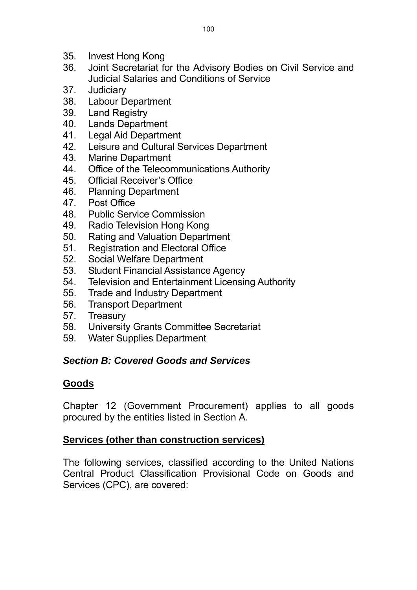- 35. Invest Hong Kong
- 36. Joint Secretariat for the Advisory Bodies on Civil Service and Judicial Salaries and Conditions of Service
- 37. Judiciary
- 38. Labour Department
- 39. Land Registry
- 40. Lands Department
- 41. Legal Aid Department
- 42. Leisure and Cultural Services Department
- 43. Marine Department
- 44. Office of the Telecommunications Authority
- 45. Official Receiver's Office
- 46. Planning Department
- 47. Post Office
- 48. Public Service Commission
- 49. Radio Television Hong Kong
- 50. Rating and Valuation Department
- 51. Registration and Electoral Office
- 52. Social Welfare Department
- 53. Student Financial Assistance Agency
- 54. Television and Entertainment Licensing Authority
- 55. Trade and Industry Department
- 56. Transport Department
- 57. Treasury
- 58. University Grants Committee Secretariat
- 59. Water Supplies Department

## *Section B: Covered Goods and Services*

## **Goods**

Chapter 12 (Government Procurement) applies to all goods procured by the entities listed in Section A.

## **Services (other than construction services)**

The following services, classified according to the United Nations Central Product Classification Provisional Code on Goods and Services (CPC), are covered: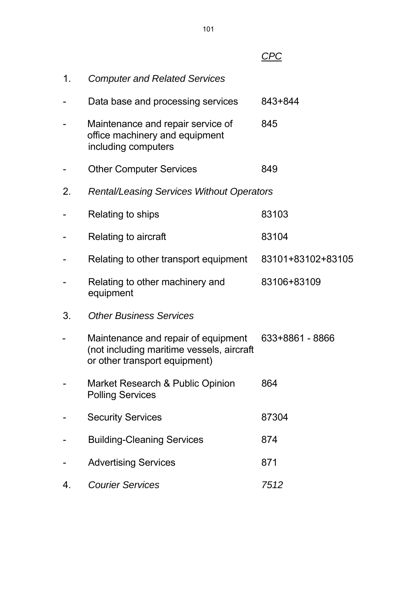| 1. | <b>Computer and Related Services</b>                                                                              |                   |
|----|-------------------------------------------------------------------------------------------------------------------|-------------------|
|    | Data base and processing services                                                                                 | 843+844           |
|    | Maintenance and repair service of<br>office machinery and equipment<br>including computers                        | 845               |
|    | <b>Other Computer Services</b>                                                                                    | 849               |
| 2. | <b>Rental/Leasing Services Without Operators</b>                                                                  |                   |
|    | Relating to ships                                                                                                 | 83103             |
|    | Relating to aircraft                                                                                              | 83104             |
|    | Relating to other transport equipment                                                                             | 83101+83102+83105 |
|    | Relating to other machinery and<br>equipment                                                                      | 83106+83109       |
| 3. | <b>Other Business Services</b>                                                                                    |                   |
|    | Maintenance and repair of equipment<br>(not including maritime vessels, aircraft<br>or other transport equipment) | 633+8861 - 8866   |
|    | Market Research & Public Opinion<br><b>Polling Services</b>                                                       | 864               |
|    | <b>Security Services</b>                                                                                          | 87304             |
|    | <b>Building-Cleaning Services</b>                                                                                 | 874               |
|    | <b>Advertising Services</b>                                                                                       | 871               |
| 4. | <b>Courier Services</b>                                                                                           | 7512              |

101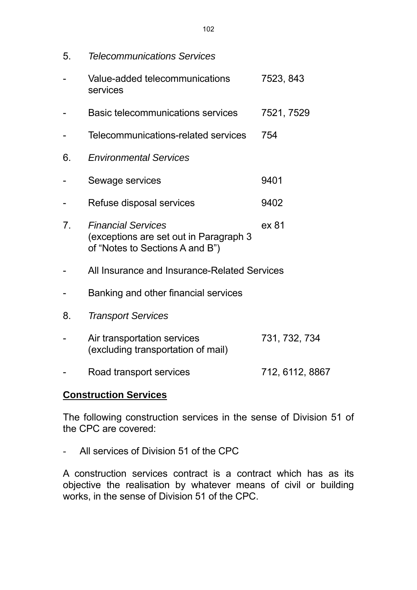5. *Telecommunications Services* Value-added telecommunications 7523, 843 services Basic telecommunications services 7521, 7529 - Telecommunications-related services 754 6. *Environmental Services* Sewage services 9401 - Refuse disposal services 9402 7. *Financial Services* ex 81 (exceptions are set out in Paragraph 3 of "Notes to Sections A and B") - All Insurance and Insurance-Related Services - Banking and other financial services 8. *Transport Services* Air transportation services 731, 732, 734 (excluding transportation of mail) Road transport services 712, 6112, 8867

## **Construction Services**

The following construction services in the sense of Division 51 of the CPC are covered:

- All services of Division 51 of the CPC

A construction services contract is a contract which has as its objective the realisation by whatever means of civil or building works, in the sense of Division 51 of the CPC.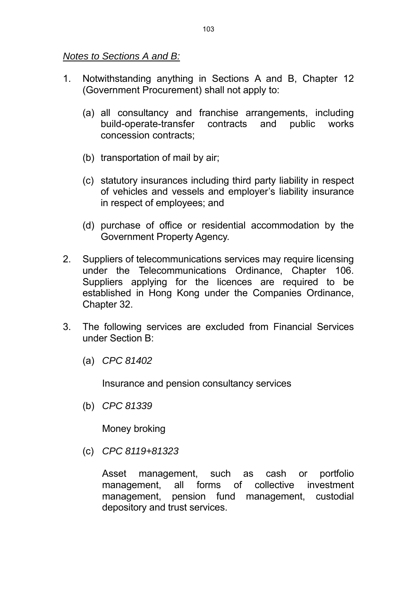#### *Notes to Sections A and B:*

- 1. Notwithstanding anything in Sections A and B, Chapter 12 (Government Procurement) shall not apply to:
	- (a) all consultancy and franchise arrangements, including build-operate-transfer contracts and public works concession contracts;
	- (b) transportation of mail by air;
	- (c) statutory insurances including third party liability in respect of vehicles and vessels and employer's liability insurance in respect of employees; and
	- (d) purchase of office or residential accommodation by the Government Property Agency.
- 2. Suppliers of telecommunications services may require licensing under the Telecommunications Ordinance, Chapter 106. Suppliers applying for the licences are required to be established in Hong Kong under the Companies Ordinance, Chapter 32.
- 3. The following services are excluded from Financial Services under Section B:
	- (a) *CPC 81402*

Insurance and pension consultancy services

(b) *CPC 81339*

Money broking

(c) *CPC 8119+81323*

 Asset management, such as cash or portfolio management, all forms of collective investment management, pension fund management, custodial depository and trust services.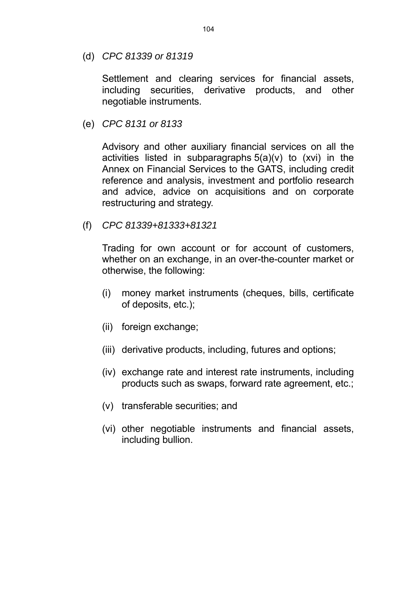(d) *CPC 81339 or 81319*

 Settlement and clearing services for financial assets, including securities, derivative products, and other negotiable instruments.

(e) *CPC 8131 or 8133*

 Advisory and other auxiliary financial services on all the activities listed in subparagraphs  $5(a)(v)$  to  $(xvi)$  in the Annex on Financial Services to the GATS, including credit reference and analysis, investment and portfolio research and advice, advice on acquisitions and on corporate restructuring and strategy.

(f) *CPC 81339+81333+81321*

 Trading for own account or for account of customers, whether on an exchange, in an over-the-counter market or otherwise, the following:

- (i) money market instruments (cheques, bills, certificate of deposits, etc.);
- (ii) foreign exchange;
- (iii) derivative products, including, futures and options;
- (iv) exchange rate and interest rate instruments, including products such as swaps, forward rate agreement, etc.;
- (v) transferable securities; and
- (vi) other negotiable instruments and financial assets, including bullion.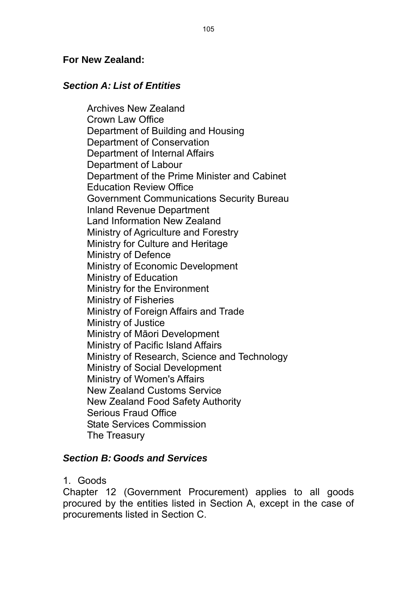#### **For New Zealand:**

#### *Section A: List of Entities*

Archives New Zealand Crown Law Office Department of Building and Housing Department of Conservation Department of Internal Affairs Department of Labour Department of the Prime Minister and Cabinet Education Review Office Government Communications Security Bureau Inland Revenue Department Land Information New Zealand Ministry of Agriculture and Forestry Ministry for Culture and Heritage Ministry of Defence Ministry of Economic Development Ministry of Education Ministry for the Environment Ministry of Fisheries Ministry of Foreign Affairs and Trade Ministry of Justice Ministry of Māori Development Ministry of Pacific Island Affairs Ministry of Research, Science and Technology Ministry of Social Development Ministry of Women's Affairs New Zealand Customs Service New Zealand Food Safety Authority Serious Fraud Office State Services Commission The Treasury

#### *Section B: Goods and Services*

1. Goods

Chapter 12 (Government Procurement) applies to all goods procured by the entities listed in Section A, except in the case of procurements listed in Section C.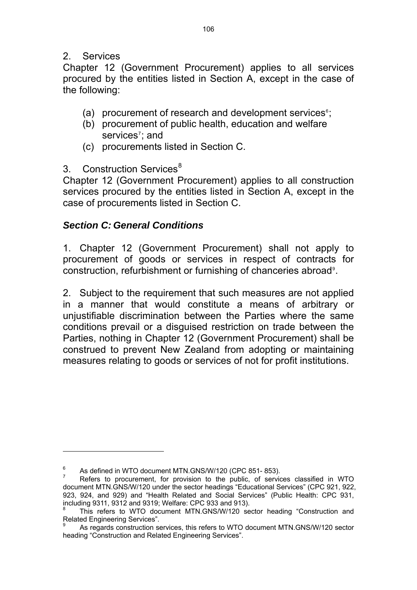## <span id="page-108-0"></span>2. Services

l

Chapter 12 (Government Procurement) applies to all services procured by the entities listed in Section A, except in the case of the following:

- (a) procurement of research and development services $\epsilon$ ;
- (b) procurement of public health, education and welfare services<sup>[7](#page-108-0)</sup>; and
- (c) procurements listed in Section C.
- 3. Construction Services<sup>[8](#page-108-0)</sup>

Chapter 12 (Government Procurement) applies to all construction services procured by the entities listed in Section A, except in the case of procurements listed in Section C.

## *Section C: General Conditions*

1. Chapter 12 (Government Procurement) shall not apply to procurement of goods or services in respect of contracts for construction, refurbishment or furnishing of chanceries abroad<sup>[9](#page-108-0)</sup>.

2. Subject to the requirement that such measures are not applied in a manner that would constitute a means of arbitrary or unjustifiable discrimination between the Parties where the same conditions prevail or a disguised restriction on trade between the Parties, nothing in Chapter 12 (Government Procurement) shall be construed to prevent New Zealand from adopting or maintaining measures relating to goods or services of not for profit institutions.

<sup>6</sup> As defined in WTO document MTN.GNS/W/120 (CPC 851- 853).

<sup>7</sup> Refers to procurement, for provision to the public, of services classified in WTO document MTN.GNS/W/120 under the sector headings "Educational Services" (CPC 921, 922, 923, 924, and 929) and "Health Related and Social Services" (Public Health: CPC 931, including 9311, 9312 and 9319; Welfare: CPC 933 and 913).

<sup>8</sup> This refers to WTO document MTN.GNS/W/120 sector heading "Construction and Related Engineering Services".

<sup>9</sup> As regards construction services, this refers to WTO document MTN.GNS/W/120 sector heading "Construction and Related Engineering Services".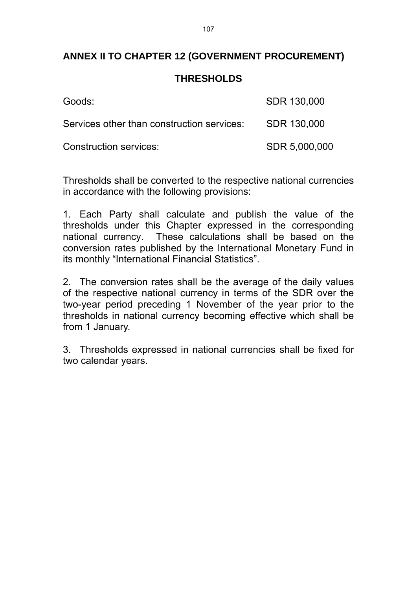# **ANNEX II TO CHAPTER 12 (GOVERNMENT PROCUREMENT)**

## **THRESHOLDS**

| Goods:                                     | SDR 130,000   |
|--------------------------------------------|---------------|
| Services other than construction services: | SDR 130,000   |
| Construction services:                     | SDR 5,000,000 |

Thresholds shall be converted to the respective national currencies in accordance with the following provisions:

1. Each Party shall calculate and publish the value of the thresholds under this Chapter expressed in the corresponding national currency. These calculations shall be based on the conversion rates published by the International Monetary Fund in its monthly "International Financial Statistics".

2. The conversion rates shall be the average of the daily values of the respective national currency in terms of the SDR over the two-year period preceding 1 November of the year prior to the thresholds in national currency becoming effective which shall be from 1 January.

3. Thresholds expressed in national currencies shall be fixed for two calendar years.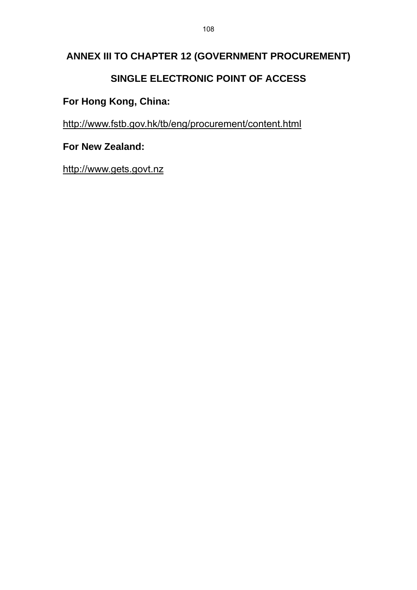# **ANNEX III TO CHAPTER 12 (GOVERNMENT PROCUREMENT)**

# **SINGLE ELECTRONIC POINT OF ACCESS**

# **For Hong Kong, China:**

<http://www.fstb.gov.hk/tb/eng/procurement/content.html>

# **For New Zealand:**

http://www.gets.govt.nz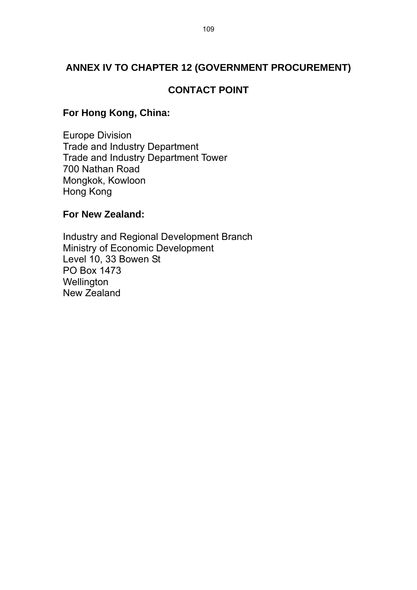# **ANNEX IV TO CHAPTER 12 (GOVERNMENT PROCUREMENT)**

## **CONTACT POINT**

## **For Hong Kong, China:**

Europe Division Trade and Industry Department Trade and Industry Department Tower 700 Nathan Road Mongkok, Kowloon Hong Kong

### **For New Zealand:**

Industry and Regional Development Branch Ministry of Economic Development Level 10, 33 Bowen St PO Box 1473 **Wellington** New Zealand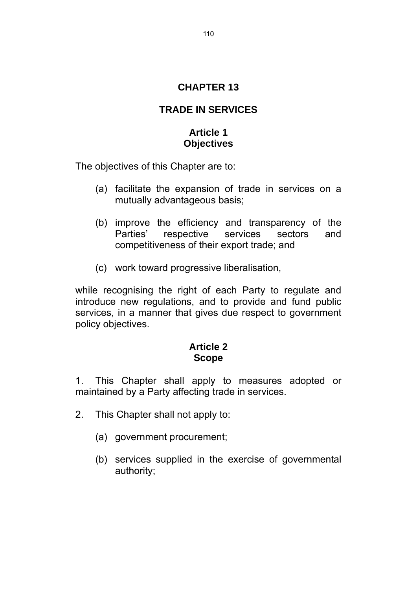## **CHAPTER 13**

## **TRADE IN SERVICES**

## **Article 1 Objectives**

The objectives of this Chapter are to:

- (a) facilitate the expansion of trade in services on a mutually advantageous basis;
- (b) improve the efficiency and transparency of the Parties' respective services sectors and competitiveness of their export trade; and
- (c) work toward progressive liberalisation,

while recognising the right of each Party to regulate and introduce new regulations, and to provide and fund public services, in a manner that gives due respect to government policy objectives.

## **Article 2 Scope**

1. This Chapter shall apply to measures adopted or maintained by a Party affecting trade in services.

- 2. This Chapter shall not apply to:
	- (a) government procurement;
	- (b) services supplied in the exercise of governmental authority;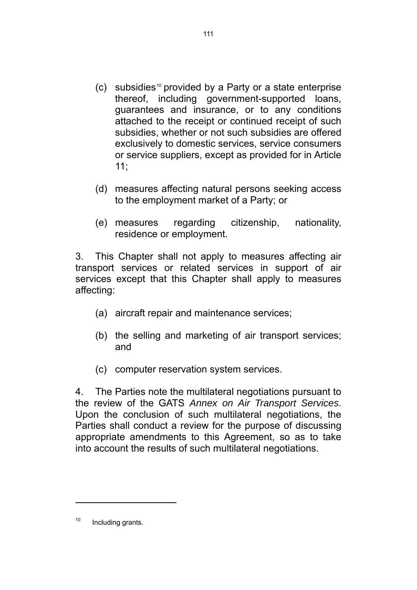- <span id="page-113-0"></span> $(c)$  subsidies<sup>[10](#page-113-0)</sup> provided by a Party or a state enterprise thereof, including government-supported loans, guarantees and insurance, or to any conditions attached to the receipt or continued receipt of such subsidies, whether or not such subsidies are offered exclusively to domestic services, service consumers or service suppliers, except as provided for in Article 11;
- (d) measures affecting natural persons seeking access to the employment market of a Party; or
- (e) measures regarding citizenship, nationality, residence or employment.

3. This Chapter shall not apply to measures affecting air transport services or related services in support of air services except that this Chapter shall apply to measures affecting:

- (a) aircraft repair and maintenance services;
- (b) the selling and marketing of air transport services; and
- (c) computer reservation system services.

4. The Parties note the multilateral negotiations pursuant to the review of the GATS *Annex on Air Transport Services*. Upon the conclusion of such multilateral negotiations, the Parties shall conduct a review for the purpose of discussing appropriate amendments to this Agreement, so as to take into account the results of such multilateral negotiations.

<sup>&</sup>lt;sup>10</sup> Including grants.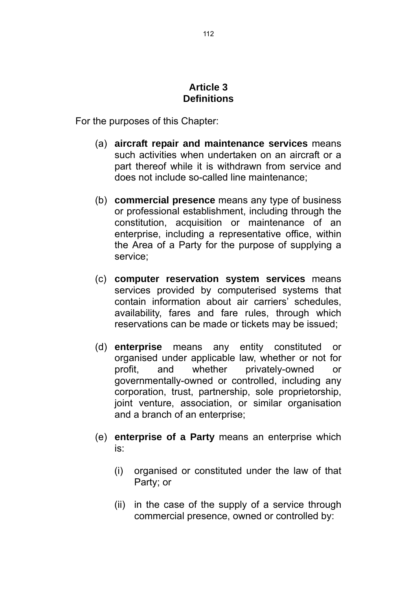#### **Article 3 Definitions**

For the purposes of this Chapter:

- (a) **aircraft repair and maintenance services** means such activities when undertaken on an aircraft or a part thereof while it is withdrawn from service and does not include so-called line maintenance;
- (b) **commercial presence** means any type of business or professional establishment, including through the constitution, acquisition or maintenance of an enterprise, including a representative office, within the Area of a Party for the purpose of supplying a service;
- (c) **computer reservation system services** means services provided by computerised systems that contain information about air carriers' schedules, availability, fares and fare rules, through which reservations can be made or tickets may be issued;
- (d) **enterprise** means any entity constituted or organised under applicable law, whether or not for profit, and whether privately-owned or governmentally-owned or controlled, including any corporation, trust, partnership, sole proprietorship, joint venture, association, or similar organisation and a branch of an enterprise;
- (e) **enterprise of a Party** means an enterprise which is:
	- (i) organised or constituted under the law of that Party; or
	- (ii) in the case of the supply of a service through commercial presence, owned or controlled by: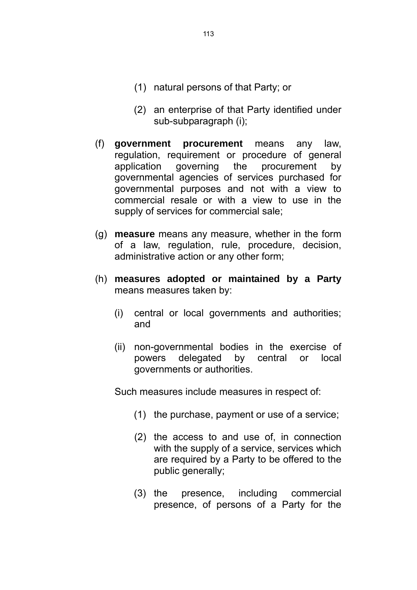- (1) natural persons of that Party; or
- (2) an enterprise of that Party identified under sub-subparagraph (i);
- (f) **government procurement** means any law, regulation, requirement or procedure of general application governing the procurement by governmental agencies of services purchased for governmental purposes and not with a view to commercial resale or with a view to use in the supply of services for commercial sale;
- (g) **measure** means any measure, whether in the form of a law, regulation, rule, procedure, decision, administrative action or any other form;
- (h) **measures adopted or maintained by a Party** means measures taken by:
	- (i) central or local governments and authorities; and
	- (ii) non-governmental bodies in the exercise of powers delegated by central or local governments or authorities.

Such measures include measures in respect of:

- (1) the purchase, payment or use of a service;
- (2) the access to and use of, in connection with the supply of a service, services which are required by a Party to be offered to the public generally;
- (3) the presence, including commercial presence, of persons of a Party for the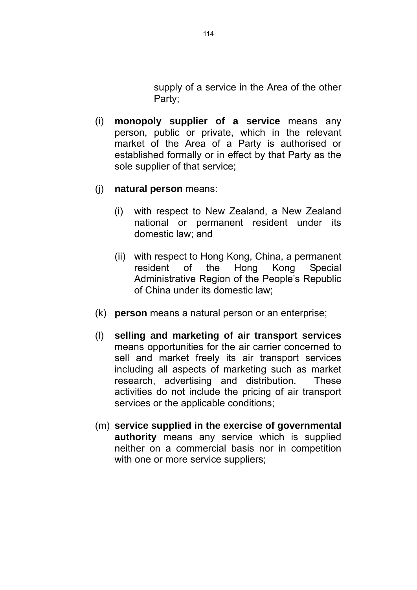supply of a service in the Area of the other Party;

- (i) **monopoly supplier of a service** means any person, public or private, which in the relevant market of the Area of a Party is authorised or established formally or in effect by that Party as the sole supplier of that service;
- (j) **natural person** means:
	- (i) with respect to New Zealand, a New Zealand national or permanent resident under its domestic law; and
	- (ii) with respect to Hong Kong, China, a permanent resident of the Hong Kong Special Administrative Region of the People's Republic of China under its domestic law;
- (k) **person** means a natural person or an enterprise;
- (l) **selling and marketing of air transport services**  means opportunities for the air carrier concerned to sell and market freely its air transport services including all aspects of marketing such as market research, advertising and distribution. These activities do not include the pricing of air transport services or the applicable conditions;
- (m) **service supplied in the exercise of governmental authority** means any service which is supplied neither on a commercial basis nor in competition with one or more service suppliers;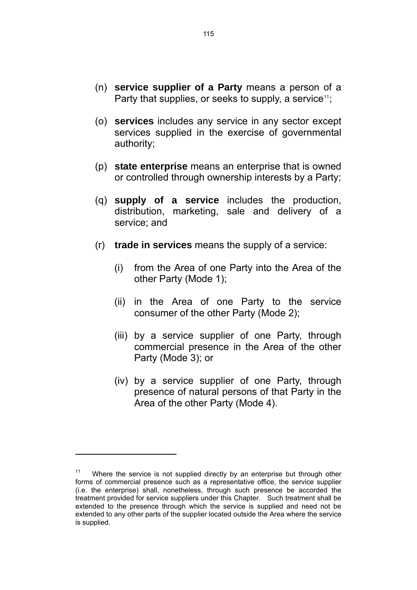- <span id="page-117-0"></span>(n) **service supplier of a Party** means a person of a Party that supplies, or seeks to supply, a service<sup>[11](#page-117-0)</sup>;
- (o) **services** includes any service in any sector except services supplied in the exercise of governmental authority;
- (p) **state enterprise** means an enterprise that is owned or controlled through ownership interests by a Party;
- (q) **supply of a service** includes the production, distribution, marketing, sale and delivery of a service; and
- (r) **trade in services** means the supply of a service:
	- (i) from the Area of one Party into the Area of the other Party (Mode 1);
	- (ii) in the Area of one Party to the service consumer of the other Party (Mode 2);
	- (iii) by a service supplier of one Party, through commercial presence in the Area of the other Party (Mode 3); or
	- (iv) by a service supplier of one Party, through presence of natural persons of that Party in the Area of the other Party (Mode 4).

 $\overline{a}$ 

Where the service is not supplied directly by an enterprise but through other forms of commercial presence such as a representative office, the service supplier (i.e. the enterprise) shall, nonetheless, through such presence be accorded the treatment provided for service suppliers under this Chapter. Such treatment shall be extended to the presence through which the service is supplied and need not be extended to any other parts of the supplier located outside the Area where the service is supplied.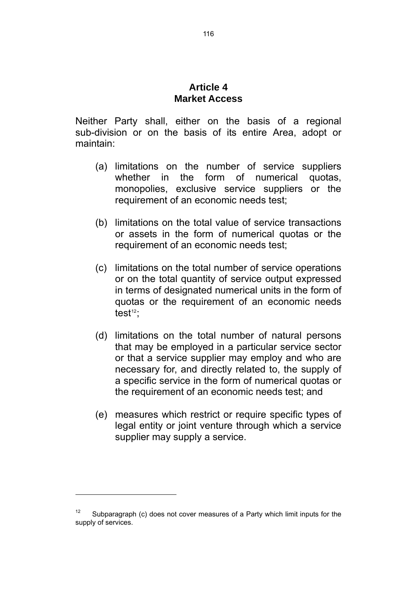#### **Article 4 Market Access**

<span id="page-118-0"></span>Neither Party shall, either on the basis of a regional sub-division or on the basis of its entire Area, adopt or maintain:

- (a) limitations on the number of service suppliers whether in the form of numerical quotas, monopolies, exclusive service suppliers or the requirement of an economic needs test;
- (b) limitations on the total value of service transactions or assets in the form of numerical quotas or the requirement of an economic needs test;
- (c) limitations on the total number of service operations or on the total quantity of service output expressed in terms of designated numerical units in the form of quotas or the requirement of an economic needs test $12$ ;
- (d) limitations on the total number of natural persons that may be employed in a particular service sector or that a service supplier may employ and who are necessary for, and directly related to, the supply of a specific service in the form of numerical quotas or the requirement of an economic needs test; and
- (e) measures which restrict or require specific types of legal entity or joint venture through which a service supplier may supply a service.

l

<sup>&</sup>lt;sup>12</sup> Subparagraph (c) does not cover measures of a Party which limit inputs for the supply of services.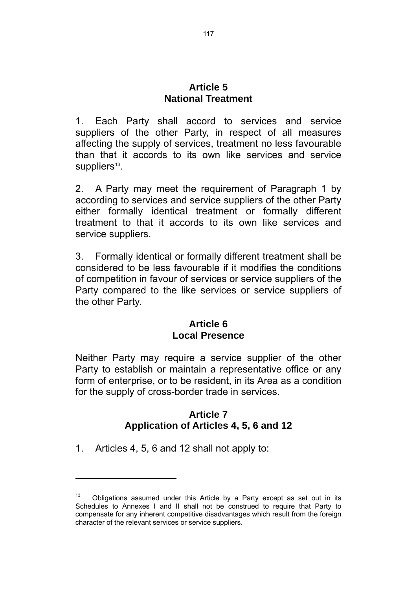#### **Article 5 National Treatment**

<span id="page-119-0"></span>1. Each Party shall accord to services and service suppliers of the other Party, in respect of all measures affecting the supply of services, treatment no less favourable than that it accords to its own like services and service suppliers $13$ .

2. A Party may meet the requirement of Paragraph 1 by according to services and service suppliers of the other Party either formally identical treatment or formally different treatment to that it accords to its own like services and service suppliers.

3. Formally identical or formally different treatment shall be considered to be less favourable if it modifies the conditions of competition in favour of services or service suppliers of the Party compared to the like services or service suppliers of the other Party.

#### **Article 6 Local Presence**

Neither Party may require a service supplier of the other Party to establish or maintain a representative office or any form of enterprise, or to be resident, in its Area as a condition for the supply of cross-border trade in services.

## **Article 7 Application of Articles 4, 5, 6 and 12**

1. Articles 4, 5, 6 and 12 shall not apply to:

 $13$  Obligations assumed under this Article by a Party except as set out in its Schedules to Annexes I and II shall not be construed to require that Party to compensate for any inherent competitive disadvantages which result from the foreign character of the relevant services or service suppliers.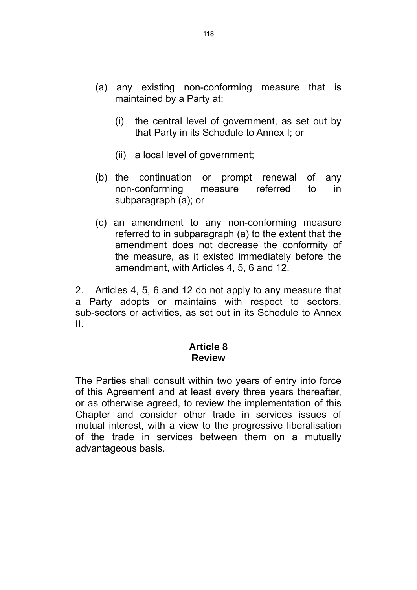- (a) any existing non-conforming measure that is maintained by a Party at:
	- (i) the central level of government, as set out by that Party in its Schedule to Annex I; or
	- (ii) a local level of government;
- (b) the continuation or prompt renewal of any non-conforming measure referred to in subparagraph (a); or
- (c) an amendment to any non-conforming measure referred to in subparagraph (a) to the extent that the amendment does not decrease the conformity of the measure, as it existed immediately before the amendment, with Articles 4, 5, 6 and 12.

2. Articles 4, 5, 6 and 12 do not apply to any measure that a Party adopts or maintains with respect to sectors, sub-sectors or activities, as set out in its Schedule to Annex II.

#### **Article 8 Review**

The Parties shall consult within two years of entry into force of this Agreement and at least every three years thereafter, or as otherwise agreed, to review the implementation of this Chapter and consider other trade in services issues of mutual interest, with a view to the progressive liberalisation of the trade in services between them on a mutually advantageous basis.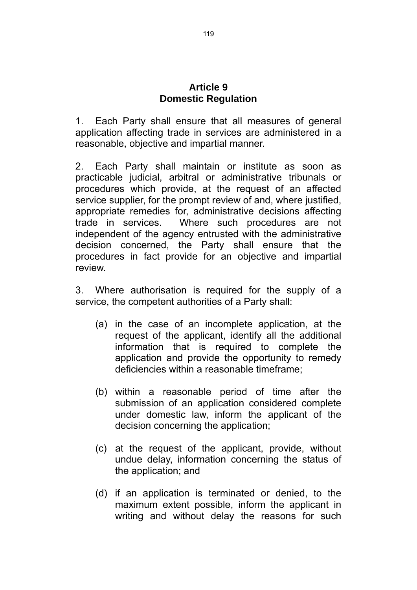#### **Article 9 Domestic Regulation**

1. Each Party shall ensure that all measures of general application affecting trade in services are administered in a reasonable, objective and impartial manner.

2. Each Party shall maintain or institute as soon as practicable judicial, arbitral or administrative tribunals or procedures which provide, at the request of an affected service supplier, for the prompt review of and, where justified, appropriate remedies for, administrative decisions affecting trade in services. Where such procedures are not independent of the agency entrusted with the administrative decision concerned, the Party shall ensure that the procedures in fact provide for an objective and impartial review.

3. Where authorisation is required for the supply of a service, the competent authorities of a Party shall:

- (a) in the case of an incomplete application, at the request of the applicant, identify all the additional information that is required to complete the application and provide the opportunity to remedy deficiencies within a reasonable timeframe;
- (b) within a reasonable period of time after the submission of an application considered complete under domestic law, inform the applicant of the decision concerning the application;
- (c) at the request of the applicant, provide, without undue delay, information concerning the status of the application; and
- (d) if an application is terminated or denied, to the maximum extent possible, inform the applicant in writing and without delay the reasons for such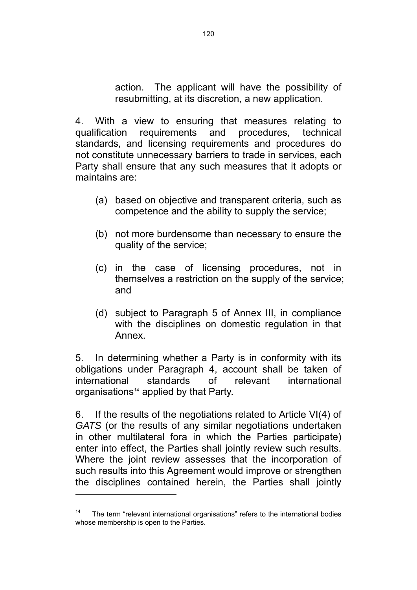action. The applicant will have the possibility of resubmitting, at its discretion, a new application.

<span id="page-122-0"></span>4. With a view to ensuring that measures relating to qualification requirements and procedures, technical standards, and licensing requirements and procedures do not constitute unnecessary barriers to trade in services, each Party shall ensure that any such measures that it adopts or maintains are:

- (a) based on objective and transparent criteria, such as competence and the ability to supply the service;
- (b) not more burdensome than necessary to ensure the quality of the service;
- (c) in the case of licensing procedures, not in themselves a restriction on the supply of the service; and
- (d) subject to Paragraph 5 of Annex III, in compliance with the disciplines on domestic regulation in that Annex.

5. In determining whether a Party is in conformity with its obligations under Paragraph 4, account shall be taken of international standards of relevant international organisations<sup> $14$ </sup> applied by that Party.

6. If the results of the negotiations related to Article VI(4) of *GATS* (or the results of any similar negotiations undertaken in other multilateral fora in which the Parties participate) enter into effect, the Parties shall jointly review such results. Where the joint review assesses that the incorporation of such results into this Agreement would improve or strengthen the disciplines contained herein, the Parties shall jointly

l

 $14$  The term "relevant international organisations" refers to the international bodies whose membership is open to the Parties.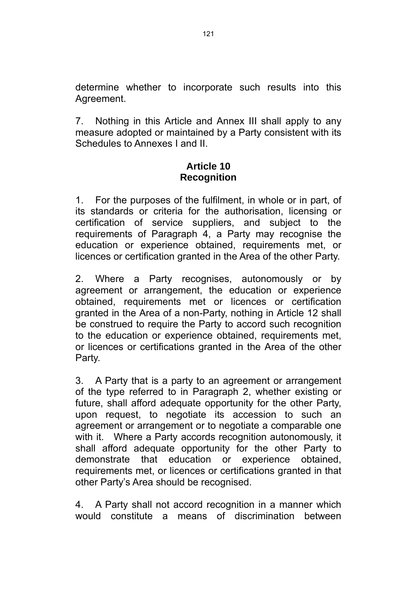determine whether to incorporate such results into this Agreement.

7. Nothing in this Article and Annex III shall apply to any measure adopted or maintained by a Party consistent with its Schedules to Annexes I and II.

### **Article 10 Recognition**

1. For the purposes of the fulfilment, in whole or in part, of its standards or criteria for the authorisation, licensing or certification of service suppliers, and subject to the requirements of Paragraph 4, a Party may recognise the education or experience obtained, requirements met, or licences or certification granted in the Area of the other Party.

2. Where a Party recognises, autonomously or by agreement or arrangement, the education or experience obtained, requirements met or licences or certification granted in the Area of a non-Party, nothing in Article 12 shall be construed to require the Party to accord such recognition to the education or experience obtained, requirements met, or licences or certifications granted in the Area of the other Party.

3. A Party that is a party to an agreement or arrangement of the type referred to in Paragraph 2, whether existing or future, shall afford adequate opportunity for the other Party, upon request, to negotiate its accession to such an agreement or arrangement or to negotiate a comparable one with it. Where a Party accords recognition autonomously, it shall afford adequate opportunity for the other Party to demonstrate that education or experience obtained, requirements met, or licences or certifications granted in that other Party's Area should be recognised.

4. A Party shall not accord recognition in a manner which would constitute a means of discrimination between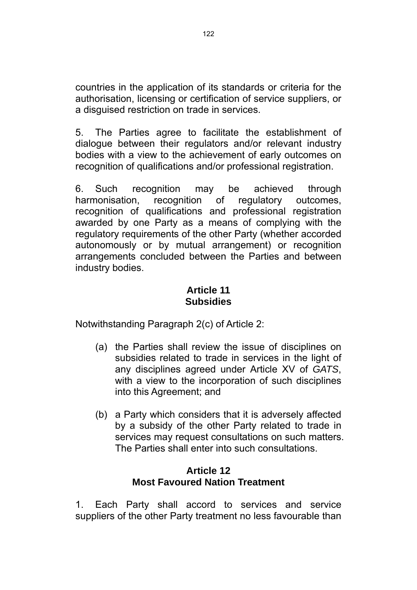countries in the application of its standards or criteria for the authorisation, licensing or certification of service suppliers, or a disguised restriction on trade in services.

5. The Parties agree to facilitate the establishment of dialogue between their regulators and/or relevant industry bodies with a view to the achievement of early outcomes on recognition of qualifications and/or professional registration.

6. Such recognition may be achieved through harmonisation, recognition of regulatory outcomes, recognition of qualifications and professional registration awarded by one Party as a means of complying with the regulatory requirements of the other Party (whether accorded autonomously or by mutual arrangement) or recognition arrangements concluded between the Parties and between industry bodies.

### **Article 11 Subsidies**

Notwithstanding Paragraph 2(c) of Article 2:

- (a) the Parties shall review the issue of disciplines on subsidies related to trade in services in the light of any disciplines agreed under Article XV of *GATS*, with a view to the incorporation of such disciplines into this Agreement; and
- (b) a Party which considers that it is adversely affected by a subsidy of the other Party related to trade in services may request consultations on such matters. The Parties shall enter into such consultations.

## **Article 12 Most Favoured Nation Treatment**

1. Each Party shall accord to services and service suppliers of the other Party treatment no less favourable than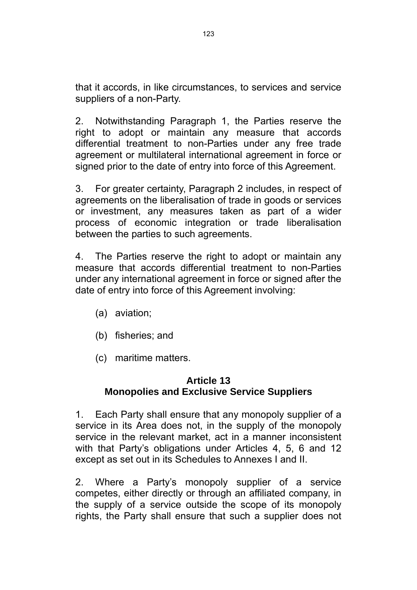that it accords, in like circumstances, to services and service suppliers of a non-Party.

2. Notwithstanding Paragraph 1, the Parties reserve the right to adopt or maintain any measure that accords differential treatment to non-Parties under any free trade agreement or multilateral international agreement in force or signed prior to the date of entry into force of this Agreement.

3. For greater certainty, Paragraph 2 includes, in respect of agreements on the liberalisation of trade in goods or services or investment, any measures taken as part of a wider process of economic integration or trade liberalisation between the parties to such agreements.

4. The Parties reserve the right to adopt or maintain any measure that accords differential treatment to non-Parties under any international agreement in force or signed after the date of entry into force of this Agreement involving:

- (a) aviation;
- (b) fisheries; and
- (c) maritime matters.

## **Article 13 Monopolies and Exclusive Service Suppliers**

1. Each Party shall ensure that any monopoly supplier of a service in its Area does not, in the supply of the monopoly service in the relevant market, act in a manner inconsistent with that Party's obligations under Articles 4, 5, 6 and 12 except as set out in its Schedules to Annexes I and II.

2. Where a Party's monopoly supplier of a service competes, either directly or through an affiliated company, in the supply of a service outside the scope of its monopoly rights, the Party shall ensure that such a supplier does not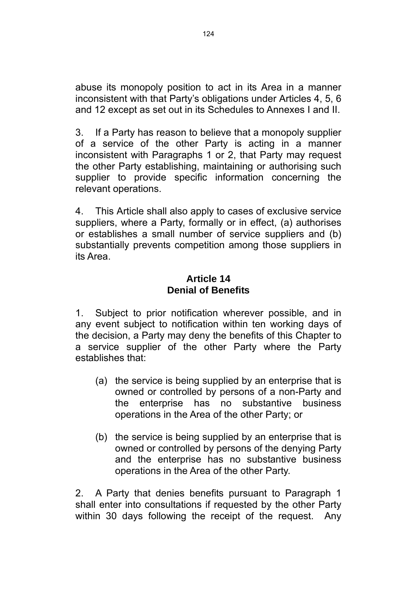abuse its monopoly position to act in its Area in a manner inconsistent with that Party's obligations under Articles 4, 5, 6 and 12 except as set out in its Schedules to Annexes I and II.

3. If a Party has reason to believe that a monopoly supplier of a service of the other Party is acting in a manner inconsistent with Paragraphs 1 or 2, that Party may request the other Party establishing, maintaining or authorising such supplier to provide specific information concerning the relevant operations.

4. This Article shall also apply to cases of exclusive service suppliers, where a Party, formally or in effect, (a) authorises or establishes a small number of service suppliers and (b) substantially prevents competition among those suppliers in its Area.

### **Article 14 Denial of Benefits**

1. Subject to prior notification wherever possible, and in any event subject to notification within ten working days of the decision, a Party may deny the benefits of this Chapter to a service supplier of the other Party where the Party establishes that:

- (a) the service is being supplied by an enterprise that is owned or controlled by persons of a non-Party and the enterprise has no substantive business operations in the Area of the other Party; or
- (b) the service is being supplied by an enterprise that is owned or controlled by persons of the denying Party and the enterprise has no substantive business operations in the Area of the other Party.

2. A Party that denies benefits pursuant to Paragraph 1 shall enter into consultations if requested by the other Party within 30 days following the receipt of the request. Any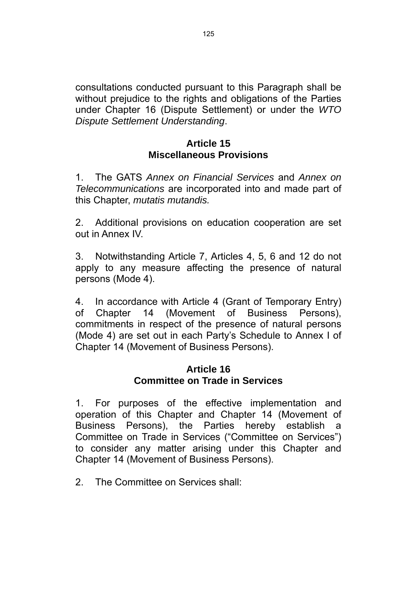consultations conducted pursuant to this Paragraph shall be without prejudice to the rights and obligations of the Parties under Chapter 16 (Dispute Settlement) or under the *WTO Dispute Settlement Understanding*.

## **Article 15 Miscellaneous Provisions**

1. The GATS *Annex on Financial Services* and *Annex on Telecommunications* are incorporated into and made part of this Chapter, *mutatis mutandis.* 

2. Additional provisions on education cooperation are set out in Annex IV.

3. Notwithstanding Article 7, Articles 4, 5, 6 and 12 do not apply to any measure affecting the presence of natural persons (Mode 4).

4. In accordance with Article 4 (Grant of Temporary Entry) of Chapter 14 (Movement of Business Persons), commitments in respect of the presence of natural persons (Mode 4) are set out in each Party's Schedule to Annex I of Chapter 14 (Movement of Business Persons).

## **Article 16 Committee on Trade in Services**

1. For purposes of the effective implementation and operation of this Chapter and Chapter 14 (Movement of Business Persons), the Parties hereby establish a Committee on Trade in Services ("Committee on Services") to consider any matter arising under this Chapter and Chapter 14 (Movement of Business Persons).

2. The Committee on Services shall: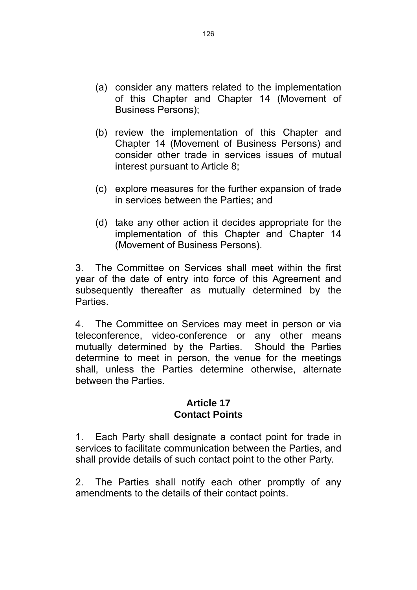- (a) consider any matters related to the implementation of this Chapter and Chapter 14 (Movement of Business Persons);
- (b) review the implementation of this Chapter and Chapter 14 (Movement of Business Persons) and consider other trade in services issues of mutual interest pursuant to Article 8;
- (c) explore measures for the further expansion of trade in services between the Parties; and
- (d) take any other action it decides appropriate for the implementation of this Chapter and Chapter 14 (Movement of Business Persons).

3. The Committee on Services shall meet within the first year of the date of entry into force of this Agreement and subsequently thereafter as mutually determined by the **Parties** 

4. The Committee on Services may meet in person or via teleconference, video-conference or any other means mutually determined by the Parties. Should the Parties determine to meet in person, the venue for the meetings shall, unless the Parties determine otherwise, alternate between the Parties.

#### **Article 17 Contact Points**

1. Each Party shall designate a contact point for trade in services to facilitate communication between the Parties, and shall provide details of such contact point to the other Party.

2. The Parties shall notify each other promptly of any amendments to the details of their contact points.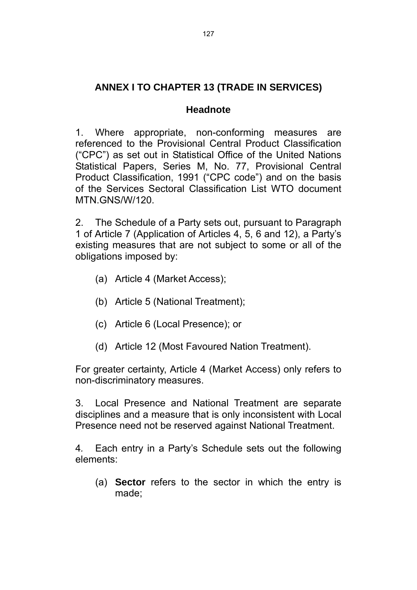# **ANNEX I TO CHAPTER 13 (TRADE IN SERVICES)**

### **Headnote**

1. Where appropriate, non-conforming measures are referenced to the Provisional Central Product Classification ("CPC") as set out in Statistical Office of the United Nations Statistical Papers, Series M, No. 77, Provisional Central Product Classification, 1991 ("CPC code") and on the basis of the Services Sectoral Classification List WTO document MTN.GNS/W/120.

2. The Schedule of a Party sets out, pursuant to Paragraph 1 of Article 7 (Application of Articles 4, 5, 6 and 12), a Party's existing measures that are not subject to some or all of the obligations imposed by:

- (a) Article 4 (Market Access);
- (b) Article 5 (National Treatment);
- (c) Article 6 (Local Presence); or
- (d) Article 12 (Most Favoured Nation Treatment).

For greater certainty, Article 4 (Market Access) only refers to non-discriminatory measures.

3. Local Presence and National Treatment are separate disciplines and a measure that is only inconsistent with Local Presence need not be reserved against National Treatment.

4*.* Each entry in a Party's Schedule sets out the following elements:

(a) **Sector** refers to the sector in which the entry is made;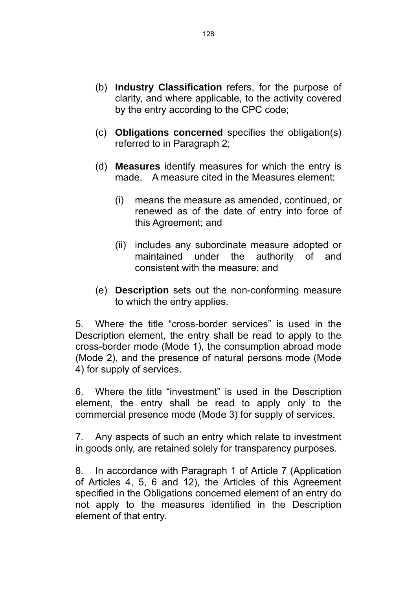- (b) **Industry Classification** refers, for the purpose of clarity, and where applicable, to the activity covered by the entry according to the CPC code;
- (c) **Obligations concerned** specifies the obligation(s) referred to in Paragraph 2;
- (d) **Measures** identify measures for which the entry is made. A measure cited in the Measures element:
	- (i) means the measure as amended, continued, or renewed as of the date of entry into force of this Agreement; and
	- (ii) includes any subordinate measure adopted or maintained under the authority of and consistent with the measure; and
- (e) **Description** sets out the non-conforming measure to which the entry applies.

5. Where the title "cross-border services" is used in the Description element, the entry shall be read to apply to the cross-border mode (Mode 1), the consumption abroad mode (Mode 2), and the presence of natural persons mode (Mode 4) for supply of services.

6. Where the title "investment" is used in the Description element, the entry shall be read to apply only to the commercial presence mode (Mode 3) for supply of services.

7. Any aspects of such an entry which relate to investment in goods only, are retained solely for transparency purposes.

8. In accordance with Paragraph 1 of Article 7 (Application of Articles 4, 5, 6 and 12), the Articles of this Agreement specified in the Obligations concerned element of an entry do not apply to the measures identified in the Description element of that entry.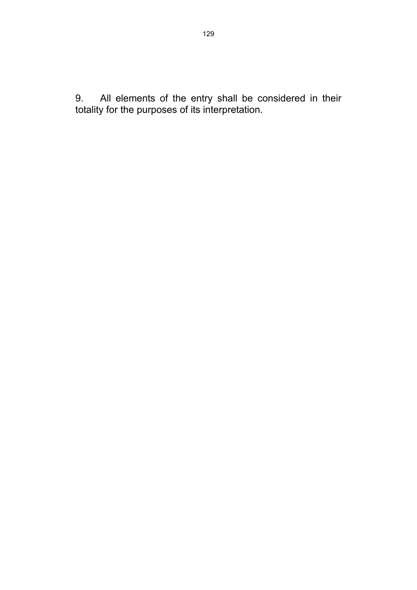9. All elements of the entry shall be considered in their totality for the purposes of its interpretation.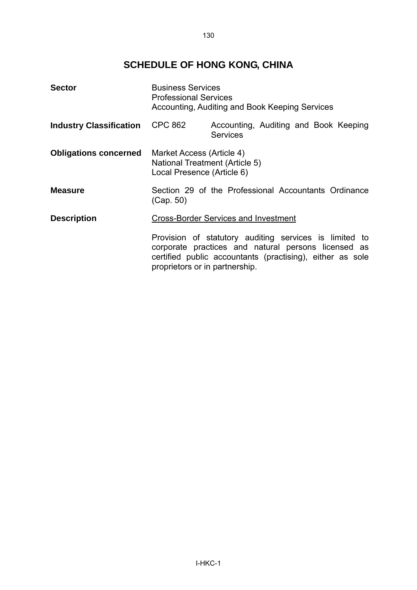130

# **SCHEDULE OF HONG KONG, CHINA**

| <b>Sector</b>                          | <b>Business Services</b><br><b>Professional Services</b>                                  | Accounting, Auditing and Book Keeping Services                                                                                                                             |
|----------------------------------------|-------------------------------------------------------------------------------------------|----------------------------------------------------------------------------------------------------------------------------------------------------------------------------|
| <b>Industry Classification</b> CPC 862 |                                                                                           | Accounting, Auditing and Book Keeping<br><b>Services</b>                                                                                                                   |
| <b>Obligations concerned</b>           | Market Access (Article 4)<br>National Treatment (Article 5)<br>Local Presence (Article 6) |                                                                                                                                                                            |
| <b>Measure</b>                         | (Cap. 50)                                                                                 | Section 29 of the Professional Accountants Ordinance                                                                                                                       |
| <b>Description</b>                     |                                                                                           | <b>Cross-Border Services and Investment</b>                                                                                                                                |
|                                        | proprietors or in partnership.                                                            | Provision of statutory auditing services is limited to<br>corporate practices and natural persons licensed as<br>certified public accountants (practising), either as sole |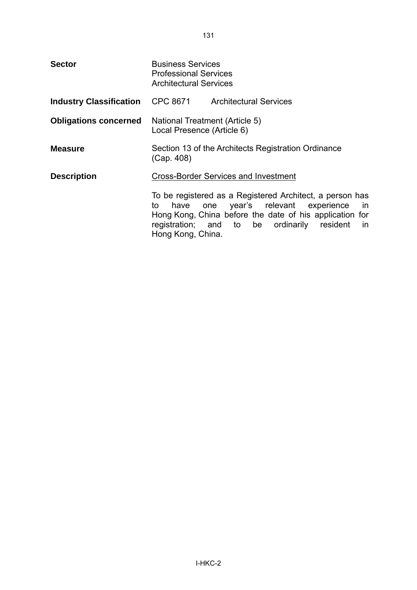| <b>Sector</b>                  | <b>Business Services</b><br><b>Professional Services</b><br><b>Architectural Services</b> |                                                                                                                                                                                                                  |
|--------------------------------|-------------------------------------------------------------------------------------------|------------------------------------------------------------------------------------------------------------------------------------------------------------------------------------------------------------------|
| <b>Industry Classification</b> |                                                                                           | CPC 8671 Architectural Services                                                                                                                                                                                  |
| <b>Obligations concerned</b>   | National Treatment (Article 5)<br>Local Presence (Article 6)                              |                                                                                                                                                                                                                  |
| <b>Measure</b>                 | (Cap. 408)                                                                                | Section 13 of the Architects Registration Ordinance                                                                                                                                                              |
| <b>Description</b>             |                                                                                           | <b>Cross-Border Services and Investment</b>                                                                                                                                                                      |
|                                | to<br>have<br>Hong Kong, China.                                                           | To be registered as a Registered Architect, a person has<br>one year's relevant experience<br>in<br>Hong Kong, China before the date of his application for<br>registration; and to be ordinarily resident<br>in |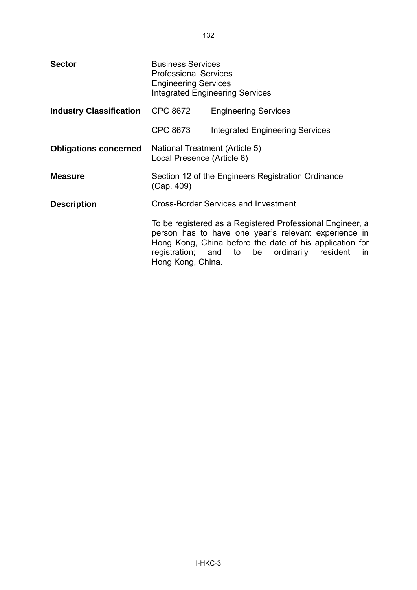| <b>Sector</b>                  | <b>Business Services</b><br><b>Professional Services</b><br><b>Engineering Services</b><br><b>Integrated Engineering Services</b> |                                                                                                                                                                                                                                   |
|--------------------------------|-----------------------------------------------------------------------------------------------------------------------------------|-----------------------------------------------------------------------------------------------------------------------------------------------------------------------------------------------------------------------------------|
| <b>Industry Classification</b> | <b>CPC 8672</b>                                                                                                                   | <b>Engineering Services</b>                                                                                                                                                                                                       |
|                                | CPC 8673                                                                                                                          | <b>Integrated Engineering Services</b>                                                                                                                                                                                            |
| <b>Obligations concerned</b>   | National Treatment (Article 5)<br>Local Presence (Article 6)                                                                      |                                                                                                                                                                                                                                   |
| <b>Measure</b>                 | (Cap. 409)                                                                                                                        | Section 12 of the Engineers Registration Ordinance                                                                                                                                                                                |
| <b>Description</b>             |                                                                                                                                   | <b>Cross-Border Services and Investment</b>                                                                                                                                                                                       |
|                                | Hong Kong, China.                                                                                                                 | To be registered as a Registered Professional Engineer, a<br>person has to have one year's relevant experience in<br>Hong Kong, China before the date of his application for<br>registration; and to be ordinarily resident<br>in |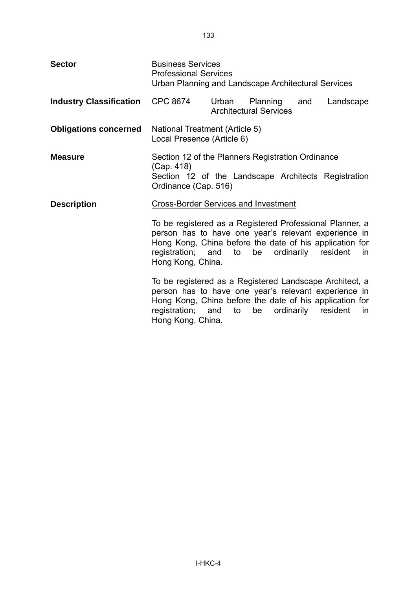| <b>Sector</b>                  | <b>Business Services</b><br><b>Professional Services</b><br>Urban Planning and Landscape Architectural Services                                                                                                                                                            |       |                                           |                     |           |
|--------------------------------|----------------------------------------------------------------------------------------------------------------------------------------------------------------------------------------------------------------------------------------------------------------------------|-------|-------------------------------------------|---------------------|-----------|
| <b>Industry Classification</b> | <b>CPC 8674</b>                                                                                                                                                                                                                                                            | Urban | Planning<br><b>Architectural Services</b> | and                 | Landscape |
| <b>Obligations concerned</b>   | National Treatment (Article 5)<br>Local Presence (Article 6)                                                                                                                                                                                                               |       |                                           |                     |           |
| <b>Measure</b>                 | Section 12 of the Planners Registration Ordinance<br>(Cap. 418)<br>Section 12 of the Landscape Architects Registration<br>Ordinance (Cap. 516)                                                                                                                             |       |                                           |                     |           |
| <b>Description</b>             | <b>Cross-Border Services and Investment</b><br>To be registered as a Registered Professional Planner, a<br>person has to have one year's relevant experience in<br>Hong Kong, China before the date of his application for<br>registration; and to be<br>Hong Kong, China. |       |                                           | ordinarily resident | in.       |
|                                | To be registered as a Registered Landscape Architect, a<br>person has to have one year's relevant experience in<br>Hong Kong, China before the date of his application for<br>registration; and<br>Hong Kong, China.                                                       | to    | be                                        | ordinarily resident | in.       |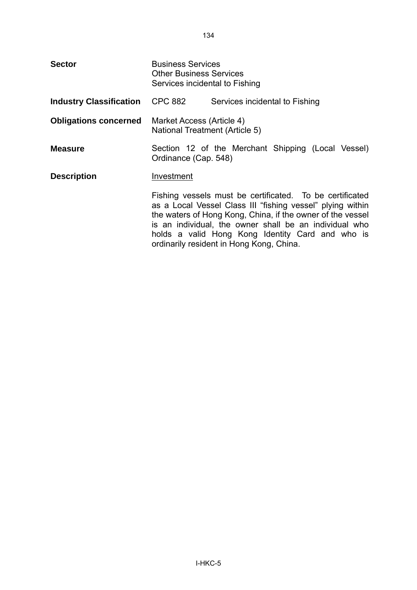| <b>Sector</b>                  | <b>Business Services</b><br><b>Other Business Services</b><br>Services incidental to Fishing |                                                                                                                                                                                                                                                                                                                                                |
|--------------------------------|----------------------------------------------------------------------------------------------|------------------------------------------------------------------------------------------------------------------------------------------------------------------------------------------------------------------------------------------------------------------------------------------------------------------------------------------------|
| <b>Industry Classification</b> | <b>CPC 882</b>                                                                               | Services incidental to Fishing                                                                                                                                                                                                                                                                                                                 |
| <b>Obligations concerned</b>   | Market Access (Article 4)<br>National Treatment (Article 5)                                  |                                                                                                                                                                                                                                                                                                                                                |
| <b>Measure</b>                 | Ordinance (Cap. 548)                                                                         | Section 12 of the Merchant Shipping (Local Vessel)                                                                                                                                                                                                                                                                                             |
| <b>Description</b>             | Investment                                                                                   |                                                                                                                                                                                                                                                                                                                                                |
|                                |                                                                                              | Fishing vessels must be certificated. To be certificated<br>as a Local Vessel Class III "fishing vessel" plying within<br>the waters of Hong Kong, China, if the owner of the vessel<br>is an individual, the owner shall be an individual who<br>holds a valid Hong Kong Identity Card and who is<br>ordinarily resident in Hong Kong, China. |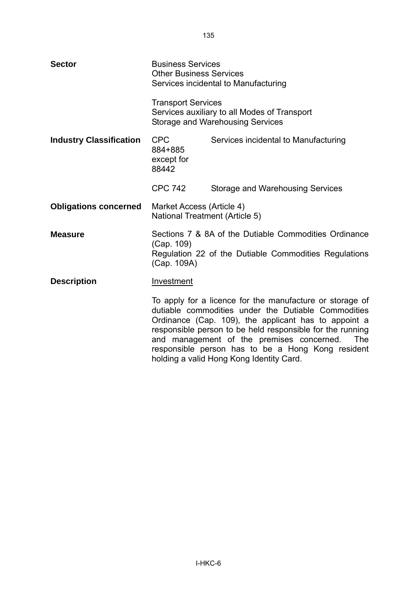| <b>Sector</b>                  | <b>Business Services</b><br><b>Other Business Services</b><br>Services incidental to Manufacturing                                                                                                                                                                                                                                                                                               |                                      |  |
|--------------------------------|--------------------------------------------------------------------------------------------------------------------------------------------------------------------------------------------------------------------------------------------------------------------------------------------------------------------------------------------------------------------------------------------------|--------------------------------------|--|
|                                | <b>Transport Services</b><br>Services auxiliary to all Modes of Transport<br><b>Storage and Warehousing Services</b>                                                                                                                                                                                                                                                                             |                                      |  |
| <b>Industry Classification</b> | <b>CPC</b><br>884+885<br>except for<br>88442                                                                                                                                                                                                                                                                                                                                                     | Services incidental to Manufacturing |  |
|                                | <b>CPC 742</b>                                                                                                                                                                                                                                                                                                                                                                                   | Storage and Warehousing Services     |  |
| <b>Obligations concerned</b>   | Market Access (Article 4)<br><b>National Treatment (Article 5)</b>                                                                                                                                                                                                                                                                                                                               |                                      |  |
| <b>Measure</b>                 | Sections 7 & 8A of the Dutiable Commodities Ordinance<br>(Cap. 109)<br>Regulation 22 of the Dutiable Commodities Regulations<br>(Cap. 109A)                                                                                                                                                                                                                                                      |                                      |  |
| <b>Description</b>             | Investment                                                                                                                                                                                                                                                                                                                                                                                       |                                      |  |
|                                | To apply for a licence for the manufacture or storage of<br>dutiable commodities under the Dutiable Commodities<br>Ordinance (Cap. 109), the applicant has to appoint a<br>responsible person to be held responsible for the running<br>and management of the premises concerned.<br><b>The</b><br>responsible person has to be a Hong Kong resident<br>holding a valid Hong Kong Identity Card. |                                      |  |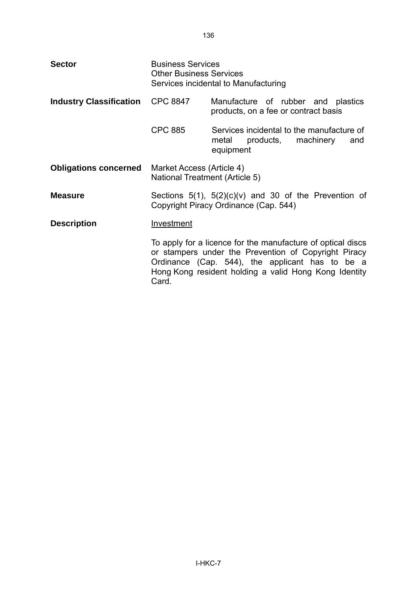| <b>Sector</b>                  | <b>Business Services</b><br><b>Other Business Services</b><br>Services incidental to Manufacturing |                                                                                                                                                                                                                                 |
|--------------------------------|----------------------------------------------------------------------------------------------------|---------------------------------------------------------------------------------------------------------------------------------------------------------------------------------------------------------------------------------|
| <b>Industry Classification</b> | <b>CPC 8847</b>                                                                                    | Manufacture of rubber and plastics<br>products, on a fee or contract basis                                                                                                                                                      |
|                                | <b>CPC 885</b>                                                                                     | Services incidental to the manufacture of<br>metal products, machinery<br>and<br>equipment                                                                                                                                      |
| <b>Obligations concerned</b>   | Market Access (Article 4)<br>National Treatment (Article 5)                                        |                                                                                                                                                                                                                                 |
| <b>Measure</b>                 |                                                                                                    | Sections $5(1)$ , $5(2)(c)(v)$ and 30 of the Prevention of<br>Copyright Piracy Ordinance (Cap. 544)                                                                                                                             |
| <b>Description</b>             | Investment                                                                                         |                                                                                                                                                                                                                                 |
|                                | Card.                                                                                              | To apply for a licence for the manufacture of optical discs<br>or stampers under the Prevention of Copyright Piracy<br>Ordinance (Cap. 544), the applicant has to be a<br>Hong Kong resident holding a valid Hong Kong Identity |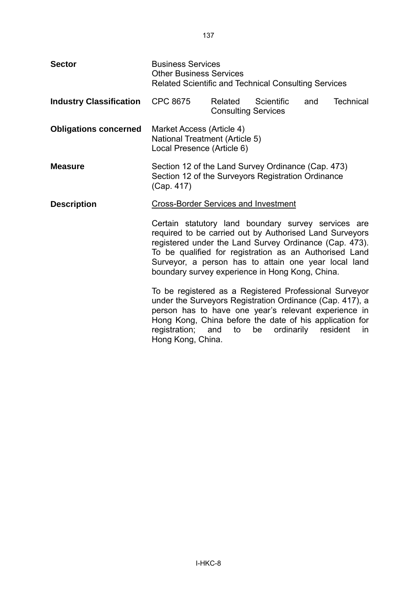| <b>Sector</b>                  | <b>Business Services</b><br><b>Other Business Services</b><br><b>Related Scientific and Technical Consulting Services</b>                                                                                                                                                                                                                     |                                       |                  |     |                  |
|--------------------------------|-----------------------------------------------------------------------------------------------------------------------------------------------------------------------------------------------------------------------------------------------------------------------------------------------------------------------------------------------|---------------------------------------|------------------|-----|------------------|
| <b>Industry Classification</b> | <b>CPC 8675</b>                                                                                                                                                                                                                                                                                                                               | Related<br><b>Consulting Services</b> | Scientific       | and | <b>Technical</b> |
| <b>Obligations concerned</b>   | Market Access (Article 4)<br>National Treatment (Article 5)<br>Local Presence (Article 6)                                                                                                                                                                                                                                                     |                                       |                  |     |                  |
| <b>Measure</b>                 | Section 12 of the Land Survey Ordinance (Cap. 473)<br>Section 12 of the Surveyors Registration Ordinance<br>(Cap. 417)                                                                                                                                                                                                                        |                                       |                  |     |                  |
| <b>Description</b>             | <b>Cross-Border Services and Investment</b>                                                                                                                                                                                                                                                                                                   |                                       |                  |     |                  |
|                                | Certain statutory land boundary survey services are<br>required to be carried out by Authorised Land Surveyors<br>registered under the Land Survey Ordinance (Cap. 473).<br>To be qualified for registration as an Authorised Land<br>Surveyor, a person has to attain one year local land<br>boundary survey experience in Hong Kong, China. |                                       |                  |     |                  |
|                                | To be registered as a Registered Professional Surveyor<br>under the Surveyors Registration Ordinance (Cap. 417), a<br>person has to have one year's relevant experience in<br>Hong Kong, China before the date of his application for<br>registration;<br>Hong Kong, China.                                                                   | and<br>to                             | ordinarily<br>be |     | resident<br>in   |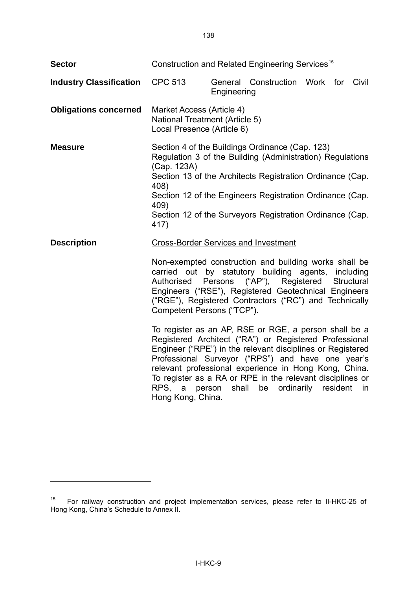<span id="page-140-0"></span>

| <b>Sector</b>                  | Construction and Related Engineering Services <sup>15</sup>                                                                                                                                                                                                                                                                                                                                                                                                                                                                                                                                                                                                                                                                       |             |                                                                 |  |  |    |
|--------------------------------|-----------------------------------------------------------------------------------------------------------------------------------------------------------------------------------------------------------------------------------------------------------------------------------------------------------------------------------------------------------------------------------------------------------------------------------------------------------------------------------------------------------------------------------------------------------------------------------------------------------------------------------------------------------------------------------------------------------------------------------|-------------|-----------------------------------------------------------------|--|--|----|
| <b>Industry Classification</b> | <b>CPC 513</b>                                                                                                                                                                                                                                                                                                                                                                                                                                                                                                                                                                                                                                                                                                                    | Engineering | General Construction Work for Civil                             |  |  |    |
| <b>Obligations concerned</b>   | Market Access (Article 4)<br><b>National Treatment (Article 5)</b><br>Local Presence (Article 6)                                                                                                                                                                                                                                                                                                                                                                                                                                                                                                                                                                                                                                  |             |                                                                 |  |  |    |
| <b>Measure</b>                 | Section 4 of the Buildings Ordinance (Cap. 123)<br>Regulation 3 of the Building (Administration) Regulations<br>(Cap. 123A)<br>Section 13 of the Architects Registration Ordinance (Cap.<br>408)<br>Section 12 of the Engineers Registration Ordinance (Cap.<br>409)<br>Section 12 of the Surveyors Registration Ordinance (Cap.<br>417)                                                                                                                                                                                                                                                                                                                                                                                          |             |                                                                 |  |  |    |
| <b>Description</b>             | <b>Cross-Border Services and Investment</b><br>Non-exempted construction and building works shall be<br>carried out by statutory building agents, including<br>Authorised<br>Engineers ("RSE"), Registered Geotechnical Engineers<br>("RGE"), Registered Contractors ("RC") and Technically<br>Competent Persons ("TCP").<br>To register as an AP, RSE or RGE, a person shall be a<br>Registered Architect ("RA") or Registered Professional<br>Engineer ("RPE") in the relevant disciplines or Registered<br>Professional Surveyor ("RPS") and have one year's<br>relevant professional experience in Hong Kong, China.<br>To register as a RA or RPE in the relevant disciplines or<br>RPS, a person shall<br>Hong Kong, China. |             | Persons ("AP"), Registered Structural<br>be ordinarily resident |  |  | in |

-

 $15$  For railway construction and project implementation services, please refer to II-HKC-25 of Hong Kong, China's Schedule to Annex II.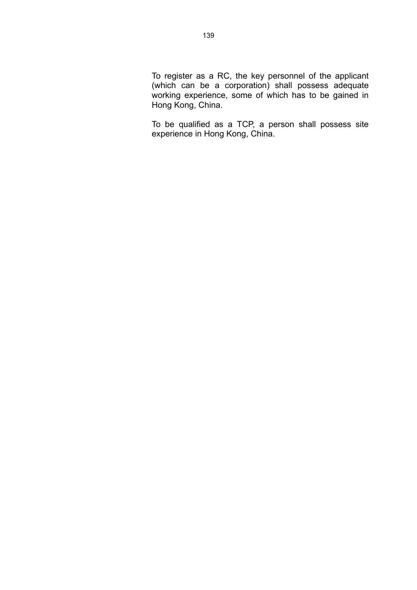To register as a RC, the key personnel of the applicant (which can be a corporation) shall possess adequate working experience, some of which has to be gained in Hong Kong, China.

To be qualified as a TCP, a person shall possess site experience in Hong Kong, China.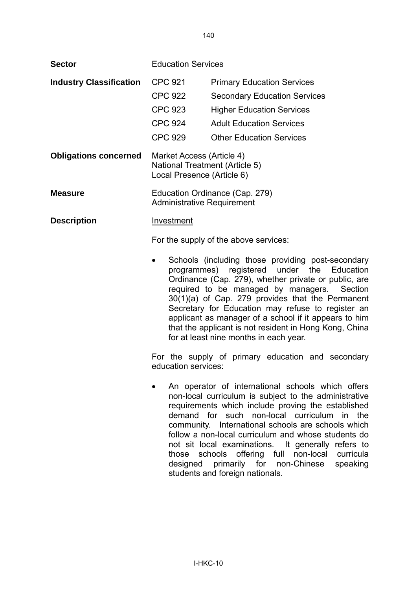| <b>Sector</b>                  | <b>Education Services</b>                                                                 |                                                                                                                                                                                                                                                                                                                                                                                                                                                                                    |
|--------------------------------|-------------------------------------------------------------------------------------------|------------------------------------------------------------------------------------------------------------------------------------------------------------------------------------------------------------------------------------------------------------------------------------------------------------------------------------------------------------------------------------------------------------------------------------------------------------------------------------|
| <b>Industry Classification</b> | <b>CPC 921</b><br><b>CPC 922</b><br><b>CPC 923</b><br><b>CPC 924</b><br><b>CPC 929</b>    | <b>Primary Education Services</b><br><b>Secondary Education Services</b><br><b>Higher Education Services</b><br><b>Adult Education Services</b><br><b>Other Education Services</b>                                                                                                                                                                                                                                                                                                 |
| <b>Obligations concerned</b>   | Market Access (Article 4)<br>National Treatment (Article 5)<br>Local Presence (Article 6) |                                                                                                                                                                                                                                                                                                                                                                                                                                                                                    |
| <b>Measure</b>                 | <b>Administrative Requirement</b>                                                         | Education Ordinance (Cap. 279)                                                                                                                                                                                                                                                                                                                                                                                                                                                     |
| <b>Description</b>             | Investment                                                                                |                                                                                                                                                                                                                                                                                                                                                                                                                                                                                    |
|                                |                                                                                           | For the supply of the above services:                                                                                                                                                                                                                                                                                                                                                                                                                                              |
|                                | $\bullet$                                                                                 | Schools (including those providing post-secondary<br>programmes) registered under the<br>Education<br>Ordinance (Cap. 279), whether private or public, are<br>required to be managed by managers.<br>Section<br>30(1)(a) of Cap. 279 provides that the Permanent<br>Secretary for Education may refuse to register an<br>applicant as manager of a school if it appears to him<br>that the applicant is not resident in Hong Kong, China<br>for at least nine months in each year. |
|                                | education services:                                                                       | For the supply of primary education and secondary                                                                                                                                                                                                                                                                                                                                                                                                                                  |
|                                | those                                                                                     | An operator of international schools which offers<br>non-local curriculum is subject to the administrative<br>requirements which include proving the established<br>demand for such non-local curriculum in the<br>community. International schools are schools which<br>follow a non-local curriculum and whose students do<br>not sit local examinations.<br>It generally refers to<br>schools offering full non-local curricula                                                 |

students and foreign nationals.

designed primarily for non-Chinese speaking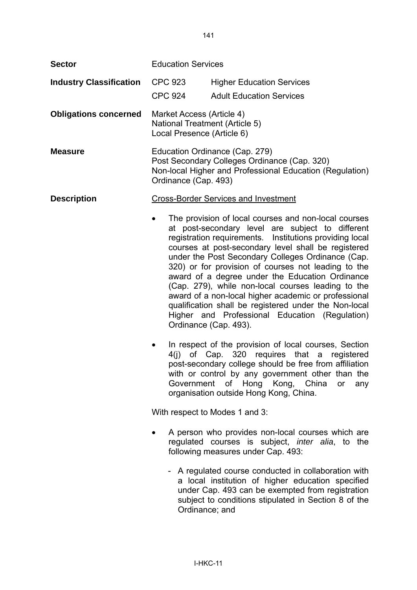| <b>Sector</b>                  | <b>Education Services</b>                                                                                                                                                                                                                                                                                                                                                                                                                                                                                                                                                                                                                                                                                                                                                                                                                                                                                                                                                                                              |                                                                                                                                                                                                                                         |
|--------------------------------|------------------------------------------------------------------------------------------------------------------------------------------------------------------------------------------------------------------------------------------------------------------------------------------------------------------------------------------------------------------------------------------------------------------------------------------------------------------------------------------------------------------------------------------------------------------------------------------------------------------------------------------------------------------------------------------------------------------------------------------------------------------------------------------------------------------------------------------------------------------------------------------------------------------------------------------------------------------------------------------------------------------------|-----------------------------------------------------------------------------------------------------------------------------------------------------------------------------------------------------------------------------------------|
| <b>Industry Classification</b> | <b>CPC 923</b>                                                                                                                                                                                                                                                                                                                                                                                                                                                                                                                                                                                                                                                                                                                                                                                                                                                                                                                                                                                                         | <b>Higher Education Services</b>                                                                                                                                                                                                        |
|                                | <b>CPC 924</b>                                                                                                                                                                                                                                                                                                                                                                                                                                                                                                                                                                                                                                                                                                                                                                                                                                                                                                                                                                                                         | <b>Adult Education Services</b>                                                                                                                                                                                                         |
| <b>Obligations concerned</b>   | Market Access (Article 4)<br>Local Presence (Article 6)                                                                                                                                                                                                                                                                                                                                                                                                                                                                                                                                                                                                                                                                                                                                                                                                                                                                                                                                                                | National Treatment (Article 5)                                                                                                                                                                                                          |
| <b>Measure</b>                 | Education Ordinance (Cap. 279)<br>Post Secondary Colleges Ordinance (Cap. 320)<br>Non-local Higher and Professional Education (Regulation)<br>Ordinance (Cap. 493)                                                                                                                                                                                                                                                                                                                                                                                                                                                                                                                                                                                                                                                                                                                                                                                                                                                     |                                                                                                                                                                                                                                         |
| <b>Description</b>             | <b>Cross-Border Services and Investment</b><br>The provision of local courses and non-local courses<br>$\bullet$<br>at post-secondary level are subject to different<br>registration requirements. Institutions providing local<br>courses at post-secondary level shall be registered<br>under the Post Secondary Colleges Ordinance (Cap.<br>320) or for provision of courses not leading to the<br>award of a degree under the Education Ordinance<br>(Cap. 279), while non-local courses leading to the<br>award of a non-local higher academic or professional<br>qualification shall be registered under the Non-local<br>Higher and Professional Education (Regulation)<br>Ordinance (Cap. 493).<br>In respect of the provision of local courses, Section<br>4(i) of Cap. 320 requires that a registered<br>post-secondary college should be free from affiliation<br>with or control by any government other than the<br>Government of Hong Kong, China<br>or<br>any<br>organisation outside Hong Kong, China. |                                                                                                                                                                                                                                         |
|                                |                                                                                                                                                                                                                                                                                                                                                                                                                                                                                                                                                                                                                                                                                                                                                                                                                                                                                                                                                                                                                        |                                                                                                                                                                                                                                         |
|                                |                                                                                                                                                                                                                                                                                                                                                                                                                                                                                                                                                                                                                                                                                                                                                                                                                                                                                                                                                                                                                        |                                                                                                                                                                                                                                         |
|                                |                                                                                                                                                                                                                                                                                                                                                                                                                                                                                                                                                                                                                                                                                                                                                                                                                                                                                                                                                                                                                        | With respect to Modes 1 and 3:                                                                                                                                                                                                          |
|                                | A person who provides non-local courses which are<br>regulated courses is subject, <i>inter alia</i> , to the<br>following measures under Cap. 493:                                                                                                                                                                                                                                                                                                                                                                                                                                                                                                                                                                                                                                                                                                                                                                                                                                                                    |                                                                                                                                                                                                                                         |
|                                |                                                                                                                                                                                                                                                                                                                                                                                                                                                                                                                                                                                                                                                                                                                                                                                                                                                                                                                                                                                                                        | - A regulated course conducted in collaboration with<br>a local institution of higher education specified<br>under Cap. 493 can be exempted from registration<br>subject to conditions stipulated in Section 8 of the<br>Ordinance; and |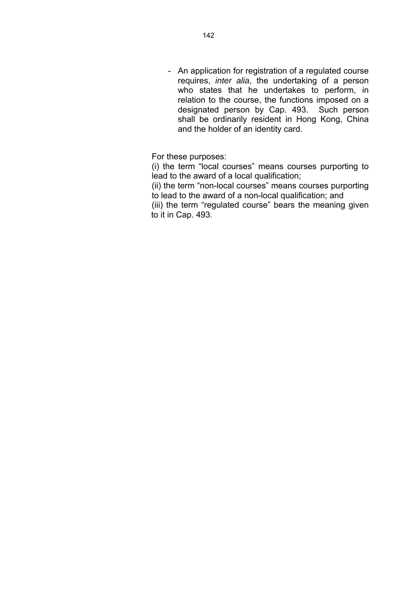- An application for registration of a regulated course requires, *inter alia*, the undertaking of a person who states that he undertakes to perform, in relation to the course, the functions imposed on a designated person by Cap. 493. Such person shall be ordinarily resident in Hong Kong, China and the holder of an identity card.

For these purposes:

(i) the term "local courses" means courses purporting to lead to the award of a local qualification;

(ii) the term "non-local courses" means courses purporting to lead to the award of a non-local qualification; and

(iii) the term "regulated course" bears the meaning given to it in Cap. 493.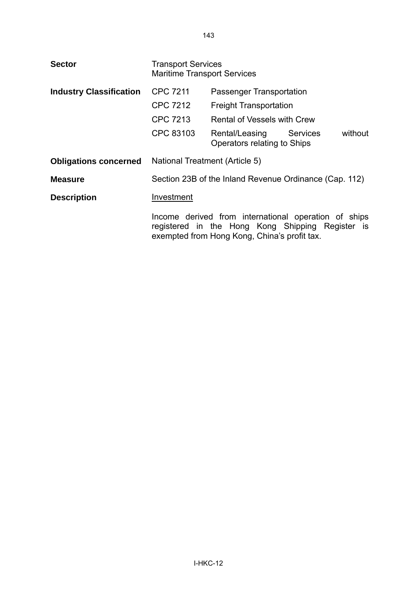| <b>Sector</b>                  | <b>Transport Services</b><br><b>Maritime Transport Services</b> |                                                                                                                                                          |          |         |
|--------------------------------|-----------------------------------------------------------------|----------------------------------------------------------------------------------------------------------------------------------------------------------|----------|---------|
| <b>Industry Classification</b> | <b>CPC 7211</b>                                                 | Passenger Transportation                                                                                                                                 |          |         |
|                                | CPC 7212                                                        | <b>Freight Transportation</b>                                                                                                                            |          |         |
|                                | <b>CPC 7213</b>                                                 | <b>Rental of Vessels with Crew</b>                                                                                                                       |          |         |
|                                | CPC 83103                                                       | Rental/Leasing<br>Operators relating to Ships                                                                                                            | Services | without |
| <b>Obligations concerned</b>   | <b>National Treatment (Article 5)</b>                           |                                                                                                                                                          |          |         |
| <b>Measure</b>                 | Section 23B of the Inland Revenue Ordinance (Cap. 112)          |                                                                                                                                                          |          |         |
| <b>Description</b>             | Investment                                                      |                                                                                                                                                          |          |         |
|                                |                                                                 | Income derived from international operation of ships<br>registered in the Hong Kong Shipping Register is<br>exempted from Hong Kong, China's profit tax. |          |         |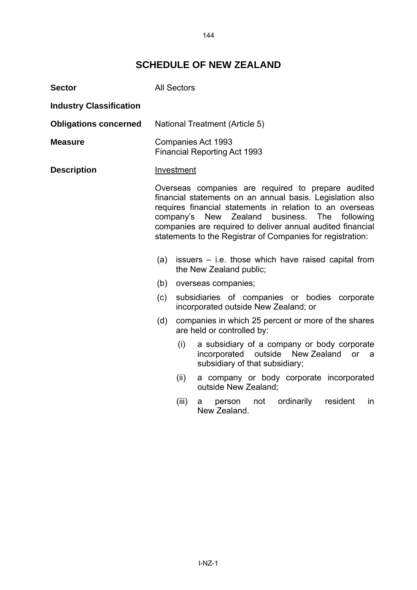## **SCHEDULE OF NEW ZEALAND**

| <b>Sector</b>                  | <b>All Sectors</b>                                                                                                                                                                                                                                                                                                                                                                                                        |  |  |
|--------------------------------|---------------------------------------------------------------------------------------------------------------------------------------------------------------------------------------------------------------------------------------------------------------------------------------------------------------------------------------------------------------------------------------------------------------------------|--|--|
| <b>Industry Classification</b> |                                                                                                                                                                                                                                                                                                                                                                                                                           |  |  |
| <b>Obligations concerned</b>   | National Treatment (Article 5)                                                                                                                                                                                                                                                                                                                                                                                            |  |  |
| <b>Measure</b>                 | Companies Act 1993<br><b>Financial Reporting Act 1993</b>                                                                                                                                                                                                                                                                                                                                                                 |  |  |
| <b>Description</b>             | Investment                                                                                                                                                                                                                                                                                                                                                                                                                |  |  |
|                                | Overseas companies are required to prepare audited<br>financial statements on an annual basis. Legislation also<br>requires financial statements in relation to an overseas<br>company's New Zealand business. The<br>following<br>companies are required to deliver annual audited financial<br>statements to the Registrar of Companies for registration:<br>issuers – i.e. those which have raised capital from<br>(a) |  |  |
|                                | the New Zealand public;<br>(b)<br>overseas companies;                                                                                                                                                                                                                                                                                                                                                                     |  |  |
|                                | subsidiaries of companies or bodies corporate<br>(c)<br>incorporated outside New Zealand; or                                                                                                                                                                                                                                                                                                                              |  |  |
|                                | (d)<br>companies in which 25 percent or more of the shares<br>are held or controlled by:                                                                                                                                                                                                                                                                                                                                  |  |  |
|                                | (i)<br>a subsidiary of a company or body corporate<br>incorporated outside New Zealand<br>or a<br>subsidiary of that subsidiary;                                                                                                                                                                                                                                                                                          |  |  |
|                                | (ii)<br>a company or body corporate incorporated<br>outside New Zealand;                                                                                                                                                                                                                                                                                                                                                  |  |  |
|                                | ordinarily<br>resident<br>(iii)<br>person<br>not<br>in<br>a<br>New Zealand.                                                                                                                                                                                                                                                                                                                                               |  |  |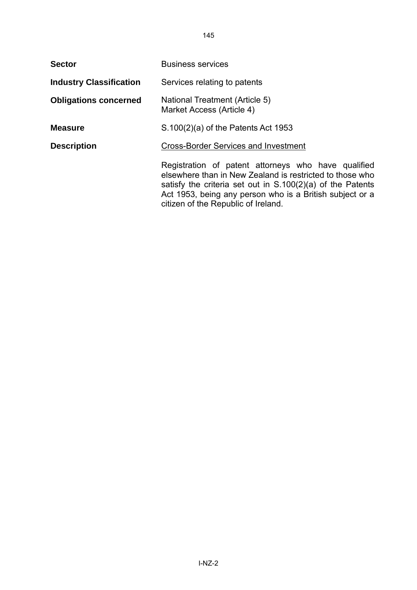| <b>Sector</b>                  | <b>Business services</b>                                                                                                                                                                                                                                                           |
|--------------------------------|------------------------------------------------------------------------------------------------------------------------------------------------------------------------------------------------------------------------------------------------------------------------------------|
| <b>Industry Classification</b> | Services relating to patents                                                                                                                                                                                                                                                       |
| <b>Obligations concerned</b>   | National Treatment (Article 5)<br>Market Access (Article 4)                                                                                                                                                                                                                        |
| <b>Measure</b>                 | $S.100(2)(a)$ of the Patents Act 1953                                                                                                                                                                                                                                              |
| <b>Description</b>             | <b>Cross-Border Services and Investment</b>                                                                                                                                                                                                                                        |
|                                | Registration of patent attorneys who have qualified<br>elsewhere than in New Zealand is restricted to those who<br>satisfy the criteria set out in $S.100(2)(a)$ of the Patents<br>Act 1953, being any person who is a British subject or a<br>citizen of the Republic of Ireland. |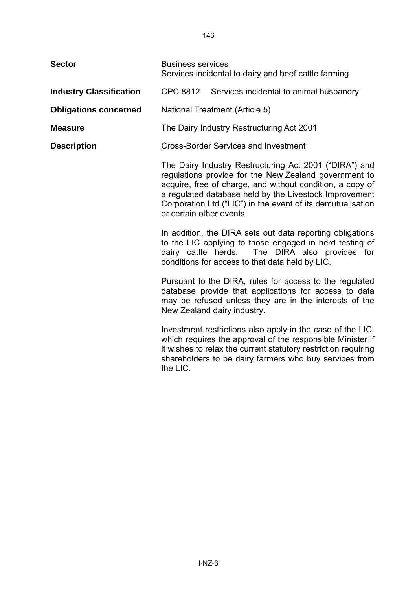**Sector Business services** Services incidental to dairy and beef cattle farming **Industry Classification** CPC 8812 Services incidental to animal husbandry **Obligations concerned** National Treatment (Article 5) **Measure** The Dairy Industry Restructuring Act 2001 **Description** Cross-Border Services and Investment The Dairy Industry Restructuring Act 2001 ("DIRA") and regulations provide for the New Zealand government to acquire, free of charge, and without condition, a copy of a regulated database held by the Livestock Improvement Corporation Ltd ("LIC") in the event of its demutualisation or certain other events. In addition, the DIRA sets out data reporting obligations to the LIC applying to those engaged in herd testing of dairy cattle herds. The DIRA also provides for conditions for access to that data held by LIC. Pursuant to the DIRA, rules for access to the regulated database provide that applications for access to data may be refused unless they are in the interests of the New Zealand dairy industry.

Investment restrictions also apply in the case of the LIC, which requires the approval of the responsible Minister if it wishes to relax the current statutory restriction requiring shareholders to be dairy farmers who buy services from the LIC.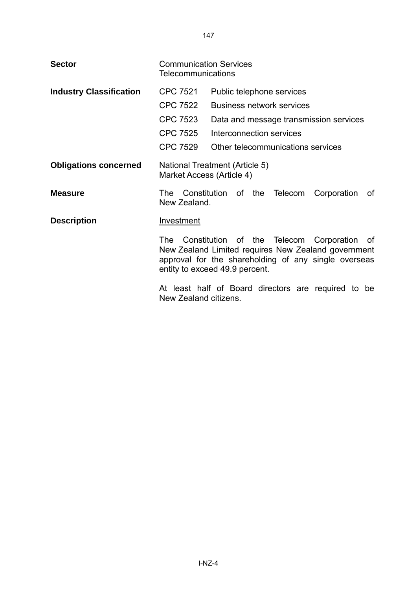| <b>Sector</b>                  | <b>Communication Services</b><br><b>Telecommunications</b>  |                                                                                                                                                                                                |  |
|--------------------------------|-------------------------------------------------------------|------------------------------------------------------------------------------------------------------------------------------------------------------------------------------------------------|--|
| <b>Industry Classification</b> | <b>CPC 7521</b><br>Public telephone services                |                                                                                                                                                                                                |  |
|                                | <b>CPC 7522</b>                                             | <b>Business network services</b>                                                                                                                                                               |  |
|                                | CPC 7523                                                    | Data and message transmission services                                                                                                                                                         |  |
|                                | <b>CPC 7525</b>                                             | Interconnection services                                                                                                                                                                       |  |
|                                | <b>CPC 7529</b>                                             | Other telecommunications services                                                                                                                                                              |  |
| <b>Obligations concerned</b>   | National Treatment (Article 5)<br>Market Access (Article 4) |                                                                                                                                                                                                |  |
| <b>Measure</b>                 | New Zealand.                                                | The Constitution of the Telecom<br>Corporation<br>0f                                                                                                                                           |  |
| <b>Description</b>             | <b>Investment</b>                                           |                                                                                                                                                                                                |  |
|                                | The                                                         | Constitution of the Telecom Corporation<br>of<br>New Zealand Limited requires New Zealand government<br>approval for the shareholding of any single overseas<br>entity to exceed 49.9 percent. |  |
|                                | New Zealand citizens.                                       | At least half of Board directors are required to be                                                                                                                                            |  |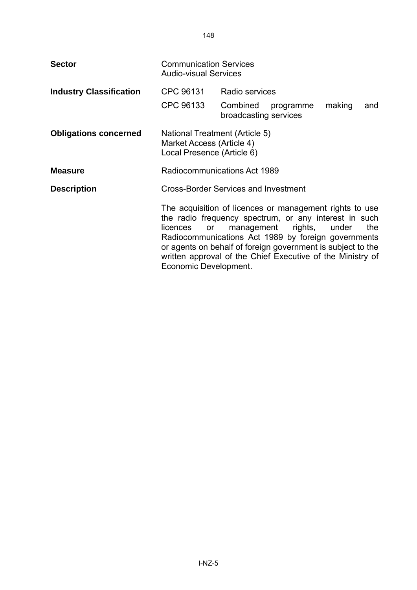| <b>Sector</b>                  | <b>Communication Services</b><br><b>Audio-visual Services</b>                                                                                                                                                                                                                                                                                   |                                   |                    |        |     |
|--------------------------------|-------------------------------------------------------------------------------------------------------------------------------------------------------------------------------------------------------------------------------------------------------------------------------------------------------------------------------------------------|-----------------------------------|--------------------|--------|-----|
| <b>Industry Classification</b> | CPC 96131                                                                                                                                                                                                                                                                                                                                       | Radio services                    |                    |        |     |
|                                | CPC 96133                                                                                                                                                                                                                                                                                                                                       | Combined<br>broadcasting services | programme          | making | and |
| <b>Obligations concerned</b>   | National Treatment (Article 5)<br>Market Access (Article 4)<br>Local Presence (Article 6)                                                                                                                                                                                                                                                       |                                   |                    |        |     |
| <b>Measure</b>                 | Radiocommunications Act 1989                                                                                                                                                                                                                                                                                                                    |                                   |                    |        |     |
| <b>Description</b>             | <b>Cross-Border Services and Investment</b>                                                                                                                                                                                                                                                                                                     |                                   |                    |        |     |
|                                | The acquisition of licences or management rights to use<br>the radio frequency spectrum, or any interest in such<br>licences<br>or<br>Radiocommunications Act 1989 by foreign governments<br>or agents on behalf of foreign government is subject to the<br>written approval of the Chief Executive of the Ministry of<br>Economic Development. |                                   | management rights, | under  | the |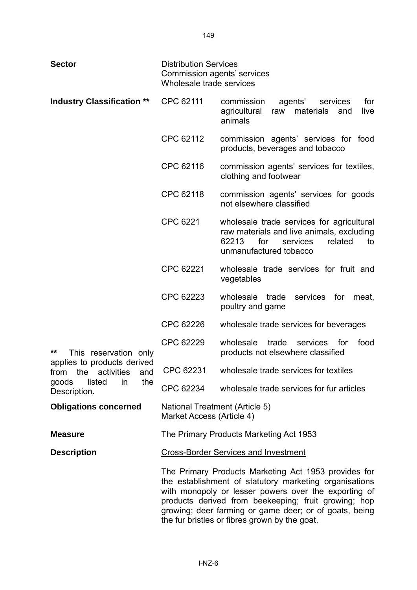| <b>Sector</b>                                                   | <b>Distribution Services</b><br>Commission agents' services<br>Wholesale trade services |                                                                                                                                                                                                                                                                                                                                           |
|-----------------------------------------------------------------|-----------------------------------------------------------------------------------------|-------------------------------------------------------------------------------------------------------------------------------------------------------------------------------------------------------------------------------------------------------------------------------------------------------------------------------------------|
| <b>Industry Classification **</b>                               | CPC 62111                                                                               | commission<br>for<br>agents'<br>services<br>agricultural<br>materials<br>and<br>live<br>raw<br>animals                                                                                                                                                                                                                                    |
|                                                                 | CPC 62112                                                                               | commission agents' services for food<br>products, beverages and tobacco                                                                                                                                                                                                                                                                   |
|                                                                 | CPC 62116                                                                               | commission agents' services for textiles,<br>clothing and footwear                                                                                                                                                                                                                                                                        |
|                                                                 | CPC 62118                                                                               | commission agents' services for goods<br>not elsewhere classified                                                                                                                                                                                                                                                                         |
|                                                                 | CPC 6221                                                                                | wholesale trade services for agricultural<br>raw materials and live animals, excluding<br>62213<br>for<br>services<br>related<br>to<br>unmanufactured tobacco                                                                                                                                                                             |
|                                                                 | CPC 62221                                                                               | wholesale trade services for fruit and<br>vegetables                                                                                                                                                                                                                                                                                      |
|                                                                 | CPC 62223                                                                               | wholesale<br>trade<br>services<br>for<br>meat,<br>poultry and game                                                                                                                                                                                                                                                                        |
|                                                                 | CPC 62226                                                                               | wholesale trade services for beverages                                                                                                                                                                                                                                                                                                    |
| **<br>This reservation only                                     | CPC 62229                                                                               | wholesale<br>trade<br>services<br>food<br>for<br>products not elsewhere classified                                                                                                                                                                                                                                                        |
| applies to products derived<br>activities<br>the<br>from<br>and | CPC 62231                                                                               | wholesale trade services for textiles                                                                                                                                                                                                                                                                                                     |
| listed<br>the<br>goods<br>in<br>Description.                    | CPC 62234                                                                               | wholesale trade services for fur articles                                                                                                                                                                                                                                                                                                 |
| <b>Obligations concerned</b>                                    | <b>National Treatment (Article 5)</b><br>Market Access (Article 4)                      |                                                                                                                                                                                                                                                                                                                                           |
| <b>Measure</b>                                                  | The Primary Products Marketing Act 1953                                                 |                                                                                                                                                                                                                                                                                                                                           |
| <b>Description</b>                                              |                                                                                         | <b>Cross-Border Services and Investment</b>                                                                                                                                                                                                                                                                                               |
|                                                                 |                                                                                         | The Primary Products Marketing Act 1953 provides for<br>the establishment of statutory marketing organisations<br>with monopoly or lesser powers over the exporting of<br>products derived from beekeeping; fruit growing; hop<br>growing; deer farming or game deer; or of goats, being<br>the fur bristles or fibres grown by the goat. |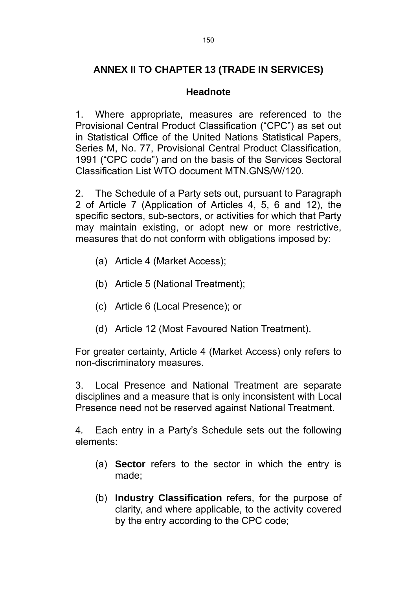## **ANNEX II TO CHAPTER 13 (TRADE IN SERVICES)**

## **Headnote**

1. Where appropriate, measures are referenced to the Provisional Central Product Classification ("CPC") as set out in Statistical Office of the United Nations Statistical Papers, Series M, No. 77, Provisional Central Product Classification, 1991 ("CPC code") and on the basis of the Services Sectoral Classification List WTO document MTN.GNS/W/120.

2. The Schedule of a Party sets out, pursuant to Paragraph 2 of Article 7 (Application of Articles 4, 5, 6 and 12), the specific sectors, sub-sectors, or activities for which that Party may maintain existing, or adopt new or more restrictive, measures that do not conform with obligations imposed by:

- (a) Article 4 (Market Access);
- (b) Article 5 (National Treatment);
- (c) Article 6 (Local Presence); or
- (d) Article 12 (Most Favoured Nation Treatment).

For greater certainty, Article 4 (Market Access) only refers to non-discriminatory measures.

3. Local Presence and National Treatment are separate disciplines and a measure that is only inconsistent with Local Presence need not be reserved against National Treatment.

4*.* Each entry in a Party's Schedule sets out the following elements:

- (a) **Sector** refers to the sector in which the entry is made;
- (b) **Industry Classification** refers, for the purpose of clarity, and where applicable, to the activity covered by the entry according to the CPC code;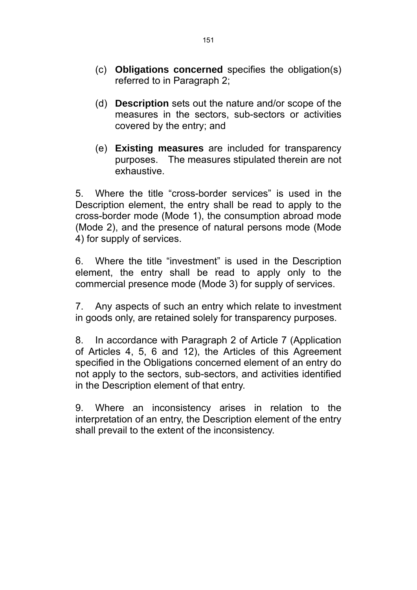- (c) **Obligations concerned** specifies the obligation(s) referred to in Paragraph 2;
- (d) **Description** sets out the nature and/or scope of the measures in the sectors, sub-sectors or activities covered by the entry; and
- (e) **Existing measures** are included for transparency purposes. The measures stipulated therein are not exhaustive.

5. Where the title "cross-border services" is used in the Description element, the entry shall be read to apply to the cross-border mode (Mode 1), the consumption abroad mode (Mode 2), and the presence of natural persons mode (Mode 4) for supply of services.

6. Where the title "investment" is used in the Description element, the entry shall be read to apply only to the commercial presence mode (Mode 3) for supply of services.

7. Any aspects of such an entry which relate to investment in goods only, are retained solely for transparency purposes.

8. In accordance with Paragraph 2 of Article 7 (Application of Articles 4, 5, 6 and 12), the Articles of this Agreement specified in the Obligations concerned element of an entry do not apply to the sectors, sub-sectors, and activities identified in the Description element of that entry.

9. Where an inconsistency arises in relation to the interpretation of an entry, the Description element of the entry shall prevail to the extent of the inconsistency.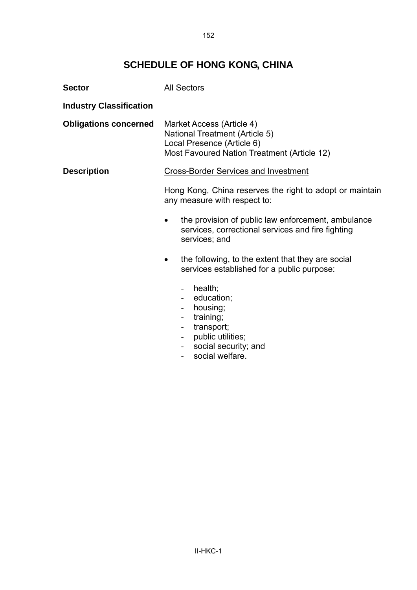## **SCHEDULE OF HONG KONG, CHINA**

| <b>Sector</b>                  | <b>All Sectors</b>                                                                                                                                        |  |  |
|--------------------------------|-----------------------------------------------------------------------------------------------------------------------------------------------------------|--|--|
| <b>Industry Classification</b> |                                                                                                                                                           |  |  |
| <b>Obligations concerned</b>   | Market Access (Article 4)<br>National Treatment (Article 5)<br>Local Presence (Article 6)<br>Most Favoured Nation Treatment (Article 12)                  |  |  |
| <b>Description</b>             | <b>Cross-Border Services and Investment</b>                                                                                                               |  |  |
|                                | Hong Kong, China reserves the right to adopt or maintain<br>any measure with respect to:                                                                  |  |  |
|                                | the provision of public law enforcement, ambulance<br>$\bullet$<br>services, correctional services and fire fighting<br>services; and                     |  |  |
|                                | the following, to the extent that they are social<br>٠<br>services established for a public purpose:                                                      |  |  |
|                                | health;<br>education;<br>$\sim$ 100 $\pm$<br>housing;<br>$\overline{\phantom{0}}$<br>training;<br>transport;<br>public utilities;<br>anojal anouritur and |  |  |

- social security; and
- social welfare.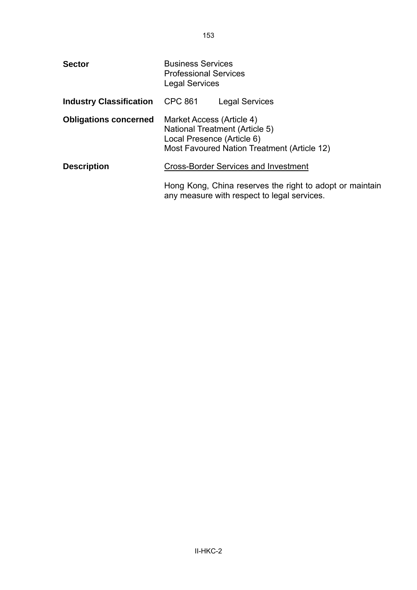| <b>Sector</b>                  | <b>Business Services</b><br><b>Professional Services</b><br><b>Legal Services</b> |                                                                                                         |
|--------------------------------|-----------------------------------------------------------------------------------|---------------------------------------------------------------------------------------------------------|
| <b>Industry Classification</b> | <b>CPC 861</b>                                                                    | <b>Legal Services</b>                                                                                   |
| <b>Obligations concerned</b>   | Market Access (Article 4)<br>Local Presence (Article 6)                           | National Treatment (Article 5)<br>Most Favoured Nation Treatment (Article 12)                           |
| <b>Description</b>             |                                                                                   | <b>Cross-Border Services and Investment</b>                                                             |
|                                |                                                                                   | Hong Kong, China reserves the right to adopt or maintain<br>any measure with respect to legal services. |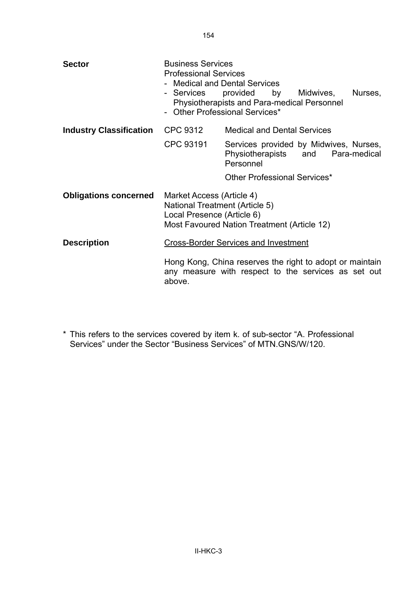| <b>Sector</b>                  | <b>Business Services</b><br><b>Professional Services</b><br>- Services                                                                   | <b>Medical and Dental Services</b><br>Nurses,<br>provided<br>by<br>Midwives,<br>Physiotherapists and Para-medical Personnel<br>- Other Professional Services* |
|--------------------------------|------------------------------------------------------------------------------------------------------------------------------------------|---------------------------------------------------------------------------------------------------------------------------------------------------------------|
| <b>Industry Classification</b> | CPC 9312                                                                                                                                 | <b>Medical and Dental Services</b>                                                                                                                            |
|                                | CPC 93191                                                                                                                                | Services provided by Midwives, Nurses,<br>Physiotherapists and<br>Para-medical<br>Personnel                                                                   |
|                                |                                                                                                                                          | Other Professional Services*                                                                                                                                  |
| <b>Obligations concerned</b>   | Market Access (Article 4)<br>National Treatment (Article 5)<br>Local Presence (Article 6)<br>Most Favoured Nation Treatment (Article 12) |                                                                                                                                                               |
| <b>Description</b>             |                                                                                                                                          | <b>Cross-Border Services and Investment</b>                                                                                                                   |
|                                | above.                                                                                                                                   | Hong Kong, China reserves the right to adopt or maintain<br>any measure with respect to the services as set out                                               |

\* This refers to the services covered by item k. of sub-sector "A. Professional Services" under the Sector "Business Services" of MTN.GNS/W/120.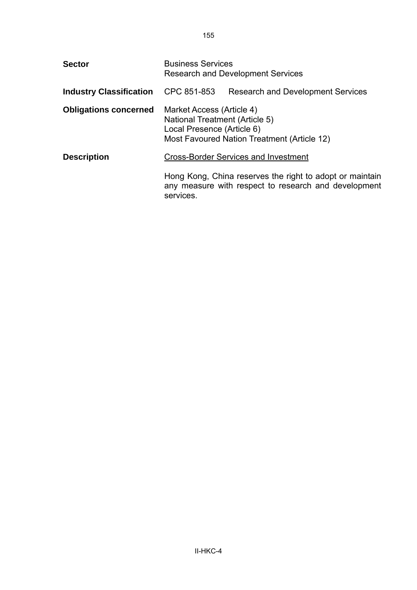| <b>Sector</b>                  | <b>Business Services</b><br><b>Research and Development Services</b>                      |                                                                                                                  |
|--------------------------------|-------------------------------------------------------------------------------------------|------------------------------------------------------------------------------------------------------------------|
| <b>Industry Classification</b> | CPC 851-853                                                                               | <b>Research and Development Services</b>                                                                         |
| <b>Obligations concerned</b>   | Market Access (Article 4)<br>National Treatment (Article 5)<br>Local Presence (Article 6) | Most Favoured Nation Treatment (Article 12)                                                                      |
| <b>Description</b>             |                                                                                           | <b>Cross-Border Services and Investment</b>                                                                      |
|                                | services.                                                                                 | Hong Kong, China reserves the right to adopt or maintain<br>any measure with respect to research and development |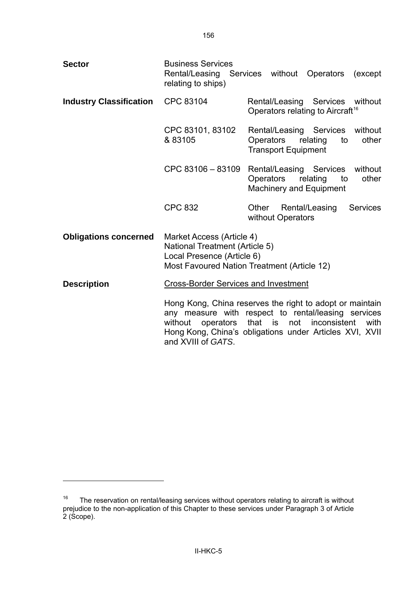<span id="page-158-0"></span>

| <b>Sector</b>                  | <b>Business Services</b><br>relating to ships)                                                                                           | Rental/Leasing Services without Operators<br>(except)                                                                                                                                                                            |
|--------------------------------|------------------------------------------------------------------------------------------------------------------------------------------|----------------------------------------------------------------------------------------------------------------------------------------------------------------------------------------------------------------------------------|
| <b>Industry Classification</b> | CPC 83104                                                                                                                                | Rental/Leasing Services without<br>Operators relating to Aircraft <sup>16</sup>                                                                                                                                                  |
|                                | CPC 83101, 83102<br>& 83105                                                                                                              | Rental/Leasing Services without<br>Operators<br>other<br>relating<br>to<br><b>Transport Equipment</b>                                                                                                                            |
|                                | CPC 83106 - 83109                                                                                                                        | without<br>Rental/Leasing Services<br>Operators<br>other<br>relating<br>to<br>Machinery and Equipment                                                                                                                            |
|                                | <b>CPC 832</b>                                                                                                                           | <b>Services</b><br>Other Rental/Leasing<br>without Operators                                                                                                                                                                     |
| <b>Obligations concerned</b>   | Market Access (Article 4)<br>National Treatment (Article 5)<br>Local Presence (Article 6)<br>Most Favoured Nation Treatment (Article 12) |                                                                                                                                                                                                                                  |
| <b>Description</b>             | <b>Cross-Border Services and Investment</b>                                                                                              |                                                                                                                                                                                                                                  |
|                                | and XVIII of GATS.                                                                                                                       | Hong Kong, China reserves the right to adopt or maintain<br>any measure with respect to rental/leasing services<br>without operators that is not inconsistent<br>with<br>Hong Kong, China's obligations under Articles XVI, XVII |

 $16$  The reservation on rental/leasing services without operators relating to aircraft is without prejudice to the non-application of this Chapter to these services under Paragraph 3 of Article 2 (Scope).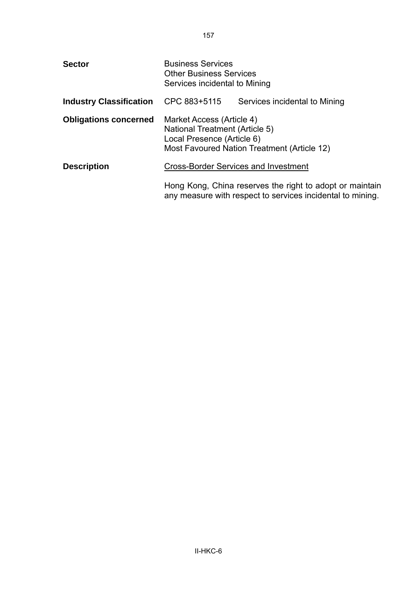| <b>Sector</b>                  | <b>Business Services</b><br><b>Other Business Services</b><br>Services incidental to Mining |                                                                                                                        |
|--------------------------------|---------------------------------------------------------------------------------------------|------------------------------------------------------------------------------------------------------------------------|
| <b>Industry Classification</b> | CPC 883+5115                                                                                | Services incidental to Mining                                                                                          |
| <b>Obligations concerned</b>   | Market Access (Article 4)<br>National Treatment (Article 5)<br>Local Presence (Article 6)   | Most Favoured Nation Treatment (Article 12)                                                                            |
| <b>Description</b>             |                                                                                             | <b>Cross-Border Services and Investment</b>                                                                            |
|                                |                                                                                             | Hong Kong, China reserves the right to adopt or maintain<br>any measure with respect to services incidental to mining. |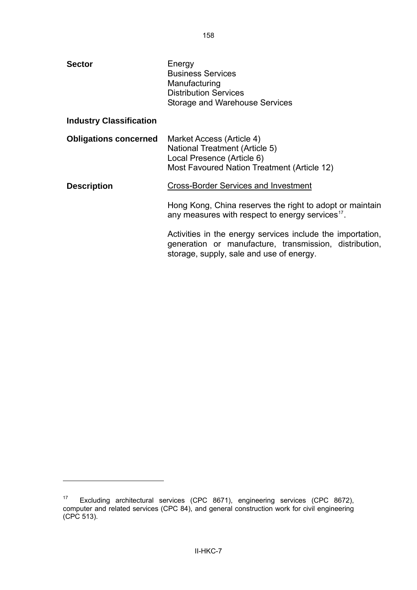<span id="page-160-0"></span>

| <b>Sector</b>                  | Energy<br><b>Business Services</b><br>Manufacturing<br><b>Distribution Services</b><br>Storage and Warehouse Services                                            |
|--------------------------------|------------------------------------------------------------------------------------------------------------------------------------------------------------------|
| <b>Industry Classification</b> |                                                                                                                                                                  |
| <b>Obligations concerned</b>   | Market Access (Article 4)<br><b>National Treatment (Article 5)</b><br>Local Presence (Article 6)<br>Most Favoured Nation Treatment (Article 12)                  |
| <b>Description</b>             | <b>Cross-Border Services and Investment</b>                                                                                                                      |
|                                | Hong Kong, China reserves the right to adopt or maintain<br>any measures with respect to energy services <sup>17</sup> .                                         |
|                                | Activities in the energy services include the importation,<br>generation or manufacture, transmission, distribution,<br>storage, supply, sale and use of energy. |

 $17$  Excluding architectural services (CPC 8671), engineering services (CPC 8672), computer and related services (CPC 84), and general construction work for civil engineering (CPC 513).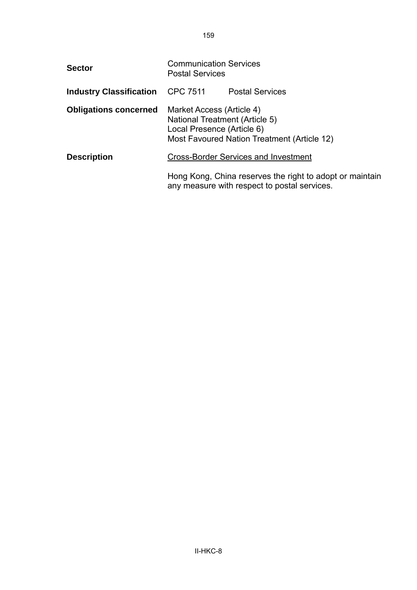| <b>Sector</b>                  | <b>Communication Services</b><br><b>Postal Services</b>                                   |                                                                                                          |
|--------------------------------|-------------------------------------------------------------------------------------------|----------------------------------------------------------------------------------------------------------|
| <b>Industry Classification</b> | <b>CPC 7511</b>                                                                           | <b>Postal Services</b>                                                                                   |
| <b>Obligations concerned</b>   | Market Access (Article 4)<br>National Treatment (Article 5)<br>Local Presence (Article 6) | Most Favoured Nation Treatment (Article 12)                                                              |
| <b>Description</b>             | <b>Cross-Border Services and Investment</b>                                               |                                                                                                          |
|                                |                                                                                           | Hong Kong, China reserves the right to adopt or maintain<br>any measure with respect to postal services. |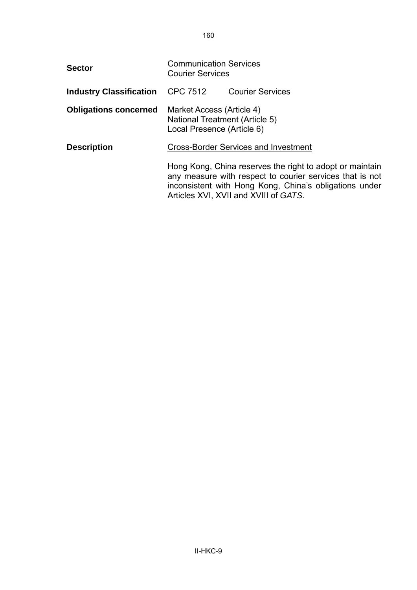| <b>Sector</b>                  | <b>Communication Services</b><br><b>Courier Services</b>                                  |                                                                                                                                                                                                                         |
|--------------------------------|-------------------------------------------------------------------------------------------|-------------------------------------------------------------------------------------------------------------------------------------------------------------------------------------------------------------------------|
| <b>Industry Classification</b> | CPC 7512                                                                                  | <b>Courier Services</b>                                                                                                                                                                                                 |
| <b>Obligations concerned</b>   | Market Access (Article 4)<br>National Treatment (Article 5)<br>Local Presence (Article 6) |                                                                                                                                                                                                                         |
| <b>Description</b>             |                                                                                           | <b>Cross-Border Services and Investment</b>                                                                                                                                                                             |
|                                |                                                                                           | Hong Kong, China reserves the right to adopt or maintain<br>any measure with respect to courier services that is not<br>inconsistent with Hong Kong, China's obligations under<br>Articles XVI, XVII and XVIII of GATS. |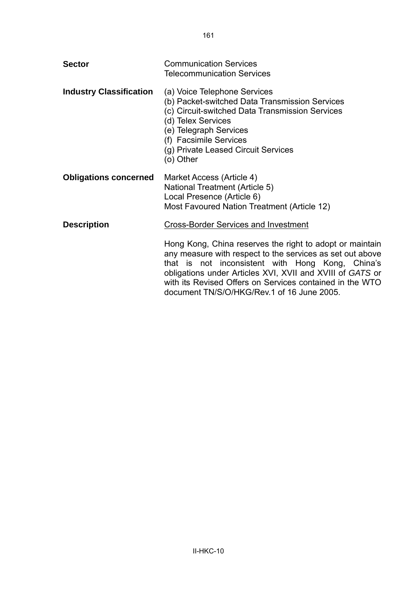| <b>Sector</b>                  | <b>Communication Services</b><br><b>Telecommunication Services</b>                                                                                                                                                                                                                                                                                                                              |
|--------------------------------|-------------------------------------------------------------------------------------------------------------------------------------------------------------------------------------------------------------------------------------------------------------------------------------------------------------------------------------------------------------------------------------------------|
| <b>Industry Classification</b> | (a) Voice Telephone Services<br>(b) Packet-switched Data Transmission Services<br>(c) Circuit-switched Data Transmission Services<br>(d) Telex Services<br>(e) Telegraph Services<br>(f) Facsimile Services<br>(g) Private Leased Circuit Services<br>(o) Other                                                                                                                                 |
| <b>Obligations concerned</b>   | Market Access (Article 4)<br>National Treatment (Article 5)<br>Local Presence (Article 6)<br>Most Favoured Nation Treatment (Article 12)                                                                                                                                                                                                                                                        |
| <b>Description</b>             | <b>Cross-Border Services and Investment</b><br>Hong Kong, China reserves the right to adopt or maintain<br>any measure with respect to the services as set out above<br>that is not inconsistent with Hong Kong, China's<br>obligations under Articles XVI, XVII and XVIII of GATS or<br>with its Revised Offers on Services contained in the WTO<br>document TN/S/O/HKG/Rev.1 of 16 June 2005. |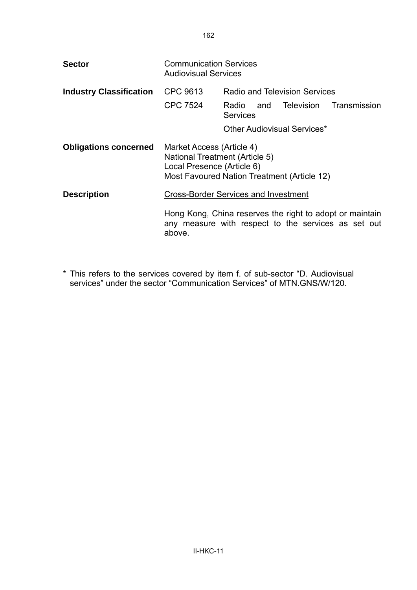| <b>Sector</b>                  | <b>Communication Services</b><br><b>Audiovisual Services</b>                                                                                    |                                      |            |              |
|--------------------------------|-------------------------------------------------------------------------------------------------------------------------------------------------|--------------------------------------|------------|--------------|
| <b>Industry Classification</b> | CPC 9613                                                                                                                                        | <b>Radio and Television Services</b> |            |              |
|                                | <b>CPC 7524</b>                                                                                                                                 | Radio and<br><b>Services</b>         | Television | Transmission |
|                                |                                                                                                                                                 | Other Audiovisual Services*          |            |              |
| <b>Obligations concerned</b>   | Market Access (Article 4)<br><b>National Treatment (Article 5)</b><br>Local Presence (Article 6)<br>Most Favoured Nation Treatment (Article 12) |                                      |            |              |
| <b>Description</b>             | <b>Cross-Border Services and Investment</b>                                                                                                     |                                      |            |              |
|                                | Hong Kong, China reserves the right to adopt or maintain<br>any measure with respect to the services as set out<br>above.                       |                                      |            |              |

\* This refers to the services covered by item f. of sub-sector "D. Audiovisual services" under the sector "Communication Services" of MTN.GNS/W/120.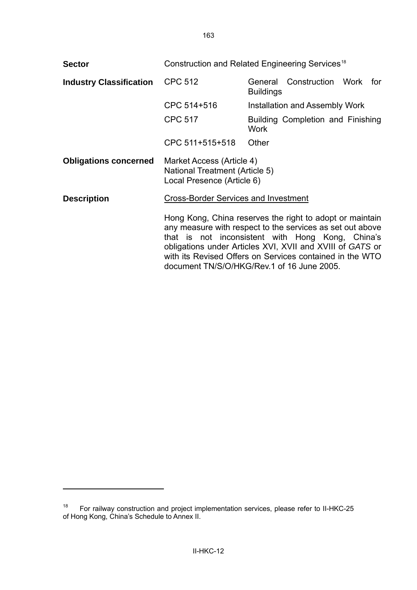<span id="page-165-0"></span>

| <b>Sector</b>                  | Construction and Related Engineering Services <sup>18</sup>                               |                                                                                                                                                                                                                                                                                                                                                  |  |
|--------------------------------|-------------------------------------------------------------------------------------------|--------------------------------------------------------------------------------------------------------------------------------------------------------------------------------------------------------------------------------------------------------------------------------------------------------------------------------------------------|--|
| <b>Industry Classification</b> | <b>CPC 512</b>                                                                            | Construction Work<br>General<br>for<br><b>Buildings</b>                                                                                                                                                                                                                                                                                          |  |
|                                | CPC 514+516                                                                               | Installation and Assembly Work                                                                                                                                                                                                                                                                                                                   |  |
|                                | <b>CPC 517</b>                                                                            | Building Completion and Finishing<br><b>Work</b>                                                                                                                                                                                                                                                                                                 |  |
|                                | CPC 511+515+518                                                                           | Other                                                                                                                                                                                                                                                                                                                                            |  |
| <b>Obligations concerned</b>   | Market Access (Article 4)<br>National Treatment (Article 5)<br>Local Presence (Article 6) |                                                                                                                                                                                                                                                                                                                                                  |  |
| <b>Description</b>             | <b>Cross-Border Services and Investment</b>                                               |                                                                                                                                                                                                                                                                                                                                                  |  |
|                                |                                                                                           | Hong Kong, China reserves the right to adopt or maintain<br>any measure with respect to the services as set out above<br>that is not inconsistent with Hong Kong, China's<br>obligations under Articles XVI, XVII and XVIII of GATS or<br>with its Revised Offers on Services contained in the WTO<br>document TN/S/O/HKG/Rev.1 of 16 June 2005. |  |

 $18$  For railway construction and project implementation services, please refer to II-HKC-25 of Hong Kong, China's Schedule to Annex II.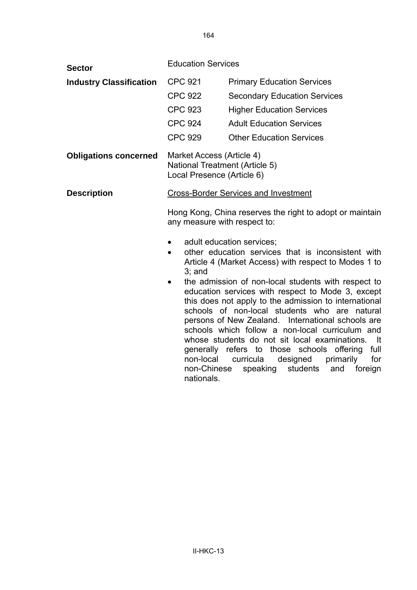| <b>Sector</b>                  | <b>Education Services</b>                                                                 |                                                                                                                                                                                                                                                                                                                                                                                                                                                                                                                                                                                      |
|--------------------------------|-------------------------------------------------------------------------------------------|--------------------------------------------------------------------------------------------------------------------------------------------------------------------------------------------------------------------------------------------------------------------------------------------------------------------------------------------------------------------------------------------------------------------------------------------------------------------------------------------------------------------------------------------------------------------------------------|
| <b>Industry Classification</b> | <b>CPC 921</b>                                                                            | <b>Primary Education Services</b>                                                                                                                                                                                                                                                                                                                                                                                                                                                                                                                                                    |
|                                | <b>CPC 922</b>                                                                            | <b>Secondary Education Services</b>                                                                                                                                                                                                                                                                                                                                                                                                                                                                                                                                                  |
|                                | <b>CPC 923</b>                                                                            | <b>Higher Education Services</b>                                                                                                                                                                                                                                                                                                                                                                                                                                                                                                                                                     |
|                                | <b>CPC 924</b>                                                                            | <b>Adult Education Services</b>                                                                                                                                                                                                                                                                                                                                                                                                                                                                                                                                                      |
|                                | <b>CPC 929</b>                                                                            | <b>Other Education Services</b>                                                                                                                                                                                                                                                                                                                                                                                                                                                                                                                                                      |
| <b>Obligations concerned</b>   | Market Access (Article 4)<br>National Treatment (Article 5)<br>Local Presence (Article 6) |                                                                                                                                                                                                                                                                                                                                                                                                                                                                                                                                                                                      |
| <b>Description</b>             |                                                                                           | <b>Cross-Border Services and Investment</b>                                                                                                                                                                                                                                                                                                                                                                                                                                                                                                                                          |
|                                | any measure with respect to:                                                              | Hong Kong, China reserves the right to adopt or maintain                                                                                                                                                                                                                                                                                                                                                                                                                                                                                                                             |
|                                | ٠<br>$\bullet$<br>$3$ ; and                                                               | adult education services;<br>other education services that is inconsistent with<br>Article 4 (Market Access) with respect to Modes 1 to<br>the admission of non-local students with respect to<br>education services with respect to Mode 3, except<br>this does not apply to the admission to international<br>schools of non-local students who are natural<br>persons of New Zealand. International schools are<br>schools which follow a non-local curriculum and<br>whose students do not sit local examinations.<br>- It<br>generally refers to those schools offering<br>full |

non-local curricula designed primarily for non-Chinese speaking students and foreign

nationals.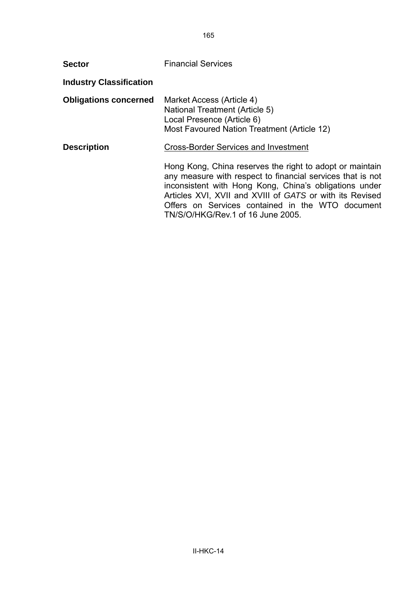**Sector Financial Services Industry Classification Obligations concerned** Market Access (Article 4) National Treatment (Article 5) Local Presence (Article 6) Most Favoured Nation Treatment (Article 12) **Description Cross-Border Services and Investment** Hong Kong, China reserves the right to adopt or maintain any measure with respect to financial services that is not inconsistent with Hong Kong, China's obligations under Articles XVI, XVII and XVIII of *GATS* or with its Revised Offers on Services contained in the WTO document TN/S/O/HKG/Rev.1 of 16 June 2005.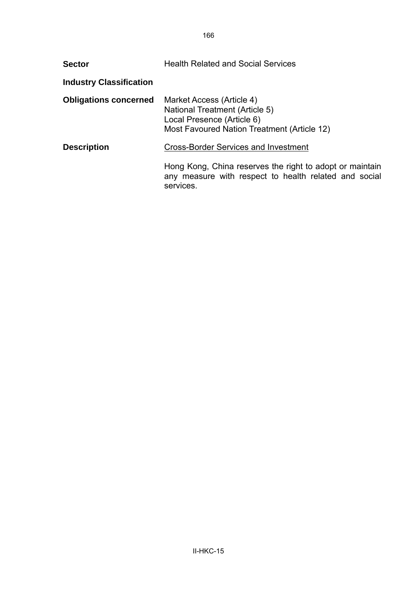| <b>Sector</b>                  | <b>Health Related and Social Services</b>                                                                                                |
|--------------------------------|------------------------------------------------------------------------------------------------------------------------------------------|
| <b>Industry Classification</b> |                                                                                                                                          |
| <b>Obligations concerned</b>   | Market Access (Article 4)<br>National Treatment (Article 5)<br>Local Presence (Article 6)<br>Most Favoured Nation Treatment (Article 12) |
| <b>Description</b>             | <b>Cross-Border Services and Investment</b>                                                                                              |
|                                | Hong Kong, China reserves the right to adopt or maintain<br>any measure with respect to health related and social<br>services.           |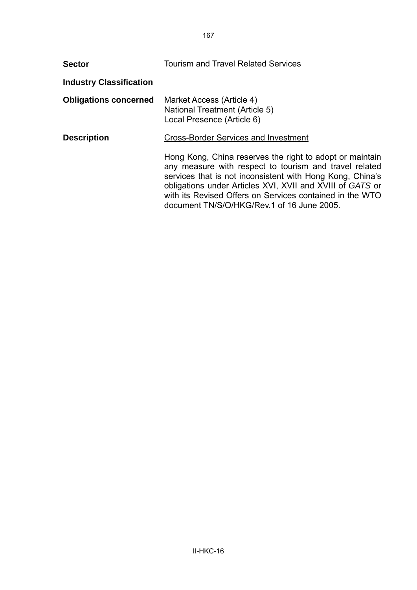| <b>Sector</b>                  | <b>Tourism and Travel Related Services</b>                                                                                                                                                                                                                                                                                                             |
|--------------------------------|--------------------------------------------------------------------------------------------------------------------------------------------------------------------------------------------------------------------------------------------------------------------------------------------------------------------------------------------------------|
| <b>Industry Classification</b> |                                                                                                                                                                                                                                                                                                                                                        |
| <b>Obligations concerned</b>   | Market Access (Article 4)<br>National Treatment (Article 5)<br>Local Presence (Article 6)                                                                                                                                                                                                                                                              |
| <b>Description</b>             | <b>Cross-Border Services and Investment</b>                                                                                                                                                                                                                                                                                                            |
|                                | Hong Kong, China reserves the right to adopt or maintain<br>any measure with respect to tourism and travel related<br>services that is not inconsistent with Hong Kong, China's<br>obligations under Articles XVI, XVII and XVIII of GATS or<br>with its Revised Offers on Services contained in the WTO<br>document TN/S/O/HKG/Rev.1 of 16 June 2005. |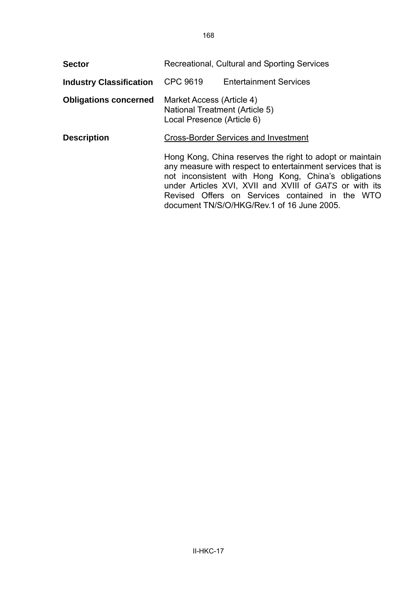| <b>Sector</b>                  | Recreational, Cultural and Sporting Services                                                     |                                                                                                                                                                                                                                                                                                                                           |  |
|--------------------------------|--------------------------------------------------------------------------------------------------|-------------------------------------------------------------------------------------------------------------------------------------------------------------------------------------------------------------------------------------------------------------------------------------------------------------------------------------------|--|
| <b>Industry Classification</b> | CPC 9619                                                                                         | <b>Entertainment Services</b>                                                                                                                                                                                                                                                                                                             |  |
| <b>Obligations concerned</b>   | Market Access (Article 4)<br><b>National Treatment (Article 5)</b><br>Local Presence (Article 6) |                                                                                                                                                                                                                                                                                                                                           |  |
| <b>Description</b>             | <b>Cross-Border Services and Investment</b>                                                      |                                                                                                                                                                                                                                                                                                                                           |  |
|                                |                                                                                                  | Hong Kong, China reserves the right to adopt or maintain<br>any measure with respect to entertainment services that is<br>not inconsistent with Hong Kong, China's obligations<br>under Articles XVI, XVII and XVIII of GATS or with its<br>Revised Offers on Services contained in the WTO<br>document TN/S/O/HKG/Rev.1 of 16 June 2005. |  |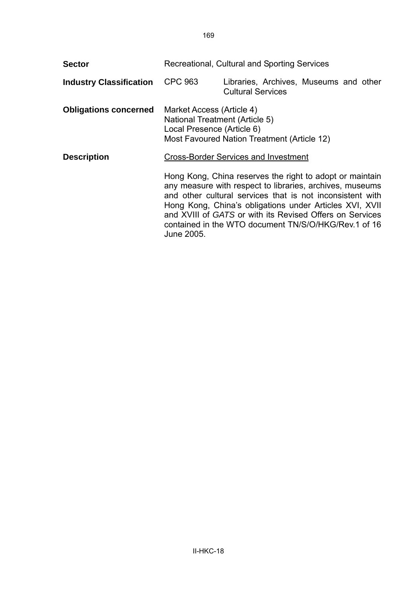| <b>Sector</b>                  | Recreational, Cultural and Sporting Services                                              |                                                                                                                                                                                                                                                                                                                                                                                                                 |
|--------------------------------|-------------------------------------------------------------------------------------------|-----------------------------------------------------------------------------------------------------------------------------------------------------------------------------------------------------------------------------------------------------------------------------------------------------------------------------------------------------------------------------------------------------------------|
| <b>Industry Classification</b> | <b>CPC 963</b>                                                                            | Libraries, Archives, Museums and other<br><b>Cultural Services</b>                                                                                                                                                                                                                                                                                                                                              |
| <b>Obligations concerned</b>   | Market Access (Article 4)<br>National Treatment (Article 5)<br>Local Presence (Article 6) | Most Favoured Nation Treatment (Article 12)                                                                                                                                                                                                                                                                                                                                                                     |
| <b>Description</b>             | June 2005.                                                                                | <b>Cross-Border Services and Investment</b><br>Hong Kong, China reserves the right to adopt or maintain<br>any measure with respect to libraries, archives, museums<br>and other cultural services that is not inconsistent with<br>Hong Kong, China's obligations under Articles XVI, XVII<br>and XVIII of GATS or with its Revised Offers on Services<br>contained in the WTO document TN/S/O/HKG/Rev.1 of 16 |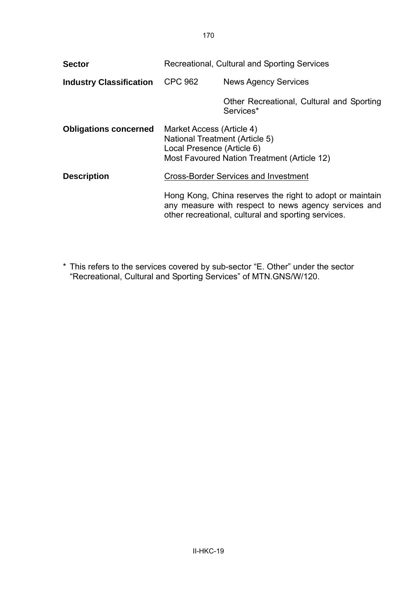| <b>Sector</b>                  | Recreational, Cultural and Sporting Services                                                     |                                                                                                                                                                         |
|--------------------------------|--------------------------------------------------------------------------------------------------|-------------------------------------------------------------------------------------------------------------------------------------------------------------------------|
| <b>Industry Classification</b> | <b>CPC 962</b>                                                                                   | <b>News Agency Services</b>                                                                                                                                             |
|                                |                                                                                                  | Other Recreational, Cultural and Sporting<br>Services*                                                                                                                  |
| <b>Obligations concerned</b>   | Market Access (Article 4)<br><b>National Treatment (Article 5)</b><br>Local Presence (Article 6) | Most Favoured Nation Treatment (Article 12)                                                                                                                             |
| <b>Description</b>             |                                                                                                  | <b>Cross-Border Services and Investment</b>                                                                                                                             |
|                                |                                                                                                  | Hong Kong, China reserves the right to adopt or maintain<br>any measure with respect to news agency services and<br>other recreational, cultural and sporting services. |

\* This refers to the services covered by sub-sector "E. Other" under the sector "Recreational, Cultural and Sporting Services" of MTN.GNS/W/120.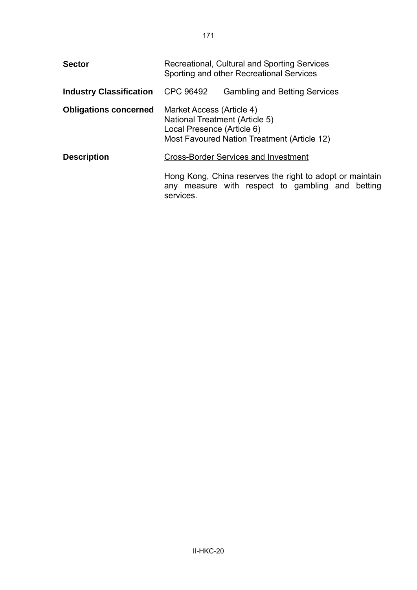| <b>Sector</b>                  | Recreational, Cultural and Sporting Services<br>Sporting and other Recreational Services  |                                             |                                                                                                              |  |
|--------------------------------|-------------------------------------------------------------------------------------------|---------------------------------------------|--------------------------------------------------------------------------------------------------------------|--|
| <b>Industry Classification</b> | CPC 96492                                                                                 | <b>Gambling and Betting Services</b>        |                                                                                                              |  |
| <b>Obligations concerned</b>   | Market Access (Article 4)<br>National Treatment (Article 5)<br>Local Presence (Article 6) | Most Favoured Nation Treatment (Article 12) |                                                                                                              |  |
| <b>Description</b>             | <b>Cross-Border Services and Investment</b>                                               |                                             |                                                                                                              |  |
|                                | services.                                                                                 |                                             | Hong Kong, China reserves the right to adopt or maintain<br>any measure with respect to gambling and betting |  |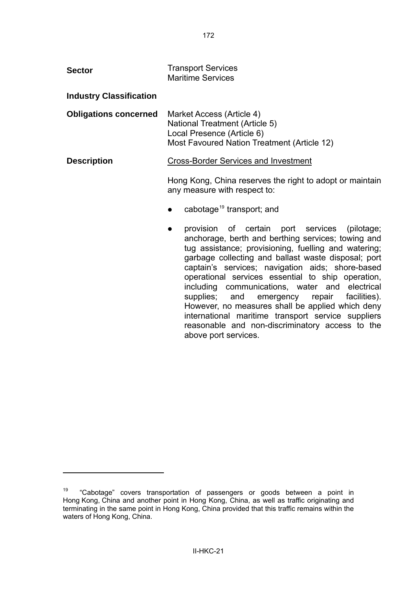<span id="page-174-0"></span>

| <b>Sector</b>                  | <b>Transport Services</b><br><b>Maritime Services</b>                                                                                           |
|--------------------------------|-------------------------------------------------------------------------------------------------------------------------------------------------|
| <b>Industry Classification</b> |                                                                                                                                                 |
| <b>Obligations concerned</b>   | Market Access (Article 4)<br><b>National Treatment (Article 5)</b><br>Local Presence (Article 6)<br>Most Favoured Nation Treatment (Article 12) |
| <b>Description</b>             | <b>Cross-Border Services and Investment</b>                                                                                                     |
|                                | Hong Kong, China reserves the right to adopt or maintain<br>any measure with respect to:                                                        |
|                                | cabotage <sup>19</sup> transport; and<br>$\bullet$                                                                                              |

provision of certain port services (pilotage; anchorage, berth and berthing services; towing and tug assistance; provisioning, fuelling and watering; garbage collecting and ballast waste disposal; port captain's services; navigation aids; shore-based operational services essential to ship operation, including communications, water and electrical supplies; and emergency repair facilities). However, no measures shall be applied which deny international maritime transport service suppliers reasonable and non-discriminatory access to the above port services.

 $19$  "Cabotage" covers transportation of passengers or goods between a point in Hong Kong, China and another point in Hong Kong, China, as well as traffic originating and terminating in the same point in Hong Kong, China provided that this traffic remains within the waters of Hong Kong, China.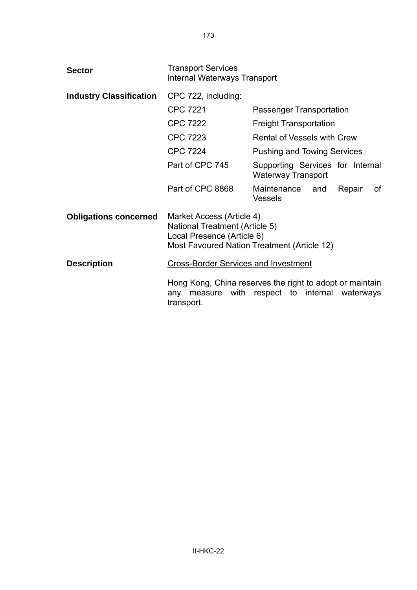| <b>Sector</b>                  | <b>Transport Services</b><br><b>Internal Waterways Transport</b>                                                                                       |                                                                                                        |
|--------------------------------|--------------------------------------------------------------------------------------------------------------------------------------------------------|--------------------------------------------------------------------------------------------------------|
| <b>Industry Classification</b> | CPC 722, including:                                                                                                                                    |                                                                                                        |
|                                | <b>CPC 7221</b>                                                                                                                                        | Passenger Transportation                                                                               |
|                                | <b>CPC 7222</b>                                                                                                                                        | <b>Freight Transportation</b>                                                                          |
|                                | <b>CPC 7223</b>                                                                                                                                        | <b>Rental of Vessels with Crew</b>                                                                     |
|                                | <b>CPC 7224</b>                                                                                                                                        | <b>Pushing and Towing Services</b>                                                                     |
|                                | Part of CPC 745                                                                                                                                        | Supporting Services for Internal<br><b>Waterway Transport</b>                                          |
|                                | Part of CPC 8868                                                                                                                                       | Maintenance and<br>Repair<br>οf<br><b>Vessels</b>                                                      |
| <b>Obligations concerned</b>   | Market Access (Article 4)<br><b>National Treatment (Article 5)</b><br>Local Presence (Article 6)<br><b>Most Favoured Nation Treatment (Article 12)</b> |                                                                                                        |
| <b>Description</b>             | <b>Cross-Border Services and Investment</b>                                                                                                            |                                                                                                        |
|                                | any<br>transport.                                                                                                                                      | Hong Kong, China reserves the right to adopt or maintain<br>measure with respect to internal waterways |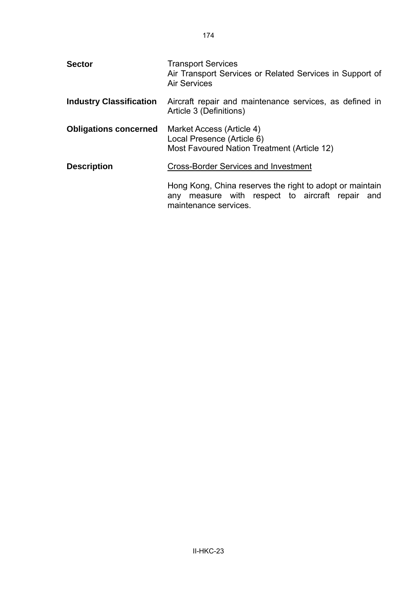| <b>Sector</b>                  | <b>Transport Services</b><br>Air Transport Services or Related Services in Support of<br><b>Air Services</b>                            |
|--------------------------------|-----------------------------------------------------------------------------------------------------------------------------------------|
| <b>Industry Classification</b> | Aircraft repair and maintenance services, as defined in<br>Article 3 (Definitions)                                                      |
| <b>Obligations concerned</b>   | Market Access (Article 4)<br>Local Presence (Article 6)<br>Most Favoured Nation Treatment (Article 12)                                  |
| <b>Description</b>             | <b>Cross-Border Services and Investment</b>                                                                                             |
|                                | Hong Kong, China reserves the right to adopt or maintain<br>measure with respect to aircraft repair and<br>any<br>maintenance services. |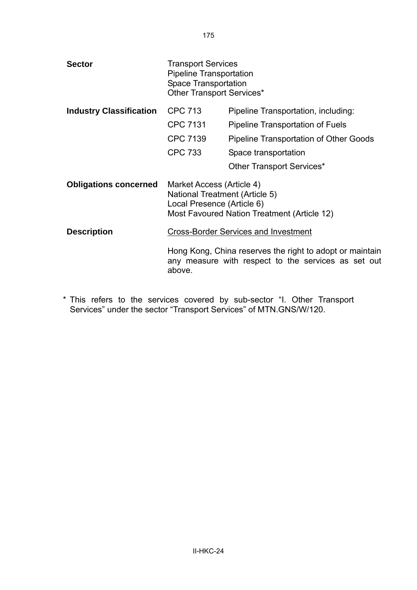| <b>Sector</b>                  | <b>Transport Services</b><br><b>Pipeline Transportation</b><br><b>Space Transportation</b><br>Other Transport Services*                         |                                               |
|--------------------------------|-------------------------------------------------------------------------------------------------------------------------------------------------|-----------------------------------------------|
| <b>Industry Classification</b> | <b>CPC 713</b>                                                                                                                                  | Pipeline Transportation, including:           |
|                                | <b>CPC 7131</b>                                                                                                                                 | Pipeline Transportation of Fuels              |
|                                | <b>CPC 7139</b>                                                                                                                                 | <b>Pipeline Transportation of Other Goods</b> |
|                                | <b>CPC 733</b>                                                                                                                                  | Space transportation                          |
|                                |                                                                                                                                                 | Other Transport Services*                     |
| <b>Obligations concerned</b>   | Market Access (Article 4)<br><b>National Treatment (Article 5)</b><br>Local Presence (Article 6)<br>Most Favoured Nation Treatment (Article 12) |                                               |
| <b>Description</b>             | <b>Cross-Border Services and Investment</b>                                                                                                     |                                               |
|                                | Hong Kong, China reserves the right to adopt or maintain<br>any measure with respect to the services as set out<br>above.                       |                                               |

\* This refers to the services covered by sub-sector "I. Other Transport Services" under the sector "Transport Services" of MTN.GNS/W/120.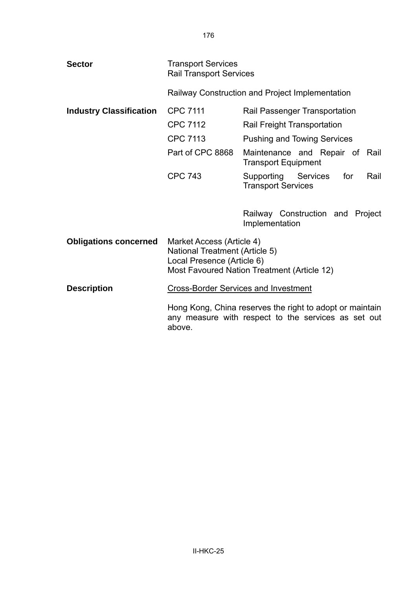| <b>Sector</b>                  | <b>Transport Services</b><br><b>Rail Transport Services</b>                                                                                                              |                                                                                                                                                                                                                 |
|--------------------------------|--------------------------------------------------------------------------------------------------------------------------------------------------------------------------|-----------------------------------------------------------------------------------------------------------------------------------------------------------------------------------------------------------------|
|                                | Railway Construction and Project Implementation                                                                                                                          |                                                                                                                                                                                                                 |
| <b>Industry Classification</b> | <b>CPC 7111</b><br><b>CPC 7112</b><br><b>CPC 7113</b><br>Part of CPC 8868<br><b>CPC 743</b>                                                                              | <b>Rail Passenger Transportation</b><br>Rail Freight Transportation<br><b>Pushing and Towing Services</b><br>Maintenance and Repair of Rail<br><b>Transport Equipment</b><br>Supporting Services<br>Rail<br>for |
|                                |                                                                                                                                                                          | <b>Transport Services</b><br>Railway Construction and Project<br>Implementation                                                                                                                                 |
| <b>Obligations concerned</b>   | Market Access (Article 4)<br><b>National Treatment (Article 5)</b><br>Local Presence (Article 6)<br>Most Favoured Nation Treatment (Article 12)                          |                                                                                                                                                                                                                 |
| <b>Description</b>             | <b>Cross-Border Services and Investment</b><br>Hong Kong, China reserves the right to adopt or maintain<br>any measure with respect to the services as set out<br>above. |                                                                                                                                                                                                                 |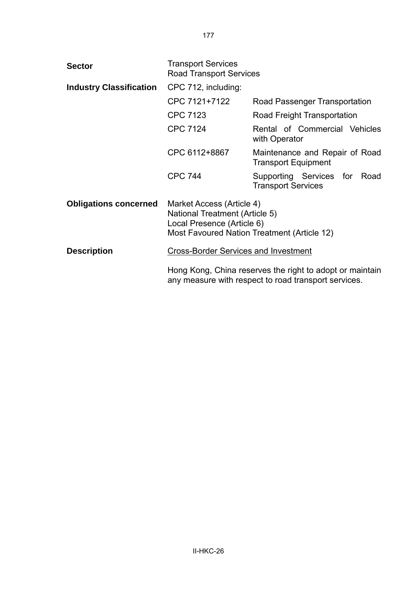| <b>Sector</b>                  | <b>Transport Services</b><br><b>Road Transport Services</b>                                                                                                     |                                                              |
|--------------------------------|-----------------------------------------------------------------------------------------------------------------------------------------------------------------|--------------------------------------------------------------|
| <b>Industry Classification</b> | CPC 712, including:                                                                                                                                             |                                                              |
|                                | CPC 7121+7122                                                                                                                                                   | Road Passenger Transportation                                |
|                                | <b>CPC 7123</b>                                                                                                                                                 | Road Freight Transportation                                  |
|                                | <b>CPC 7124</b>                                                                                                                                                 | Rental of Commercial Vehicles<br>with Operator               |
|                                | CPC 6112+8867                                                                                                                                                   | Maintenance and Repair of Road<br><b>Transport Equipment</b> |
|                                | <b>CPC 744</b>                                                                                                                                                  | Supporting Services for Road<br><b>Transport Services</b>    |
| <b>Obligations concerned</b>   | Market Access (Article 4)<br><b>National Treatment (Article 5)</b><br>Local Presence (Article 6)<br>Most Favoured Nation Treatment (Article 12)                 |                                                              |
| <b>Description</b>             | <b>Cross-Border Services and Investment</b><br>Hong Kong, China reserves the right to adopt or maintain<br>any measure with respect to road transport services. |                                                              |
|                                |                                                                                                                                                                 |                                                              |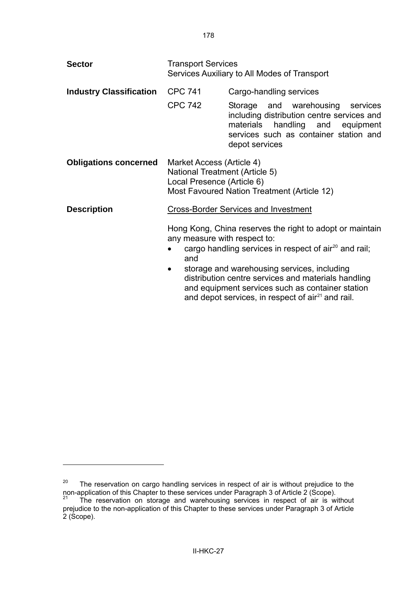<span id="page-180-0"></span>

| <b>Sector</b>                  | <b>Transport Services</b><br>Services Auxiliary to All Modes of Transport                                                                |                                                                                                                                                                                                                                                                                                                                                          |
|--------------------------------|------------------------------------------------------------------------------------------------------------------------------------------|----------------------------------------------------------------------------------------------------------------------------------------------------------------------------------------------------------------------------------------------------------------------------------------------------------------------------------------------------------|
| <b>Industry Classification</b> | <b>CPC 741</b>                                                                                                                           | Cargo-handling services                                                                                                                                                                                                                                                                                                                                  |
|                                | <b>CPC 742</b>                                                                                                                           | Storage and warehousing services<br>including distribution centre services and<br>materials handling and<br>equipment<br>services such as container station and<br>depot services                                                                                                                                                                        |
| <b>Obligations concerned</b>   | Market Access (Article 4)<br>National Treatment (Article 5)<br>Local Presence (Article 6)<br>Most Favoured Nation Treatment (Article 12) |                                                                                                                                                                                                                                                                                                                                                          |
| <b>Description</b>             |                                                                                                                                          | <b>Cross-Border Services and Investment</b>                                                                                                                                                                                                                                                                                                              |
|                                | any measure with respect to:<br>and                                                                                                      | Hong Kong, China reserves the right to adopt or maintain<br>cargo handling services in respect of air <sup>20</sup> and rail;<br>storage and warehousing services, including<br>distribution centre services and materials handling<br>and equipment services such as container station<br>and depot services, in respect of air <sup>21</sup> and rail. |

l

 $20$  The reservation on cargo handling services in respect of air is without prejudice to the non-application of this Chapter to these services under Paragraph 3 of Article 2 (Scope).<br><sup>21</sup> The reservation on storage and warehousing services in respect of air is without

prejudice to the non-application of this Chapter to these services under Paragraph 3 of Article 2 (Scope).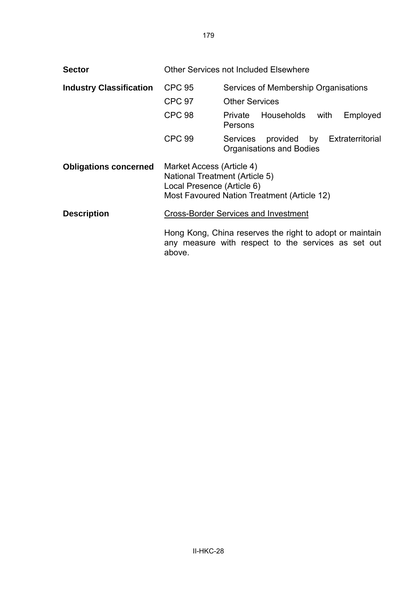| <b>Sector</b>                  |                                                                                                                                                 | <b>Other Services not Included Elsewhere</b>                                                                    |
|--------------------------------|-------------------------------------------------------------------------------------------------------------------------------------------------|-----------------------------------------------------------------------------------------------------------------|
| <b>Industry Classification</b> | <b>CPC 95</b>                                                                                                                                   | Services of Membership Organisations                                                                            |
|                                | <b>CPC 97</b>                                                                                                                                   | <b>Other Services</b>                                                                                           |
|                                | <b>CPC 98</b>                                                                                                                                   | Households<br>Employed<br>Private<br>with<br>Persons                                                            |
|                                | <b>CPC 99</b>                                                                                                                                   | Services provided by Extraterritorial<br><b>Organisations and Bodies</b>                                        |
| <b>Obligations concerned</b>   | Market Access (Article 4)<br><b>National Treatment (Article 5)</b><br>Local Presence (Article 6)<br>Most Favoured Nation Treatment (Article 12) |                                                                                                                 |
| <b>Description</b>             | <b>Cross-Border Services and Investment</b>                                                                                                     |                                                                                                                 |
|                                | above.                                                                                                                                          | Hong Kong, China reserves the right to adopt or maintain<br>any measure with respect to the services as set out |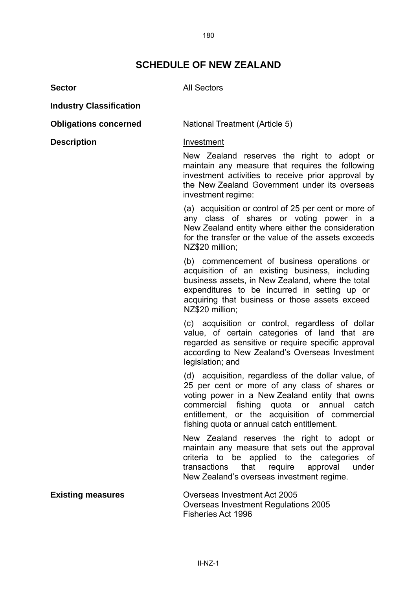## **SCHEDULE OF NEW ZEALAND**

| <b>Sector</b>                  | <b>All Sectors</b>                                                                                                                                                                                                                                                                                |
|--------------------------------|---------------------------------------------------------------------------------------------------------------------------------------------------------------------------------------------------------------------------------------------------------------------------------------------------|
| <b>Industry Classification</b> |                                                                                                                                                                                                                                                                                                   |
| <b>Obligations concerned</b>   | National Treatment (Article 5)                                                                                                                                                                                                                                                                    |
| <b>Description</b>             | Investment                                                                                                                                                                                                                                                                                        |
|                                | New Zealand reserves the right to adopt or<br>maintain any measure that requires the following<br>investment activities to receive prior approval by<br>the New Zealand Government under its overseas<br>investment regime:                                                                       |
|                                | (a) acquisition or control of 25 per cent or more of<br>any class of shares or voting power in a<br>New Zealand entity where either the consideration<br>for the transfer or the value of the assets exceeds<br>NZ\$20 million;                                                                   |
|                                | (b) commencement of business operations or<br>acquisition of an existing business, including<br>business assets, in New Zealand, where the total<br>expenditures to be incurred in setting up or<br>acquiring that business or those assets exceed<br>NZ\$20 million;                             |
|                                | (c) acquisition or control, regardless of dollar<br>value, of certain categories of land that are<br>regarded as sensitive or require specific approval<br>according to New Zealand's Overseas Investment<br>legislation; and                                                                     |
|                                | (d) acquisition, regardless of the dollar value, of<br>25 per cent or more of any class of shares or<br>voting power in a New Zealand entity that owns<br>commercial fishing quota or annual catch<br>entitlement, or the acquisition of commercial<br>fishing quota or annual catch entitlement. |
|                                | New Zealand reserves the right to adopt or<br>maintain any measure that sets out the approval<br>criteria to be applied to the categories of<br>that<br>approval<br>under<br>transactions<br>require<br>New Zealand's overseas investment regime.                                                 |
| <b>Existing measures</b>       | <b>Overseas Investment Act 2005</b><br>Overseas Investment Regulations 2005<br>Fisheries Act 1996                                                                                                                                                                                                 |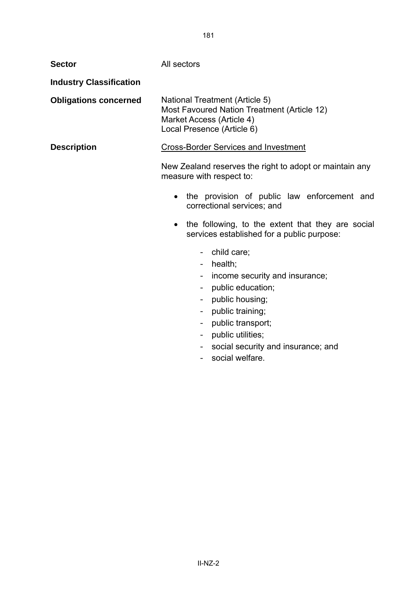| Sector                         | All sectors                                                                                                                                                                                                                 |
|--------------------------------|-----------------------------------------------------------------------------------------------------------------------------------------------------------------------------------------------------------------------------|
| <b>Industry Classification</b> |                                                                                                                                                                                                                             |
| <b>Obligations concerned</b>   | <b>National Treatment (Article 5)</b><br>Most Favoured Nation Treatment (Article 12)<br>Market Access (Article 4)<br>Local Presence (Article 6)                                                                             |
| <b>Description</b>             | <b>Cross-Border Services and Investment</b>                                                                                                                                                                                 |
|                                | New Zealand reserves the right to adopt or maintain any<br>measure with respect to:<br>the provision of public law enforcement and<br>$\bullet$<br>correctional services; and                                               |
|                                | the following, to the extent that they are social<br>$\bullet$<br>services established for a public purpose:                                                                                                                |
|                                | - child care;<br>$-$ health;<br>income security and insurance;<br>$-$<br>- public education;<br>- public housing;<br>- public training;<br>- public transport;<br>- public utilities;<br>social security and insurance; and |

- social welfare.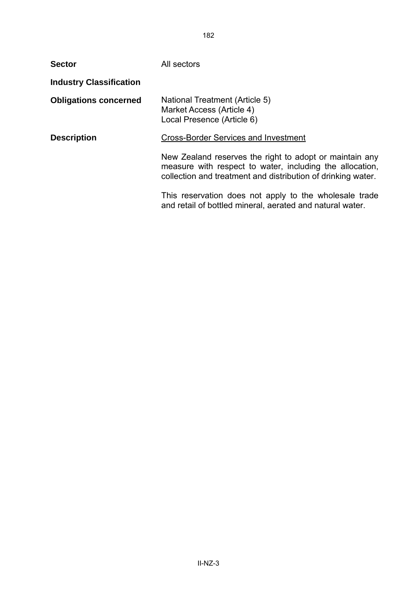| <b>Sector</b>                  | All sectors                                                                                                                                                                         |
|--------------------------------|-------------------------------------------------------------------------------------------------------------------------------------------------------------------------------------|
| <b>Industry Classification</b> |                                                                                                                                                                                     |
| <b>Obligations concerned</b>   | National Treatment (Article 5)<br>Market Access (Article 4)<br>Local Presence (Article 6)                                                                                           |
| <b>Description</b>             | <b>Cross-Border Services and Investment</b>                                                                                                                                         |
|                                | New Zealand reserves the right to adopt or maintain any<br>measure with respect to water, including the allocation,<br>collection and treatment and distribution of drinking water. |
|                                | This reservation does not apply to the wholesale trade<br>and retail of bottled mineral, aerated and natural water.                                                                 |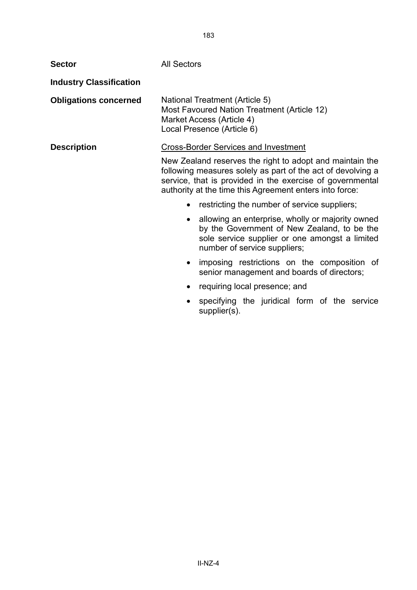Most Favoured Nation Treatment (Article 12) Market Access (Article 4) Local Presence (Article 6) New Zealand reserves the right to adopt and maintain the following measures solely as part of the act of devolving a service, that is provided in the exercise of governmental authority at the time this Agreement enters into force: • restricting the number of service suppliers; • allowing an enterprise, wholly or majority owned by the Government of New Zealand, to be the sole service supplier or one amongst a limited number of service suppliers;

- imposing restrictions on the composition of senior management and boards of directors;
- requiring local presence; and
- specifying the juridical form of the service supplier(s).

## **Sector** All Sectors **Industry Classification Obligations concerned** National Treatment (Article 5) **Description Cross-Border Services and Investment**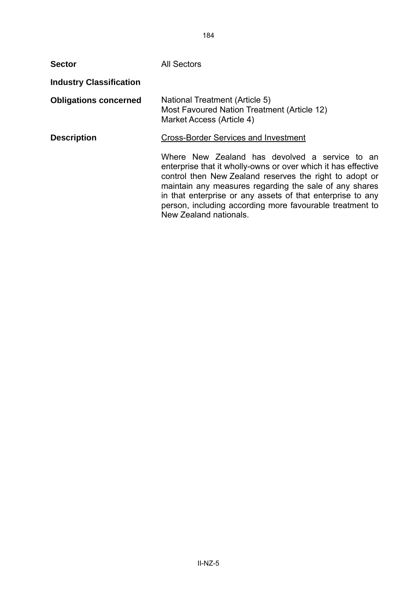**Sector All Sectors Industry Classification Obligations concerned** National Treatment (Article 5) Most Favoured Nation Treatment (Article 12) Market Access (Article 4) **Description** Cross-Border Services and Investment Where New Zealand has devolved a service to an enterprise that it wholly-owns or over which it has effective control then New Zealand reserves the right to adopt or maintain any measures regarding the sale of any shares in that enterprise or any assets of that enterprise to any person, including according more favourable treatment to New Zealand nationals.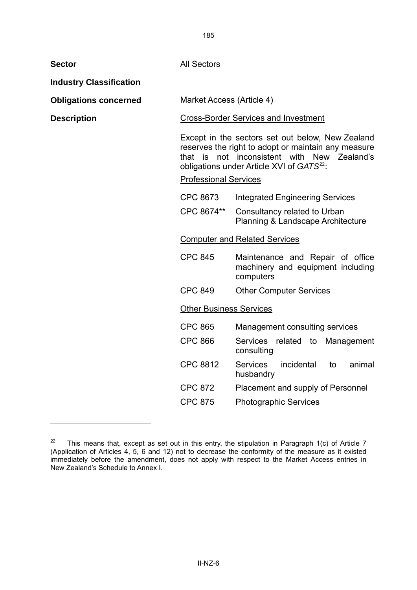<span id="page-187-0"></span>

| <b>Sector</b>                  | <b>All Sectors</b>             |                                                                                                                                                                                                                 |
|--------------------------------|--------------------------------|-----------------------------------------------------------------------------------------------------------------------------------------------------------------------------------------------------------------|
| <b>Industry Classification</b> |                                |                                                                                                                                                                                                                 |
| <b>Obligations concerned</b>   | Market Access (Article 4)      |                                                                                                                                                                                                                 |
| <b>Description</b>             |                                | <b>Cross-Border Services and Investment</b>                                                                                                                                                                     |
|                                | <b>Professional Services</b>   | Except in the sectors set out below, New Zealand<br>reserves the right to adopt or maintain any measure<br>that is not inconsistent with New Zealand's<br>obligations under Article XVI of GATS <sup>22</sup> : |
|                                | <b>CPC 8673</b>                | <b>Integrated Engineering Services</b>                                                                                                                                                                          |
|                                | CPC 8674**                     | Consultancy related to Urban<br>Planning & Landscape Architecture                                                                                                                                               |
|                                |                                | <b>Computer and Related Services</b>                                                                                                                                                                            |
|                                | <b>CPC 845</b>                 | Maintenance and Repair of office<br>machinery and equipment including<br>computers                                                                                                                              |
|                                | <b>CPC 849</b>                 | <b>Other Computer Services</b>                                                                                                                                                                                  |
|                                | <b>Other Business Services</b> |                                                                                                                                                                                                                 |
|                                | <b>CPC 865</b>                 | Management consulting services                                                                                                                                                                                  |
|                                | <b>CPC 866</b>                 | Services related to Management<br>consulting                                                                                                                                                                    |
|                                | <b>CPC 8812</b>                | <b>Services</b><br>incidental<br>animal<br>to<br>husbandry                                                                                                                                                      |
|                                | <b>CPC 872</b>                 | Placement and supply of Personnel                                                                                                                                                                               |
|                                | <b>CPC 875</b>                 | <b>Photographic Services</b>                                                                                                                                                                                    |

<sup>&</sup>lt;sup>22</sup> This means that, except as set out in this entry, the stipulation in Paragraph 1(c) of Article 7 (Application of Articles 4, 5, 6 and 12) not to decrease the conformity of the measure as it existed immediately before the amendment, does not apply with respect to the Market Access entries in New Zealand's Schedule to Annex I.

-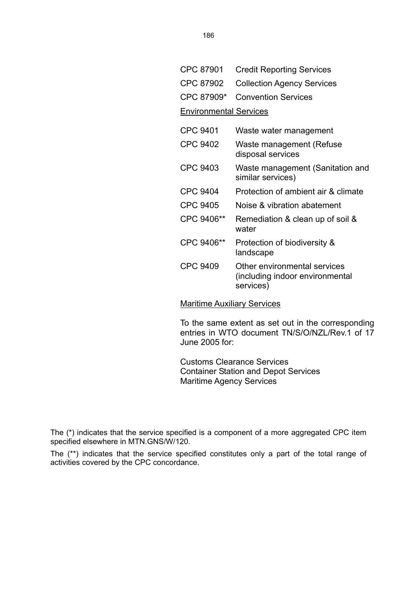| CPC 87901                     | <b>Credit Reporting Services</b>                                            |
|-------------------------------|-----------------------------------------------------------------------------|
| <b>CPC 87902</b>              | <b>Collection Agency Services</b>                                           |
| CPC 87909*                    | <b>Convention Services</b>                                                  |
| <b>Environmental Services</b> |                                                                             |
| <b>CPC 9401</b>               | Waste water management                                                      |
| <b>CPC 9402</b>               | Waste management (Refuse<br>disposal services                               |
| <b>CPC 9403</b>               | Waste management (Sanitation and<br>similar services)                       |
| <b>CPC 9404</b>               | Protection of ambient air & climate                                         |
| <b>CPC 9405</b>               | Noise & vibration abatement                                                 |
| CPC 9406**                    | Remediation & clean up of soil &<br>water                                   |
| CPC 9406**                    | Protection of biodiversity &<br>landscape                                   |
| <b>CPC 9409</b>               | Other environmental services<br>including indoor environmental<br>services) |

## Maritime Auxiliary Services

To the same extent as set out in the corresponding entries in WTO document TN/S/O/NZL/Rev.1 of 17 June 2005 for:

Customs Clearance Services Container Station and Depot Services Maritime Agency Services

The (\*) indicates that the service specified is a component of a more aggregated CPC item specified elsewhere in MTN.GNS/W/120.

The (\*\*) indicates that the service specified constitutes only a part of the total range of activities covered by the CPC concordance.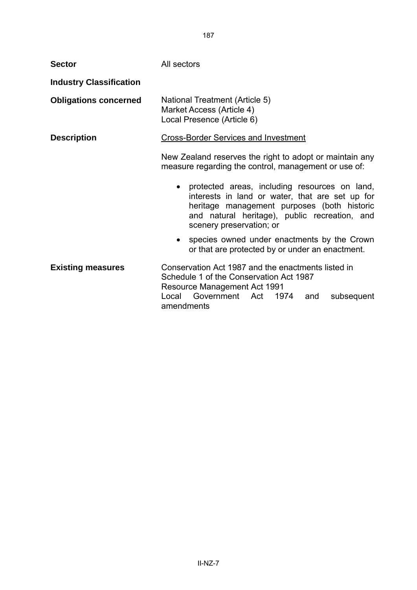| <b>Sector</b>                  | All sectors                                                                                                                                                                                                                  |
|--------------------------------|------------------------------------------------------------------------------------------------------------------------------------------------------------------------------------------------------------------------------|
| <b>Industry Classification</b> |                                                                                                                                                                                                                              |
| <b>Obligations concerned</b>   | National Treatment (Article 5)<br>Market Access (Article 4)<br>Local Presence (Article 6)                                                                                                                                    |
| <b>Description</b>             | <b>Cross-Border Services and Investment</b>                                                                                                                                                                                  |
|                                | New Zealand reserves the right to adopt or maintain any<br>measure regarding the control, management or use of:                                                                                                              |
|                                | protected areas, including resources on land,<br>interests in land or water, that are set up for<br>heritage management purposes (both historic<br>and natural heritage), public recreation, and<br>scenery preservation; or |
|                                | species owned under enactments by the Crown<br>or that are protected by or under an enactment.                                                                                                                               |
| <b>Existing measures</b>       | Conservation Act 1987 and the enactments listed in<br>Schedule 1 of the Conservation Act 1987<br><b>Resource Management Act 1991</b><br>Local Government Act 1974<br>subsequent<br>and<br>amendments                         |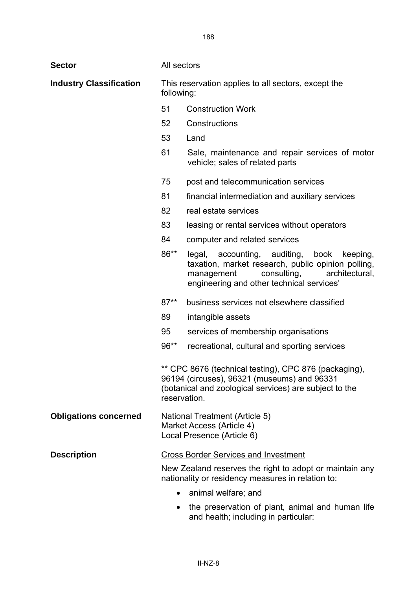188

| <b>Sector</b>                  | All sectors                                                                                                                                                                    |                                                                                                                                                                                                          |
|--------------------------------|--------------------------------------------------------------------------------------------------------------------------------------------------------------------------------|----------------------------------------------------------------------------------------------------------------------------------------------------------------------------------------------------------|
| <b>Industry Classification</b> | This reservation applies to all sectors, except the<br>following:                                                                                                              |                                                                                                                                                                                                          |
|                                | 51                                                                                                                                                                             | <b>Construction Work</b>                                                                                                                                                                                 |
|                                | 52                                                                                                                                                                             | Constructions                                                                                                                                                                                            |
|                                | 53                                                                                                                                                                             | Land                                                                                                                                                                                                     |
|                                | 61                                                                                                                                                                             | Sale, maintenance and repair services of motor<br>vehicle; sales of related parts                                                                                                                        |
|                                | 75                                                                                                                                                                             | post and telecommunication services                                                                                                                                                                      |
|                                | 81                                                                                                                                                                             | financial intermediation and auxiliary services                                                                                                                                                          |
|                                | 82                                                                                                                                                                             | real estate services                                                                                                                                                                                     |
|                                | 83                                                                                                                                                                             | leasing or rental services without operators                                                                                                                                                             |
|                                | 84                                                                                                                                                                             | computer and related services                                                                                                                                                                            |
|                                | 86**                                                                                                                                                                           | accounting,<br>legal,<br>auditing,<br>book<br>keeping,<br>taxation, market research, public opinion polling,<br>management<br>consulting,<br>architectural,<br>engineering and other technical services' |
|                                | $87**$                                                                                                                                                                         | business services not elsewhere classified                                                                                                                                                               |
|                                | 89                                                                                                                                                                             | intangible assets                                                                                                                                                                                        |
|                                | 95                                                                                                                                                                             | services of membership organisations                                                                                                                                                                     |
|                                | 96**                                                                                                                                                                           | recreational, cultural and sporting services                                                                                                                                                             |
|                                | ** CPC 8676 (technical testing), CPC 876 (packaging),<br>96194 (circuses), 96321 (museums) and 96331<br>(botanical and zoological services) are subject to the<br>reservation. |                                                                                                                                                                                                          |
| <b>Obligations concerned</b>   | National Treatment (Article 5)<br>Market Access (Article 4)<br>Local Presence (Article 6)                                                                                      |                                                                                                                                                                                                          |
| <b>Description</b>             | <b>Cross Border Services and Investment</b>                                                                                                                                    |                                                                                                                                                                                                          |
|                                |                                                                                                                                                                                | New Zealand reserves the right to adopt or maintain any<br>nationality or residency measures in relation to:                                                                                             |
|                                |                                                                                                                                                                                | animal welfare; and                                                                                                                                                                                      |

• the preservation of plant, animal and human life and health; including in particular: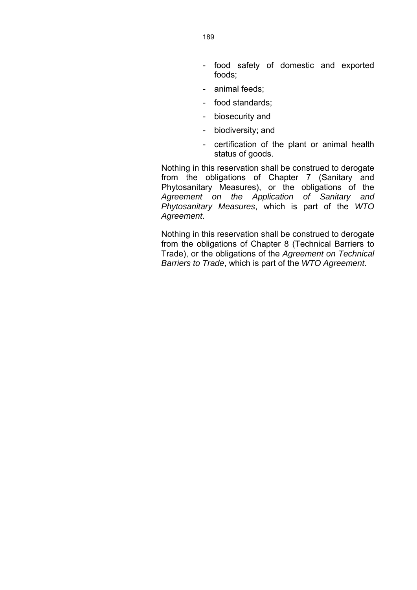- food safety of domestic and exported foods;
- animal feeds;
- food standards;
- biosecurity and
- biodiversity; and
- certification of the plant or animal health status of goods.

Nothing in this reservation shall be construed to derogate from the obligations of Chapter 7 (Sanitary and Phytosanitary Measures), or the obligations of the *Agreement on the Application of Sanitary and Phytosanitary Measures*, which is part of the *WTO Agreement*.

Nothing in this reservation shall be construed to derogate from the obligations of Chapter 8 (Technical Barriers to Trade), or the obligations of the *Agreement on Technical Barriers to Trade*, which is part of the *WTO Agreement*.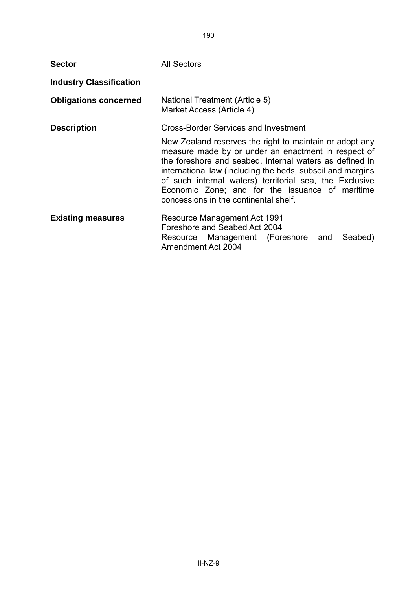| <b>Sector</b>                  | <b>All Sectors</b>                                                                                                                                                                                                                                                                                                                                                                             |
|--------------------------------|------------------------------------------------------------------------------------------------------------------------------------------------------------------------------------------------------------------------------------------------------------------------------------------------------------------------------------------------------------------------------------------------|
| <b>Industry Classification</b> |                                                                                                                                                                                                                                                                                                                                                                                                |
| <b>Obligations concerned</b>   | National Treatment (Article 5)<br>Market Access (Article 4)                                                                                                                                                                                                                                                                                                                                    |
| <b>Description</b>             | <b>Cross-Border Services and Investment</b>                                                                                                                                                                                                                                                                                                                                                    |
|                                | New Zealand reserves the right to maintain or adopt any<br>measure made by or under an enactment in respect of<br>the foreshore and seabed, internal waters as defined in<br>international law (including the beds, subsoil and margins<br>of such internal waters) territorial sea, the Exclusive<br>Economic Zone; and for the issuance of maritime<br>concessions in the continental shelf. |
| <b>Existing measures</b>       | <b>Resource Management Act 1991</b><br>Foreshore and Seabed Act 2004<br>Resource Management (Foreshore and<br>Seabed)<br>Amendment Act 2004                                                                                                                                                                                                                                                    |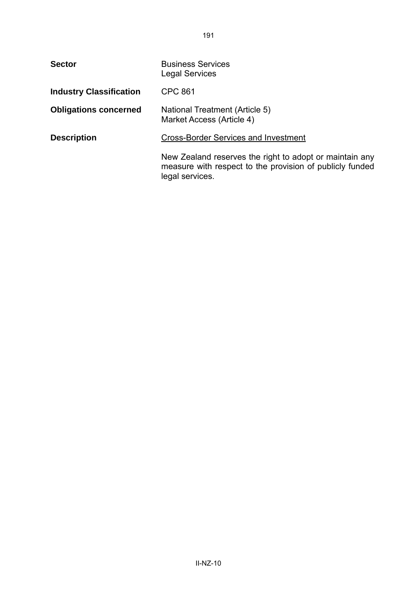| <b>Sector</b>                  | <b>Business Services</b><br><b>Legal Services</b>                                                                                      |
|--------------------------------|----------------------------------------------------------------------------------------------------------------------------------------|
| <b>Industry Classification</b> | <b>CPC 861</b>                                                                                                                         |
| <b>Obligations concerned</b>   | National Treatment (Article 5)<br>Market Access (Article 4)                                                                            |
| <b>Description</b>             | <b>Cross-Border Services and Investment</b>                                                                                            |
|                                | New Zealand reserves the right to adopt or maintain any<br>measure with respect to the provision of publicly funded<br>legal services. |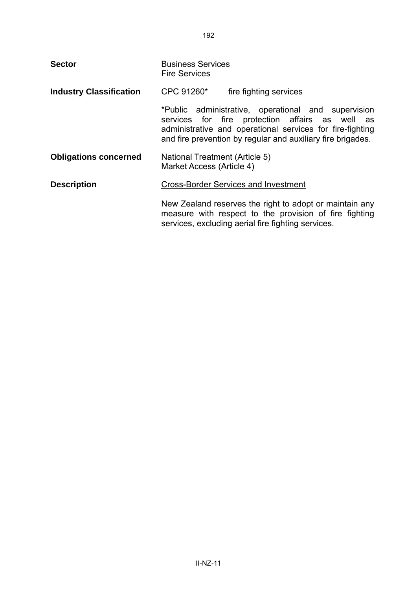| <b>Sector</b>                  | <b>Business Services</b><br><b>Fire Services</b>                                                                                                                                                                                   |
|--------------------------------|------------------------------------------------------------------------------------------------------------------------------------------------------------------------------------------------------------------------------------|
| <b>Industry Classification</b> | CPC 91260*<br>fire fighting services                                                                                                                                                                                               |
|                                | *Public administrative, operational and supervision<br>services for fire protection affairs as well as<br>administrative and operational services for fire-fighting<br>and fire prevention by regular and auxiliary fire brigades. |
| <b>Obligations concerned</b>   | National Treatment (Article 5)<br>Market Access (Article 4)                                                                                                                                                                        |
| <b>Description</b>             | <b>Cross-Border Services and Investment</b>                                                                                                                                                                                        |
|                                | New Zealand reserves the right to adopt or maintain any<br>measure with respect to the provision of fire fighting<br>services, excluding aerial fire fighting services.                                                            |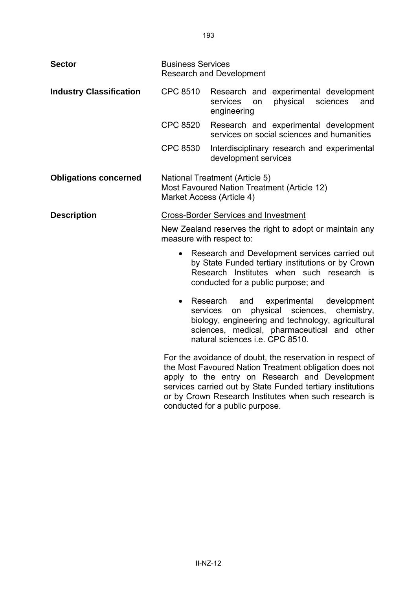| <b>Sector</b>                  | <b>Business Services</b><br><b>Research and Development</b>                                                                                                                                                                                                                                                                     |                                                                                                                                                                                        |    |                                                |          |            |
|--------------------------------|---------------------------------------------------------------------------------------------------------------------------------------------------------------------------------------------------------------------------------------------------------------------------------------------------------------------------------|----------------------------------------------------------------------------------------------------------------------------------------------------------------------------------------|----|------------------------------------------------|----------|------------|
| <b>Industry Classification</b> | <b>CPC 8510</b>                                                                                                                                                                                                                                                                                                                 | Research and experimental development<br>services<br>engineering                                                                                                                       | on | physical                                       | sciences | and        |
|                                | <b>CPC 8520</b>                                                                                                                                                                                                                                                                                                                 | Research and experimental development<br>services on social sciences and humanities                                                                                                    |    |                                                |          |            |
|                                | <b>CPC 8530</b>                                                                                                                                                                                                                                                                                                                 | Interdisciplinary research and experimental<br>development services                                                                                                                    |    |                                                |          |            |
| <b>Obligations concerned</b>   | National Treatment (Article 5)<br>Most Favoured Nation Treatment (Article 12)<br>Market Access (Article 4)                                                                                                                                                                                                                      |                                                                                                                                                                                        |    |                                                |          |            |
| <b>Description</b>             | <b>Cross-Border Services and Investment</b>                                                                                                                                                                                                                                                                                     |                                                                                                                                                                                        |    |                                                |          |            |
|                                | New Zealand reserves the right to adopt or maintain any<br>measure with respect to:                                                                                                                                                                                                                                             |                                                                                                                                                                                        |    |                                                |          |            |
|                                | $\bullet$                                                                                                                                                                                                                                                                                                                       | Research and Development services carried out<br>by State Funded tertiary institutions or by Crown<br>Research Institutes when such research is<br>conducted for a public purpose; and |    |                                                |          |            |
|                                | $\bullet$                                                                                                                                                                                                                                                                                                                       | Research<br>and<br>services on<br>biology, engineering and technology, agricultural<br>sciences, medical, pharmaceutical and other<br>natural sciences i.e. CPC 8510.                  |    | experimental development<br>physical sciences, |          | chemistry, |
|                                | For the avoidance of doubt, the reservation in respect of<br>the Most Favoured Nation Treatment obligation does not<br>apply to the entry on Research and Development<br>services carried out by State Funded tertiary institutions<br>or by Crown Research Institutes when such research is<br>conducted for a public purpose. |                                                                                                                                                                                        |    |                                                |          |            |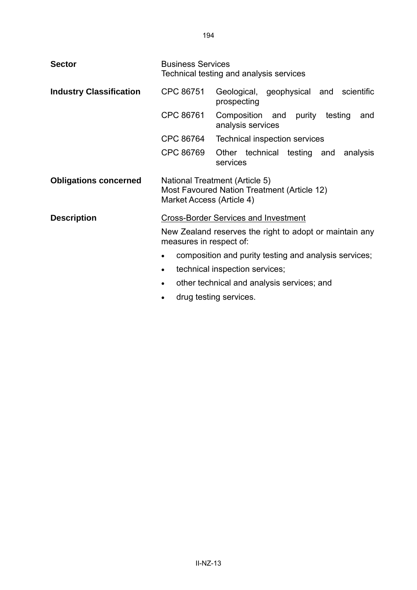| <b>Sector</b>                  | <b>Business Services</b>                                                           | Technical testing and analysis services                                       |  |
|--------------------------------|------------------------------------------------------------------------------------|-------------------------------------------------------------------------------|--|
| <b>Industry Classification</b> | CPC 86751                                                                          | Geological, geophysical and scientific<br>prospecting                         |  |
|                                | CPC 86761                                                                          | Composition and purity<br>testing<br>and<br>analysis services                 |  |
|                                | CPC 86764                                                                          | Technical inspection services                                                 |  |
|                                | CPC 86769                                                                          | Other technical testing and analysis<br>services                              |  |
| <b>Obligations concerned</b>   | Market Access (Article 4)                                                          | National Treatment (Article 5)<br>Most Favoured Nation Treatment (Article 12) |  |
| <b>Description</b>             |                                                                                    | <b>Cross-Border Services and Investment</b>                                   |  |
|                                | New Zealand reserves the right to adopt or maintain any<br>measures in respect of: |                                                                               |  |
|                                | $\bullet$                                                                          | composition and purity testing and analysis services;                         |  |
|                                | $\bullet$                                                                          | technical inspection services;                                                |  |
|                                |                                                                                    | other technical and analysis services; and                                    |  |
|                                |                                                                                    | drug testing services.                                                        |  |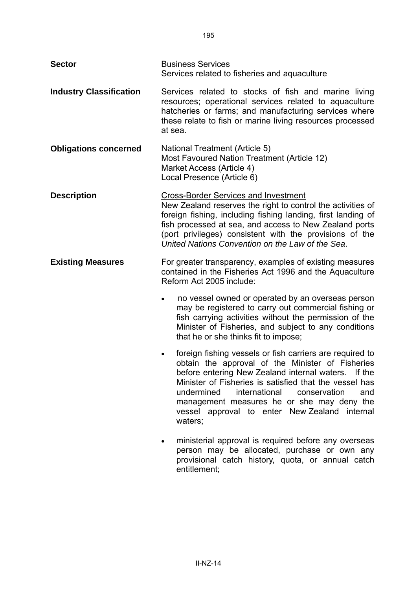| <b>Sector</b>                  | <b>Business Services</b><br>Services related to fisheries and aquaculture                                                                                                                                                                                                                                                                                                                     |
|--------------------------------|-----------------------------------------------------------------------------------------------------------------------------------------------------------------------------------------------------------------------------------------------------------------------------------------------------------------------------------------------------------------------------------------------|
| <b>Industry Classification</b> | Services related to stocks of fish and marine living<br>resources; operational services related to aquaculture<br>hatcheries or farms; and manufacturing services where<br>these relate to fish or marine living resources processed<br>at sea.                                                                                                                                               |
| <b>Obligations concerned</b>   | National Treatment (Article 5)<br>Most Favoured Nation Treatment (Article 12)<br>Market Access (Article 4)<br>Local Presence (Article 6)                                                                                                                                                                                                                                                      |
| <b>Description</b>             | <b>Cross-Border Services and Investment</b><br>New Zealand reserves the right to control the activities of<br>foreign fishing, including fishing landing, first landing of<br>fish processed at sea, and access to New Zealand ports<br>(port privileges) consistent with the provisions of the<br>United Nations Convention on the Law of the Sea.                                           |
| <b>Existing Measures</b>       | For greater transparency, examples of existing measures<br>contained in the Fisheries Act 1996 and the Aquaculture<br>Reform Act 2005 include:                                                                                                                                                                                                                                                |
|                                | no vessel owned or operated by an overseas person<br>may be registered to carry out commercial fishing or<br>fish carrying activities without the permission of the<br>Minister of Fisheries, and subject to any conditions<br>that he or she thinks fit to impose;                                                                                                                           |
|                                | foreign fishing vessels or fish carriers are required to<br>obtain the approval of the Minister of Fisheries<br>before entering New Zealand internal waters. If the<br>Minister of Fisheries is satisfied that the vessel has<br>undermined<br>international<br>conservation<br>and<br>management measures he or she may deny the<br>vessel approval to enter New Zealand internal<br>waters; |
|                                | ministerial approval is required before any overseas<br>person may be allocated, purchase or own any<br>provisional catch history, quota, or annual catch<br>entitlement;                                                                                                                                                                                                                     |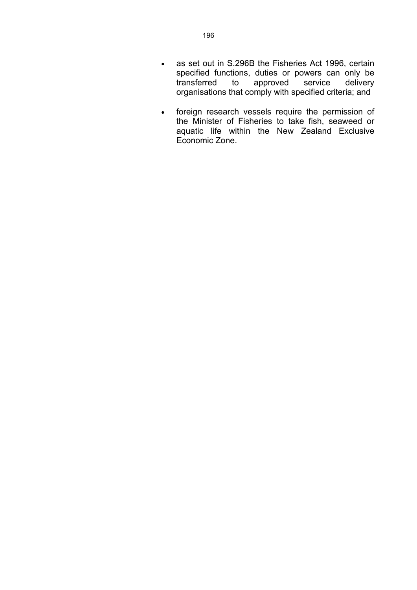- as set out in S.296B the Fisheries Act 1996, certain specified functions, duties or powers can only be transferred to approved service delivery transferred to approved service delivery organisations that comply with specified criteria; and
- foreign research vessels require the permission of the Minister of Fisheries to take fish, seaweed or aquatic life within the New Zealand Exclusive Economic Zone.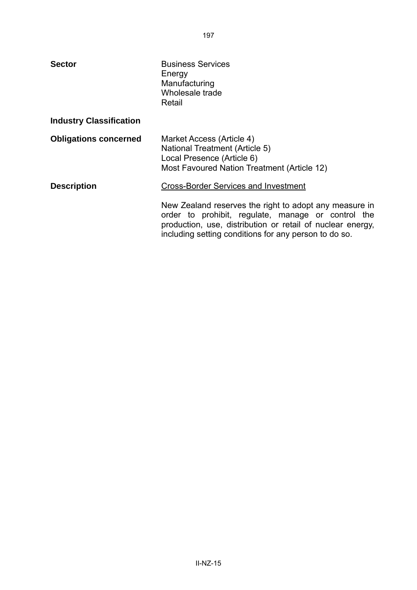| <b>Sector</b>                  | <b>Business Services</b><br>Energy<br>Manufacturing<br>Wholesale trade<br>Retail                                                                                                                                                    |
|--------------------------------|-------------------------------------------------------------------------------------------------------------------------------------------------------------------------------------------------------------------------------------|
| <b>Industry Classification</b> |                                                                                                                                                                                                                                     |
| <b>Obligations concerned</b>   | Market Access (Article 4)<br><b>National Treatment (Article 5)</b><br>Local Presence (Article 6)<br>Most Favoured Nation Treatment (Article 12)                                                                                     |
| <b>Description</b>             | <b>Cross-Border Services and Investment</b>                                                                                                                                                                                         |
|                                | New Zealand reserves the right to adopt any measure in<br>order to prohibit, regulate, manage or control the<br>production, use, distribution or retail of nuclear energy,<br>including setting conditions for any person to do so. |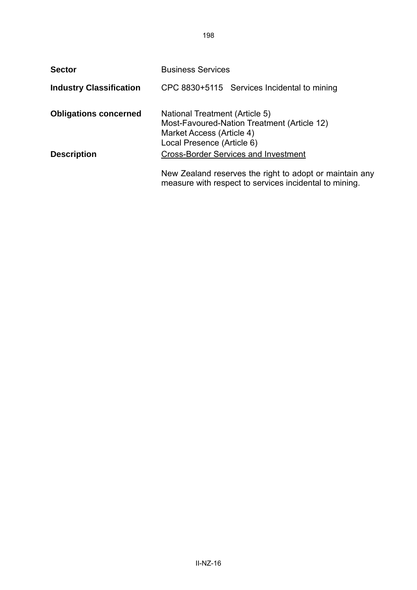| <b>Sector</b>                  | <b>Business Services</b>                                                                                                                 |  |  |
|--------------------------------|------------------------------------------------------------------------------------------------------------------------------------------|--|--|
| <b>Industry Classification</b> | CPC 8830+5115 Services Incidental to mining                                                                                              |  |  |
| <b>Obligations concerned</b>   | National Treatment (Article 5)<br>Most-Favoured-Nation Treatment (Article 12)<br>Market Access (Article 4)<br>Local Presence (Article 6) |  |  |
| <b>Description</b>             | <b>Cross-Border Services and Investment</b>                                                                                              |  |  |
|                                | New Zealand reserves the right to adopt or maintain any<br>measure with respect to services incidental to mining.                        |  |  |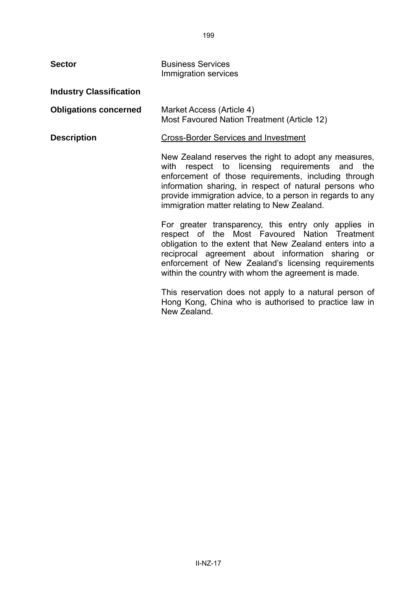| <b>Sector</b> | <b>Business Services</b> |
|---------------|--------------------------|
|               | Immigration services     |

**Industry Classification** 

**Obligations concerned** Market Access (Article 4) Most Favoured Nation Treatment (Article 12)

**Description** Cross-Border Services and Investment

New Zealand reserves the right to adopt any measures, with respect to licensing requirements and the enforcement of those requirements, including through information sharing, in respect of natural persons who provide immigration advice, to a person in regards to any immigration matter relating to New Zealand.

For greater transparency, this entry only applies in respect of the Most Favoured Nation Treatment obligation to the extent that New Zealand enters into a reciprocal agreement about information sharing or enforcement of New Zealand's licensing requirements within the country with whom the agreement is made.

This reservation does not apply to a natural person of Hong Kong, China who is authorised to practice law in New Zealand.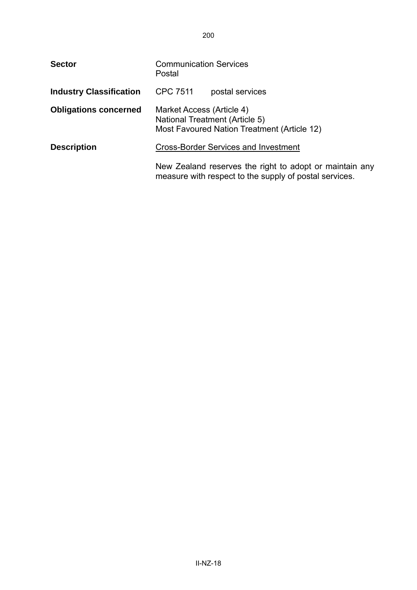| <b>Sector</b>                  | <b>Communication Services</b><br>Postal     |                                                                                                                   |
|--------------------------------|---------------------------------------------|-------------------------------------------------------------------------------------------------------------------|
| <b>Industry Classification</b> | <b>CPC 7511</b>                             | postal services                                                                                                   |
| <b>Obligations concerned</b>   | Market Access (Article 4)                   | National Treatment (Article 5)<br>Most Favoured Nation Treatment (Article 12)                                     |
| <b>Description</b>             | <b>Cross-Border Services and Investment</b> |                                                                                                                   |
|                                |                                             | New Zealand reserves the right to adopt or maintain any<br>measure with respect to the supply of postal services. |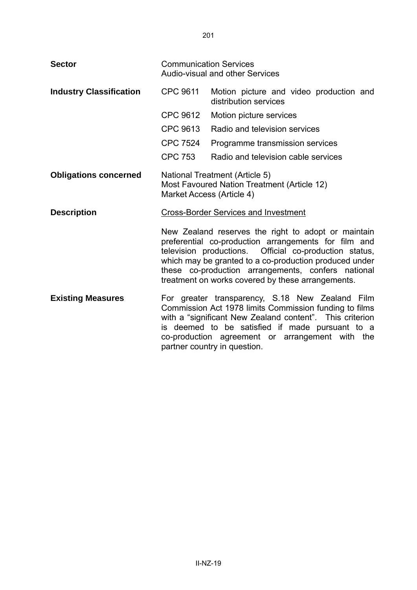| <b>Sector</b>                  | <b>Communication Services</b><br><b>Audio-visual and other Services</b>                                    |                                                                                                                                                                                                                                                                                                                                            |
|--------------------------------|------------------------------------------------------------------------------------------------------------|--------------------------------------------------------------------------------------------------------------------------------------------------------------------------------------------------------------------------------------------------------------------------------------------------------------------------------------------|
| <b>Industry Classification</b> | <b>CPC 9611</b>                                                                                            | Motion picture and video production and<br>distribution services                                                                                                                                                                                                                                                                           |
|                                | CPC 9612                                                                                                   | Motion picture services                                                                                                                                                                                                                                                                                                                    |
|                                | CPC 9613                                                                                                   | Radio and television services                                                                                                                                                                                                                                                                                                              |
|                                | <b>CPC 7524</b>                                                                                            | Programme transmission services                                                                                                                                                                                                                                                                                                            |
|                                | <b>CPC 753</b>                                                                                             | Radio and television cable services                                                                                                                                                                                                                                                                                                        |
| <b>Obligations concerned</b>   | National Treatment (Article 5)<br>Most Favoured Nation Treatment (Article 12)<br>Market Access (Article 4) |                                                                                                                                                                                                                                                                                                                                            |
| <b>Description</b>             |                                                                                                            | <b>Cross-Border Services and Investment</b>                                                                                                                                                                                                                                                                                                |
|                                |                                                                                                            | New Zealand reserves the right to adopt or maintain<br>preferential co-production arrangements for film and<br>television productions. Official co-production status,<br>which may be granted to a co-production produced under<br>these co-production arrangements, confers national<br>treatment on works covered by these arrangements. |
| <b>Existing Measures</b>       |                                                                                                            | For greater transparency, S.18 New Zealand Film<br>Commission Act 1978 limits Commission funding to films<br>with a "significant New Zealand content". This criterion<br>is deemed to be satisfied if made pursuant to a<br>co-production agreement or arrangement with the<br>partner country in question.                                |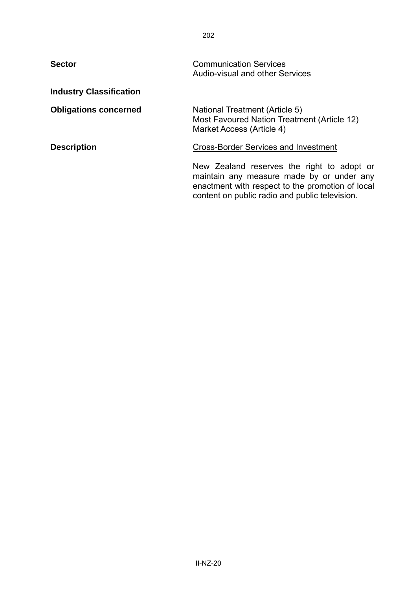| <b>Sector</b>                  | <b>Communication Services</b><br><b>Audio-visual and other Services</b>                                                                                                                       |
|--------------------------------|-----------------------------------------------------------------------------------------------------------------------------------------------------------------------------------------------|
| <b>Industry Classification</b> |                                                                                                                                                                                               |
| <b>Obligations concerned</b>   | National Treatment (Article 5)<br>Most Favoured Nation Treatment (Article 12)<br>Market Access (Article 4)                                                                                    |
| <b>Description</b>             | <b>Cross-Border Services and Investment</b>                                                                                                                                                   |
|                                | New Zealand reserves the right to adopt or<br>maintain any measure made by or under any<br>enactment with respect to the promotion of local<br>content on public radio and public television. |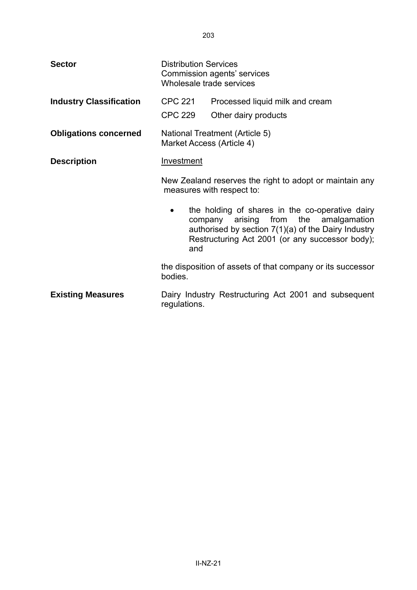| <b>Sector</b>                  | <b>Distribution Services</b><br>Commission agents' services<br>Wholesale trade services |                                                                                                                                                                                                         |
|--------------------------------|-----------------------------------------------------------------------------------------|---------------------------------------------------------------------------------------------------------------------------------------------------------------------------------------------------------|
| <b>Industry Classification</b> | <b>CPC 221</b>                                                                          | Processed liquid milk and cream                                                                                                                                                                         |
|                                | <b>CPC 229</b>                                                                          | Other dairy products                                                                                                                                                                                    |
| <b>Obligations concerned</b>   | Market Access (Article 4)                                                               | National Treatment (Article 5)                                                                                                                                                                          |
| <b>Description</b>             | Investment                                                                              |                                                                                                                                                                                                         |
|                                |                                                                                         | New Zealand reserves the right to adopt or maintain any<br>measures with respect to:                                                                                                                    |
|                                | and                                                                                     | the holding of shares in the co-operative dairy<br>arising from the amalgamation<br>company<br>authorised by section $7(1)(a)$ of the Dairy Industry<br>Restructuring Act 2001 (or any successor body); |
|                                | bodies.                                                                                 | the disposition of assets of that company or its successor                                                                                                                                              |
| <b>Existing Measures</b>       | regulations.                                                                            | Dairy Industry Restructuring Act 2001 and subsequent                                                                                                                                                    |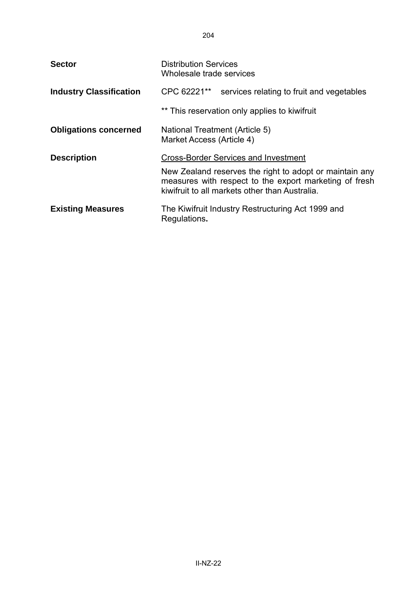| <b>Sector</b>                  | <b>Distribution Services</b><br>Wholesale trade services    |                                                                                                                                                                     |
|--------------------------------|-------------------------------------------------------------|---------------------------------------------------------------------------------------------------------------------------------------------------------------------|
| <b>Industry Classification</b> | CPC 62221**                                                 | services relating to fruit and vegetables                                                                                                                           |
|                                |                                                             | ** This reservation only applies to kiwifruit                                                                                                                       |
| <b>Obligations concerned</b>   | National Treatment (Article 5)<br>Market Access (Article 4) |                                                                                                                                                                     |
| <b>Description</b>             |                                                             | <b>Cross-Border Services and Investment</b>                                                                                                                         |
|                                |                                                             | New Zealand reserves the right to adopt or maintain any<br>measures with respect to the export marketing of fresh<br>kiwifruit to all markets other than Australia. |
| <b>Existing Measures</b>       | Regulations.                                                | The Kiwifruit Industry Restructuring Act 1999 and                                                                                                                   |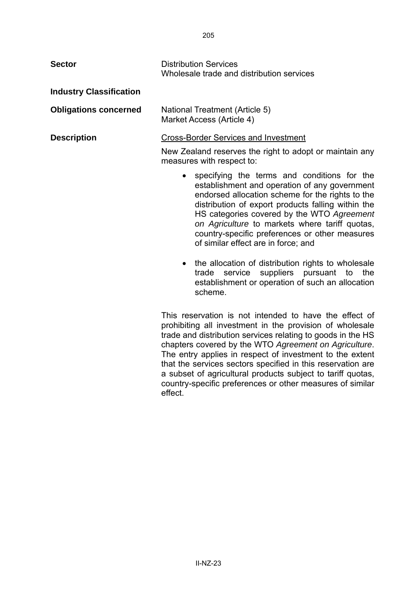**Sector Distribution Services** Wholesale trade and distribution services **Industry Classification Obligations concerned** National Treatment (Article 5) Market Access (Article 4) **Description** Cross-Border Services and Investment New Zealand reserves the right to adopt or maintain any measures with respect to: • specifying the terms and conditions for the establishment and operation of any government endorsed allocation scheme for the rights to the distribution of export products falling within the HS categories covered by the WTO *Agreement on Agriculture* to markets where tariff quotas, country-specific preferences or other measures of similar effect are in force; and • the allocation of distribution rights to wholesale trade service suppliers pursuant to the establishment or operation of such an allocation scheme. This reservation is not intended to have the effect of prohibiting all investment in the provision of wholesale trade and distribution services relating to goods in the HS

> chapters covered by the WTO *Agreement on Agriculture*. The entry applies in respect of investment to the extent that the services sectors specified in this reservation are a subset of agricultural products subject to tariff quotas, country-specific preferences or other measures of similar

effect.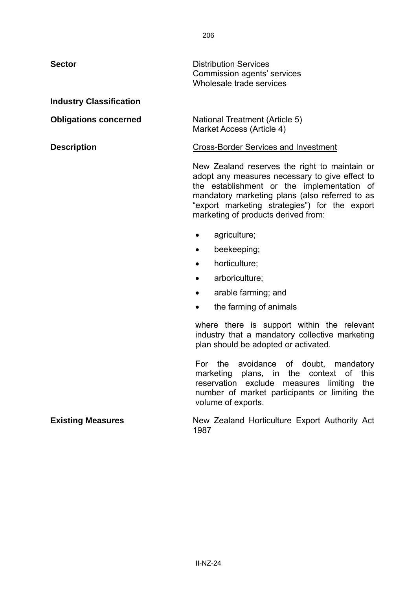**Sector Distribution Services** Commission agents' services Wholesale trade services **Industry Classification Obligations concerned National Treatment (Article 5)** Market Access (Article 4) **Description Cross-Border Services and Investment** New Zealand reserves the right to maintain or adopt any measures necessary to give effect to the establishment or the implementation of mandatory marketing plans (also referred to as "export marketing strategies") for the export marketing of products derived from: • agriculture; • beekeeping; • horticulture; • arboriculture; • arable farming; and • the farming of animals where there is support within the relevant industry that a mandatory collective marketing plan should be adopted or activated. For the avoidance of doubt, mandatory marketing plans, in the context of this reservation exclude measures limiting the

**Existing Measures • The New Zealand Horticulture Export Authority Act** 1987

volume of exports.

number of market participants or limiting the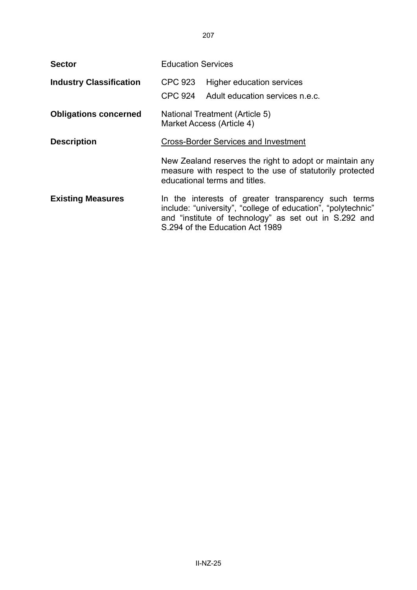| <b>Sector</b>                  | <b>Education Services</b>                                                                                                                                                                                       |  |
|--------------------------------|-----------------------------------------------------------------------------------------------------------------------------------------------------------------------------------------------------------------|--|
| <b>Industry Classification</b> | CPC 923<br>Higher education services<br>CPC 924<br>Adult education services n.e.c.                                                                                                                              |  |
| <b>Obligations concerned</b>   | National Treatment (Article 5)<br>Market Access (Article 4)                                                                                                                                                     |  |
| <b>Description</b>             | <b>Cross-Border Services and Investment</b>                                                                                                                                                                     |  |
|                                | New Zealand reserves the right to adopt or maintain any<br>measure with respect to the use of statutorily protected<br>educational terms and titles.                                                            |  |
| <b>Existing Measures</b>       | In the interests of greater transparency such terms<br>include: "university", "college of education", "polytechnic"<br>and "institute of technology" as set out in S.292 and<br>S.294 of the Education Act 1989 |  |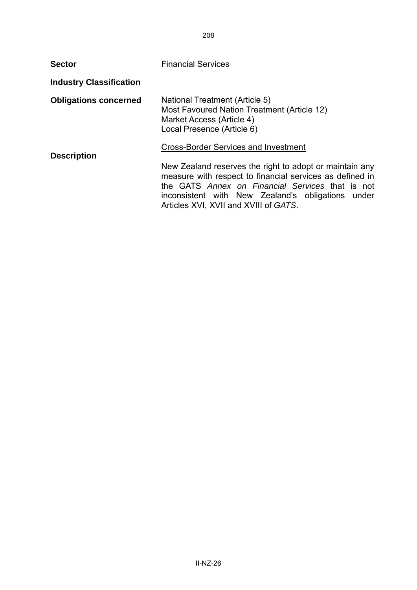| <b>Sector</b>                  | <b>Financial Services</b>                                                                                                                                                                                                                                                                                            |
|--------------------------------|----------------------------------------------------------------------------------------------------------------------------------------------------------------------------------------------------------------------------------------------------------------------------------------------------------------------|
| <b>Industry Classification</b> |                                                                                                                                                                                                                                                                                                                      |
| <b>Obligations concerned</b>   | National Treatment (Article 5)<br>Most Favoured Nation Treatment (Article 12)<br>Market Access (Article 4)<br>Local Presence (Article 6)                                                                                                                                                                             |
| <b>Description</b>             | <b>Cross-Border Services and Investment</b><br>New Zealand reserves the right to adopt or maintain any<br>measure with respect to financial services as defined in<br>the GATS Annex on Financial Services that is not<br>inconsistent with New Zealand's obligations under<br>Articles XVI, XVII and XVIII of GATS. |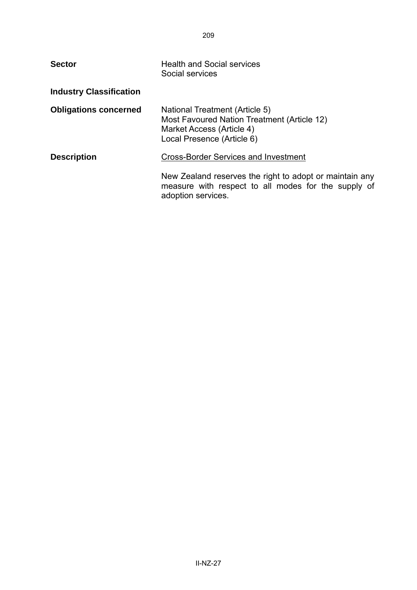| <b>Sector</b>                  | <b>Health and Social services</b><br>Social services                                                                                     |
|--------------------------------|------------------------------------------------------------------------------------------------------------------------------------------|
| <b>Industry Classification</b> |                                                                                                                                          |
| <b>Obligations concerned</b>   | National Treatment (Article 5)<br>Most Favoured Nation Treatment (Article 12)<br>Market Access (Article 4)<br>Local Presence (Article 6) |
| <b>Description</b>             | <b>Cross-Border Services and Investment</b>                                                                                              |
|                                | New Zealand reserves the right to adopt or maintain any<br>measure with respect to all modes for the supply of<br>adoption services.     |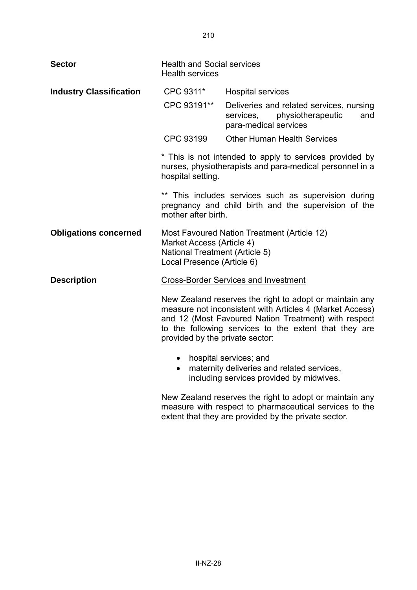| <b>Sector</b>                  | <b>Health and Social services</b><br><b>Health services</b>                                                                                                                                                                                                             |                                                                                                                   |  |
|--------------------------------|-------------------------------------------------------------------------------------------------------------------------------------------------------------------------------------------------------------------------------------------------------------------------|-------------------------------------------------------------------------------------------------------------------|--|
| <b>Industry Classification</b> | CPC 9311*                                                                                                                                                                                                                                                               | <b>Hospital services</b>                                                                                          |  |
|                                | CPC 93191**                                                                                                                                                                                                                                                             | Deliveries and related services, nursing<br>physiotherapeutic<br>services,<br>and<br>para-medical services        |  |
|                                | CPC 93199                                                                                                                                                                                                                                                               | <b>Other Human Health Services</b>                                                                                |  |
|                                | * This is not intended to apply to services provided by<br>nurses, physiotherapists and para-medical personnel in a<br>hospital setting.                                                                                                                                |                                                                                                                   |  |
|                                | ** This includes services such as supervision during<br>pregnancy and child birth and the supervision of the<br>mother after birth.                                                                                                                                     |                                                                                                                   |  |
| <b>Obligations concerned</b>   | Most Favoured Nation Treatment (Article 12)<br>Market Access (Article 4)<br>National Treatment (Article 5)<br>Local Presence (Article 6)                                                                                                                                |                                                                                                                   |  |
| <b>Description</b>             | <b>Cross-Border Services and Investment</b>                                                                                                                                                                                                                             |                                                                                                                   |  |
|                                | New Zealand reserves the right to adopt or maintain any<br>measure not inconsistent with Articles 4 (Market Access)<br>and 12 (Most Favoured Nation Treatment) with respect<br>to the following services to the extent that they are<br>provided by the private sector: |                                                                                                                   |  |
|                                | • hospital services; and<br>maternity deliveries and related services,<br>$\bullet$<br>including services provided by midwives.                                                                                                                                         |                                                                                                                   |  |
|                                |                                                                                                                                                                                                                                                                         | New Zealand reserves the right to adopt or maintain any<br>measure with respect to pharmaceutical services to the |  |

extent that they are provided by the private sector.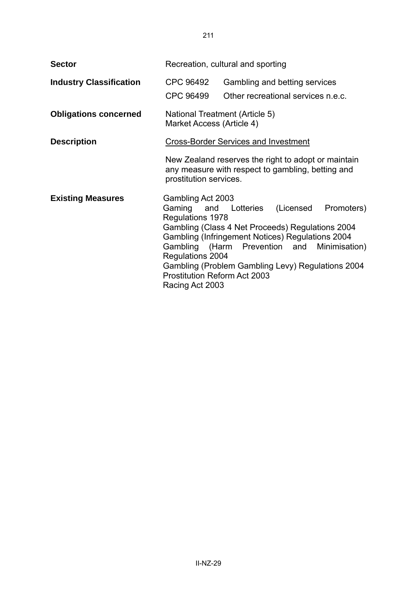| <b>Sector</b>                  | Recreation, cultural and sporting                                                                                                                                                                                                                                                                                                         |  |                                                                     |                             |
|--------------------------------|-------------------------------------------------------------------------------------------------------------------------------------------------------------------------------------------------------------------------------------------------------------------------------------------------------------------------------------------|--|---------------------------------------------------------------------|-----------------------------|
| <b>Industry Classification</b> | CPC 96492<br>CPC 96499                                                                                                                                                                                                                                                                                                                    |  | Gambling and betting services<br>Other recreational services n.e.c. |                             |
| <b>Obligations concerned</b>   | National Treatment (Article 5)<br>Market Access (Article 4)                                                                                                                                                                                                                                                                               |  |                                                                     |                             |
| <b>Description</b>             | <b>Cross-Border Services and Investment</b>                                                                                                                                                                                                                                                                                               |  |                                                                     |                             |
|                                | New Zealand reserves the right to adopt or maintain<br>any measure with respect to gambling, betting and<br>prostitution services.                                                                                                                                                                                                        |  |                                                                     |                             |
| <b>Existing Measures</b>       | Gambling Act 2003<br>Gaming and Lotteries<br>Regulations 1978<br>Gambling (Class 4 Net Proceeds) Regulations 2004<br>Gambling (Infringement Notices) Regulations 2004<br>Gambling (Harm Prevention and<br>Regulations 2004<br>Gambling (Problem Gambling Levy) Regulations 2004<br><b>Prostitution Reform Act 2003</b><br>Racing Act 2003 |  | (Licensed                                                           | Promoters)<br>Minimisation) |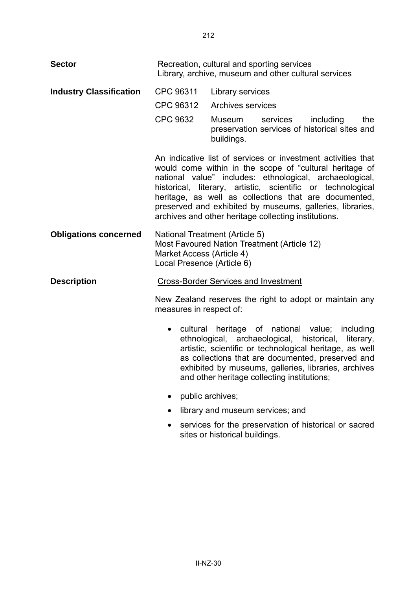| <b>Sector</b>                  | Recreation, cultural and sporting services<br>Library, archive, museum and other cultural services                                       |                                                                                                                                                                                                                                                                                                                                                                                                                                 |  |
|--------------------------------|------------------------------------------------------------------------------------------------------------------------------------------|---------------------------------------------------------------------------------------------------------------------------------------------------------------------------------------------------------------------------------------------------------------------------------------------------------------------------------------------------------------------------------------------------------------------------------|--|
| <b>Industry Classification</b> | CPC 96311<br>CPC 96312<br><b>CPC 9632</b>                                                                                                | Library services<br><b>Archives services</b><br>Museum<br>including<br>the<br>services<br>preservation services of historical sites and<br>buildings.                                                                                                                                                                                                                                                                           |  |
|                                |                                                                                                                                          | An indicative list of services or investment activities that<br>would come within in the scope of "cultural heritage of<br>national value" includes: ethnological, archaeological,<br>historical, literary, artistic, scientific or technological<br>heritage, as well as collections that are documented,<br>preserved and exhibited by museums, galleries, libraries,<br>archives and other heritage collecting institutions. |  |
| <b>Obligations concerned</b>   | National Treatment (Article 5)<br>Most Favoured Nation Treatment (Article 12)<br>Market Access (Article 4)<br>Local Presence (Article 6) |                                                                                                                                                                                                                                                                                                                                                                                                                                 |  |
| <b>Description</b>             | <b>Cross-Border Services and Investment</b><br>New Zealand reserves the right to adopt or maintain any<br>measures in respect of:        |                                                                                                                                                                                                                                                                                                                                                                                                                                 |  |
|                                | cultural<br>$\bullet$                                                                                                                    | heritage of national value; including<br>ethnological, archaeological, historical,<br>literary,<br>artistic, scientific or technological heritage, as well<br>as collections that are documented, preserved and<br>exhibited by museums, galleries, libraries, archives<br>and other heritage collecting institutions;                                                                                                          |  |
|                                |                                                                                                                                          | public archives;                                                                                                                                                                                                                                                                                                                                                                                                                |  |
|                                |                                                                                                                                          | library and museum services; and                                                                                                                                                                                                                                                                                                                                                                                                |  |
|                                |                                                                                                                                          | services for the preservation of historical or sacred                                                                                                                                                                                                                                                                                                                                                                           |  |

sites or historical buildings.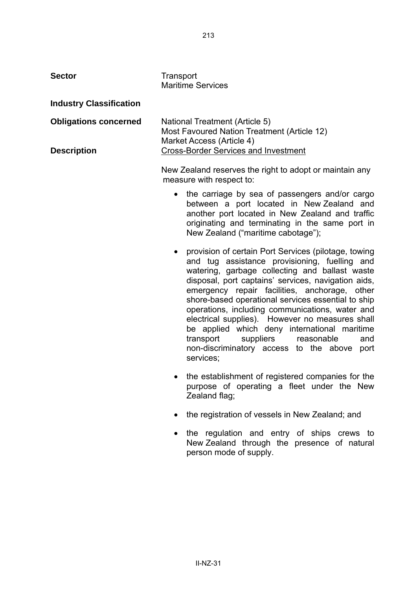**Sector Transport** Maritime Services **Industry Classification Obligations concerned** National Treatment (Article 5) Most Favoured Nation Treatment (Article 12) Market Access (Article 4) **Description** Cross-Border Services and Investment New Zealand reserves the right to adopt or maintain any measure with respect to: • the carriage by sea of passengers and/or cargo between a port located in New Zealand and another port located in New Zealand and traffic originating and terminating in the same port in New Zealand ("maritime cabotage"); • provision of certain Port Services (pilotage, towing and tug assistance provisioning, fuelling and watering, garbage collecting and ballast waste disposal, port captains' services, navigation aids, emergency repair facilities, anchorage, other shore-based operational services essential to ship operations, including communications, water and electrical supplies). However no measures shall be applied which deny international maritime transport suppliers reasonable and non-discriminatory access to the above port services; • the establishment of registered companies for the purpose of operating a fleet under the New Zealand flag; • the registration of vessels in New Zealand; and • the regulation and entry of ships crews to

person mode of supply.

New Zealand through the presence of natural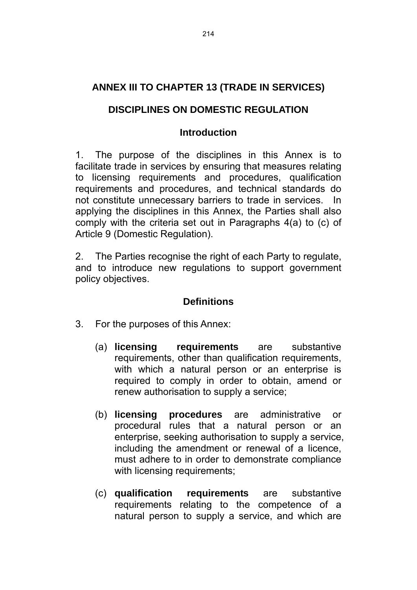## **ANNEX III TO CHAPTER 13 (TRADE IN SERVICES)**

## **DISCIPLINES ON DOMESTIC REGULATION**

#### **Introduction**

1. The purpose of the disciplines in this Annex is to facilitate trade in services by ensuring that measures relating to licensing requirements and procedures, qualification requirements and procedures, and technical standards do not constitute unnecessary barriers to trade in services. applying the disciplines in this Annex, the Parties shall also comply with the criteria set out in Paragraphs 4(a) to (c) of Article 9 (Domestic Regulation).

2. The Parties recognise the right of each Party to regulate, and to introduce new regulations to support government policy objectives.

## **Definitions**

- 3. For the purposes of this Annex:
	- (a) **licensing requirements** are substantive requirements, other than qualification requirements, with which a natural person or an enterprise is required to comply in order to obtain, amend or renew authorisation to supply a service;
	- (b) **licensing procedures** are administrative or procedural rules that a natural person or an enterprise, seeking authorisation to supply a service, including the amendment or renewal of a licence, must adhere to in order to demonstrate compliance with licensing requirements;
	- (c) **qualification requirements** are substantive requirements relating to the competence of a natural person to supply a service, and which are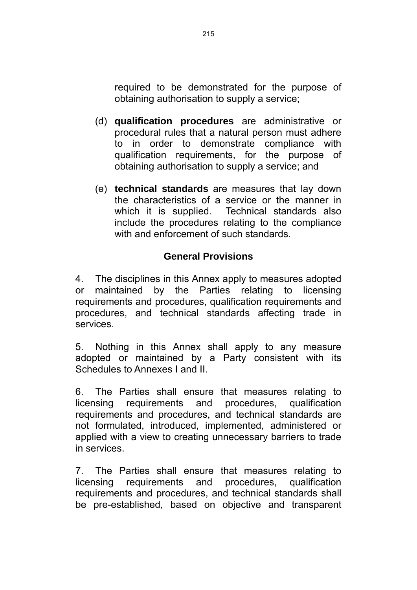required to be demonstrated for the purpose of obtaining authorisation to supply a service;

- (d) **qualification procedures** are administrative or procedural rules that a natural person must adhere to in order to demonstrate compliance with qualification requirements, for the purpose of obtaining authorisation to supply a service; and
- (e) **technical standards** are measures that lay down the characteristics of a service or the manner in which it is supplied. Technical standards also include the procedures relating to the compliance with and enforcement of such standards.

## **General Provisions**

4. The disciplines in this Annex apply to measures adopted or maintained by the Parties relating to licensing requirements and procedures, qualification requirements and procedures, and technical standards affecting trade in services.

5. Nothing in this Annex shall apply to any measure adopted or maintained by a Party consistent with its Schedules to Annexes I and II.

6. The Parties shall ensure that measures relating to licensing requirements and procedures, qualification requirements and procedures, and technical standards are not formulated, introduced, implemented, administered or applied with a view to creating unnecessary barriers to trade in services.

7. The Parties shall ensure that measures relating to licensing requirements and procedures, qualification requirements and procedures, and technical standards shall be pre-established, based on objective and transparent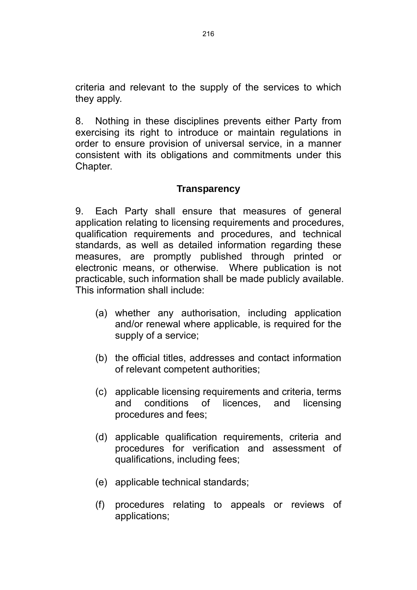criteria and relevant to the supply of the services to which they apply.

8. Nothing in these disciplines prevents either Party from exercising its right to introduce or maintain regulations in order to ensure provision of universal service, in a manner consistent with its obligations and commitments under this Chapter.

### **Transparency**

9. Each Party shall ensure that measures of general application relating to licensing requirements and procedures, qualification requirements and procedures, and technical standards, as well as detailed information regarding these measures, are promptly published through printed or electronic means, or otherwise. Where publication is not practicable, such information shall be made publicly available. This information shall include:

- (a) whether any authorisation, including application and/or renewal where applicable, is required for the supply of a service;
- (b) the official titles, addresses and contact information of relevant competent authorities;
- (c) applicable licensing requirements and criteria, terms and conditions of licences, and licensing procedures and fees;
- (d) applicable qualification requirements, criteria and procedures for verification and assessment of qualifications, including fees;
- (e) applicable technical standards;
- (f) procedures relating to appeals or reviews of applications;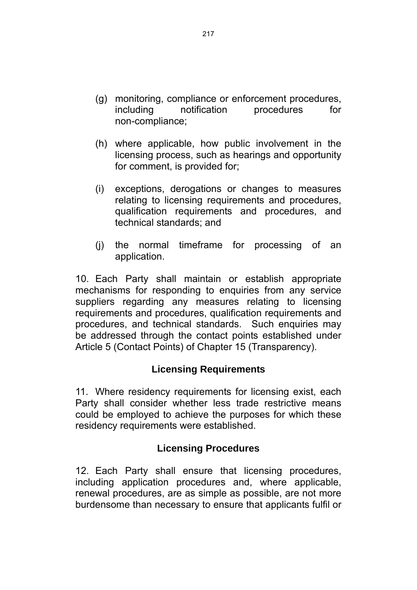- (g) monitoring, compliance or enforcement procedures, including notification procedures for non-compliance;
- (h) where applicable, how public involvement in the licensing process, such as hearings and opportunity for comment, is provided for;
- (i) exceptions, derogations or changes to measures relating to licensing requirements and procedures, qualification requirements and procedures, and technical standards; and
- (j) the normal timeframe for processing of an application.

10. Each Party shall maintain or establish appropriate mechanisms for responding to enquiries from any service suppliers regarding any measures relating to licensing requirements and procedures, qualification requirements and procedures, and technical standards. Such enquiries may be addressed through the contact points established under Article 5 (Contact Points) of Chapter 15 (Transparency).

## **Licensing Requirements**

11. Where residency requirements for licensing exist, each Party shall consider whether less trade restrictive means could be employed to achieve the purposes for which these residency requirements were established.

## **Licensing Procedures**

12. Each Party shall ensure that licensing procedures, including application procedures and, where applicable, renewal procedures, are as simple as possible, are not more burdensome than necessary to ensure that applicants fulfil or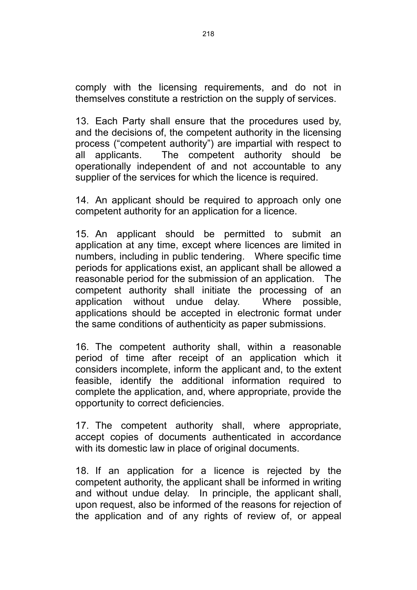comply with the licensing requirements, and do not in themselves constitute a restriction on the supply of services.

13. Each Party shall ensure that the procedures used by, and the decisions of, the competent authority in the licensing process ("competent authority") are impartial with respect to all applicants. The competent authority should be operationally independent of and not accountable to any supplier of the services for which the licence is required.

14. An applicant should be required to approach only one competent authority for an application for a licence.

15. An applicant should be permitted to submit an application at any time, except where licences are limited in numbers, including in public tendering. Where specific time periods for applications exist, an applicant shall be allowed a reasonable period for the submission of an application. The competent authority shall initiate the processing of an application without undue delay. Where possible, applications should be accepted in electronic format under the same conditions of authenticity as paper submissions.

16. The competent authority shall, within a reasonable period of time after receipt of an application which it considers incomplete, inform the applicant and, to the extent feasible, identify the additional information required to complete the application, and, where appropriate, provide the opportunity to correct deficiencies.

17. The competent authority shall, where appropriate, accept copies of documents authenticated in accordance with its domestic law in place of original documents.

18. If an application for a licence is rejected by the competent authority, the applicant shall be informed in writing and without undue delay. In principle, the applicant shall, upon request, also be informed of the reasons for rejection of the application and of any rights of review of, or appeal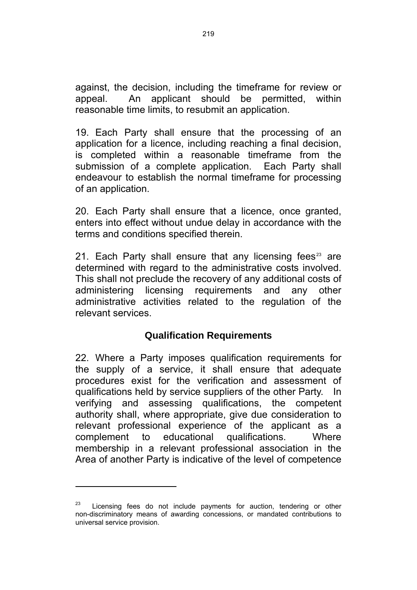<span id="page-221-0"></span>against, the decision, including the timeframe for review or appeal. An applicant should be permitted, within reasonable time limits, to resubmit an application.

19. Each Party shall ensure that the processing of an application for a licence, including reaching a final decision, is completed within a reasonable timeframe from the submission of a complete application. Each Party shall endeavour to establish the normal timeframe for processing of an application.

20. Each Party shall ensure that a licence, once granted, enters into effect without undue delay in accordance with the terms and conditions specified therein.

21. Each Party shall ensure that any licensing fees<sup>[23](#page-221-0)</sup> are determined with regard to the administrative costs involved. This shall not preclude the recovery of any additional costs of administering licensing requirements and any other administrative activities related to the regulation of the relevant services.

## **Qualification Requirements**

22. Where a Party imposes qualification requirements for the supply of a service, it shall ensure that adequate procedures exist for the verification and assessment of qualifications held by service suppliers of the other Party. In verifying and assessing qualifications, the competent authority shall, where appropriate, give due consideration to relevant professional experience of the applicant as a complement to educational qualifications. Where membership in a relevant professional association in the Area of another Party is indicative of the level of competence

l

 $23$  Licensing fees do not include payments for auction, tendering or other non-discriminatory means of awarding concessions, or mandated contributions to universal service provision.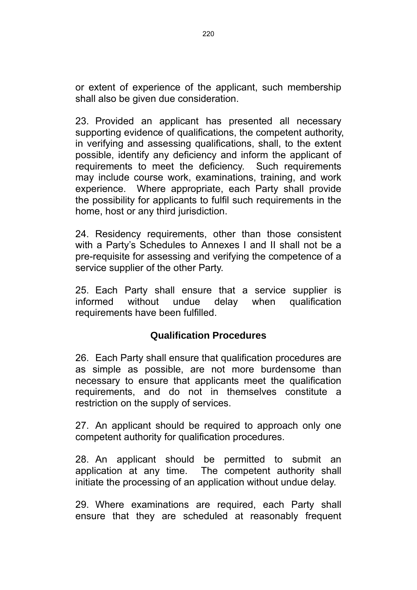or extent of experience of the applicant, such membership shall also be given due consideration.

23. Provided an applicant has presented all necessary supporting evidence of qualifications, the competent authority, in verifying and assessing qualifications, shall, to the extent possible, identify any deficiency and inform the applicant of requirements to meet the deficiency. Such requirements may include course work, examinations, training, and work experience. Where appropriate, each Party shall provide the possibility for applicants to fulfil such requirements in the home, host or any third jurisdiction.

24. Residency requirements, other than those consistent with a Party's Schedules to Annexes I and II shall not be a pre-requisite for assessing and verifying the competence of a service supplier of the other Party.

25. Each Party shall ensure that a service supplier is informed without undue delay when qualification requirements have been fulfilled.

## **Qualification Procedures**

26. Each Party shall ensure that qualification procedures are as simple as possible, are not more burdensome than necessary to ensure that applicants meet the qualification requirements, and do not in themselves constitute a restriction on the supply of services.

27. An applicant should be required to approach only one competent authority for qualification procedures.

28. An applicant should be permitted to submit an application at any time. The competent authority shall initiate the processing of an application without undue delay.

29. Where examinations are required, each Party shall ensure that they are scheduled at reasonably frequent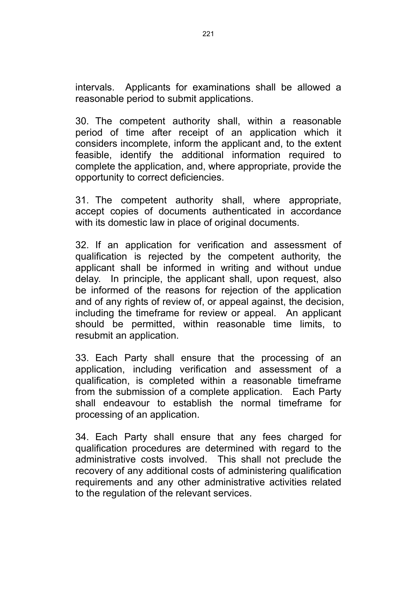intervals. Applicants for examinations shall be allowed a reasonable period to submit applications.

30. The competent authority shall, within a reasonable period of time after receipt of an application which it considers incomplete, inform the applicant and, to the extent feasible, identify the additional information required to complete the application, and, where appropriate, provide the opportunity to correct deficiencies.

31. The competent authority shall, where appropriate, accept copies of documents authenticated in accordance with its domestic law in place of original documents.

32. If an application for verification and assessment of qualification is rejected by the competent authority, the applicant shall be informed in writing and without undue delay. In principle, the applicant shall, upon request, also be informed of the reasons for rejection of the application and of any rights of review of, or appeal against, the decision, including the timeframe for review or appeal. An applicant should be permitted, within reasonable time limits, to resubmit an application.

33. Each Party shall ensure that the processing of an application, including verification and assessment of a qualification, is completed within a reasonable timeframe from the submission of a complete application. Each Party shall endeavour to establish the normal timeframe for processing of an application.

34. Each Party shall ensure that any fees charged for qualification procedures are determined with regard to the administrative costs involved. This shall not preclude the recovery of any additional costs of administering qualification requirements and any other administrative activities related to the regulation of the relevant services.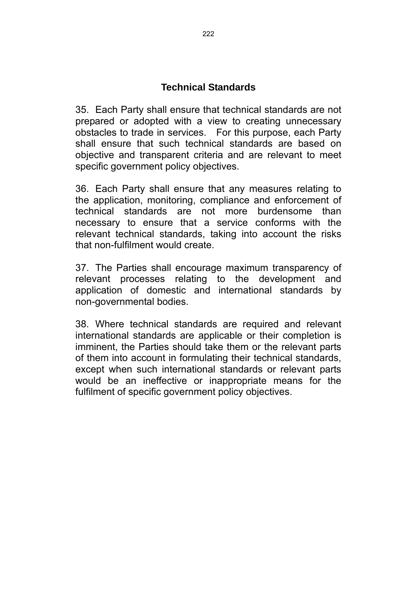### **Technical Standards**

35. Each Party shall ensure that technical standards are not prepared or adopted with a view to creating unnecessary obstacles to trade in services. For this purpose, each Party shall ensure that such technical standards are based on objective and transparent criteria and are relevant to meet specific government policy objectives.

36. Each Party shall ensure that any measures relating to the application, monitoring, compliance and enforcement of technical standards are not more burdensome than necessary to ensure that a service conforms with the relevant technical standards, taking into account the risks that non-fulfilment would create.

37. The Parties shall encourage maximum transparency of relevant processes relating to the development and application of domestic and international standards by non-governmental bodies.

38. Where technical standards are required and relevant international standards are applicable or their completion is imminent, the Parties should take them or the relevant parts of them into account in formulating their technical standards, except when such international standards or relevant parts would be an ineffective or inappropriate means for the fulfilment of specific government policy objectives.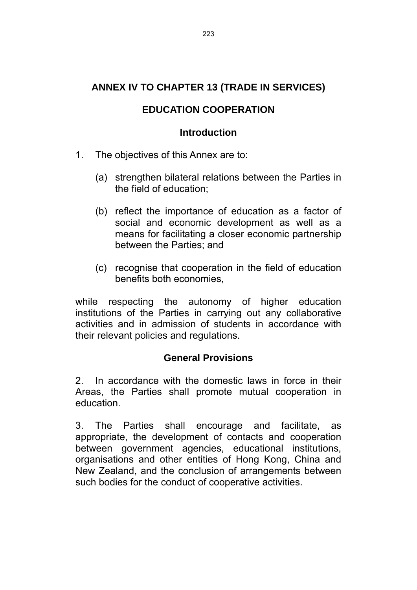# **ANNEX IV TO CHAPTER 13 (TRADE IN SERVICES)**

## **EDUCATION COOPERATION**

## **Introduction**

- 1. The objectives of this Annex are to:
	- (a) strengthen bilateral relations between the Parties in the field of education;
	- (b) reflect the importance of education as a factor of social and economic development as well as a means for facilitating a closer economic partnership between the Parties; and
	- (c) recognise that cooperation in the field of education benefits both economies,

while respecting the autonomy of higher education institutions of the Parties in carrying out any collaborative activities and in admission of students in accordance with their relevant policies and regulations.

## **General Provisions**

2. In accordance with the domestic laws in force in their Areas, the Parties shall promote mutual cooperation in education.

3. The Parties shall encourage and facilitate, as appropriate, the development of contacts and cooperation between government agencies, educational institutions, organisations and other entities of Hong Kong, China and New Zealand, and the conclusion of arrangements between such bodies for the conduct of cooperative activities.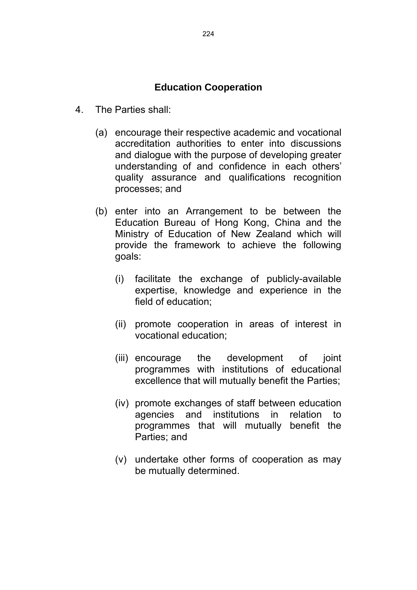## **Education Cooperation**

- 4. The Parties shall:
	- (a) encourage their respective academic and vocational accreditation authorities to enter into discussions and dialogue with the purpose of developing greater understanding of and confidence in each others' quality assurance and qualifications recognition processes; and
	- (b) enter into an Arrangement to be between the Education Bureau of Hong Kong, China and the Ministry of Education of New Zealand which will provide the framework to achieve the following goals:
		- (i) facilitate the exchange of publicly-available expertise, knowledge and experience in the field of education;
		- (ii) promote cooperation in areas of interest in vocational education;
		- (iii) encourage the development of joint programmes with institutions of educational excellence that will mutually benefit the Parties;
		- (iv) promote exchanges of staff between education agencies and institutions in relation to programmes that will mutually benefit the Parties; and
		- (v) undertake other forms of cooperation as may be mutually determined.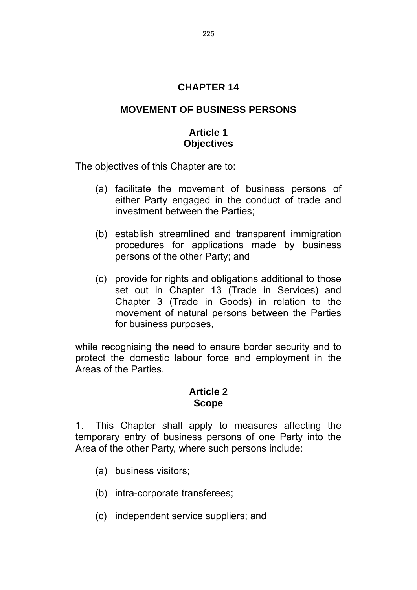## **CHAPTER 14**

## **MOVEMENT OF BUSINESS PERSONS**

## **Article 1 Objectives**

The objectives of this Chapter are to:

- (a) facilitate the movement of business persons of either Party engaged in the conduct of trade and investment between the Parties;
- (b) establish streamlined and transparent immigration procedures for applications made by business persons of the other Party; and
- (c) provide for rights and obligations additional to those set out in Chapter 13 (Trade in Services) and Chapter 3 (Trade in Goods) in relation to the movement of natural persons between the Parties for business purposes,

while recognising the need to ensure border security and to protect the domestic labour force and employment in the Areas of the Parties.

### **Article 2 Scope**

1. This Chapter shall apply to measures affecting the temporary entry of business persons of one Party into the Area of the other Party, where such persons include:

- (a) business visitors;
- (b) intra-corporate transferees;
- (c) independent service suppliers; and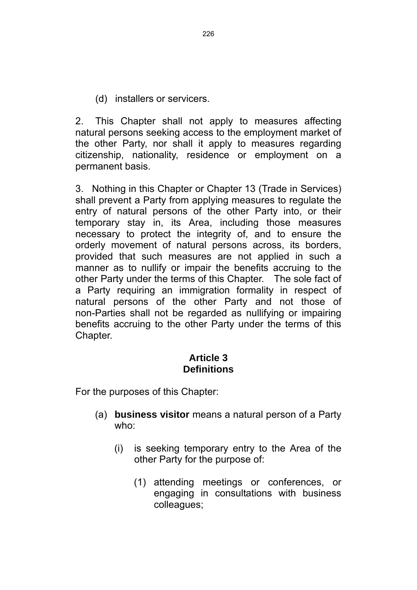(d) installers or servicers.

2. This Chapter shall not apply to measures affecting natural persons seeking access to the employment market of the other Party, nor shall it apply to measures regarding citizenship, nationality, residence or employment on a permanent basis.

3. Nothing in this Chapter or Chapter 13 (Trade in Services) shall prevent a Party from applying measures to regulate the entry of natural persons of the other Party into, or their temporary stay in, its Area, including those measures necessary to protect the integrity of, and to ensure the orderly movement of natural persons across, its borders, provided that such measures are not applied in such a manner as to nullify or impair the benefits accruing to the other Party under the terms of this Chapter. The sole fact of a Party requiring an immigration formality in respect of natural persons of the other Party and not those of non-Parties shall not be regarded as nullifying or impairing benefits accruing to the other Party under the terms of this Chapter.

## **Article 3 Definitions**

For the purposes of this Chapter:

- (a) **business visitor** means a natural person of a Party who:
	- (i) is seeking temporary entry to the Area of the other Party for the purpose of:
		- (1) attending meetings or conferences, or engaging in consultations with business colleagues;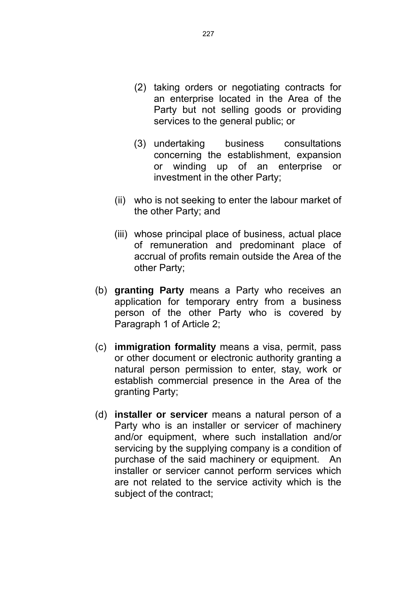- (2) taking orders or negotiating contracts for an enterprise located in the Area of the Party but not selling goods or providing services to the general public; or
- (3) undertaking business consultations concerning the establishment, expansion or winding up of an enterprise or investment in the other Party;
- (ii) who is not seeking to enter the labour market of the other Party; and
- (iii) whose principal place of business, actual place of remuneration and predominant place of accrual of profits remain outside the Area of the other Party;
- (b) **granting Party** means a Party who receives an application for temporary entry from a business person of the other Party who is covered by Paragraph 1 of [Article 2;](http://www.asean.fta.govt.nz/chapter-9-movement-of-natural-persons/#2)
- (c) **immigration formality** means a visa, permit, pass or other document or electronic authority granting a natural person permission to enter, stay, work or establish commercial presence in the Area of the granting Party;
- (d) **installer or servicer** means a natural person of a Party who is an installer or servicer of machinery and/or equipment, where such installation and/or servicing by the supplying company is a condition of purchase of the said machinery or equipment. An installer or servicer cannot perform services which are not related to the service activity which is the subject of the contract;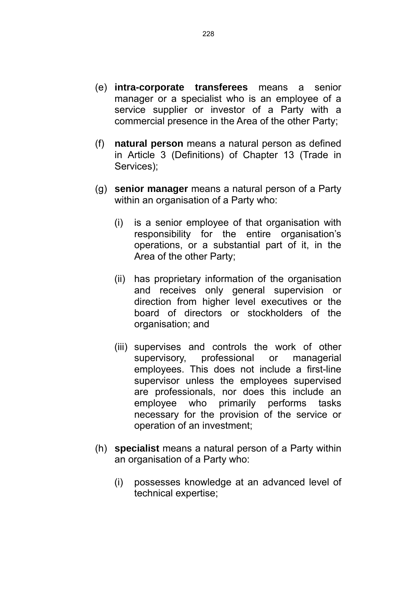- (e) **intra-corporate transferees** means a senior manager or a specialist who is an employee of a service supplier or investor of a Party with a commercial presence in the Area of the other Party;
- (f) **natural person** means a natural person as defined in [Article](http://www.asean.fta.govt.nz/chapter-8-trade-in-services/#2.j) 3 (Definitions) of [Chapter](http://www.asean.fta.govt.nz/chapter-8-trade-in-services/) 13 (Trade in Services);
- (g) **senior manager** means a natural person of a Party within an organisation of a Party who:
	- (i) is a senior employee of that organisation with responsibility for the entire organisation's operations, or a substantial part of it, in the Area of the other Party;
	- (ii) has proprietary information of the organisation and receives only general supervision or direction from higher level executives or the board of directors or stockholders of the organisation; and
	- (iii) supervises and controls the work of other supervisory, professional or managerial employees. This does not include a first-line supervisor unless the employees supervised are professionals, nor does this include an employee who primarily performs tasks necessary for the provision of the service or operation of an investment;
- (h) **specialist** means a natural person of a Party within an organisation of a Party who:
	- (i) possesses knowledge at an advanced level of technical expertise;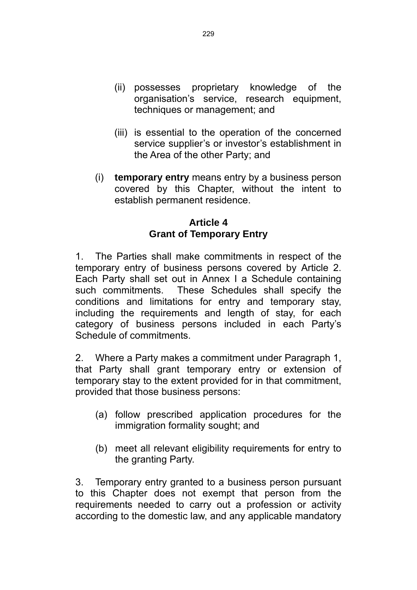- (ii) possesses proprietary knowledge of the organisation's service, research equipment, techniques or management; and
- (iii) is essential to the operation of the concerned service supplier's or investor's establishment in the Area of the other Party; and
- (i) **temporary entry** means entry by a business person covered by this Chapter, without the intent to establish permanent residence.

## **Article 4 Grant of Temporary Entry**

1. The Parties shall make commitments in respect of the temporary entry of business persons covered by Article 2. Each Party shall set out in Annex I a Schedule containing such commitments. These Schedules shall specify the conditions and limitations for entry and temporary stay, including the requirements and length of stay, for each category of business persons included in each Party's Schedule of commitments.

2. Where a Party makes a commitment under Paragraph 1, that Party shall grant temporary entry or extension of temporary stay to the extent provided for in that commitment, provided that those business persons:

- (a) follow prescribed application procedures for the immigration formality sought; and
- (b) meet all relevant eligibility requirements for entry to the granting Party.

3. Temporary entry granted to a business person pursuant to this Chapter does not exempt that person from the requirements needed to carry out a profession or activity according to the domestic law, and any applicable mandatory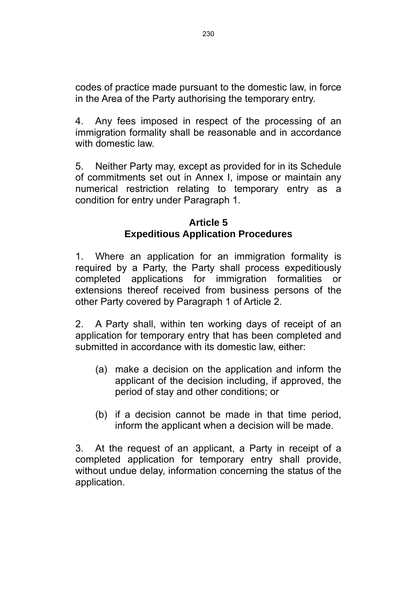codes of practice made pursuant to the domestic law, in force in the Area of the Party authorising the temporary entry.

4. Any fees imposed in respect of the processing of an immigration formality shall be reasonable and in accordance with domestic law

5. Neither Party may, except as provided for in its Schedule of commitments set out in Annex I, impose or maintain any numerical restriction relating to temporary entry as a condition for entry under Paragraph 1.

## **Article 5 Expeditious Application Procedures**

1. Where an application for an immigration formality is required by a Party, the Party shall process expeditiously completed applications for immigration formalities or extensions thereof received from business persons of the other Party covered by Paragraph 1 of Article 2.

2. A Party shall, within ten working days of receipt of an application for temporary entry that has been completed and submitted in accordance with its domestic law, either:

- (a) make a decision on the application and inform the applicant of the decision including, if approved, the period of stay and other conditions; or
- (b) if a decision cannot be made in that time period, inform the applicant when a decision will be made.

3. At the request of an applicant, a Party in receipt of a completed application for temporary entry shall provide, without undue delay, information concerning the status of the application.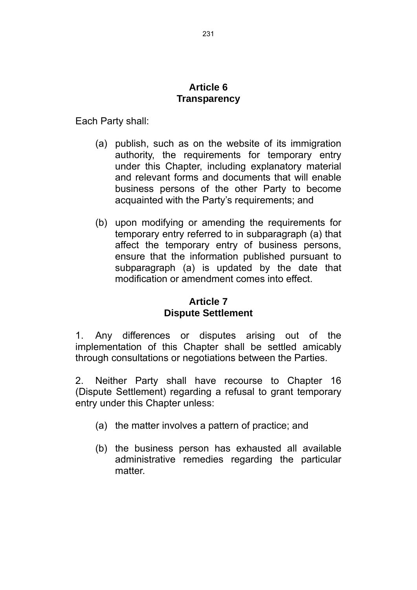#### **Article 6 Transparency**

Each Party shall:

- (a) publish, such as on the website of its immigration authority, the requirements for temporary entry under this Chapter, including explanatory material and relevant forms and documents that will enable business persons of the other Party to become acquainted with the Party's requirements; and
- (b) upon modifying or amending the requirements for temporary entry referred to in subparagraph (a) that affect the temporary entry of business persons, ensure that the information published pursuant to subparagraph (a) is updated by the date that modification or amendment comes into effect.

# **Article 7 Dispute Settlement**

1. Any differences or disputes arising out of the implementation of this Chapter shall be settled amicably through consultations or negotiations between the Parties.

2. Neither Party shall have recourse to Chapter 16 (Dispute Settlement) regarding a refusal to grant temporary entry under this Chapter unless:

- (a) the matter involves a pattern of practice; and
- (b) the business person has exhausted all available administrative remedies regarding the particular matter.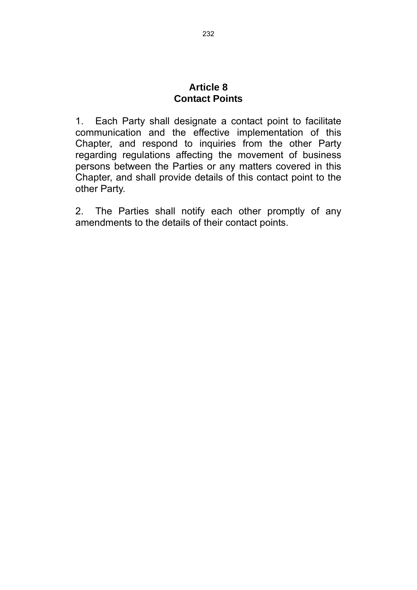#### **Article 8 Contact Points**

1. Each Party shall designate a contact point to facilitate communication and the effective implementation of this Chapter, and respond to inquiries from the other Party regarding regulations affecting the movement of business persons between the Parties or any matters covered in this Chapter, and shall provide details of this contact point to the other Party.

2. The Parties shall notify each other promptly of any amendments to the details of their contact points.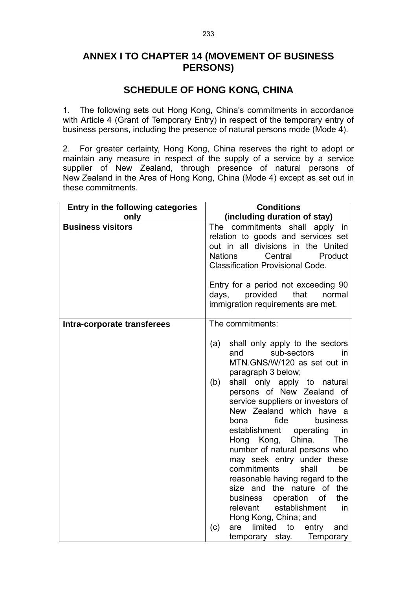## **ANNEX I TO CHAPTER 14 (MOVEMENT OF BUSINESS PERSONS)**

### **SCHEDULE OF HONG KONG, CHINA**

1. The following sets out Hong Kong, China's commitments in accordance with Article 4 (Grant of Temporary Entry) in respect of the temporary entry of business persons, including the presence of natural persons mode (Mode 4).

2. For greater certainty, Hong Kong, China reserves the right to adopt or maintain any measure in respect of the supply of a service by a service supplier of New Zealand, through presence of natural persons of New Zealand in the Area of Hong Kong, China (Mode 4) except as set out in these commitments.

| Entry in the following categories | <b>Conditions</b>                                                                                                                                                                                                                                                                                                                                                                                                                                                                                                                                                                                                                                                                                           |  |  |
|-----------------------------------|-------------------------------------------------------------------------------------------------------------------------------------------------------------------------------------------------------------------------------------------------------------------------------------------------------------------------------------------------------------------------------------------------------------------------------------------------------------------------------------------------------------------------------------------------------------------------------------------------------------------------------------------------------------------------------------------------------------|--|--|
| only                              | (including duration of stay)                                                                                                                                                                                                                                                                                                                                                                                                                                                                                                                                                                                                                                                                                |  |  |
| <b>Business visitors</b>          | The commitments shall apply in<br>relation to goods and services set<br>out in all divisions in the United<br><b>Nations</b><br>Central<br>Product<br><b>Classification Provisional Code.</b><br>Entry for a period not exceeding 90<br>provided<br>that<br>normal<br>days,<br>immigration requirements are met.                                                                                                                                                                                                                                                                                                                                                                                            |  |  |
| Intra-corporate transferees       | The commitments:                                                                                                                                                                                                                                                                                                                                                                                                                                                                                                                                                                                                                                                                                            |  |  |
|                                   | shall only apply to the sectors<br>(a)<br>sub-sectors<br>and<br>in.<br>MTN.GNS/W/120 as set out in<br>paragraph 3 below;<br>shall only apply to natural<br>(b)<br>persons of New Zealand of<br>service suppliers or investors of<br>New Zealand which have a<br>fide<br>business<br>bona<br>establishment operating<br>in<br>Hong Kong,<br>China.<br>The<br>number of natural persons who<br>may seek entry under these<br>commitments<br>shall<br>be<br>reasonable having regard to the<br>size and the nature of the<br>operation<br><b>of</b><br>the<br>business<br>relevant establishment<br>in<br>Hong Kong, China; and<br>limited<br>entry<br>(c)<br>are<br>to<br>and<br>temporary stay.<br>Temporary |  |  |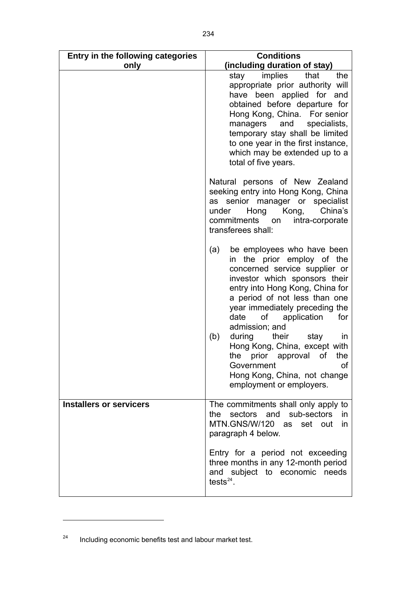<span id="page-236-0"></span>

| Entry in the following categories | <b>Conditions</b>                                                                                                                                                                                                                                                                                                                                                                                                                                                                       |  |  |
|-----------------------------------|-----------------------------------------------------------------------------------------------------------------------------------------------------------------------------------------------------------------------------------------------------------------------------------------------------------------------------------------------------------------------------------------------------------------------------------------------------------------------------------------|--|--|
| only                              | (including duration of stay)                                                                                                                                                                                                                                                                                                                                                                                                                                                            |  |  |
|                                   | stay implies<br>that<br>the<br>appropriate prior authority will<br>have been applied for and<br>obtained before departure for<br>Hong Kong, China. For senior<br>managers and<br>specialists,<br>temporary stay shall be limited<br>to one year in the first instance,<br>which may be extended up to a<br>total of five years.                                                                                                                                                         |  |  |
|                                   | Natural persons of New Zealand<br>seeking entry into Hong Kong, China<br>senior manager or specialist<br>as<br>China's<br>Kong,<br>Hong<br>under<br>commitments on<br>intra-corporate<br>transferees shall:                                                                                                                                                                                                                                                                             |  |  |
|                                   | be employees who have been<br>(a)<br>in the prior employ of the<br>concerned service supplier or<br>investor which sponsors their<br>entry into Hong Kong, China for<br>a period of not less than one<br>year immediately preceding the<br>date<br>of<br>application<br>for<br>admission; and<br>(b)<br>during<br>their<br>stay<br>in.<br>Hong Kong, China, except with<br>the prior approval of<br>the<br>Government<br>of<br>Hong Kong, China, not change<br>employment or employers. |  |  |
| <b>Installers or servicers</b>    | The commitments shall only apply to<br>sectors and<br>sub-sectors<br>the<br>in.<br>MTN.GNS/W/120 as<br>set out<br>in.<br>paragraph 4 below.                                                                                                                                                                                                                                                                                                                                             |  |  |
|                                   | Entry for a period not exceeding<br>three months in any 12-month period<br>and subject to economic needs<br>tests $^{24}$ .                                                                                                                                                                                                                                                                                                                                                             |  |  |

l

<sup>24</sup> Including economic benefits test and labour market test.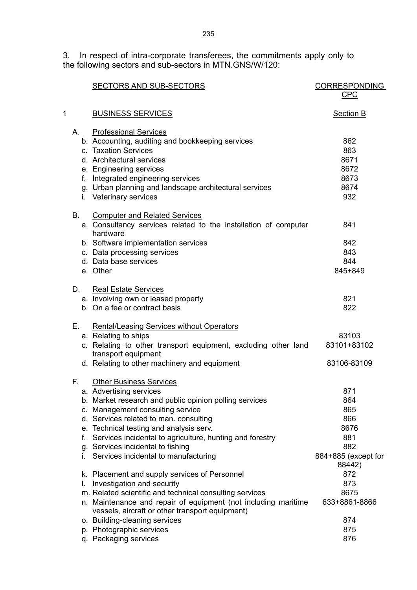3. In respect of intra-corporate transferees, the commitments apply only to the following sectors and sub-sectors in MTN.GNS/W/120:

|   |    | <b>SECTORS AND SUB-SECTORS</b>                                                                                    | <b>CORRESPONDING</b> |
|---|----|-------------------------------------------------------------------------------------------------------------------|----------------------|
|   |    |                                                                                                                   | CPC                  |
| 1 |    | <b>BUSINESS SERVICES</b>                                                                                          | <b>Section B</b>     |
|   | А. | <b>Professional Services</b>                                                                                      |                      |
|   |    | b. Accounting, auditing and bookkeeping services                                                                  | 862                  |
|   |    | c. Taxation Services                                                                                              | 863                  |
|   |    | d. Architectural services                                                                                         | 8671                 |
|   |    | e. Engineering services                                                                                           | 8672                 |
|   |    | f. Integrated engineering services                                                                                | 8673<br>8674         |
|   | i. | g. Urban planning and landscape architectural services<br><b>Veterinary services</b>                              | 932                  |
|   | В. | <b>Computer and Related Services</b>                                                                              |                      |
|   |    | a. Consultancy services related to the installation of computer<br>hardware                                       | 841                  |
|   |    | b. Software implementation services                                                                               | 842                  |
|   |    | c. Data processing services                                                                                       | 843                  |
|   |    | d. Data base services                                                                                             | 844                  |
|   |    | e. Other                                                                                                          | 845+849              |
|   | D. | <b>Real Estate Services</b><br>a. Involving own or leased property                                                | 821                  |
|   |    | b. On a fee or contract basis                                                                                     | 822                  |
|   | Е. | Rental/Leasing Services without Operators                                                                         |                      |
|   |    | a. Relating to ships                                                                                              | 83103                |
|   |    | c. Relating to other transport equipment, excluding other land<br>transport equipment                             | 83101+83102          |
|   |    | d. Relating to other machinery and equipment                                                                      | 83106-83109          |
|   | E. | <b>Other Business Services</b>                                                                                    |                      |
|   |    | a. Advertising services                                                                                           | 871                  |
|   |    | b. Market research and public opinion polling services                                                            | 864<br>865           |
|   |    | c. Management consulting service<br>d. Services related to man. consulting                                        | 866                  |
|   |    | e. Technical testing and analysis serv.                                                                           | 8676                 |
|   | f. | Services incidental to agriculture, hunting and forestry                                                          | 881                  |
|   | g. | Services incidental to fishing                                                                                    | 882                  |
|   | İ. | Services incidental to manufacturing                                                                              | 884+885 (except for  |
|   |    | k. Placement and supply services of Personnel                                                                     | 88442)<br>872        |
|   | I. | Investigation and security                                                                                        | 873                  |
|   |    | m. Related scientific and technical consulting services                                                           | 8675                 |
|   |    | n. Maintenance and repair of equipment (not including maritime<br>vessels, aircraft or other transport equipment) | 633+8861-8866        |
|   |    | o. Building-cleaning services                                                                                     | 874                  |
|   |    | p. Photographic services                                                                                          | 875                  |
|   |    | q. Packaging services                                                                                             | 876                  |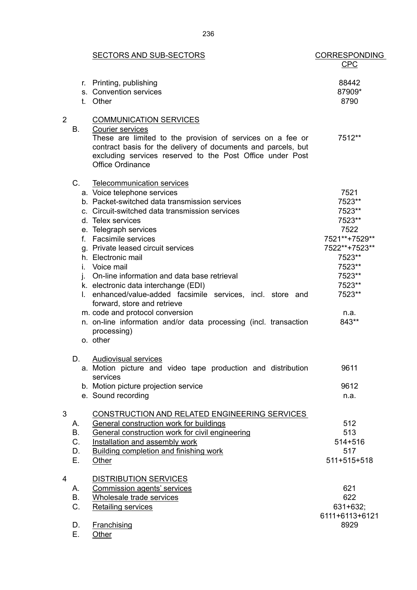|                |          | <b>SECTORS AND SUB-SECTORS</b>                                                                                              | <b>CORRESPONDING</b>    |
|----------------|----------|-----------------------------------------------------------------------------------------------------------------------------|-------------------------|
|                |          |                                                                                                                             | <b>CPC</b>              |
|                |          | r. Printing, publishing                                                                                                     | 88442                   |
|                |          | s. Convention services                                                                                                      | 87909*                  |
|                |          | t. Other                                                                                                                    | 8790                    |
| $\overline{2}$ |          | <b>COMMUNICATION SERVICES</b>                                                                                               |                         |
|                | В.       | Courier services                                                                                                            |                         |
|                |          | These are limited to the provision of services on a fee or<br>contract basis for the delivery of documents and parcels, but | 7512**                  |
|                |          | excluding services reserved to the Post Office under Post                                                                   |                         |
|                |          | Office Ordinance                                                                                                            |                         |
|                | C.       | <b>Telecommunication services</b>                                                                                           |                         |
|                |          | a. Voice telephone services                                                                                                 | 7521                    |
|                |          | b. Packet-switched data transmission services                                                                               | 7523**                  |
|                |          | c. Circuit-switched data transmission services                                                                              | 7523**                  |
|                |          | d. Telex services                                                                                                           | 7523**                  |
|                |          | e. Telegraph services                                                                                                       | 7522                    |
|                |          | f. Facsimile services                                                                                                       | 7521**+7529**           |
|                |          | g. Private leased circuit services<br>h. Electronic mail                                                                    | 7522**+7523**<br>7523** |
|                | İ.       | Voice mail                                                                                                                  | 7523**                  |
|                |          | j. On-line information and data base retrieval                                                                              | 7523**                  |
|                |          | k. electronic data interchange (EDI)                                                                                        | 7523**                  |
|                |          | I. enhanced/value-added facsimile services, incl. store and                                                                 | 7523**                  |
|                |          | forward, store and retrieve                                                                                                 |                         |
|                |          | m. code and protocol conversion                                                                                             | n.a.                    |
|                |          | n. on-line information and/or data processing (incl. transaction                                                            | 843**                   |
|                |          | processing)<br>o. other                                                                                                     |                         |
|                |          |                                                                                                                             |                         |
|                | D.       | Audiovisual services                                                                                                        |                         |
|                |          | a. Motion picture and video tape production and distribution<br>services                                                    | 9611                    |
|                |          | b. Motion picture projection service                                                                                        | 9612                    |
|                |          | e. Sound recording                                                                                                          | n.a.                    |
| 3              |          | CONSTRUCTION AND RELATED ENGINEERING SERVICES                                                                               |                         |
|                | А.       | General construction work for buildings                                                                                     | 512                     |
|                | Β.       | General construction work for civil engineering                                                                             | 513                     |
|                | C.       | Installation and assembly work                                                                                              | 514+516                 |
|                | D.       | Building completion and finishing work                                                                                      | 517                     |
|                | Е.       | Other                                                                                                                       | 511+515+518             |
| 4              |          | <b>DISTRIBUTION SERVICES</b>                                                                                                |                         |
|                | А.       | Commission agents' services                                                                                                 | 621                     |
|                | В.       | Wholesale trade services                                                                                                    | 622                     |
|                | C.       | <b>Retailing services</b>                                                                                                   | 631+632;                |
|                |          |                                                                                                                             | 6111+6113+6121          |
|                | D.<br>Ε. | <b>Franchising</b><br><b>Other</b>                                                                                          | 8929                    |
|                |          |                                                                                                                             |                         |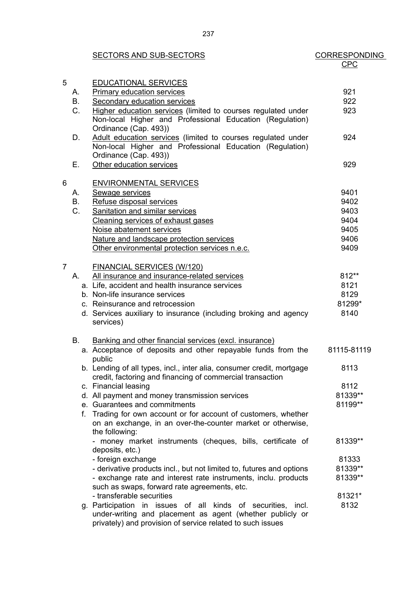|                |         | <b>SECTORS AND SUB-SECTORS</b>                                                                                                                                                          | <b>CORRESPONDING</b> |
|----------------|---------|-----------------------------------------------------------------------------------------------------------------------------------------------------------------------------------------|----------------------|
|                |         |                                                                                                                                                                                         | <u>CPC</u>           |
| 5              |         | <b>EDUCATIONAL SERVICES</b>                                                                                                                                                             |                      |
|                | А.      | <b>Primary education services</b>                                                                                                                                                       | 921                  |
|                | Β.      | Secondary education services                                                                                                                                                            | 922                  |
|                | C.      | Higher education services (limited to courses regulated under                                                                                                                           | 923                  |
|                |         | Non-local Higher and Professional Education (Regulation)<br>Ordinance (Cap. 493))                                                                                                       |                      |
|                | D.      | Adult education services (limited to courses regulated under<br>Non-local Higher and Professional Education (Regulation)                                                                | 924                  |
|                | Е.      | Ordinance (Cap. 493))<br>Other education services                                                                                                                                       | 929                  |
| 6              |         | <b>ENVIRONMENTAL SERVICES</b>                                                                                                                                                           |                      |
|                | А.      | Sewage services                                                                                                                                                                         | 9401                 |
|                | Β.      | Refuse disposal services                                                                                                                                                                | 9402                 |
|                | $C_{1}$ | Sanitation and similar services                                                                                                                                                         | 9403                 |
|                |         | Cleaning services of exhaust gases                                                                                                                                                      | 9404                 |
|                |         | Noise abatement services                                                                                                                                                                | 9405                 |
|                |         | Nature and landscape protection services                                                                                                                                                | 9406                 |
|                |         | Other environmental protection services n.e.c.                                                                                                                                          | 9409                 |
|                |         |                                                                                                                                                                                         |                      |
| $\overline{7}$ |         | <b>FINANCIAL SERVICES (W/120)</b>                                                                                                                                                       | 812**                |
|                | А.      | All insurance and insurance-related services                                                                                                                                            |                      |
|                |         | a. Life, accident and health insurance services                                                                                                                                         | 8121                 |
|                |         | b. Non-life insurance services                                                                                                                                                          | 8129                 |
|                |         | c. Reinsurance and retrocession                                                                                                                                                         | 81299*               |
|                |         | d. Services auxiliary to insurance (including broking and agency<br>services)                                                                                                           | 8140                 |
|                | В.      | Banking and other financial services (excl. insurance)                                                                                                                                  |                      |
|                |         | a. Acceptance of deposits and other repayable funds from the<br>public                                                                                                                  | 81115-81119          |
|                |         | b. Lending of all types, incl., inter alia, consumer credit, mortgage<br>credit, factoring and financing of commercial transaction                                                      | 8113                 |
|                |         | c. Financial leasing                                                                                                                                                                    | 8112                 |
|                |         | d. All payment and money transmission services                                                                                                                                          | 81339**              |
|                |         | e. Guarantees and commitments                                                                                                                                                           | 81199**              |
|                |         | f. Trading for own account or for account of customers, whether<br>on an exchange, in an over-the-counter market or otherwise,<br>the following:                                        |                      |
|                |         | - money market instruments (cheques, bills, certificate of<br>deposits, etc.)                                                                                                           | 81339**              |
|                |         | - foreign exchange                                                                                                                                                                      | 81333                |
|                |         | - derivative products incl., but not limited to, futures and options                                                                                                                    | 81339**              |
|                |         | - exchange rate and interest rate instruments, inclu. products<br>such as swaps, forward rate agreements, etc.                                                                          | 81339**              |
|                |         | - transferable securities                                                                                                                                                               | 81321*               |
|                |         | g. Participation in issues of all kinds of securities, incl.<br>under-writing and placement as agent (whether publicly or<br>privately) and provision of service related to such issues | 8132                 |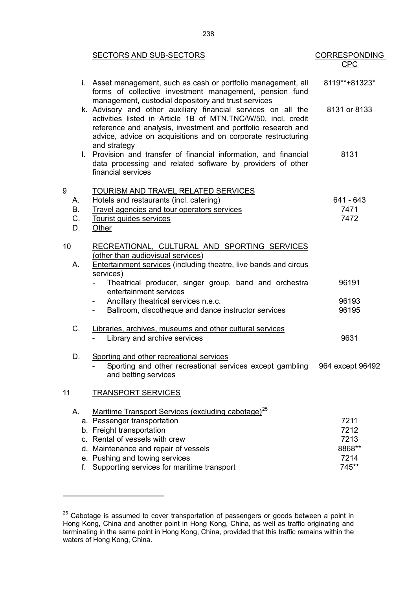|                           | <b>SECTORS AND SUB-SECTORS</b>                                                                                                                                                                                                                                                                                                          | <u>CORRESPONDING</u><br><b>CPC</b>              |
|---------------------------|-----------------------------------------------------------------------------------------------------------------------------------------------------------------------------------------------------------------------------------------------------------------------------------------------------------------------------------------|-------------------------------------------------|
|                           | i. Asset management, such as cash or portfolio management, all<br>forms of collective investment management, pension fund                                                                                                                                                                                                               | 8119**+81323*                                   |
|                           | management, custodial depository and trust services<br>k. Advisory and other auxiliary financial services on all the<br>activities listed in Article 1B of MTN.TNC/W/50, incl. credit<br>reference and analysis, investment and portfolio research and<br>advice, advice on acquisitions and on corporate restructuring<br>and strategy | 8131 or 8133                                    |
|                           | I. Provision and transfer of financial information, and financial<br>data processing and related software by providers of other<br>financial services                                                                                                                                                                                   | 8131                                            |
| 9<br>А.<br>Β.<br>C.<br>D. | <b>TOURISM AND TRAVEL RELATED SERVICES</b><br>Hotels and restaurants (incl. catering)<br>Travel agencies and tour operators services<br>Tourist guides services<br><b>Other</b>                                                                                                                                                         | $641 - 643$<br>7471<br>7472                     |
| 10<br>Α.                  | RECREATIONAL, CULTURAL AND SPORTING SERVICES<br>(other than audiovisual services)<br><b>Entertainment services (including theatre, live bands and circus</b><br>services)<br>Theatrical producer, singer group, band and orchestra                                                                                                      | 96191                                           |
|                           | entertainment services<br>Ancillary theatrical services n.e.c.<br>Ballroom, discotheque and dance instructor services<br>$\sim$ 100 $\mu$                                                                                                                                                                                               | 96193<br>96195                                  |
| $C_{\cdot}$               | Libraries, archives, museums and other cultural services<br>Library and archive services                                                                                                                                                                                                                                                | 9631                                            |
| D.                        | Sporting and other recreational services<br>Sporting and other recreational services except gambling<br>and betting services                                                                                                                                                                                                            | 964 except 96492                                |
| 11                        | <b>TRANSPORT SERVICES</b>                                                                                                                                                                                                                                                                                                               |                                                 |
| А.                        | Maritime Transport Services (excluding cabotage) <sup>25</sup><br>a. Passenger transportation<br>b. Freight transportation<br>c. Rental of vessels with crew<br>d. Maintenance and repair of vessels<br>e. Pushing and towing services<br>f. Supporting services for maritime transport                                                 | 7211<br>7212<br>7213<br>8868**<br>7214<br>745** |

l

 $25$  Cabotage is assumed to cover transportation of passengers or goods between a point in Hong Kong, China and another point in Hong Kong, China, as well as traffic originating and terminating in the same point in Hong Kong, China, provided that this traffic remains within the waters of Hong Kong, China.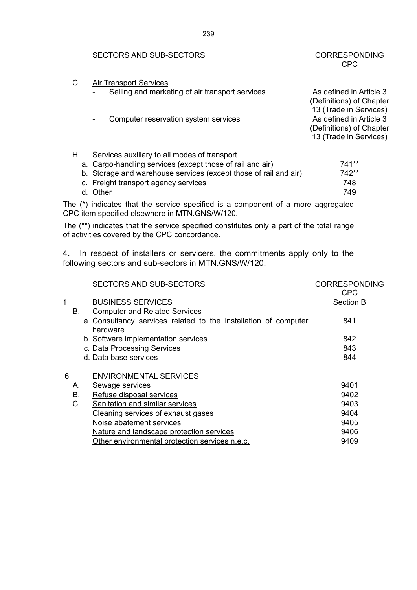#### SECTORS AND SUB-SECTORS CORRESPONDING

# C. Air Transport Services Selling and marketing of air transport services As defined in Article 3

- Computer reservation system services As defined in Article 3

(Definitions) of Chapter 13 (Trade in Services)

CPC

(Definitions) of Chapter 13 (Trade in Services)

#### H. Services auxiliary to all modes of transport

| a. Cargo-handling services (except those of rail and air)        | 741**   |
|------------------------------------------------------------------|---------|
| b. Storage and warehouse services (except those of rail and air) | $742**$ |
| c. Freight transport agency services                             | 748     |
| d. Other                                                         | 749     |

The (\*) indicates that the service specified is a component of a more aggregated CPC item specified elsewhere in MTN.GNS/W/120.

The (\*\*) indicates that the service specified constitutes only a part of the total range of activities covered by the CPC concordance.

4. In respect of installers or servicers, the commitments apply only to the following sectors and sub-sectors in MTN.GNS/W/120:

|   |    | SECTORS AND SUB-SECTORS                                                     | <b>CORRESPONDING</b> |
|---|----|-----------------------------------------------------------------------------|----------------------|
|   |    |                                                                             | <b>CPC</b>           |
| 1 |    | <b>BUSINESS SERVICES</b>                                                    | Section B            |
|   | В. | <b>Computer and Related Services</b>                                        |                      |
|   |    | a. Consultancy services related to the installation of computer<br>hardware | 841                  |
|   |    | b. Software implementation services                                         | 842                  |
|   |    | c. Data Processing Services                                                 | 843                  |
|   |    | d. Data base services                                                       | 844                  |
|   |    |                                                                             |                      |
| 6 |    | <b>ENVIRONMENTAL SERVICES</b>                                               |                      |
|   | А. | Sewage services                                                             | 9401                 |
|   | В. | Refuse disposal services                                                    | 9402                 |
|   | C. | Sanitation and similar services                                             | 9403                 |
|   |    | Cleaning services of exhaust gases                                          | 9404                 |
|   |    | Noise abatement services                                                    | 9405                 |
|   |    | Nature and landscape protection services                                    | 9406                 |
|   |    | Other environmental protection services n.e.c.                              | 9409                 |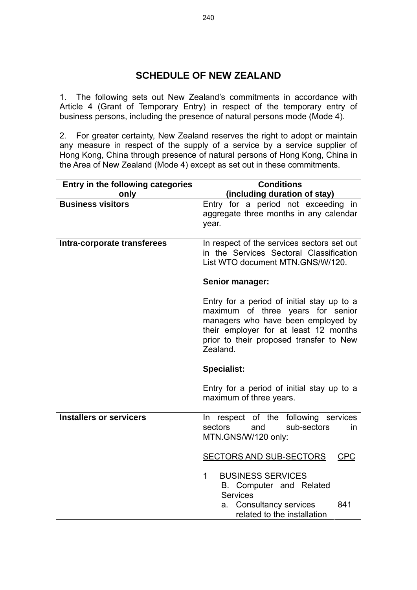### **SCHEDULE OF NEW ZEALAND**

1. The following sets out New Zealand's commitments in accordance with Article 4 (Grant of Temporary Entry) in respect of the temporary entry of business persons, including the presence of natural persons mode (Mode 4).

2. For greater certainty, New Zealand reserves the right to adopt or maintain any measure in respect of the supply of a service by a service supplier of Hong Kong, China through presence of natural persons of Hong Kong, China in the Area of New Zealand (Mode 4) except as set out in these commitments.

| Entry in the following categories | <b>Conditions</b>                                                                                                                                                                                                     |  |  |  |
|-----------------------------------|-----------------------------------------------------------------------------------------------------------------------------------------------------------------------------------------------------------------------|--|--|--|
| only                              | (including duration of stay)                                                                                                                                                                                          |  |  |  |
| <b>Business visitors</b>          | Entry for a period not exceeding in<br>aggregate three months in any calendar<br>year.                                                                                                                                |  |  |  |
| Intra-corporate transferees       | In respect of the services sectors set out<br>in the Services Sectoral Classification<br>List WTO document MTN.GNS/W/120.                                                                                             |  |  |  |
|                                   | Senior manager:                                                                                                                                                                                                       |  |  |  |
|                                   | Entry for a period of initial stay up to a<br>maximum of three years for senior<br>managers who have been employed by<br>their employer for at least 12 months<br>prior to their proposed transfer to New<br>Zealand. |  |  |  |
|                                   | <b>Specialist:</b>                                                                                                                                                                                                    |  |  |  |
|                                   | Entry for a period of initial stay up to a<br>maximum of three years.                                                                                                                                                 |  |  |  |
| <b>Installers or servicers</b>    | respect of the following services<br>In.<br>and<br>sub-sectors<br>sectors<br>in.<br>MTN.GNS/W/120 only:                                                                                                               |  |  |  |
|                                   | <b>SECTORS AND SUB-SECTORS</b><br><b>CPC</b>                                                                                                                                                                          |  |  |  |
|                                   | <b>BUSINESS SERVICES</b><br>1<br>B. Computer and Related<br><b>Services</b>                                                                                                                                           |  |  |  |
|                                   | a. Consultancy services<br>841<br>related to the installation                                                                                                                                                         |  |  |  |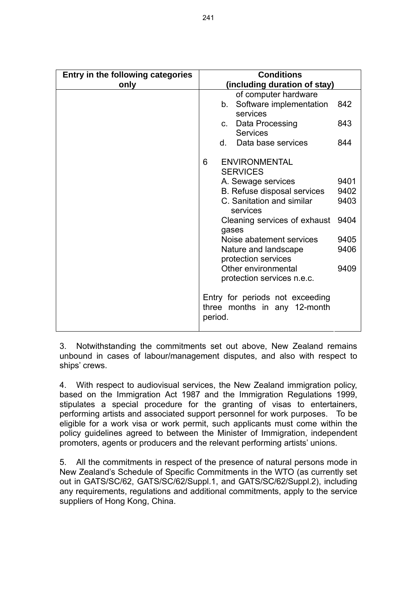| <b>Entry in the following categories</b> | <b>Conditions</b>                                                          |      |  |
|------------------------------------------|----------------------------------------------------------------------------|------|--|
| only                                     | (including duration of stay)                                               |      |  |
|                                          | of computer hardware<br>Software implementation<br>b.<br>services          | 842  |  |
|                                          | Data Processing<br>$\mathbf{C}$ .<br><b>Services</b>                       | 843  |  |
|                                          | Data base services<br>d.                                                   | 844  |  |
|                                          | <b>ENVIRONMENTAL</b><br>6<br><b>SERVICES</b>                               |      |  |
|                                          | A. Sewage services                                                         | 9401 |  |
|                                          | B. Refuse disposal services                                                | 9402 |  |
|                                          | C. Sanitation and similar<br>services                                      | 9403 |  |
|                                          | Cleaning services of exhaust<br>gases                                      | 9404 |  |
|                                          | Noise abatement services                                                   | 9405 |  |
|                                          | Nature and landscape<br>protection services                                | 9406 |  |
|                                          | Other environmental                                                        | 9409 |  |
|                                          | protection services n.e.c.                                                 |      |  |
|                                          | Entry for periods not exceeding<br>three months in any 12-month<br>period. |      |  |

3. Notwithstanding the commitments set out above, New Zealand remains unbound in cases of labour/management disputes, and also with respect to ships' crews.

4. With respect to audiovisual services, the New Zealand immigration policy, based on the Immigration Act 1987 and the Immigration Regulations 1999, stipulates a special procedure for the granting of visas to entertainers, performing artists and associated support personnel for work purposes. To be eligible for a work visa or work permit, such applicants must come within the policy guidelines agreed to between the Minister of Immigration, independent promoters, agents or producers and the relevant performing artists' unions.

5. All the commitments in respect of the presence of natural persons mode in New Zealand's Schedule of Specific Commitments in the WTO (as currently set out in GATS/SC/62, GATS/SC/62/Suppl.1, and GATS/SC/62/Suppl.2), including any requirements, regulations and additional commitments, apply to the service suppliers of Hong Kong, China.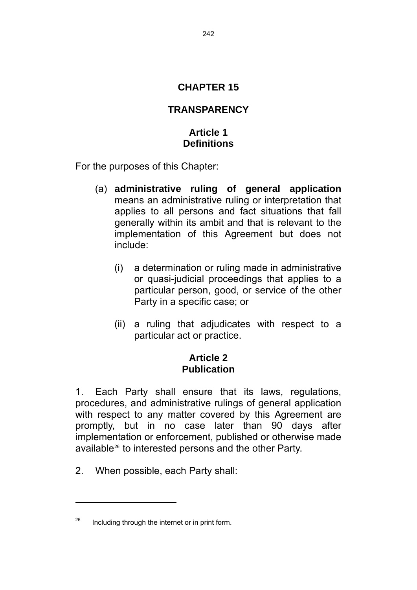## **CHAPTER 15**

## **TRANSPARENCY**

## **Article 1 Definitions**

For the purposes of this Chapter:

- (a) **administrative ruling of general application**  means an administrative ruling or interpretation that applies to all persons and fact situations that fall generally within its ambit and that is relevant to the implementation of this Agreement but does not include:
	- (i) a determination or ruling made in administrative or quasi-judicial proceedings that applies to a particular person, good, or service of the other Party in a specific case; or
	- (ii) a ruling that adjudicates with respect to a particular act or practice.

## **Article 2 Publication**

1. Each Party shall ensure that its laws, regulations, procedures, and administrative rulings of general application with respect to any matter covered by this Agreement are promptly, but in no case later than 90 days after implementation or enforcement, published or otherwise made available<sup>26</sup> to interested persons and the other Party.

2. When possible, each Party shall:

 $26$  Including through the internet or in print form.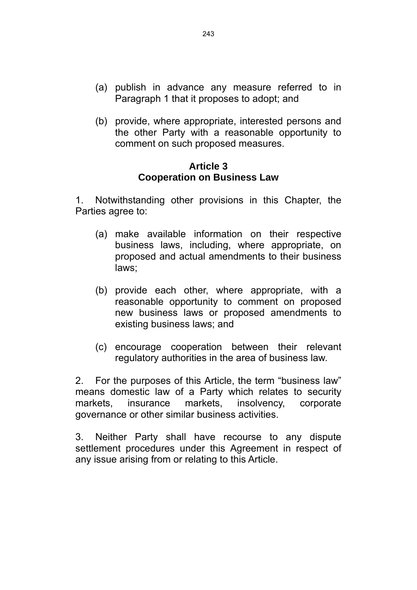- (a) publish in advance any measure referred to in Paragraph 1 that it proposes to adopt; and
- (b) provide, where appropriate, interested persons and the other Party with a reasonable opportunity to comment on such proposed measures.

#### **Article 3 Cooperation on Business Law**

1. Notwithstanding other provisions in this Chapter, the Parties agree to:

- (a) make available information on their respective business laws, including, where appropriate, on proposed and actual amendments to their business laws;
- (b) provide each other, where appropriate, with a reasonable opportunity to comment on proposed new business laws or proposed amendments to existing business laws; and
- (c) encourage cooperation between their relevant regulatory authorities in the area of business law.

2. For the purposes of this Article, the term "business law" means domestic law of a Party which relates to security markets, insurance markets, insolvency, corporate governance or other similar business activities.

3. Neither Party shall have recourse to any dispute settlement procedures under this Agreement in respect of any issue arising from or relating to this Article.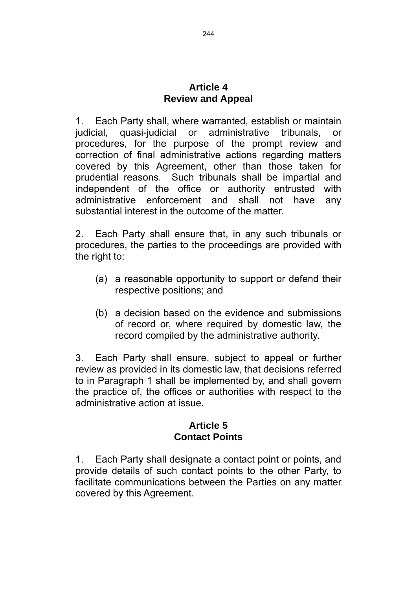#### **Article 4 Review and Appeal**

1. Each Party shall, where warranted, establish or maintain judicial, quasi-judicial or administrative tribunals, or procedures, for the purpose of the prompt review and correction of final administrative actions regarding matters covered by this Agreement, other than those taken for prudential reasons. Such tribunals shall be impartial and independent of the office or authority entrusted with administrative enforcement and shall not have any substantial interest in the outcome of the matter.

2. Each Party shall ensure that, in any such tribunals or procedures, the parties to the proceedings are provided with the right to:

- (a) a reasonable opportunity to support or defend their respective positions; and
- (b) a decision based on the evidence and submissions of record or, where required by domestic law, the record compiled by the administrative authority.

3. Each Party shall ensure, subject to appeal or further review as provided in its domestic law, that decisions referred to in Paragraph 1 shall be implemented by, and shall govern the practice of, the offices or authorities with respect to the administrative action at issue**.** 

### **Article 5 Contact Points**

1. Each Party shall designate a contact point or points, and provide details of such contact points to the other Party, to facilitate communications between the Parties on any matter covered by this Agreement.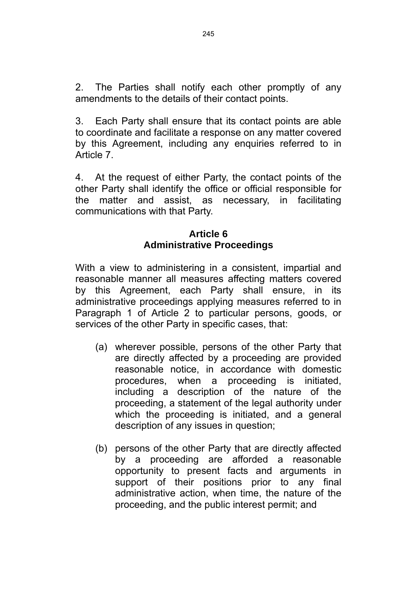2. The Parties shall notify each other promptly of any amendments to the details of their contact points.

3. Each Party shall ensure that its contact points are able to coordinate and facilitate a response on any matter covered by this Agreement, including any enquiries referred to in Article 7.

4. At the request of either Party, the contact points of the other Party shall identify the office or official responsible for the matter and assist, as necessary, in facilitating communications with that Party.

### **Article 6 Administrative Proceedings**

With a view to administering in a consistent, impartial and reasonable manner all measures affecting matters covered by this Agreement, each Party shall ensure, in its administrative proceedings applying measures referred to in Paragraph 1 of Article 2 to particular persons, goods, or services of the other Party in specific cases, that:

- (a) wherever possible, persons of the other Party that are directly affected by a proceeding are provided reasonable notice, in accordance with domestic procedures, when a proceeding is initiated, including a description of the nature of the proceeding, a statement of the legal authority under which the proceeding is initiated, and a general description of any issues in question;
- (b) persons of the other Party that are directly affected by a proceeding are afforded a reasonable opportunity to present facts and arguments in support of their positions prior to any final administrative action, when time, the nature of the proceeding, and the public interest permit; and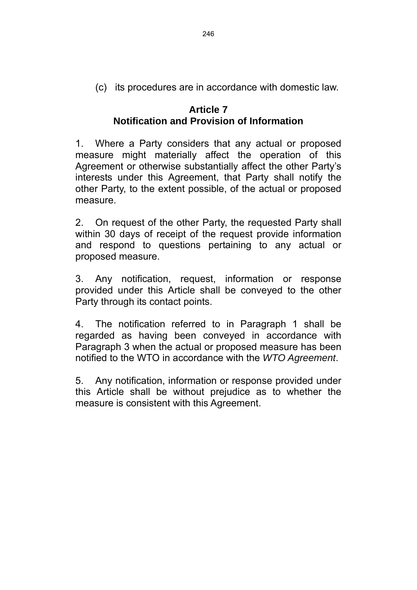(c) its procedures are in accordance with domestic law.

## **Article 7 Notification and Provision of Information**

1. Where a Party considers that any actual or proposed measure might materially affect the operation of this Agreement or otherwise substantially affect the other Party's interests under this Agreement, that Party shall notify the other Party, to the extent possible, of the actual or proposed measure.

2. On request of the other Party, the requested Party shall within 30 days of receipt of the request provide information and respond to questions pertaining to any actual or proposed measure.

3. Any notification, request, information or response provided under this Article shall be conveyed to the other Party through its contact points.

4. The notification referred to in Paragraph 1 shall be regarded as having been conveyed in accordance with Paragraph 3 when the actual or proposed measure has been notified to the WTO in accordance with the *WTO Agreement*.

5. Any notification, information or response provided under this Article shall be without prejudice as to whether the measure is consistent with this Agreement.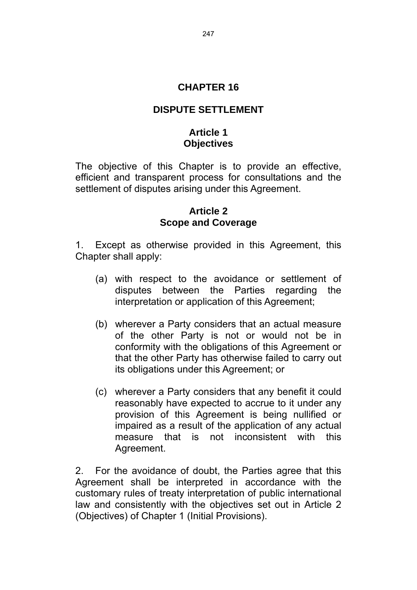## **CHAPTER 16**

## **DISPUTE SETTLEMENT**

### **Article 1 Objectives**

The objective of this Chapter is to provide an effective, efficient and transparent process for consultations and the settlement of disputes arising under this Agreement.

#### **Article 2 Scope and Coverage**

1. Except as otherwise provided in this Agreement, this Chapter shall apply:

- (a) with respect to the avoidance or settlement of disputes between the Parties regarding the interpretation or application of this Agreement;
- (b) wherever a Party considers that an actual measure of the other Party is not or would not be in conformity with the obligations of this Agreement or that the other Party has otherwise failed to carry out its obligations under this Agreement; or
- (c) wherever a Party considers that any benefit it could reasonably have expected to accrue to it under any provision of this Agreement is being nullified or impaired as a result of the application of any actual measure that is not inconsistent with this Agreement.

2. For the avoidance of doubt, the Parties agree that this Agreement shall be interpreted in accordance with the customary rules of treaty interpretation of public international law and consistently with the objectives set out in Article 2 (Objectives) of Chapter 1 (Initial Provisions).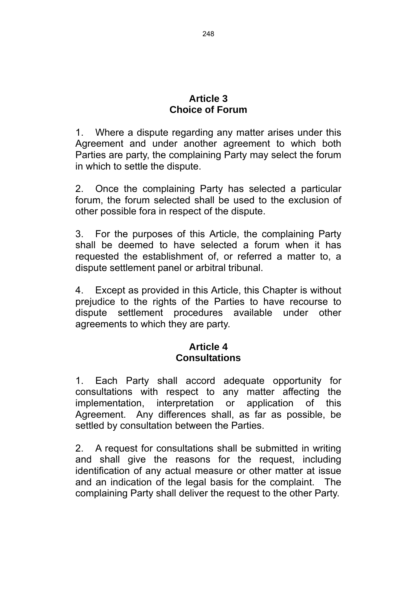### **Article 3 Choice of Forum**

1. Where a dispute regarding any matter arises under this Agreement and under another agreement to which both Parties are party, the complaining Party may select the forum in which to settle the dispute.

2. Once the complaining Party has selected a particular forum, the forum selected shall be used to the exclusion of other possible fora in respect of the dispute.

3. For the purposes of this Article, the complaining Party shall be deemed to have selected a forum when it has requested the establishment of, or referred a matter to, a dispute settlement panel or arbitral tribunal.

4. Except as provided in this Article, this Chapter is without prejudice to the rights of the Parties to have recourse to dispute settlement procedures available under other agreements to which they are party.

## **Article 4 Consultations**

1. Each Party shall accord adequate opportunity for consultations with respect to any matter affecting the implementation, interpretation or application of this Agreement. Any differences shall, as far as possible, be settled by consultation between the Parties.

2. A request for consultations shall be submitted in writing and shall give the reasons for the request, including identification of any actual measure or other matter at issue and an indication of the legal basis for the complaint. The complaining Party shall deliver the request to the other Party.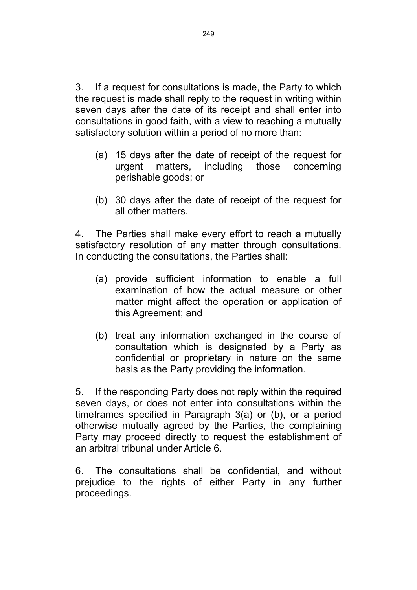3. If a request for consultations is made, the Party to which the request is made shall reply to the request in writing within seven days after the date of its receipt and shall enter into consultations in good faith, with a view to reaching a mutually satisfactory solution within a period of no more than:

- (a) 15 days after the date of receipt of the request for urgent matters, including those concerning perishable goods; or
- (b) 30 days after the date of receipt of the request for all other matters.

4. The Parties shall make every effort to reach a mutually satisfactory resolution of any matter through consultations. In conducting the consultations, the Parties shall:

- (a) provide sufficient information to enable a full examination of how the actual measure or other matter might affect the operation or application of this Agreement; and
- (b) treat any information exchanged in the course of consultation which is designated by a Party as confidential or proprietary in nature on the same basis as the Party providing the information.

5. If the responding Party does not reply within the required seven days, or does not enter into consultations within the timeframes specified in Paragraph 3(a) or (b), or a period otherwise mutually agreed by the Parties, the complaining Party may proceed directly to request the establishment of an arbitral tribunal under Article 6.

6. The consultations shall be confidential, and without prejudice to the rights of either Party in any further proceedings.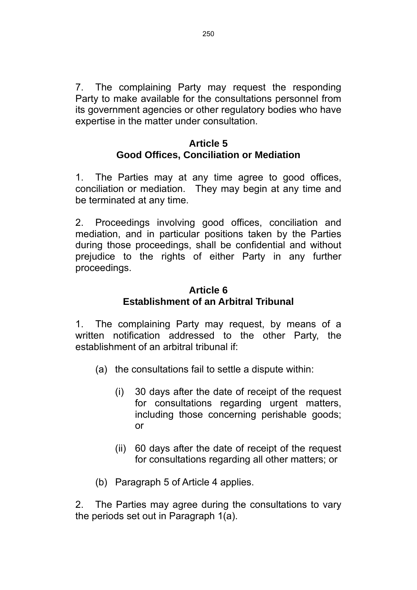7. The complaining Party may request the responding Party to make available for the consultations personnel from its government agencies or other regulatory bodies who have expertise in the matter under consultation.

### **Article 5 Good Offices, Conciliation or Mediation**

1. The Parties may at any time agree to good offices, conciliation or mediation. They may begin at any time and be terminated at any time.

2. Proceedings involving good offices, conciliation and mediation, and in particular positions taken by the Parties during those proceedings, shall be confidential and without prejudice to the rights of either Party in any further proceedings.

## **Article 6 Establishment of an Arbitral Tribunal**

1. The complaining Party may request, by means of a written notification addressed to the other Party, the establishment of an arbitral tribunal if:

- (a) the consultations fail to settle a dispute within:
	- (i) 30 days after the date of receipt of the request for consultations regarding urgent matters, including those concerning perishable goods; or
	- (ii) 60 days after the date of receipt of the request for consultations regarding all other matters; or
- (b) Paragraph 5 of Article 4 applies.

2. The Parties may agree during the consultations to vary the periods set out in Paragraph 1(a).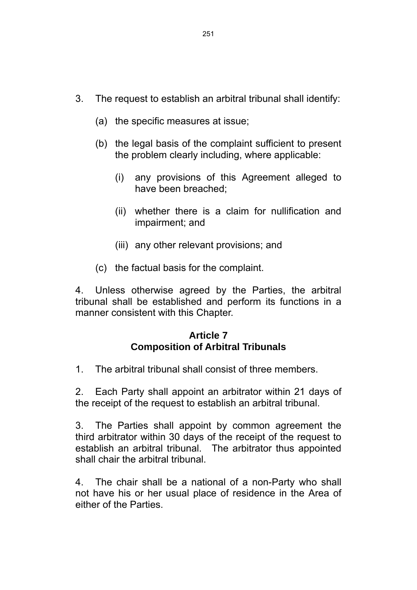- 3. The request to establish an arbitral tribunal shall identify:
	- (a) the specific measures at issue;
	- (b) the legal basis of the complaint sufficient to present the problem clearly including, where applicable:
		- (i) any provisions of this Agreement alleged to have been breached;
		- (ii) whether there is a claim for nullification and impairment; and
		- (iii) any other relevant provisions; and
	- (c) the factual basis for the complaint.

4. Unless otherwise agreed by the Parties, the arbitral tribunal shall be established and perform its functions in a manner consistent with this Chapter.

### **Article 7 Composition of Arbitral Tribunals**

1. The arbitral tribunal shall consist of three members.

2. Each Party shall appoint an arbitrator within 21 days of the receipt of the request to establish an arbitral tribunal.

3. The Parties shall appoint by common agreement the third arbitrator within 30 days of the receipt of the request to establish an arbitral tribunal. The arbitrator thus appointed shall chair the arbitral tribunal.

4. The chair shall be a national of a non-Party who shall not have his or her usual place of residence in the Area of either of the Parties.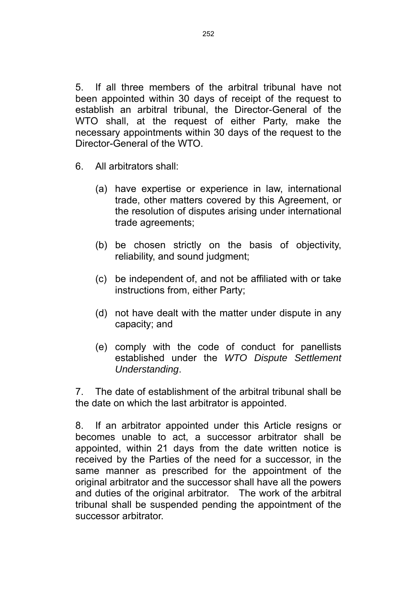5. If all three members of the arbitral tribunal have not been appointed within 30 days of receipt of the request to establish an arbitral tribunal, the Director-General of the WTO shall, at the request of either Party, make the necessary appointments within 30 days of the request to the Director-General of the WTO.

- 6. All arbitrators shall:
	- (a) have expertise or experience in law, international trade, other matters covered by this Agreement, or the resolution of disputes arising under international trade agreements;
	- (b) be chosen strictly on the basis of objectivity, reliability, and sound judgment;
	- (c) be independent of, and not be affiliated with or take instructions from, either Party;
	- (d) not have dealt with the matter under dispute in any capacity; and
	- (e) comply with the code of conduct for panellists established under the *WTO Dispute Settlement Understanding*.

7. The date of establishment of the arbitral tribunal shall be the date on which the last arbitrator is appointed.

8. If an arbitrator appointed under this Article resigns or becomes unable to act, a successor arbitrator shall be appointed, within 21 days from the date written notice is received by the Parties of the need for a successor, in the same manner as prescribed for the appointment of the original arbitrator and the successor shall have all the powers and duties of the original arbitrator. The work of the arbitral tribunal shall be suspended pending the appointment of the successor arbitrator.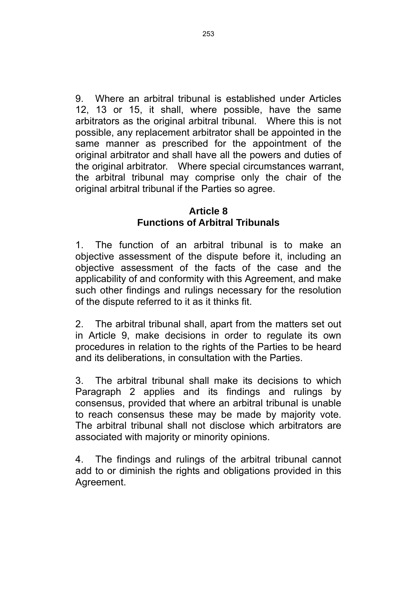9. Where an arbitral tribunal is established under Articles 12, 13 or 15, it shall, where possible, have the same arbitrators as the original arbitral tribunal. Where this is not possible, any replacement arbitrator shall be appointed in the same manner as prescribed for the appointment of the original arbitrator and shall have all the powers and duties of the original arbitrator. Where special circumstances warrant, the arbitral tribunal may comprise only the chair of the original arbitral tribunal if the Parties so agree.

#### **Article 8 Functions of Arbitral Tribunals**

1. The function of an arbitral tribunal is to make an objective assessment of the dispute before it, including an objective assessment of the facts of the case and the applicability of and conformity with this Agreement, and make such other findings and rulings necessary for the resolution of the dispute referred to it as it thinks fit.

2. The arbitral tribunal shall, apart from the matters set out in Article 9, make decisions in order to regulate its own procedures in relation to the rights of the Parties to be heard and its deliberations, in consultation with the Parties.

3. The arbitral tribunal shall make its decisions to which Paragraph 2 applies and its findings and rulings by consensus, provided that where an arbitral tribunal is unable to reach consensus these may be made by majority vote. The arbitral tribunal shall not disclose which arbitrators are associated with majority or minority opinions.

4. The findings and rulings of the arbitral tribunal cannot add to or diminish the rights and obligations provided in this Agreement.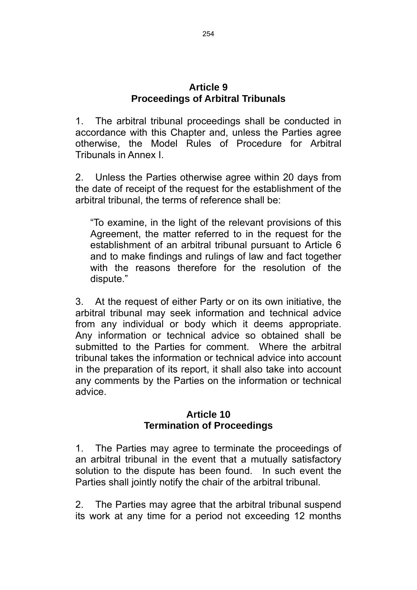#### **Article 9 Proceedings of Arbitral Tribunals**

1. The arbitral tribunal proceedings shall be conducted in accordance with this Chapter and, unless the Parties agree otherwise, the Model Rules of Procedure for Arbitral Tribunals in Annex I.

2. Unless the Parties otherwise agree within 20 days from the date of receipt of the request for the establishment of the arbitral tribunal, the terms of reference shall be:

" To examine, in the light of the relevant provisions of this A greement, the matter referred to in the request for the e stablishment of an arbitral tribunal pursuant to Article 6 a nd to make findings and rulings of law and fact together w ith the reasons therefore for the resolution of the d ispute."

3. At the request of either Party or on its own initiative, the arbitral tribunal may seek information and technical advice from any individual or body which it deems appropriate. Any information or technical advice so obtained shall be submitted to the Parties for comment. Where the arbitral tribunal takes the information or technical advice into account in the preparation of its report, it shall also take into account any comments by the Parties on the information or technical advice.

## **Article 10 Termination of Proceedings**

1. The Parties may agree to terminate the proceedings of an arbitral tribunal in the event that a mutually satisfactory solution to the dispute has been found. In such event the Parties shall jointly notify the chair of the arbitral tribunal.

2. The Parties may agree that the arbitral tribunal suspend its work at any time for a period not exceeding 12 months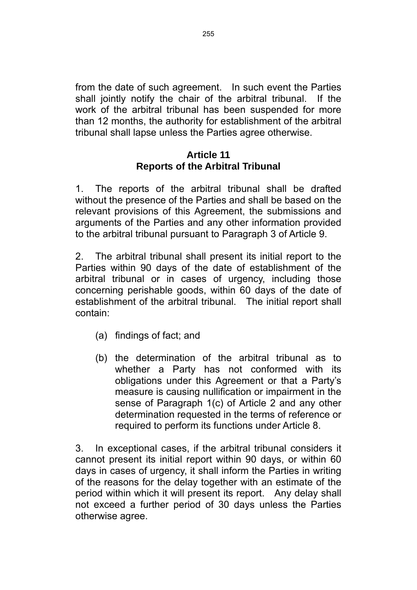from the date of such agreement. In such event the Parties shall jointly notify the chair of the arbitral tribunal. If the work of the arbitral tribunal has been suspended for more than 12 months, the authority for establishment of the arbitral tribunal shall lapse unless the Parties agree otherwise.

## **Article 11 Reports of the Arbitral Tribunal**

1. The reports of the arbitral tribunal shall be drafted without the presence of the Parties and shall be based on the relevant provisions of this Agreement, the submissions and arguments of the Parties and any other information provided to the arbitral tribunal pursuant to Paragraph 3 of Article 9.

2. The arbitral tribunal shall present its initial report to the Parties within 90 days of the date of establishment of the arbitral tribunal or in cases of urgency, including those concerning perishable goods, within 60 days of the date of establishment of the arbitral tribunal. The initial report shall contain:

- (a) findings of fact; and
- (b) the determination of the arbitral tribunal as to whether a Party has not conformed with its obligations under this Agreement or that a Party's measure is causing nullification or impairment in the sense of Paragraph 1(c) of Article 2 and any other determination requested in the terms of reference or required to perform its functions under Article 8.

3. In exceptional cases, if the arbitral tribunal considers it cannot present its initial report within 90 days, or within 60 days in cases of urgency, it shall inform the Parties in writing of the reasons for the delay together with an estimate of the period within which it will present its report. Any delay shall not exceed a further period of 30 days unless the Parties otherwise agree.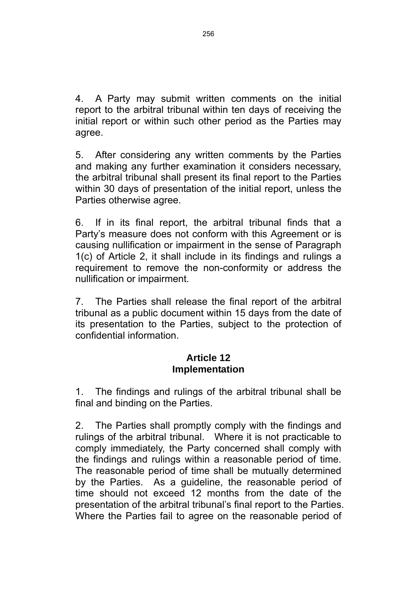4. A Party may submit written comments on the initial report to the arbitral tribunal within ten days of receiving the initial report or within such other period as the Parties may agree.

5. After considering any written comments by the Parties and making any further examination it considers necessary, the arbitral tribunal shall present its final report to the Parties within 30 days of presentation of the initial report, unless the Parties otherwise agree.

6. If in its final report, the arbitral tribunal finds that a Party's measure does not conform with this Agreement or is causing nullification or impairment in the sense of Paragraph 1(c) of Article 2, it shall include in its findings and rulings a requirement to remove the non-conformity or address the nullification or impairment.

7. The Parties shall release the final report of the arbitral tribunal as a public document within 15 days from the date of its presentation to the Parties, subject to the protection of confidential information.

## **Article 12 Implementation**

1. The findings and rulings of the arbitral tribunal shall be final and binding on the Parties.

2. The Parties shall promptly comply with the findings and rulings of the arbitral tribunal. Where it is not practicable to comply immediately, the Party concerned shall comply with the findings and rulings within a reasonable period of time. The reasonable period of time shall be mutually determined by the Parties. As a guideline, the reasonable period of time should not exceed 12 months from the date of the presentation of the arbitral tribunal's final report to the Parties. Where the Parties fail to agree on the reasonable period of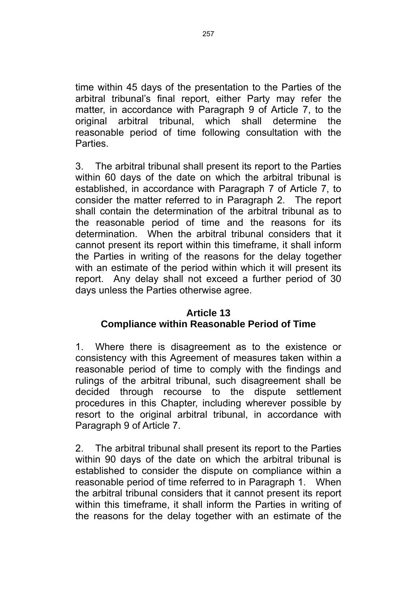time within 45 days of the presentation to the Parties of the arbitral tribunal's final report, either Party may refer the matter, in accordance with Paragraph 9 of Article 7, to the original arbitral tribunal, which shall determine the reasonable period of time following consultation with the **Parties** 

3. The arbitral tribunal shall present its report to the Parties within 60 days of the date on which the arbitral tribunal is established, in accordance with Paragraph 7 of Article 7, to consider the matter referred to in Paragraph 2. The report shall contain the determination of the arbitral tribunal as to the reasonable period of time and the reasons for its determination. When the arbitral tribunal considers that it cannot present its report within this timeframe, it shall inform the Parties in writing of the reasons for the delay together with an estimate of the period within which it will present its report. Any delay shall not exceed a further period of 30 days unless the Parties otherwise agree.

#### **Article 13**

### **Compliance within Reasonable Period of Time**

1. Where there is disagreement as to the existence or consistency with this Agreement of measures taken within a reasonable period of time to comply with the findings and rulings of the arbitral tribunal, such disagreement shall be decided through recourse to the dispute settlement procedures in this Chapter, including wherever possible by resort to the original arbitral tribunal, in accordance with Paragraph 9 of Article 7.

2. The arbitral tribunal shall present its report to the Parties within 90 days of the date on which the arbitral tribunal is established to consider the dispute on compliance within a reasonable period of time referred to in Paragraph 1. When the arbitral tribunal considers that it cannot present its report within this timeframe, it shall inform the Parties in writing of the reasons for the delay together with an estimate of the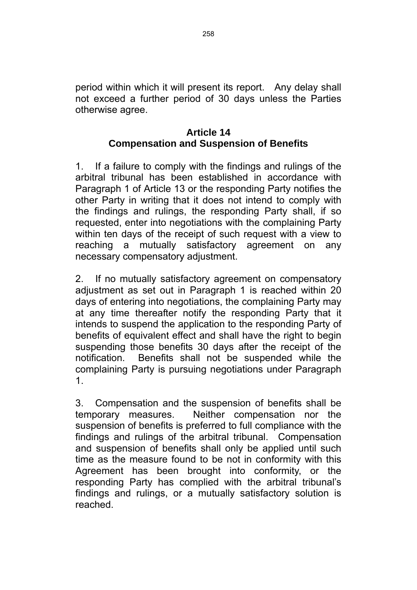period within which it will present its report. Any delay shall not exceed a further period of 30 days unless the Parties otherwise agree.

## **Article 14 Compensation and Suspension of Benefits**

1. If a failure to comply with the findings and rulings of the arbitral tribunal has been established in accordance with Paragraph 1 of Article 13 or the responding Party notifies the other Party in writing that it does not intend to comply with the findings and rulings, the responding Party shall, if so requested, enter into negotiations with the complaining Party within ten days of the receipt of such request with a view to reaching a mutually satisfactory agreement on any necessary compensatory adjustment.

2. If no mutually satisfactory agreement on compensatory adjustment as set out in Paragraph 1 is reached within 20 days of entering into negotiations, the complaining Party may at any time thereafter notify the responding Party that it intends to suspend the application to the responding Party of benefits of equivalent effect and shall have the right to begin suspending those benefits 30 days after the receipt of the notification. Benefits shall not be suspended while the complaining Party is pursuing negotiations under Paragraph 1.

3. Compensation and the suspension of benefits shall be temporary measures. Neither compensation nor the suspension of benefits is preferred to full compliance with the findings and rulings of the arbitral tribunal. Compensation and suspension of benefits shall only be applied until such time as the measure found to be not in conformity with this Agreement has been brought into conformity, or the responding Party has complied with the arbitral tribunal's findings and rulings, or a mutually satisfactory solution is reached.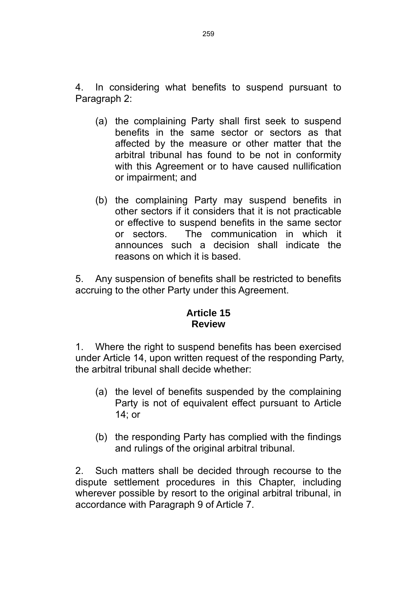4. In considering what benefits to suspend pursuant to Paragraph 2:

- (a) the complaining Party shall first seek to suspend benefits in the same sector or sectors as that affected by the measure or other matter that the arbitral tribunal has found to be not in conformity with this Agreement or to have caused nullification or impairment; and
- (b) the complaining Party may suspend benefits in other sectors if it considers that it is not practicable or effective to suspend benefits in the same sector or sectors. The communication in which it announces such a decision shall indicate the reasons on which it is based.

5. Any suspension of benefits shall be restricted to benefits accruing to the other Party under this Agreement.

## **Article 15 Review**

1. Where the right to suspend benefits has been exercised under Article 14, upon written request of the responding Party, the arbitral tribunal shall decide whether:

- (a) the level of benefits suspended by the complaining Party is not of equivalent effect pursuant to Article 14; or
- (b) the responding Party has complied with the findings and rulings of the original arbitral tribunal.

2. Such matters shall be decided through recourse to the dispute settlement procedures in this Chapter, including wherever possible by resort to the original arbitral tribunal, in accordance with Paragraph 9 of Article 7.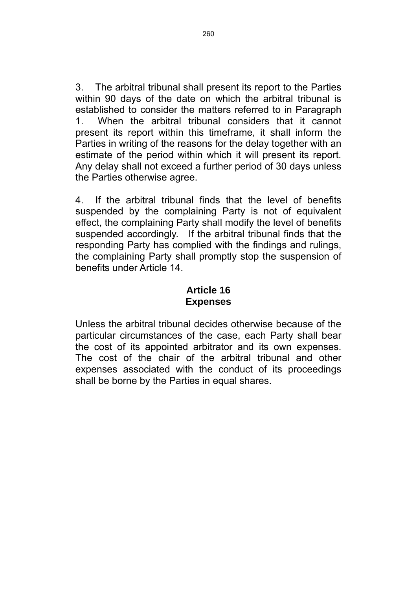3. The arbitral tribunal shall present its report to the Parties within 90 days of the date on which the arbitral tribunal is established to consider the matters referred to in Paragraph 1. When the arbitral tribunal considers that it cannot present its report within this timeframe, it shall inform the Parties in writing of the reasons for the delay together with an estimate of the period within which it will present its report. Any delay shall not exceed a further period of 30 days unless the Parties otherwise agree.

4. If the arbitral tribunal finds that the level of benefits suspended by the complaining Party is not of equivalent effect, the complaining Party shall modify the level of benefits suspended accordingly. If the arbitral tribunal finds that the responding Party has complied with the findings and rulings, the complaining Party shall promptly stop the suspension of benefits under Article 14.

### **Article 16 Expenses**

Unless the arbitral tribunal decides otherwise because of the particular circumstances of the case, each Party shall bear the cost of its appointed arbitrator and its own expenses. The cost of the chair of the arbitral tribunal and other expenses associated with the conduct of its proceedings shall be borne by the Parties in equal shares.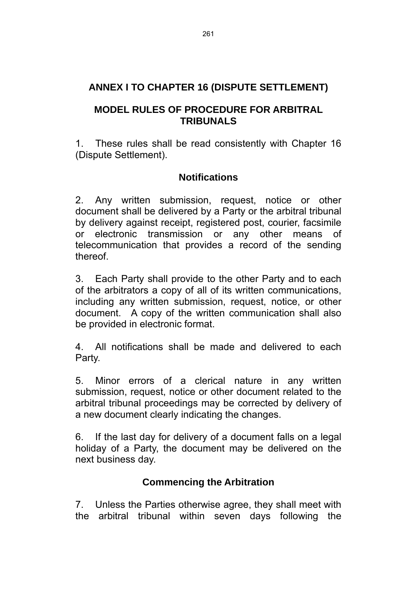# **ANNEX I TO CHAPTER 16 (DISPUTE SETTLEMENT)**

# **MODEL RULES OF PROCEDURE FOR ARBITRAL TRIBUNALS**

1. These rules shall be read consistently with Chapter 16 (Dispute Settlement).

## **Notifications**

2. Any written submission, request, notice or other document shall be delivered by a Party or the arbitral tribunal by delivery against receipt, registered post, courier, facsimile or electronic transmission or any other means telecommunication that provides a record of the sending thereof.

3. Each Party shall provide to the other Party and to each of the arbitrators a copy of all of its written communications, including any written submission, request, notice, or other document. A copy of the written communication shall also be provided in electronic format.

4. All notifications shall be made and delivered to each Party.

5. Minor errors of a clerical nature in any written submission, request, notice or other document related to the arbitral tribunal proceedings may be corrected by delivery of a new document clearly indicating the changes.

6. If the last day for delivery of a document falls on a legal holiday of a Party, the document may be delivered on the next business day.

## **Commencing the Arbitration**

7. Unless the Parties otherwise agree, they shall meet with the arbitral tribunal within seven days following the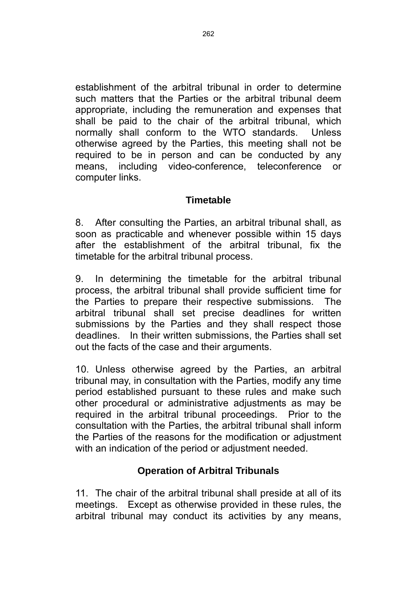establishment of the arbitral tribunal in order to determine such matters that the Parties or the arbitral tribunal deem appropriate, including the remuneration and expenses that shall be paid to the chair of the arbitral tribunal, which normally shall conform to the WTO standards. Unless otherwise agreed by the Parties, this meeting shall not be required to be in person and can be conducted by any means, including video-conference, teleconference or computer links.

# **Timetable**

8. After consulting the Parties, an arbitral tribunal shall, as soon as practicable and whenever possible within 15 days after the establishment of the arbitral tribunal, fix the timetable for the arbitral tribunal process.

9. In determining the timetable for the arbitral tribunal process, the arbitral tribunal shall provide sufficient time for the Parties to prepare their respective submissions. The arbitral tribunal shall set precise deadlines for written submissions by the Parties and they shall respect those deadlines. In their written submissions, the Parties shall set out the facts of the case and their arguments.

10. Unless otherwise agreed by the Parties, an arbitral tribunal may, in consultation with the Parties, modify any time period established pursuant to these rules and make such other procedural or administrative adjustments as may be required in the arbitral tribunal proceedings. Prior to the consultation with the Parties, the arbitral tribunal shall inform the Parties of the reasons for the modification or adjustment with an indication of the period or adjustment needed.

## **Operation of Arbitral Tribunals**

11. The chair of the arbitral tribunal shall preside at all of its meetings. Except as otherwise provided in these rules, the arbitral tribunal may conduct its activities by any means,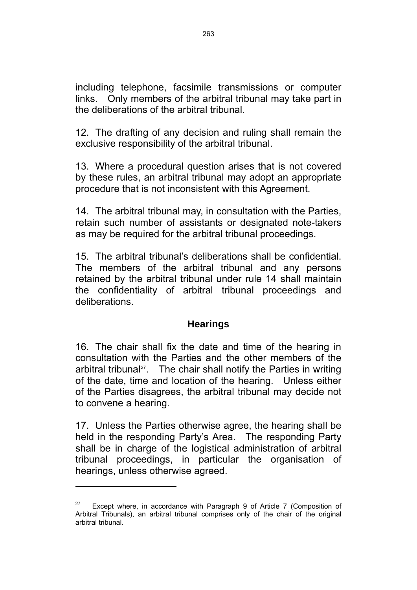<span id="page-265-0"></span>including telephone, facsimile transmissions or computer links. Only members of the arbitral tribunal may take part in the deliberations of the arbitral tribunal.

12. The drafting of any decision and ruling shall remain the exclusive responsibility of the arbitral tribunal.

13. Where a procedural question arises that is not covered by these rules, an arbitral tribunal may adopt an appropriate procedure that is not inconsistent with this Agreement.

14. The arbitral tribunal may, in consultation with the Parties, retain such number of assistants or designated note-takers as may be required for the arbitral tribunal proceedings.

15. The arbitral tribunal's deliberations shall be confidential. The members of the arbitral tribunal and any persons retained by the arbitral tribunal under rule 14 shall maintain the confidentiality of arbitral tribunal proceedings and deliberations.

## **Hearings**

16. The chair shall fix the date and time of the hearing in consultation with the Parties and the other members of the arbitral tribunal<sup>[27](#page-265-0)</sup>. The chair shall notify the Parties in writing of the date, time and location of the hearing. Unless either of the Parties disagrees, the arbitral tribunal may decide not to convene a hearing.

17. Unless the Parties otherwise agree, the hearing shall be held in the responding Party's Area. The responding Party shall be in charge of the logistical administration of arbitral tribunal proceedings, in particular the organisation of hearings, unless otherwise agreed.

l

Except where, in accordance with Paragraph 9 of Article 7 (Composition of Arbitral Tribunals), an arbitral tribunal comprises only of the chair of the original arbitral tribunal.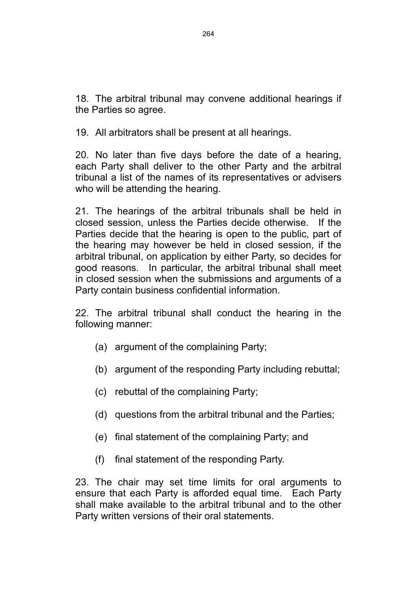18. The arbitral tribunal may convene additional hearings if the Parties so agree.

19. All arbitrators shall be present at all hearings.

20. No later than five days before the date of a hearing, each Party shall deliver to the other Party and the arbitral tribunal a list of the names of its representatives or advisers who will be attending the hearing.

21. The hearings of the arbitral tribunals shall be held in closed session, unless the Parties decide otherwise. If the Parties decide that the hearing is open to the public, part of the hearing may however be held in closed session, if the arbitral tribunal, on application by either Party, so decides for good reasons. In particular, the arbitral tribunal shall meet in closed session when the submissions and arguments of a Party contain business confidential information.

22. The arbitral tribunal shall conduct the hearing in the following manner:

- (a) argument of the complaining Party;
- (b) argument of the responding Party including rebuttal;
- (c) rebuttal of the complaining Party;
- (d) questions from the arbitral tribunal and the Parties;
- (e) final statement of the complaining Party; and
- (f) final statement of the responding Party.

23. The chair may set time limits for oral arguments to ensure that each Party is afforded equal time. Each Party shall make available to the arbitral tribunal and to the other Party written versions of their oral statements.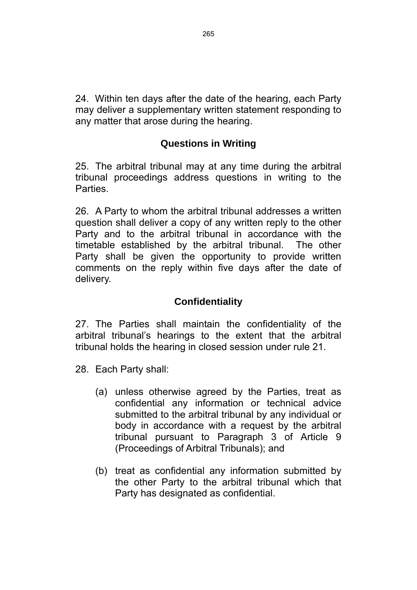24. Within ten days after the date of the hearing, each Party may deliver a supplementary written statement responding to any matter that arose during the hearing.

# **Questions in Writing**

25. The arbitral tribunal may at any time during the arbitral tribunal proceedings address questions in writing to the **Parties** 

26. A Party to whom the arbitral tribunal addresses a written question shall deliver a copy of any written reply to the other Party and to the arbitral tribunal in accordance with the timetable established by the arbitral tribunal. The other Party shall be given the opportunity to provide written comments on the reply within five days after the date of delivery.

## **Confidentiality**

27. The Parties shall maintain the confidentiality of the arbitral tribunal's hearings to the extent that the arbitral tribunal holds the hearing in closed session under rule 21.

28. Each Party shall:

- (a) unless otherwise agreed by the Parties, treat as confidential any information or technical advice submitted to the arbitral tribunal by any individual or body in accordance with a request by the arbitral tribunal pursuant to Paragraph 3 of Article 9 (Proceedings of Arbitral Tribunals); and
- (b) treat as confidential any information submitted by the other Party to the arbitral tribunal which that Party has designated as confidential.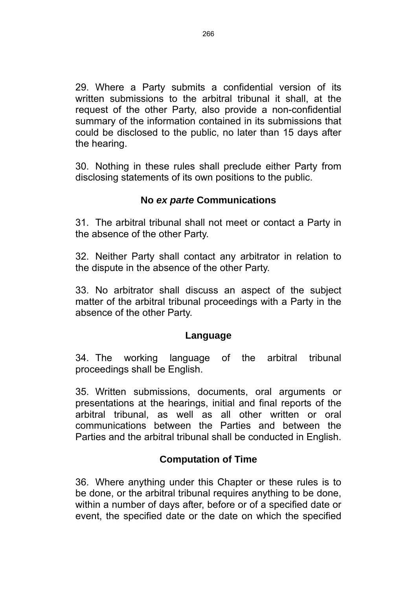29. Where a Party submits a confidential version of its written submissions to the arbitral tribunal it shall, at the request of the other Party, also provide a non-confidential summary of the information contained in its submissions that could be disclosed to the public, no later than 15 days after the hearing.

30. Nothing in these rules shall preclude either Party from disclosing statements of its own positions to the public.

## **No** *ex parte* **Communications**

31. The arbitral tribunal shall not meet or contact a Party in the absence of the other Party.

32. Neither Party shall contact any arbitrator in relation to the dispute in the absence of the other Party.

33. No arbitrator shall discuss an aspect of the subject matter of the arbitral tribunal proceedings with a Party in the absence of the other Party.

### **Language**

34. The working language of the arbitral tribunal proceedings shall be English.

35. Written submissions, documents, oral arguments or presentations at the hearings, initial and final reports of the arbitral tribunal, as well as all other written or oral communications between the Parties and between the Parties and the arbitral tribunal shall be conducted in English.

## **Computation of Time**

36. Where anything under this Chapter or these rules is to be done, or the arbitral tribunal requires anything to be done, within a number of days after, before or of a specified date or event, the specified date or the date on which the specified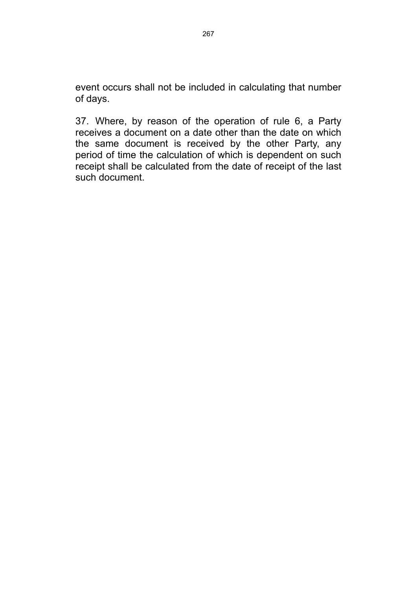event occurs shall not be included in calculating that number of days.

37. Where, by reason of the operation of rule 6, a Party receives a document on a date other than the date on which the same document is received by the other Party, any period of time the calculation of which is dependent on such receipt shall be calculated from the date of receipt of the last such document.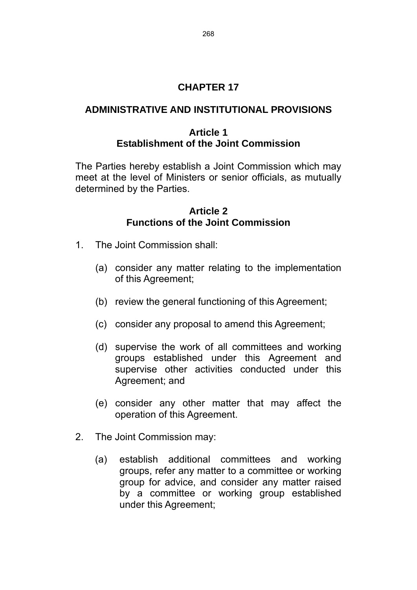# **CHAPTER 17**

## **ADMINISTRATIVE AND INSTITUTIONAL PROVISIONS**

### **Article 1 Establishment of the Joint Commission**

The Parties hereby establish a Joint Commission which may meet at the level of Ministers or senior officials, as mutually determined by the Parties.

#### **Article 2 Functions of the Joint Commission**

- 1. The Joint Commission shall:
	- (a) consider any matter relating to the implementation of this Agreement;
	- (b) review the general functioning of this Agreement;
	- (c) consider any proposal to amend this Agreement;
	- (d) supervise the work of all committees and working groups established under this Agreement and supervise other activities conducted under this Agreement; and
	- (e) consider any other matter that may affect the operation of this Agreement.
- 2. The Joint Commission may:
	- (a) establish additional committees and working groups, refer any matter to a committee or working group for advice, and consider any matter raised by a committee or working group established under this Agreement;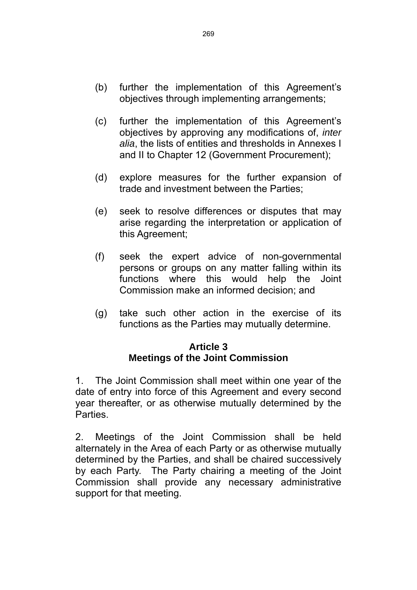- (b) further the implementation of this Agreement's objectives through implementing arrangements;
- (c) further the implementation of this Agreement's objectives by approving any modifications of, *inter alia*, the lists of entities and thresholds in Annexes I and II to Chapter 12 (Government Procurement);
- (d) explore measures for the further expansion of trade and investment between the Parties;
- (e) seek to resolve differences or disputes that may arise regarding the interpretation or application of this Agreement;
- (f) seek the expert advice of non-governmental persons or groups on any matter falling within its functions where this would help the Joint Commission make an informed decision; and
- (g) take such other action in the exercise of its functions as the Parties may mutually determine.

## **Article 3 Meetings of the Joint Commission**

1. The Joint Commission shall meet within one year of the date of entry into force of this Agreement and every second year thereafter, or as otherwise mutually determined by the Parties.

2. Meetings of the Joint Commission shall be held alternately in the Area of each Party or as otherwise mutually determined by the Parties, and shall be chaired successively by each Party. The Party chairing a meeting of the Joint Commission shall provide any necessary administrative support for that meeting.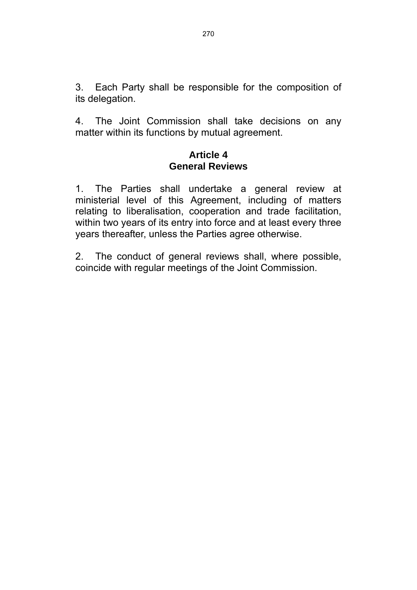3. Each Party shall be responsible for the composition of its delegation.

4. The Joint Commission shall take decisions on any matter within its functions by mutual agreement.

### **Article 4 General Reviews**

1. The Parties shall undertake a general review at ministerial level of this Agreement, including of matters relating to liberalisation, cooperation and trade facilitation, within two years of its entry into force and at least every three years thereafter, unless the Parties agree otherwise.

2. The conduct of general reviews shall, where possible, coincide with regular meetings of the Joint Commission.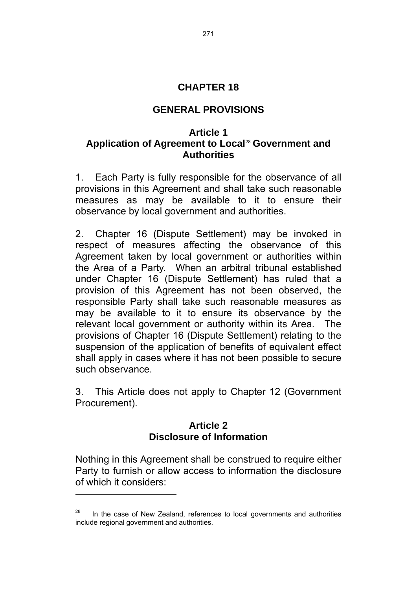# **CHAPTER 18**

# **GENERAL PROVISIONS**

### <span id="page-273-0"></span>**Article 1 Application of Agreement to Local**[28](#page-273-0) **Government and Authorities**

1. Each Party is fully responsible for the observance of all provisions in this Agreement and shall take such reasonable measures as may be available to it to ensure their observance by local government and authorities.

2. Chapter 16 (Dispute Settlement) may be invoked in respect of measures affecting the observance of this Agreement taken by local government or authorities within the Area of a Party. When an arbitral tribunal established under Chapter 16 (Dispute Settlement) has ruled that a provision of this Agreement has not been observed, the responsible Party shall take such reasonable measures as may be available to it to ensure its observance by the relevant local government or authority within its Area. The provisions of Chapter 16 (Dispute Settlement) relating to the suspension of the application of benefits of equivalent effect shall apply in cases where it has not been possible to secure such observance.

3. This Article does not apply to Chapter 12 (Government Procurement).

## **Article 2 Disclosure of Information**

Nothing in this Agreement shall be construed to require either Party to furnish or allow access to information the disclosure of which it considers:

l

In the case of New Zealand, references to local governments and authorities include regional government and authorities.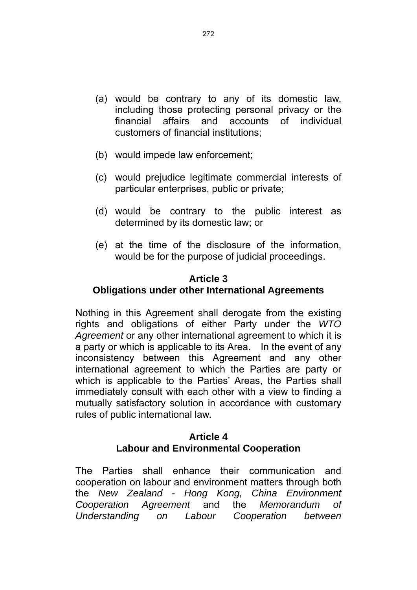- (a) would be contrary to any of its domestic law, including those protecting personal privacy or the financial affairs and accounts of individual customers of financial institutions;
- (b) would impede law enforcement;
- (c) would prejudice legitimate commercial interests of particular enterprises, public or private;
- (d) would be contrary to the public interest as determined by its domestic law; or
- (e) at the time of the disclosure of the information, would be for the purpose of judicial proceedings.

## **Article 3**

# **Obligations under other International Agreements**

Nothing in this Agreement shall derogate from the existing rights and obligations of either Party under the *WTO Agreement* or any other international agreement to which it is a party or which is applicable to its Area. In the event of any inconsistency between this Agreement and any other international agreement to which the Parties are party or which is applicable to the Parties' Areas, the Parties shall immediately consult with each other with a view to finding a mutually satisfactory solution in accordance with customary rules of public international law.

## **Article 4 Labour and Environmental Cooperation**

The Parties shall enhance their communication and cooperation on labour and environment matters through both the *New Zealand - Hong Kong, China Environment Cooperation Agreement* and the *Memorandum of Understanding on Labour Cooperation between*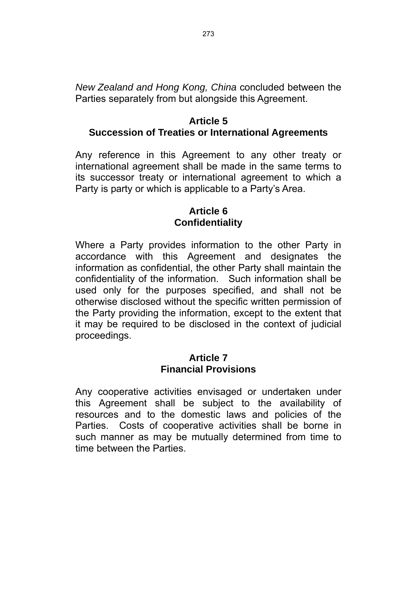*New Zealand and Hong Kong, China* concluded between the Parties separately from but alongside this Agreement.

#### **Article 5 Succession of Treaties or International Agreements**

Any reference in this Agreement to any other treaty or international agreement shall be made in the same terms to its successor treaty or international agreement to which a Party is party or which is applicable to a Party's Area.

### **Article 6 Confidentiality**

Where a Party provides information to the other Party in accordance with this Agreement and designates the information as confidential, the other Party shall maintain the confidentiality of the information. Such information shall be used only for the purposes specified, and shall not be otherwise disclosed without the specific written permission of the Party providing the information, except to the extent that it may be required to be disclosed in the context of judicial proceedings.

## **Article 7 Financial Provisions**

Any cooperative activities envisaged or undertaken under this Agreement shall be subject to the availability of resources and to the domestic laws and policies of the Parties. Costs of cooperative activities shall be borne in such manner as may be mutually determined from time to time between the Parties.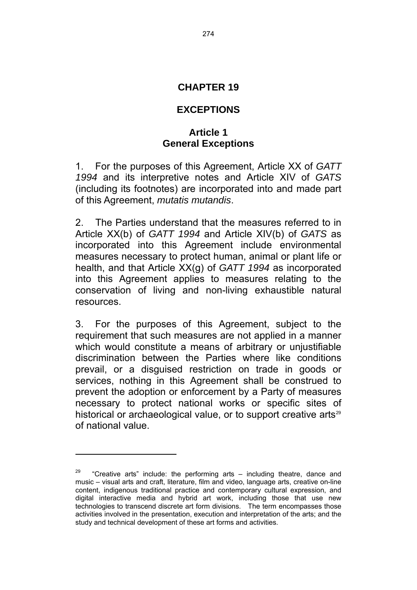# **CHAPTER 19**

# **EXCEPTIONS**

## **Article 1 General Exceptions**

<span id="page-276-0"></span>1. For the purposes of this Agreement, Article XX of *GATT 1994* and its interpretive notes and Article XIV of *GATS*  (including its footnotes) are incorporated into and made part of this Agreement, *mutatis mutandis*.

2. The Parties understand that the measures referred to in Article XX(b) of *GATT 1994* and Article XIV(b) of *GATS* as incorporated into this Agreement include environmental measures necessary to protect human, animal or plant life or health, and that Article XX(g) of *GATT 1994* as incorporated into this Agreement applies to measures relating to the conservation of living and non-living exhaustible natural resources.

3. For the purposes of this Agreement, subject to the requirement that such measures are not applied in a manner which would constitute a means of arbitrary or unjustifiable discrimination between the Parties where like conditions prevail, or a disguised restriction on trade in goods or services, nothing in this Agreement shall be construed to prevent the adoption or enforcement by a Party of measures necessary to protect national works or specific sites of historical or archaeological value, or to support creative arts $29$ of national value.

 $\overline{a}$ 

<sup>29 &</sup>quot;Creative arts" include: the performing arts – including theatre, dance and music – visual arts and craft, literature, film and video, language arts, creative on-line content, indigenous traditional practice and contemporary cultural expression, and digital interactive media and hybrid art work, including those that use new technologies to transcend discrete art form divisions. The term encompasses those activities involved in the presentation, execution and interpretation of the arts; and the study and technical development of these art forms and activities.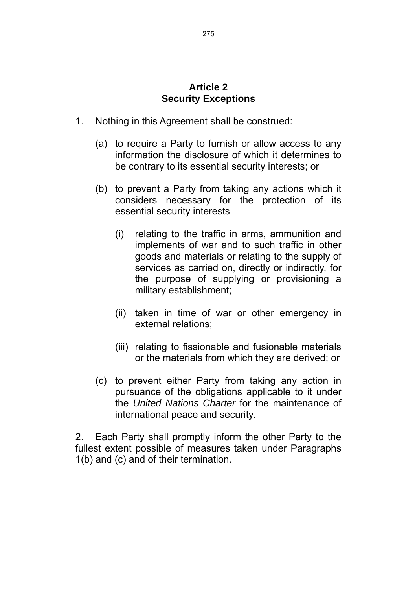### **Article 2 Security Exceptions**

- 1. Nothing in this Agreement shall be construed:
	- (a) to require a Party to furnish or allow access to any information the disclosure of which it determines to be contrary to its essential security interests; or
	- (b) to prevent a Party from taking any actions which it considers necessary for the protection of its essential security interests
		- (i) relating to the traffic in arms, ammunition and implements of war and to such traffic in other goods and materials or relating to the supply of services as carried on, directly or indirectly, for the purpose of supplying or provisioning a military establishment;
		- (ii) taken in time of war or other emergency in external relations;
		- (iii) relating to fissionable and fusionable materials or the materials from which they are derived; or
	- (c) to prevent either Party from taking any action in pursuance of the obligations applicable to it under the *United Nations Charter* for the maintenance of international peace and security.

2. Each Party shall promptly inform the other Party to the fullest extent possible of measures taken under Paragraphs 1(b) and (c) and of their termination.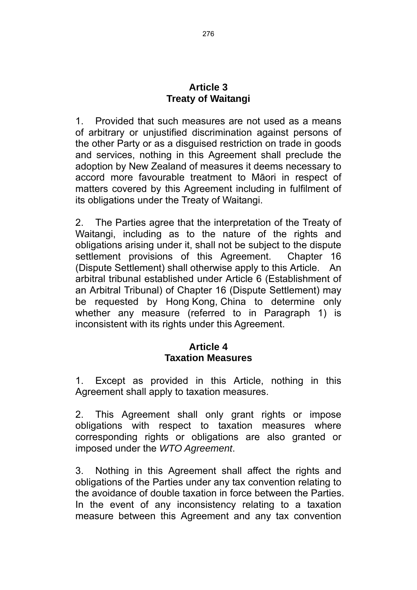#### **Article 3 Treaty of Waitangi**

1. Provided that such measures are not used as a means of arbitrary or unjustified discrimination against persons of the other Party or as a disguised restriction on trade in goods and services, nothing in this Agreement shall preclude the adoption by New Zealand of measures it deems necessary to accord more favourable treatment to Māori in respect of matters covered by this Agreement including in fulfilment of its obligations under the Treaty of Waitangi.

2. The Parties agree that the interpretation of the Treaty of Waitangi, including as to the nature of the rights and obligations arising under it, shall not be subject to the dispute settlement provisions of this Agreement. Chapter 16 (Dispute Settlement) shall otherwise apply to this Article. An arbitral tribunal established under Article 6 (Establishment of an Arbitral Tribunal) of Chapter 16 (Dispute Settlement) may be requested by Hong Kong, China to determine only whether any measure (referred to in Paragraph 1) is inconsistent with its rights under this Agreement.

## **Article 4 Taxation Measures**

1. Except as provided in this Article, nothing in this Agreement shall apply to taxation measures.

2. This Agreement shall only grant rights or impose obligations with respect to taxation measures where corresponding rights or obligations are also granted or imposed under the *WTO Agreement*.

3. Nothing in this Agreement shall affect the rights and obligations of the Parties under any tax convention relating to the avoidance of double taxation in force between the Parties. In the event of any inconsistency relating to a taxation measure between this Agreement and any tax convention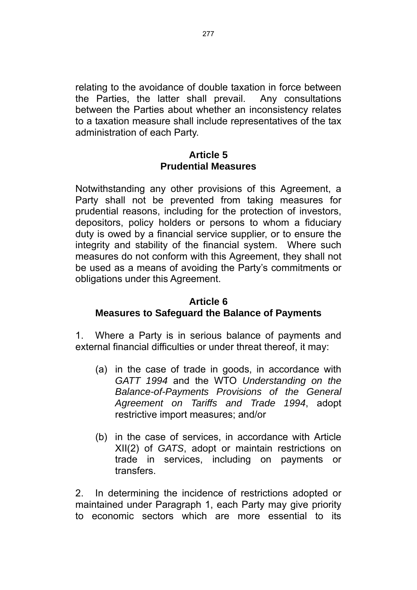relating to the avoidance of double taxation in force between the Parties, the latter shall prevail. Any consultations between the Parties about whether an inconsistency relates to a taxation measure shall include representatives of the tax administration of each Party.

### **Article 5 Prudential Measures**

Notwithstanding any other provisions of this Agreement, a Party shall not be prevented from taking measures for prudential reasons, including for the protection of investors, depositors, policy holders or persons to whom a fiduciary duty is owed by a financial service supplier, or to ensure the integrity and stability of the financial system. Where such measures do not conform with this Agreement, they shall not be used as a means of avoiding the Party's commitments or obligations under this Agreement.

# **Article 6**

# **Measures to Safeguard the Balance of Payments**

1. Where a Party is in serious balance of payments and external financial difficulties or under threat thereof, it may:

- (a) in the case of trade in goods, in accordance with *GATT 1994* and the WTO *Understanding on the Balance-of-Payments Provisions of the General Agreement on Tariffs and Trade 1994*, adopt restrictive import measures; and/or
- (b) in the case of services, in accordance with Article XII(2) of *GATS*, adopt or maintain restrictions on trade in services, including on payments or transfers.

2. In determining the incidence of restrictions adopted or maintained under Paragraph 1, each Party may give priority to economic sectors which are more essential to its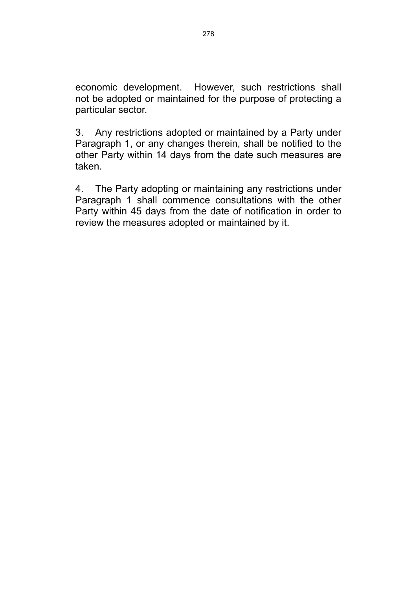economic development. However, such restrictions shall not be adopted or maintained for the purpose of protecting a particular sector.

3. Any restrictions adopted or maintained by a Party under Paragraph 1, or any changes therein, shall be notified to the other Party within 14 days from the date such measures are taken.

4. The Party adopting or maintaining any restrictions under Paragraph 1 shall commence consultations with the other Party within 45 days from the date of notification in order to review the measures adopted or maintained by it.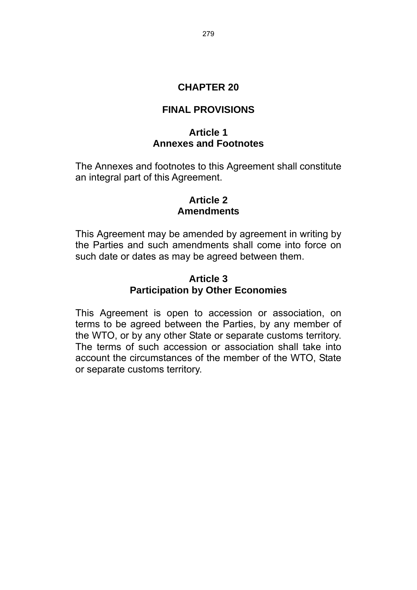# **CHAPTER 20**

# **FINAL PROVISIONS**

### **Article 1 Annexes and Footnotes**

The Annexes and footnotes to this Agreement shall constitute an integral part of this Agreement.

### **Article 2 Amendments**

This Agreement may be amended by agreement in writing by the Parties and such amendments shall come into force on such date or dates as may be agreed between them.

## **Article 3 Participation by Other Economies**

This Agreement is open to accession or association, on terms to be agreed between the Parties, by any member of the WTO, or by any other State or separate customs territory. The terms of such accession or association shall take into account the circumstances of the member of the WTO, State or separate customs territory.